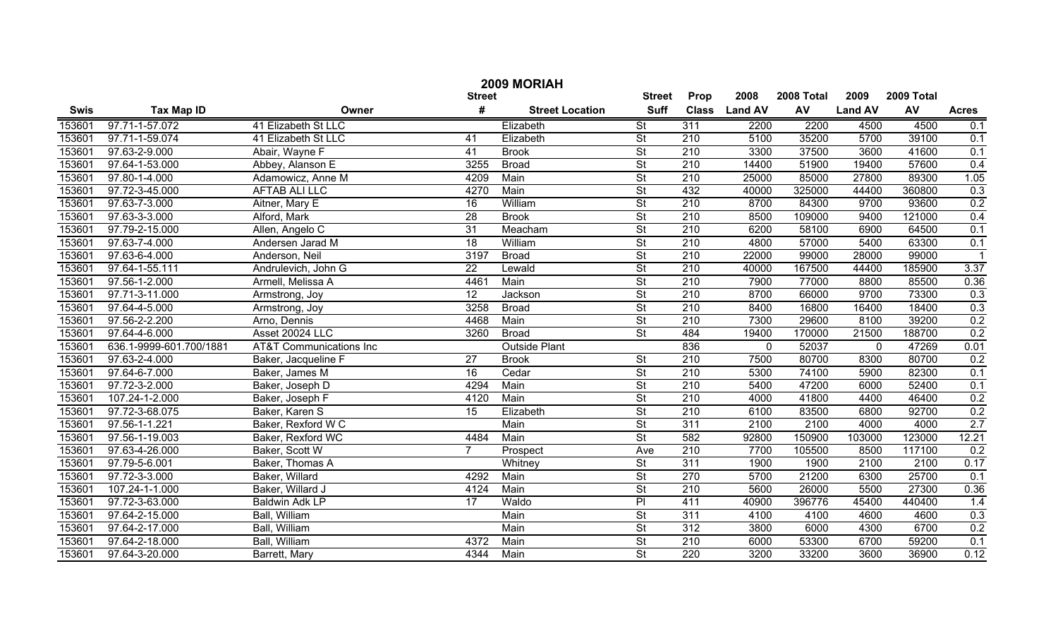| 2009 MORIAH |                         |                                    |                 |                        |                          |                  |                |            |                |            |              |
|-------------|-------------------------|------------------------------------|-----------------|------------------------|--------------------------|------------------|----------------|------------|----------------|------------|--------------|
|             |                         |                                    | <b>Street</b>   |                        | <b>Street</b>            | Prop             | 2008           | 2008 Total | 2009           | 2009 Total |              |
| Swis        | <b>Tax Map ID</b>       | Owner                              | #               | <b>Street Location</b> | <b>Suff</b>              | <b>Class</b>     | <b>Land AV</b> | AV         | <b>Land AV</b> | AV         | <b>Acres</b> |
| 153601      | 97.71-1-57.072          | 41 Elizabeth St LLC                |                 | Elizabeth              | $\overline{\mathsf{St}}$ | 311              | 2200           | 2200       | 4500           | 4500       | 0.1          |
| 153601      | 97.71-1-59.074          | 41 Elizabeth St LLC                | 41              | Elizabeth              | $\overline{\mathsf{St}}$ | $\overline{210}$ | 5100           | 35200      | 5700           | 39100      | 0.1          |
| 153601      | 97.63-2-9.000           | Abair, Wayne F                     | 41              | <b>Brook</b>           | $\overline{\mathsf{St}}$ | 210              | 3300           | 37500      | 3600           | 41600      | 0.1          |
| 153601      | 97.64-1-53.000          | Abbey, Alanson E                   | 3255            | <b>Broad</b>           | $\overline{\mathsf{St}}$ | 210              | 14400          | 51900      | 19400          | 57600      | 0.4          |
| 153601      | 97.80-1-4.000           | Adamowicz, Anne M                  | 4209            | Main                   | $\overline{\mathsf{St}}$ | 210              | 25000          | 85000      | 27800          | 89300      | 1.05         |
| 153601      | 97.72-3-45.000          | AFTAB ALI LLC                      | 4270            | Main                   | $\overline{\mathsf{St}}$ | 432              | 40000          | 325000     | 44400          | 360800     | 0.3          |
| 153601      | 97.63-7-3.000           | Aitner, Mary E                     | 16              | William                | $\overline{\mathsf{St}}$ | $\overline{210}$ | 8700           | 84300      | 9700           | 93600      | 0.2          |
| 153601      | 97.63-3-3.000           | Alford, Mark                       | $\overline{28}$ | <b>Brook</b>           | $\overline{\mathsf{St}}$ | $\overline{210}$ | 8500           | 109000     | 9400           | 121000     | 0.4          |
| 153601      | 97.79-2-15.000          | Allen, Angelo C                    | 31              | Meacham                | $\overline{\mathsf{St}}$ | 210              | 6200           | 58100      | 6900           | 64500      | 0.1          |
| 153601      | 97.63-7-4.000           | Andersen Jarad M                   | $\overline{18}$ | William                | $\overline{\mathsf{St}}$ | $\overline{210}$ | 4800           | 57000      | 5400           | 63300      | 0.1          |
| 153601      | 97.63-6-4.000           | Anderson, Neil                     | 3197            | <b>Broad</b>           | $\overline{\mathsf{St}}$ | $\overline{210}$ | 22000          | 99000      | 28000          | 99000      |              |
| 153601      | 97.64-1-55.111          | Andrulevich, John G                | $\overline{22}$ | Lewald                 | $\overline{\mathsf{St}}$ | 210              | 40000          | 167500     | 44400          | 185900     | 3.37         |
| 153601      | 97.56-1-2.000           | Armell, Melissa A                  | 4461            | Main                   | $\overline{\mathsf{St}}$ | 210              | 7900           | 77000      | 8800           | 85500      | 0.36         |
| 153601      | 97.71-3-11.000          | Armstrong, Joy                     | $\overline{12}$ | Jackson                | $\overline{\mathsf{St}}$ | 210              | 8700           | 66000      | 9700           | 73300      | 0.3          |
| 153601      | 97.64-4-5.000           | Armstrong, Joy                     | 3258            | <b>Broad</b>           | $\overline{\mathsf{St}}$ | 210              | 8400           | 16800      | 16400          | 18400      | 0.3          |
| 153601      | 97.56-2-2.200           | Arno, Dennis                       | 4468            | Main                   | $\overline{\mathsf{St}}$ | 210              | 7300           | 29600      | 8100           | 39200      | 0.2          |
| 153601      | 97.64-4-6.000           | Asset 20024 LLC                    | 3260            | <b>Broad</b>           | <b>St</b>                | 484              | 19400          | 170000     | 21500          | 188700     | 0.2          |
| 153601      | 636.1-9999-601.700/1881 | <b>AT&amp;T Communications Inc</b> |                 | <b>Outside Plant</b>   |                          | 836              | $\mathbf{0}$   | 52037      | $\overline{0}$ | 47269      | 0.01         |
| 153601      | 97.63-2-4.000           | Baker, Jacqueline F                | 27              | <b>Brook</b>           | <b>St</b>                | 210              | 7500           | 80700      | 8300           | 80700      | 0.2          |
| 153601      | 97.64-6-7.000           | Baker, James M                     | 16              | Cedar                  | $\overline{\mathsf{St}}$ | $\overline{210}$ | 5300           | 74100      | 5900           | 82300      | 0.1          |
| 153601      | 97.72-3-2.000           | Baker, Joseph D                    | 4294            | Main                   | $\overline{\mathsf{St}}$ | 210              | 5400           | 47200      | 6000           | 52400      | 0.1          |
| 153601      | 107.24-1-2.000          | Baker, Joseph F                    | 4120            | Main                   | $\overline{\mathsf{St}}$ | $\overline{210}$ | 4000           | 41800      | 4400           | 46400      | 0.2          |
| 153601      | 97.72-3-68.075          | Baker, Karen S                     | $\overline{15}$ | Elizabeth              | $\overline{\mathsf{St}}$ | $\overline{210}$ | 6100           | 83500      | 6800           | 92700      | 0.2          |
| 153601      | 97.56-1-1.221           | Baker, Rexford W C                 |                 | Main                   | $\overline{\mathsf{St}}$ | 311              | 2100           | 2100       | 4000           | 4000       | 2.7          |
| 153601      | 97.56-1-19.003          | Baker, Rexford WC                  | 4484            | Main                   | $\overline{\mathsf{St}}$ | 582              | 92800          | 150900     | 103000         | 123000     | 12.21        |
| 153601      | 97.63-4-26.000          | Baker, Scott W                     | 7               | Prospect               | Ave                      | $\overline{210}$ | 7700           | 105500     | 8500           | 117100     | 0.2          |
| 153601      | 97.79-5-6.001           | Baker, Thomas A                    |                 | Whitney                | $\overline{\mathsf{St}}$ | 311              | 1900           | 1900       | 2100           | 2100       | 0.17         |
| 153601      | 97.72-3-3.000           | Baker, Willard                     | 4292            | Main                   | $\overline{\mathsf{St}}$ | 270              | 5700           | 21200      | 6300           | 25700      | 0.1          |
| 153601      | 107.24-1-1.000          | Baker, Willard J                   | 4124            | Main                   | $\overline{\mathsf{St}}$ | $\overline{210}$ | 5600           | 26000      | 5500           | 27300      | 0.36         |
| 153601      | 97.72-3-63.000          | <b>Baldwin Adk LP</b>              | $\overline{17}$ | Waldo                  | $\overline{P}$           | 411              | 40900          | 396776     | 45400          | 440400     | 1.4          |
| 153601      | 97.64-2-15.000          | Ball, William                      |                 | Main                   | $\overline{\mathsf{St}}$ | 311              | 4100           | 4100       | 4600           | 4600       | 0.3          |
| 153601      | 97.64-2-17.000          | Ball, William                      |                 | Main                   | $\overline{\mathsf{St}}$ | $\overline{312}$ | 3800           | 6000       | 4300           | 6700       | 0.2          |
| 153601      | 97.64-2-18.000          | Ball, William                      | 4372            | Main                   | $\overline{\mathsf{St}}$ | 210              | 6000           | 53300      | 6700           | 59200      | 0.1          |
| 153601      | 97.64-3-20.000          | Barrett, Mary                      | 4344            | Main                   | $\overline{\mathsf{St}}$ | 220              | 3200           | 33200      | 3600           | 36900      | 0.12         |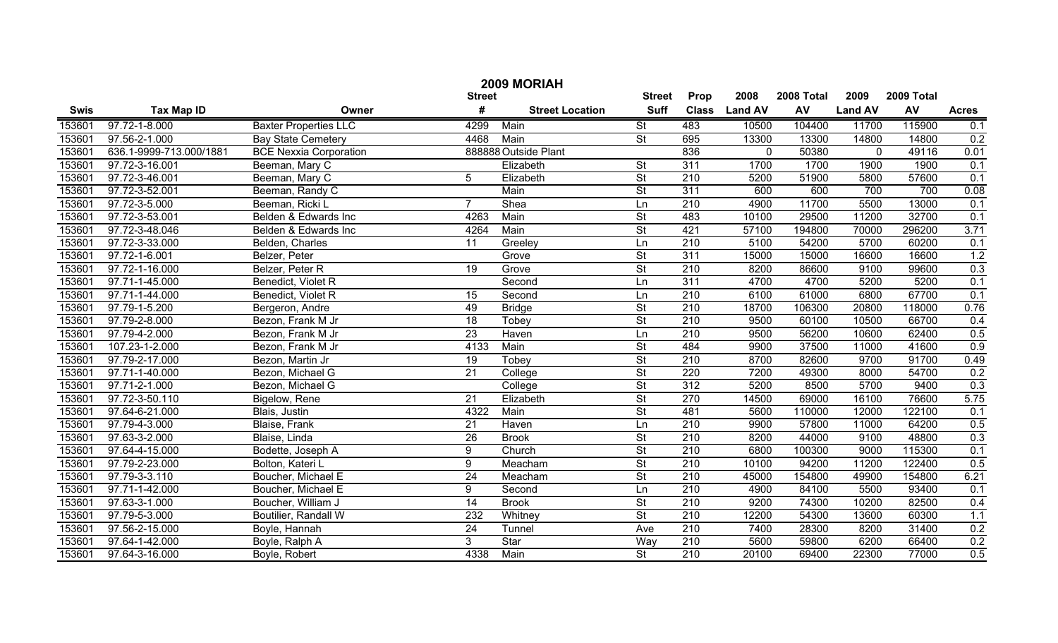|             | 2009 MORIAH             |                               |               |                        |                          |                  |                |            |                |            |                  |  |
|-------------|-------------------------|-------------------------------|---------------|------------------------|--------------------------|------------------|----------------|------------|----------------|------------|------------------|--|
|             |                         |                               | <b>Street</b> |                        | <b>Street</b>            | Prop             | 2008           | 2008 Total | 2009           | 2009 Total |                  |  |
| <b>Swis</b> | <b>Tax Map ID</b>       | Owner                         | #             | <b>Street Location</b> | <b>Suff</b>              | <b>Class</b>     | <b>Land AV</b> | AV         | <b>Land AV</b> | AV         | <b>Acres</b>     |  |
| 153601      | 97.72-1-8.000           | <b>Baxter Properties LLC</b>  | 4299          | Main                   | St                       | 483              | 10500          | 104400     | 11700          | 115900     | 0.1              |  |
| 153601      | 97.56-2-1.000           | Bay State Cemetery            | 4468          | Main                   | $\overline{\mathsf{St}}$ | 695              | 13300          | 13300      | 14800          | 14800      | 0.2              |  |
| 153601      | 636.1-9999-713.000/1881 | <b>BCE</b> Nexxia Corporation |               | 888888 Outside Plant   |                          | 836              | $\mathbf 0$    | 50380      | $\mathbf 0$    | 49116      | 0.01             |  |
| 153601      | 97.72-3-16.001          | Beeman, Mary C                |               | Elizabeth              | $\overline{\mathsf{St}}$ | 311              | 1700           | 1700       | 1900           | 1900       | 0.1              |  |
| 153601      | 97.72-3-46.001          | Beeman, Mary C                | 5             | Elizabeth              | $\overline{\mathsf{St}}$ | 210              | 5200           | 51900      | 5800           | 57600      | 0.1              |  |
| 153601      | 97.72-3-52.001          | Beeman, Randy C               |               | Main                   | $\overline{\mathsf{St}}$ | 311              | 600            | 600        | 700            | 700        | 0.08             |  |
| 153601      | 97.72-3-5.000           | Beeman, Ricki L               | 7             | Shea                   | Ln                       | 210              | 4900           | 11700      | 5500           | 13000      | 0.1              |  |
| 153601      | 97.72-3-53.001          | Belden & Edwards Inc          | 4263          | Main                   | $\overline{\mathsf{St}}$ | 483              | 10100          | 29500      | 11200          | 32700      | 0.1              |  |
| 153601      | 97.72-3-48.046          | Belden & Edwards Inc          | 4264          | Main                   | $\overline{\mathsf{St}}$ | 421              | 57100          | 194800     | 70000          | 296200     | 3.71             |  |
| 153601      | 97.72-3-33.000          | Belden, Charles               | 11            | Greeley                | Ln                       | 210              | 5100           | 54200      | 5700           | 60200      | 0.1              |  |
| 153601      | 97.72-1-6.001           | Belzer, Peter                 |               | Grove                  | $\overline{\mathsf{St}}$ | 311              | 15000          | 15000      | 16600          | 16600      | 1.2              |  |
| 153601      | 97.72-1-16.000          | Belzer, Peter R               | 19            | Grove                  | $\overline{\mathsf{St}}$ | $\overline{210}$ | 8200           | 86600      | 9100           | 99600      | 0.3              |  |
| 153601      | 97.71-1-45.000          | Benedict, Violet R            |               | Second                 | Ln                       | 311              | 4700           | 4700       | 5200           | 5200       | 0.1              |  |
| 153601      | 97.71-1-44.000          | Benedict, Violet R            | 15            | Second                 | Ln                       | $\overline{210}$ | 6100           | 61000      | 6800           | 67700      | 0.1              |  |
| 153601      | 97.79-1-5.200           | Bergeron, Andre               | 49            | <b>Bridge</b>          | $\overline{\mathsf{St}}$ | 210              | 18700          | 106300     | 20800          | 118000     | 0.76             |  |
| 153601      | 97.79-2-8.000           | Bezon, Frank M Jr             | 18            | Tobey                  | $\overline{\mathsf{St}}$ | 210              | 9500           | 60100      | 10500          | 66700      | 0.4              |  |
| 153601      | 97.79-4-2.000           | Bezon, Frank M Jr             | 23            | Haven                  | Ln                       | 210              | 9500           | 56200      | 10600          | 62400      | 0.5              |  |
| 153601      | 107.23-1-2.000          | Bezon, Frank M Jr             | 4133          | Main                   | $\overline{\mathsf{St}}$ | 484              | 9900           | 37500      | 11000          | 41600      | 0.9              |  |
| 153601      | 97.79-2-17.000          | Bezon, Martin Jr              | 19            | Tobey                  | $\overline{\mathsf{St}}$ | $\overline{210}$ | 8700           | 82600      | 9700           | 91700      | 0.49             |  |
| 153601      | 97.71-1-40.000          | Bezon, Michael G              | 21            | College                | $\overline{\mathsf{St}}$ | 220              | 7200           | 49300      | 8000           | 54700      | 0.2              |  |
| 153601      | 97.71-2-1.000           | Bezon, Michael G              |               | College                | $\overline{\mathsf{St}}$ | $\overline{312}$ | 5200           | 8500       | 5700           | 9400       | 0.3              |  |
| 153601      | 97.72-3-50.110          | Bigelow, Rene                 | 21            | Elizabeth              | $\overline{\mathsf{St}}$ | $\overline{270}$ | 14500          | 69000      | 16100          | 76600      | 5.75             |  |
| 153601      | 97.64-6-21.000          | Blais, Justin                 | 4322          | Main                   | $\overline{\mathsf{St}}$ | 481              | 5600           | 110000     | 12000          | 122100     | 0.1              |  |
| 153601      | 97.79-4-3.000           | Blaise, Frank                 | 21            | Haven                  | Ln                       | 210              | 9900           | 57800      | 11000          | 64200      | 0.5              |  |
| 153601      | 97.63-3-2.000           | Blaise, Linda                 | 26            | <b>Brook</b>           | $\overline{\mathsf{St}}$ | 210              | 8200           | 44000      | 9100           | 48800      | 0.3              |  |
| 153601      | 97.64-4-15.000          | Bodette, Joseph A             | 9             | Church                 | $\overline{\mathsf{St}}$ | 210              | 6800           | 100300     | 9000           | 115300     | 0.1              |  |
| 153601      | 97.79-2-23.000          | Bolton, Kateri L              | 9             | Meacham                | $\overline{\mathsf{St}}$ | 210              | 10100          | 94200      | 11200          | 122400     | 0.5              |  |
| 153601      | 97.79-3-3.110           | Boucher, Michael E            | 24            | Meacham                | $\overline{\mathsf{St}}$ | 210              | 45000          | 154800     | 49900          | 154800     | 6.21             |  |
| 153601      | 97.71-1-42.000          | Boucher, Michael E            | 9             | Second                 | Ln                       | 210              | 4900           | 84100      | 5500           | 93400      | 0.1              |  |
| 153601      | 97.63-3-1.000           | Boucher, William J            | 14            | <b>Brook</b>           | $\overline{\mathsf{St}}$ | $\overline{210}$ | 9200           | 74300      | 10200          | 82500      | 0.4              |  |
| 153601      | 97.79-5-3.000           | Boutilier, Randall W          | 232           | Whitney                | $\overline{\mathsf{St}}$ | $\overline{210}$ | 12200          | 54300      | 13600          | 60300      | $\overline{1.1}$ |  |
| 153601      | 97.56-2-15.000          | Boyle, Hannah                 | 24            | Tunnel                 | Ave                      | $\overline{210}$ | 7400           | 28300      | 8200           | 31400      | 0.2              |  |
| 153601      | 97.64-1-42.000          | Boyle, Ralph A                | 3             | Star                   | Way                      | $\overline{210}$ | 5600           | 59800      | 6200           | 66400      | 0.2              |  |
| 153601      | 97.64-3-16.000          | Boyle, Robert                 | 4338          | Main                   | $\overline{\mathsf{St}}$ | 210              | 20100          | 69400      | 22300          | 77000      | 0.5              |  |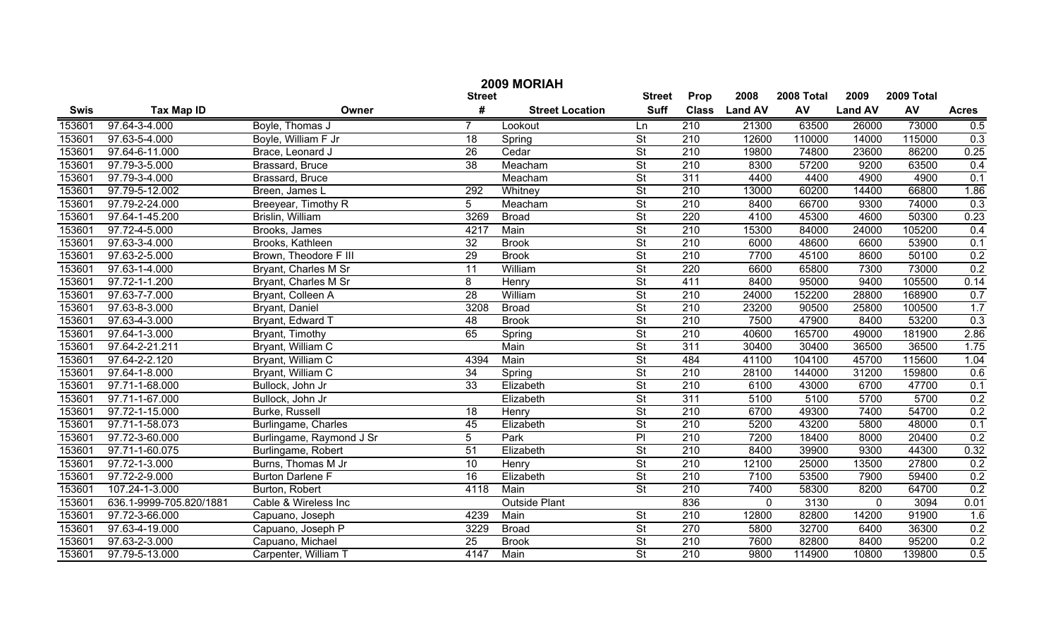|             | 2009 MORIAH             |                          |                 |                        |                          |                  |                |            |                |            |                  |  |
|-------------|-------------------------|--------------------------|-----------------|------------------------|--------------------------|------------------|----------------|------------|----------------|------------|------------------|--|
|             |                         |                          | <b>Street</b>   |                        | <b>Street</b>            | Prop             | 2008           | 2008 Total | 2009           | 2009 Total |                  |  |
| <b>Swis</b> | <b>Tax Map ID</b>       | Owner                    | #               | <b>Street Location</b> | <b>Suff</b>              | <b>Class</b>     | <b>Land AV</b> | AV         | <b>Land AV</b> | AV         | <b>Acres</b>     |  |
| 153601      | 97.64-3-4.000           | Boyle, Thomas J          |                 | Lookout                | Ln                       | 210              | 21300          | 63500      | 26000          | 73000      | 0.5              |  |
| 153601      | 97.63-5-4.000           | Boyle, William F Jr      | $\overline{18}$ | Spring                 | $\overline{\mathsf{St}}$ | $\overline{210}$ | 12600          | 110000     | 14000          | 115000     | 0.3              |  |
| 153601      | 97.64-6-11.000          | Brace, Leonard J         | $\overline{26}$ | Cedar                  | $\overline{\mathsf{St}}$ | $\overline{210}$ | 19800          | 74800      | 23600          | 86200      | 0.25             |  |
| 153601      | 97.79-3-5.000           | Brassard, Bruce          | $\overline{38}$ | Meacham                | $\overline{\mathsf{St}}$ | 210              | 8300           | 57200      | 9200           | 63500      | 0.4              |  |
| 153601      | 97.79-3-4.000           | Brassard, Bruce          |                 | Meacham                | St                       | 311              | 4400           | 4400       | 4900           | 4900       | 0.1              |  |
| 153601      | 97.79-5-12.002          | Breen, James L           | 292             | Whitney                | $\overline{\mathsf{St}}$ | 210              | 13000          | 60200      | 14400          | 66800      | 1.86             |  |
| 153601      | 97.79-2-24.000          | Breeyear, Timothy R      | 5               | Meacham                | $\overline{\mathsf{St}}$ | 210              | 8400           | 66700      | 9300           | 74000      | 0.3              |  |
| 153601      | 97.64-1-45.200          | Brislin, William         | 3269            | <b>Broad</b>           | St                       | 220              | 4100           | 45300      | 4600           | 50300      | 0.23             |  |
| 153601      | 97.72-4-5.000           | Brooks, James            | 4217            | Main                   | St                       | 210              | 15300          | 84000      | 24000          | 105200     | 0.4              |  |
| 153601      | 97.63-3-4.000           | Brooks, Kathleen         | 32              | <b>Brook</b>           | $\overline{\mathsf{St}}$ | 210              | 6000           | 48600      | 6600           | 53900      | 0.1              |  |
| 153601      | 97.63-2-5.000           | Brown, Theodore F III    | $\overline{29}$ | <b>Brook</b>           | $\overline{\mathsf{St}}$ | $\overline{210}$ | 7700           | 45100      | 8600           | 50100      | 0.2              |  |
| 153601      | 97.63-1-4.000           | Bryant, Charles M Sr     | 11              | William                | $\overline{\mathsf{St}}$ | 220              | 6600           | 65800      | 7300           | 73000      | 0.2              |  |
| 153601      | 97.72-1-1.200           | Bryant, Charles M Sr     | 8               | Henry                  | $\overline{\mathsf{St}}$ | 411              | 8400           | 95000      | 9400           | 105500     | 0.14             |  |
| 153601      | 97.63-7-7.000           | Bryant, Colleen A        | $\overline{28}$ | William                | $\overline{\mathsf{St}}$ | 210              | 24000          | 152200     | 28800          | 168900     | 0.7              |  |
| 153601      | 97.63-8-3.000           | Bryant, Daniel           | 3208            | <b>Broad</b>           | $\overline{\mathsf{St}}$ | 210              | 23200          | 90500      | 25800          | 100500     | 1.7              |  |
| 153601      | 97.63-4-3.000           | Bryant, Edward T         | 48              | <b>Brook</b>           | $\overline{\mathsf{St}}$ | 210              | 7500           | 47900      | 8400           | 53200      | 0.3              |  |
| 153601      | 97.64-1-3.000           | Bryant, Timothy          | 65              | Spring                 | $\overline{\mathsf{St}}$ | 210              | 40600          | 165700     | 49000          | 181900     | 2.86             |  |
| 153601      | 97.64-2-21.211          | Bryant, William C        |                 | Main                   | $\overline{\mathsf{St}}$ | 311              | 30400          | 30400      | 36500          | 36500      | 1.75             |  |
| 153601      | 97.64-2-2.120           | Bryant, William C        | 4394            | Main                   | $\overline{\mathsf{St}}$ | 484              | 41100          | 104100     | 45700          | 115600     | 1.04             |  |
| 153601      | 97.64-1-8.000           | Bryant, William C        | 34              | Spring                 | $\overline{\mathsf{St}}$ | 210              | 28100          | 144000     | 31200          | 159800     | 0.6              |  |
| 153601      | 97.71-1-68.000          | Bullock, John Jr         | $\overline{33}$ | Elizabeth              | $\overline{\mathsf{St}}$ | 210              | 6100           | 43000      | 6700           | 47700      | 0.1              |  |
| 153601      | 97.71-1-67.000          | Bullock, John Jr         |                 | Elizabeth              | $\overline{\mathsf{St}}$ | $\overline{311}$ | 5100           | 5100       | 5700           | 5700       | 0.2              |  |
| 153601      | 97.72-1-15.000          | Burke, Russell           | 18              | Henry                  | $\overline{\mathsf{St}}$ | 210              | 6700           | 49300      | 7400           | 54700      | 0.2              |  |
| 153601      | 97.71-1-58.073          | Burlingame, Charles      | 45              | Elizabeth              | $\overline{\mathsf{St}}$ | 210              | 5200           | 43200      | 5800           | 48000      | 0.1              |  |
| 153601      | 97.72-3-60.000          | Burlingame, Raymond J Sr | 5               | Park                   | $\overline{P}$           | 210              | 7200           | 18400      | 8000           | 20400      | 0.2              |  |
| 153601      | 97.71-1-60.075          | Burlingame, Robert       | 51              | Elizabeth              | $\overline{\mathsf{St}}$ | 210              | 8400           | 39900      | 9300           | 44300      | 0.32             |  |
| 153601      | 97.72-1-3.000           | Burns, Thomas M Jr       | 10              | Henry                  | $\overline{\mathsf{St}}$ | 210              | 12100          | 25000      | 13500          | 27800      | 0.2              |  |
| 153601      | 97.72-2-9.000           | <b>Burton Darlene F</b>  | 16              | Elizabeth              | $\overline{\mathsf{St}}$ | 210              | 7100           | 53500      | 7900           | 59400      | 0.2              |  |
| 153601      | 107.24-1-3.000          | Burton, Robert           | 4118            | Main                   | $\overline{\mathsf{St}}$ | 210              | 7400           | 58300      | 8200           | 64700      | 0.2              |  |
| 153601      | 636.1-9999-705.820/1881 | Cable & Wireless Inc     |                 | <b>Outside Plant</b>   |                          | 836              | 0              | 3130       | $\mathbf{0}$   | 3094       | 0.01             |  |
| 153601      | 97.72-3-66.000          | Capuano, Joseph          | 4239            | Main                   | $\overline{\mathsf{St}}$ | $\overline{210}$ | 12800          | 82800      | 14200          | 91900      | $\overline{1.6}$ |  |
| 153601      | 97.63-4-19.000          | Capuano, Joseph P        | 3229            | <b>Broad</b>           | $\overline{\mathsf{St}}$ | $\overline{270}$ | 5800           | 32700      | 6400           | 36300      | 0.2              |  |
| 153601      | 97.63-2-3.000           | Capuano, Michael         | 25              | <b>Brook</b>           | $\overline{\mathsf{St}}$ | $\overline{210}$ | 7600           | 82800      | 8400           | 95200      | 0.2              |  |
| 153601      | 97.79-5-13.000          | Carpenter, William T     | 4147            | Main                   | $\overline{\mathsf{St}}$ | $\overline{210}$ | 9800           | 114900     | 10800          | 139800     | 0.5              |  |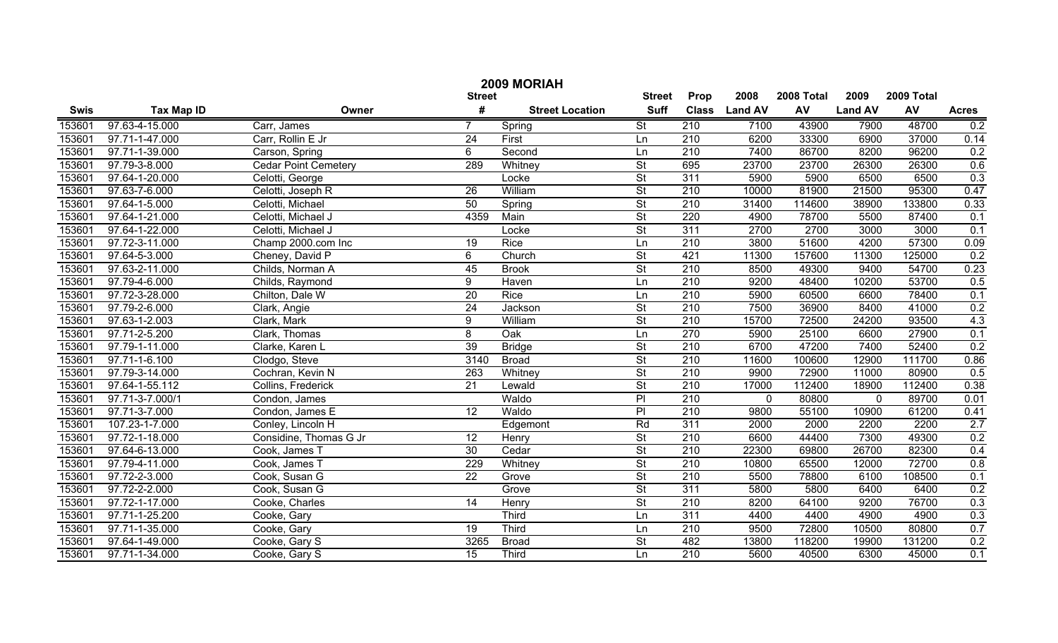|             | 2009 MORIAH       |                             |                 |                        |                          |                  |                |            |                |            |              |  |
|-------------|-------------------|-----------------------------|-----------------|------------------------|--------------------------|------------------|----------------|------------|----------------|------------|--------------|--|
|             |                   |                             | <b>Street</b>   |                        | <b>Street</b>            | Prop             | 2008           | 2008 Total | 2009           | 2009 Total |              |  |
| <b>Swis</b> | <b>Tax Map ID</b> | Owner                       | #               | <b>Street Location</b> | <b>Suff</b>              | <b>Class</b>     | <b>Land AV</b> | AV         | <b>Land AV</b> | AV         | <b>Acres</b> |  |
| 153601      | 97.63-4-15.000    | Carr, James                 |                 | Spring                 | $\overline{\mathsf{St}}$ | 210              | 7100           | 43900      | 7900           | 48700      | 0.2          |  |
| 153601      | 97.71-1-47.000    | Carr, Rollin E Jr           | 24              | First                  | Ln                       | 210              | 6200           | 33300      | 6900           | 37000      | 0.14         |  |
| 153601      | 97.71-1-39.000    | Carson, Spring              | 6               | Second                 | Ln                       | 210              | 7400           | 86700      | 8200           | 96200      | 0.2          |  |
| 153601      | 97.79-3-8.000     | <b>Cedar Point Cemetery</b> | 289             | Whitney                | $\overline{\mathsf{St}}$ | 695              | 23700          | 23700      | 26300          | 26300      | 0.6          |  |
| 153601      | 97.64-1-20.000    | Celotti, George             |                 | Locke                  | $\overline{\mathsf{St}}$ | 311              | 5900           | 5900       | 6500           | 6500       | 0.3          |  |
| 153601      | 97.63-7-6.000     | Celotti, Joseph R           | 26              | William                | $\overline{\mathsf{St}}$ | 210              | 10000          | 81900      | 21500          | 95300      | 0.47         |  |
| 153601      | 97.64-1-5.000     | Celotti, Michael            | 50              | Spring                 | $\overline{\mathsf{St}}$ | 210              | 31400          | 114600     | 38900          | 133800     | 0.33         |  |
| 153601      | 97.64-1-21.000    | Celotti, Michael J          | 4359            | Main                   | $\overline{\mathsf{St}}$ | 220              | 4900           | 78700      | 5500           | 87400      | 0.1          |  |
| 153601      | 97.64-1-22.000    | Celotti, Michael J          |                 | Locke                  | $\overline{\mathsf{St}}$ | 311              | 2700           | 2700       | 3000           | 3000       | 0.1          |  |
| 153601      | 97.72-3-11.000    | Champ 2000.com Inc          | 19              | Rice                   | Ln                       | $\overline{210}$ | 3800           | 51600      | 4200           | 57300      | 0.09         |  |
| 153601      | 97.64-5-3.000     | Cheney, David P             | 6               | Church                 | $\overline{\mathsf{St}}$ | 421              | 11300          | 157600     | 11300          | 125000     | 0.2          |  |
| 153601      | 97.63-2-11.000    | Childs, Norman A            | 45              | <b>Brook</b>           | $\overline{\mathsf{St}}$ | $\overline{210}$ | 8500           | 49300      | 9400           | 54700      | 0.23         |  |
| 153601      | 97.79-4-6.000     | Childs, Raymond             | 9               | Haven                  | Ln                       | $\overline{210}$ | 9200           | 48400      | 10200          | 53700      | 0.5          |  |
| 153601      | 97.72-3-28.000    | Chilton, Dale W             | $\overline{20}$ | Rice                   | Ln                       | $\overline{210}$ | 5900           | 60500      | 6600           | 78400      | 0.1          |  |
| 153601      | 97.79-2-6.000     | Clark, Angie                | 24              | Jackson                | $\overline{\mathsf{St}}$ | $\overline{210}$ | 7500           | 36900      | 8400           | 41000      | 0.2          |  |
| 153601      | 97.63-1-2.003     | Clark, Mark                 | 9               | William                | $\overline{\mathsf{St}}$ | $\overline{210}$ | 15700          | 72500      | 24200          | 93500      | 4.3          |  |
| 153601      | 97.71-2-5.200     | Clark, Thomas               | 8               | Oak                    | Ln                       | 270              | 5900           | 25100      | 6600           | 27900      | 0.1          |  |
| 153601      | 97.79-1-11.000    | Clarke, Karen L             | 39              | <b>Bridge</b>          | $\overline{\mathsf{St}}$ | $\overline{210}$ | 6700           | 47200      | 7400           | 52400      | 0.2          |  |
| 153601      | 97.71-1-6.100     | Clodgo, Steve               | 3140            | <b>Broad</b>           | $\overline{\mathsf{St}}$ | $\overline{210}$ | 11600          | 100600     | 12900          | 111700     | 0.86         |  |
| 153601      | 97.79-3-14.000    | Cochran, Kevin N            | 263             | Whitney                | $\overline{\mathsf{St}}$ | $\overline{210}$ | 9900           | 72900      | 11000          | 80900      | 0.5          |  |
| 153601      | 97.64-1-55.112    | Collins, Frederick          | 21              | Lewald                 | $\overline{\mathsf{St}}$ | $\overline{210}$ | 17000          | 112400     | 18900          | 112400     | 0.38         |  |
| 153601      | 97.71-3-7.000/1   | Condon, James               |                 | Waldo                  | P                        | $\overline{210}$ | $\mathbf 0$    | 80800      | $\overline{0}$ | 89700      | 0.01         |  |
| 153601      | 97.71-3-7.000     | Condon, James E             | 12              | Waldo                  | PI                       | $\overline{210}$ | 9800           | 55100      | 10900          | 61200      | 0.41         |  |
| 153601      | 107.23-1-7.000    | Conley, Lincoln H           |                 | Edgemont               | Rd                       | 311              | 2000           | 2000       | 2200           | 2200       | 2.7          |  |
| 153601      | 97.72-1-18.000    | Considine, Thomas G Jr      | 12              | Henry                  | $\overline{\mathsf{St}}$ | $\overline{210}$ | 6600           | 44400      | 7300           | 49300      | 0.2          |  |
| 153601      | 97.64-6-13.000    | Cook, James T               | 30              | Cedar                  | $\overline{\mathsf{St}}$ | $\overline{210}$ | 22300          | 69800      | 26700          | 82300      | 0.4          |  |
| 153601      | 97.79-4-11.000    | Cook, James T               | 229             | Whitney                | $\overline{\mathsf{St}}$ | $\overline{210}$ | 10800          | 65500      | 12000          | 72700      | 0.8          |  |
| 153601      | 97.72-2-3.000     | Cook, Susan G               | 22              | Grove                  | $\overline{\mathsf{St}}$ | $\overline{210}$ | 5500           | 78800      | 6100           | 108500     | 0.1          |  |
| 153601      | 97.72-2-2.000     | Cook, Susan G               |                 | Grove                  | $\overline{\mathsf{St}}$ | $\overline{311}$ | 5800           | 5800       | 6400           | 6400       | 0.2          |  |
| 153601      | 97.72-1-17.000    | Cooke, Charles              | 14              | Henry                  | $\overline{\mathsf{St}}$ | 210              | 8200           | 64100      | 9200           | 76700      | 0.3          |  |
| 153601      | 97.71-1-25.200    | Cooke, Gary                 |                 | Third                  | Ln                       | 311              | 4400           | 4400       | 4900           | 4900       | 0.3          |  |
| 153601      | 97.71-1-35.000    | Cooke, Gary                 | $\overline{19}$ | Third                  | Ln                       | $\overline{210}$ | 9500           | 72800      | 10500          | 80800      | 0.7          |  |
| 153601      | 97.64-1-49.000    | Cooke, Gary S               | 3265            | <b>Broad</b>           | $\overline{\mathsf{St}}$ | 482              | 13800          | 118200     | 19900          | 131200     | 0.2          |  |
| 153601      | 97.71-1-34.000    | Cooke, Gary S               | 15              | Third                  | Ln                       | $\overline{210}$ | 5600           | 40500      | 6300           | 45000      | 0.1          |  |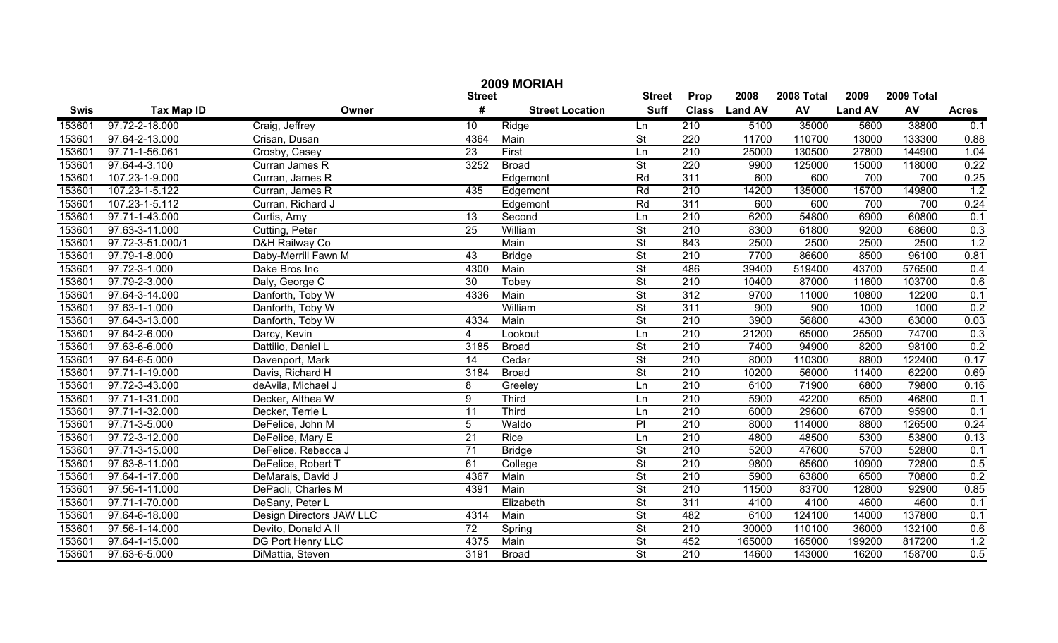| 2009 MORIAH |                   |                          |                 |                        |                          |                  |                |            |                |            |              |
|-------------|-------------------|--------------------------|-----------------|------------------------|--------------------------|------------------|----------------|------------|----------------|------------|--------------|
|             |                   |                          | <b>Street</b>   |                        | <b>Street</b>            | Prop             | 2008           | 2008 Total | 2009           | 2009 Total |              |
| <b>Swis</b> | <b>Tax Map ID</b> | Owner                    | #               | <b>Street Location</b> | <b>Suff</b>              | <b>Class</b>     | <b>Land AV</b> | AV         | <b>Land AV</b> | AV         | <b>Acres</b> |
| 153601      | 97.72-2-18.000    | Craig, Jeffrey           | 10              | Ridge                  | Ln                       | 210              | 5100           | 35000      | 5600           | 38800      | 0.1          |
| 153601      | 97.64-2-13.000    | Crisan, Dusan            | 4364            | Main                   | $\overline{\mathsf{St}}$ | 220              | 11700          | 110700     | 13000          | 133300     | 0.88         |
| 153601      | 97.71-1-56.061    | Crosby, Casey            | 23              | First                  | Ln                       | 210              | 25000          | 130500     | 27800          | 144900     | 1.04         |
| 153601      | 97.64-4-3.100     | Curran James R           | 3252            | <b>Broad</b>           | St                       | 220              | 9900           | 125000     | 15000          | 118000     | 0.22         |
| 153601      | 107.23-1-9.000    | Curran, James R          |                 | Edgemont               | Rd                       | 311              | 600            | 600        | 700            | 700        | 0.25         |
| 153601      | 107.23-1-5.122    | Curran, James R          | 435             | Edgemont               | Rd                       | 210              | 14200          | 135000     | 15700          | 149800     | 1.2          |
| 153601      | 107.23-1-5.112    | Curran, Richard J        |                 | Edgemont               | Rd                       | 311              | 600            | 600        | 700            | 700        | 0.24         |
| 153601      | 97.71-1-43.000    | Curtis, Amy              | 13              | Second                 | Ln                       | 210              | 6200           | 54800      | 6900           | 60800      | 0.1          |
| 153601      | 97.63-3-11.000    | Cutting, Peter           | $\overline{25}$ | William                | St                       | 210              | 8300           | 61800      | 9200           | 68600      | 0.3          |
| 153601      | 97.72-3-51.000/1  | D&H Railway Co           |                 | Main                   | $\overline{\mathsf{St}}$ | 843              | 2500           | 2500       | 2500           | 2500       | 1.2          |
| 153601      | 97.79-1-8.000     | Daby-Merrill Fawn M      | 43              | <b>Bridge</b>          | $\overline{\mathsf{St}}$ | 210              | 7700           | 86600      | 8500           | 96100      | 0.81         |
| 153601      | 97.72-3-1.000     | Dake Bros Inc            | 4300            | Main                   | $\overline{\mathsf{St}}$ | 486              | 39400          | 519400     | 43700          | 576500     | 0.4          |
| 153601      | 97.79-2-3.000     | Daly, George C           | 30              | Tobey                  | $\overline{\mathsf{St}}$ | 210              | 10400          | 87000      | 11600          | 103700     | 0.6          |
| 153601      | 97.64-3-14.000    | Danforth, Toby W         | 4336            | Main                   | $\overline{\mathsf{St}}$ | 312              | 9700           | 11000      | 10800          | 12200      | 0.1          |
| 153601      | 97.63-1-1.000     | Danforth, Toby W         |                 | William                | $\overline{\mathsf{St}}$ | 311              | 900            | 900        | 1000           | 1000       | 0.2          |
| 153601      | 97.64-3-13.000    | Danforth, Toby W         | 4334            | Main                   | $\overline{\mathsf{St}}$ | $\overline{210}$ | 3900           | 56800      | 4300           | 63000      | 0.03         |
| 153601      | 97.64-2-6.000     | Darcy, Kevin             | $\overline{4}$  | Lookout                | Ln                       | 210              | 21200          | 65000      | 25500          | 74700      | 0.3          |
| 153601      | 97.63-6-6.000     | Dattilio, Daniel L       | 3185            | <b>Broad</b>           | $\overline{\mathsf{St}}$ | $\overline{210}$ | 7400           | 94900      | 8200           | 98100      | 0.2          |
| 153601      | 97.64-6-5.000     | Davenport, Mark          | $\overline{14}$ | Cedar                  | $\overline{\mathsf{St}}$ | 210              | 8000           | 110300     | 8800           | 122400     | 0.17         |
| 153601      | 97.71-1-19.000    | Davis, Richard H         | 3184            | <b>Broad</b>           | $\overline{\mathsf{St}}$ | $\overline{210}$ | 10200          | 56000      | 11400          | 62200      | 0.69         |
| 153601      | 97.72-3-43.000    | deAvila, Michael J       | 8               | Greeley                | Ln                       | $\overline{210}$ | 6100           | 71900      | 6800           | 79800      | 0.16         |
| 153601      | 97.71-1-31.000    | Decker, Althea W         | $\overline{9}$  | Third                  | Ln                       | 210              | 5900           | 42200      | 6500           | 46800      | 0.1          |
| 153601      | 97.71-1-32.000    | Decker, Terrie L         | $\overline{11}$ | Third                  | Ln                       | 210              | 6000           | 29600      | 6700           | 95900      | 0.1          |
| 153601      | 97.71-3-5.000     | DeFelice, John M         | 5               | Waldo                  | $\overline{P}$           | 210              | 8000           | 114000     | 8800           | 126500     | 0.24         |
| 153601      | 97.72-3-12.000    | DeFelice, Mary E         | $\overline{21}$ | Rice                   | Ln                       | 210              | 4800           | 48500      | 5300           | 53800      | 0.13         |
| 153601      | 97.71-3-15.000    | DeFelice, Rebecca J      | $\overline{71}$ | <b>Bridge</b>          | $\overline{\mathsf{St}}$ | 210              | 5200           | 47600      | 5700           | 52800      | 0.1          |
| 153601      | 97.63-8-11.000    | DeFelice, Robert T       | 61              | College                | $\overline{\mathsf{St}}$ | 210              | 9800           | 65600      | 10900          | 72800      | 0.5          |
| 153601      | 97.64-1-17.000    | DeMarais, David J        | 4367            | Main                   | $\overline{\mathsf{St}}$ | 210              | 5900           | 63800      | 6500           | 70800      | 0.2          |
| 153601      | 97.56-1-11.000    | DePaoli, Charles M       | 4391            | Main                   | $\overline{\mathsf{St}}$ | 210              | 11500          | 83700      | 12800          | 92900      | 0.85         |
| 153601      | 97.71-1-70.000    | DeSany, Peter L          |                 | Elizabeth              | $\overline{\mathsf{St}}$ | 311              | 4100           | 4100       | 4600           | 4600       | 0.1          |
| 153601      | 97.64-6-18.000    | Design Directors JAW LLC | 4314            | Main                   | St                       | 482              | 6100           | 124100     | 14000          | 137800     | 0.1          |
| 153601      | 97.56-1-14.000    | Devito, Donald A II      | $\overline{72}$ | Spring                 | St                       | 210              | 30000          | 110100     | 36000          | 132100     | 0.6          |
| 153601      | 97.64-1-15.000    | <b>DG Port Henry LLC</b> | 4375            | Main                   | $\overline{\mathsf{St}}$ | 452              | 165000         | 165000     | 199200         | 817200     | 1.2          |
| 153601      | 97.63-6-5.000     | DiMattia, Steven         | 3191            | <b>Broad</b>           | $\overline{\mathsf{St}}$ | $\overline{210}$ | 14600          | 143000     | 16200          | 158700     | 0.5          |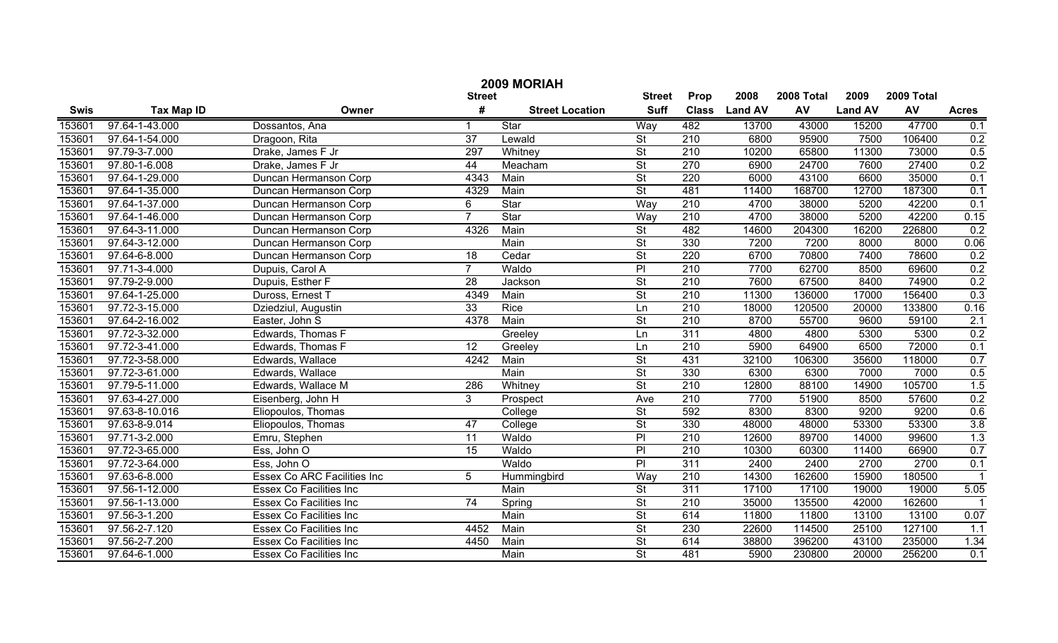|             | 2009 MORIAH       |                                    |                 |                        |                          |              |                |            |                |            |                  |  |
|-------------|-------------------|------------------------------------|-----------------|------------------------|--------------------------|--------------|----------------|------------|----------------|------------|------------------|--|
|             |                   |                                    | <b>Street</b>   |                        | <b>Street</b>            | Prop         | 2008           | 2008 Total | 2009           | 2009 Total |                  |  |
| <b>Swis</b> | <b>Tax Map ID</b> | Owner                              | #               | <b>Street Location</b> | <b>Suff</b>              | <b>Class</b> | <b>Land AV</b> | AV         | <b>Land AV</b> | AV         | <b>Acres</b>     |  |
| 153601      | 97.64-1-43.000    | Dossantos, Ana                     |                 | Star                   | Way                      | 482          | 13700          | 43000      | 15200          | 47700      | 0.1              |  |
| 153601      | 97.64-1-54.000    | Dragoon, Rita                      | $\overline{37}$ | Lewald                 | $\overline{\mathsf{St}}$ | 210          | 6800           | 95900      | 7500           | 106400     | 0.2              |  |
| 153601      | 97.79-3-7.000     | Drake, James F Jr                  | 297             | Whitney                | $\overline{\mathsf{St}}$ | 210          | 10200          | 65800      | 11300          | 73000      | 0.5              |  |
| 153601      | 97.80-1-6.008     | Drake, James F Jr                  | 44              | Meacham                | $\overline{\mathsf{St}}$ | 270          | 6900           | 24700      | 7600           | 27400      | 0.2              |  |
| 153601      | 97.64-1-29.000    | Duncan Hermanson Corp              | 4343            | Main                   | $\overline{\mathsf{St}}$ | 220          | 6000           | 43100      | 6600           | 35000      | 0.1              |  |
| 153601      | 97.64-1-35.000    | Duncan Hermanson Corp              | 4329            | Main                   | $\overline{\mathsf{St}}$ | 481          | 11400          | 168700     | 12700          | 187300     | 0.1              |  |
| 153601      | 97.64-1-37.000    | Duncan Hermanson Corp              | 6               | Star                   | Way                      | 210          | 4700           | 38000      | 5200           | 42200      | 0.1              |  |
| 153601      | 97.64-1-46.000    | Duncan Hermanson Corp              |                 | Star                   | Way                      | 210          | 4700           | 38000      | 5200           | 42200      | 0.15             |  |
| 153601      | 97.64-3-11.000    | Duncan Hermanson Corp              | 4326            | Main                   | $\overline{\mathsf{St}}$ | 482          | 14600          | 204300     | 16200          | 226800     | 0.2              |  |
| 153601      | 97.64-3-12.000    | Duncan Hermanson Corp              |                 | Main                   | $\overline{\mathsf{St}}$ | 330          | 7200           | 7200       | 8000           | 8000       | 0.06             |  |
| 153601      | 97.64-6-8.000     | Duncan Hermanson Corp              | $\overline{18}$ | Cedar                  | $\overline{\mathsf{St}}$ | 220          | 6700           | 70800      | 7400           | 78600      | 0.2              |  |
| 153601      | 97.71-3-4.000     | Dupuis, Carol A                    | $\overline{7}$  | Waldo                  | $\overline{P}$           | 210          | 7700           | 62700      | 8500           | 69600      | 0.2              |  |
| 153601      | 97.79-2-9.000     | Dupuis, Esther F                   | $\overline{28}$ | Jackson                | $\overline{\mathsf{St}}$ | 210          | 7600           | 67500      | 8400           | 74900      | 0.2              |  |
| 153601      | 97.64-1-25.000    | Duross, Ernest T                   | 4349            | Main                   | $\overline{\mathsf{St}}$ | 210          | 11300          | 136000     | 17000          | 156400     | 0.3              |  |
| 153601      | 97.72-3-15.000    | Dziedziul, Augustin                | $\overline{33}$ | Rice                   | Ln                       | 210          | 18000          | 120500     | 20000          | 133800     | 0.16             |  |
| 153601      | 97.64-2-16.002    | Easter, John S                     | 4378            | Main                   | $\overline{\mathsf{St}}$ | 210          | 8700           | 55700      | 9600           | 59100      | 2.1              |  |
| 153601      | 97.72-3-32.000    | Edwards, Thomas F                  |                 | Greeley                | Ln                       | 311          | 4800           | 4800       | 5300           | 5300       | 0.2              |  |
| 153601      | 97.72-3-41.000    | Edwards, Thomas F                  | $\overline{12}$ | Greeley                | Ln                       | 210          | 5900           | 64900      | 6500           | 72000      | 0.1              |  |
| 153601      | 97.72-3-58.000    | Edwards, Wallace                   | 4242            | Main                   | $\overline{\mathsf{St}}$ | 431          | 32100          | 106300     | 35600          | 118000     | 0.7              |  |
| 153601      | 97.72-3-61.000    | Edwards, Wallace                   |                 | Main                   | $\overline{\mathsf{St}}$ | 330          | 6300           | 6300       | 7000           | 7000       | 0.5              |  |
| 153601      | 97.79-5-11.000    | Edwards, Wallace M                 | 286             | Whitney                | $\overline{\mathsf{St}}$ | 210          | 12800          | 88100      | 14900          | 105700     | 1.5              |  |
| 153601      | 97.63-4-27.000    | Eisenberg, John H                  | 3               | Prospect               | Ave                      | 210          | 7700           | 51900      | 8500           | 57600      | 0.2              |  |
| 153601      | 97.63-8-10.016    | Eliopoulos, Thomas                 |                 | College                | $\overline{\mathsf{St}}$ | 592          | 8300           | 8300       | 9200           | 9200       | 0.6              |  |
| 153601      | 97.63-8-9.014     | Eliopoulos, Thomas                 | $\overline{47}$ | College                | $\overline{\mathsf{St}}$ | 330          | 48000          | 48000      | 53300          | 53300      | 3.8              |  |
| 153601      | 97.71-3-2.000     | Emru, Stephen                      | $\overline{11}$ | Waldo                  | $\overline{P}$           | 210          | 12600          | 89700      | 14000          | 99600      | 1.3              |  |
| 153601      | 97.72-3-65.000    | Ess, John O                        | $\overline{15}$ | Waldo                  | $\overline{P}$           | 210          | 10300          | 60300      | 11400          | 66900      | 0.7              |  |
| 153601      | 97.72-3-64.000    | Ess, John O                        |                 | Waldo                  | $\overline{P}$           | 311          | 2400           | 2400       | 2700           | 2700       | 0.1              |  |
| 153601      | 97.63-6-8.000     | <b>Essex Co ARC Facilities Inc</b> | 5               | Hummingbird            | Way                      | 210          | 14300          | 162600     | 15900          | 180500     |                  |  |
| 153601      | 97.56-1-12.000    | Essex Co Facilities Inc            |                 | Main                   | $\overline{\mathsf{St}}$ | 311          | 17100          | 17100      | 19000          | 19000      | 5.05             |  |
| 153601      | 97.56-1-13.000    | <b>Essex Co Facilities Inc</b>     | 74              | Spring                 | $\overline{\mathsf{St}}$ | 210          | 35000          | 135500     | 42000          | 162600     |                  |  |
| 153601      | 97.56-3-1.200     | <b>Essex Co Facilities Inc</b>     |                 | Main                   | $\overline{\mathsf{St}}$ | 614          | 11800          | 11800      | 13100          | 13100      | 0.07             |  |
| 153601      | 97.56-2-7.120     | <b>Essex Co Facilities Inc</b>     | 4452            | Main                   | $\overline{\mathsf{St}}$ | 230          | 22600          | 114500     | 25100          | 127100     | $\overline{1.1}$ |  |
| 153601      | 97.56-2-7.200     | <b>Essex Co Facilities Inc</b>     | 4450            | Main                   | $\overline{\mathsf{St}}$ | 614          | 38800          | 396200     | 43100          | 235000     | 1.34             |  |
| 153601      | 97.64-6-1.000     | <b>Essex Co Facilities Inc</b>     |                 | Main                   | $\overline{\mathsf{St}}$ | 481          | 5900           | 230800     | 20000          | 256200     | 0.1              |  |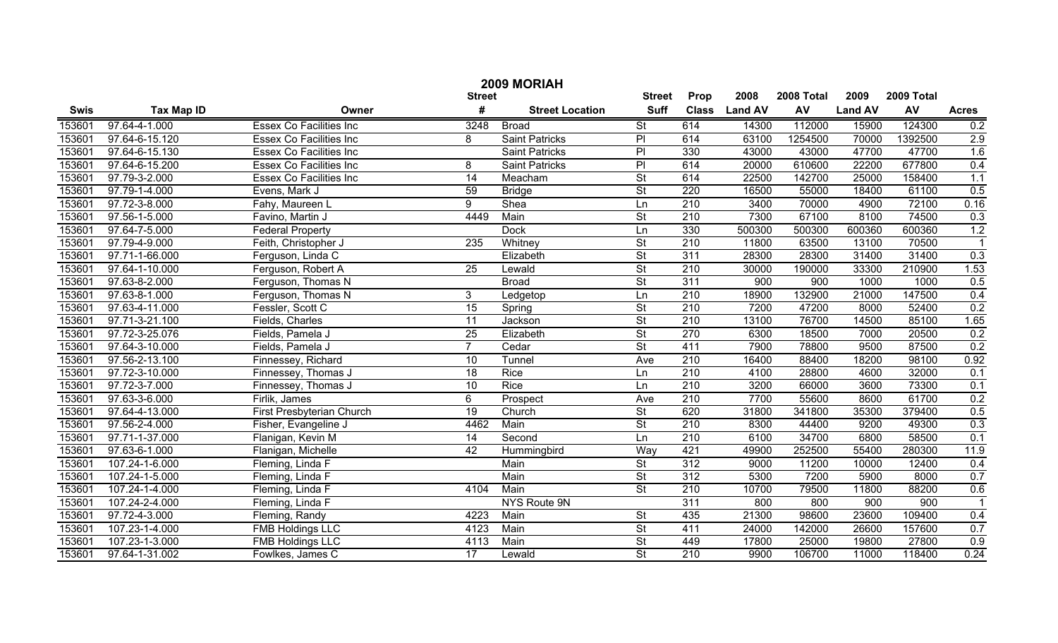|             | 2009 MORIAH       |                                |                 |                        |                          |                  |                |            |                |            |              |  |
|-------------|-------------------|--------------------------------|-----------------|------------------------|--------------------------|------------------|----------------|------------|----------------|------------|--------------|--|
|             |                   |                                | <b>Street</b>   |                        | <b>Street</b>            | Prop             | 2008           | 2008 Total | 2009           | 2009 Total |              |  |
| <b>Swis</b> | <b>Tax Map ID</b> | Owner                          | #               | <b>Street Location</b> | <b>Suff</b>              | <b>Class</b>     | <b>Land AV</b> | <b>AV</b>  | <b>Land AV</b> | AV         | <b>Acres</b> |  |
| 153601      | 97.64-4-1.000     | <b>Essex Co Facilities Inc</b> | 3248            | <b>Broad</b>           | $\overline{\mathsf{St}}$ | 614              | 14300          | 112000     | 15900          | 124300     | 0.2          |  |
| 153601      | 97.64-6-15.120    | Essex Co Facilities Inc        | 8               | <b>Saint Patricks</b>  | $\overline{P}$           | 614              | 63100          | 1254500    | 70000          | 1392500    | 2.9          |  |
| 153601      | 97.64-6-15.130    | Essex Co Facilities Inc        |                 | <b>Saint Patricks</b>  | $\overline{P}$           | 330              | 43000          | 43000      | 47700          | 47700      | 1.6          |  |
| 153601      | 97.64-6-15.200    | <b>Essex Co Facilities Inc</b> | 8               | <b>Saint Patricks</b>  | $\overline{P}$           | 614              | 20000          | 610600     | 22200          | 677800     | 0.4          |  |
| 153601      | 97.79-3-2.000     | <b>Essex Co Facilities Inc</b> | $\overline{14}$ | Meacham                | $\overline{\mathsf{St}}$ | 614              | 22500          | 142700     | 25000          | 158400     | 1.1          |  |
| 153601      | 97.79-1-4.000     | Evens, Mark J                  | $\overline{59}$ | <b>Bridge</b>          | $\overline{\mathsf{St}}$ | 220              | 16500          | 55000      | 18400          | 61100      | 0.5          |  |
| 153601      | 97.72-3-8.000     | Fahy, Maureen L                | $\overline{9}$  | Shea                   | Ln                       | 210              | 3400           | 70000      | 4900           | 72100      | 0.16         |  |
| 153601      | 97.56-1-5.000     | Favino, Martin J               | 4449            | Main                   | <b>St</b>                | 210              | 7300           | 67100      | 8100           | 74500      | 0.3          |  |
| 153601      | 97.64-7-5.000     | <b>Federal Property</b>        |                 | <b>Dock</b>            | Ln                       | 330              | 500300         | 500300     | 600360         | 600360     | 1.2          |  |
| 153601      | 97.79-4-9.000     | Feith, Christopher J           | 235             | Whitney                | $\overline{\mathsf{St}}$ | 210              | 11800          | 63500      | 13100          | 70500      |              |  |
| 153601      | 97.71-1-66.000    | Ferguson, Linda C              |                 | Elizabeth              | $\overline{St}$          | 311              | 28300          | 28300      | 31400          | 31400      | 0.3          |  |
| 153601      | 97.64-1-10.000    | Ferguson, Robert A             | 25              | Lewald                 | $\overline{St}$          | 210              | 30000          | 190000     | 33300          | 210900     | 1.53         |  |
| 153601      | 97.63-8-2.000     | Ferguson, Thomas N             |                 | <b>Broad</b>           | $\overline{St}$          | 311              | 900            | 900        | 1000           | 1000       | 0.5          |  |
| 153601      | 97.63-8-1.000     | Ferguson, Thomas N             | 3 <sup>1</sup>  | Ledgetop               | Ln                       | 210              | 18900          | 132900     | 21000          | 147500     | 0.4          |  |
| 153601      | 97.63-4-11.000    | Fessler, Scott C               | $\overline{15}$ | Spring                 | $\overline{St}$          | $\overline{210}$ | 7200           | 47200      | 8000           | 52400      | 0.2          |  |
| 153601      | 97.71-3-21.100    | Fields, Charles                | 11              | Jackson                | $\overline{\mathsf{St}}$ | 210              | 13100          | 76700      | 14500          | 85100      | 1.65         |  |
| 153601      | 97.72-3-25.076    | Fields, Pamela J               | $\overline{25}$ | Elizabeth              | $\overline{\mathsf{St}}$ | 270              | 6300           | 18500      | 7000           | 20500      | 0.2          |  |
| 153601      | 97.64-3-10.000    | Fields, Pamela J               | $\overline{7}$  | Cedar                  | $\overline{\mathsf{St}}$ | 411              | 7900           | 78800      | 9500           | 87500      | 0.2          |  |
| 153601      | 97.56-2-13.100    | Finnessey, Richard             | 10              | Tunnel                 | Ave                      | 210              | 16400          | 88400      | 18200          | 98100      | 0.92         |  |
| 153601      | 97.72-3-10.000    | Finnessey, Thomas J            | 18              | Rice                   | Ln                       | 210              | 4100           | 28800      | 4600           | 32000      | 0.1          |  |
| 153601      | 97.72-3-7.000     | Finnessey, Thomas J            | 10              | Rice                   | Ln                       | 210              | 3200           | 66000      | 3600           | 73300      | 0.1          |  |
| 153601      | 97.63-3-6.000     | Firlik, James                  | 6               | Prospect               | Ave                      | 210              | 7700           | 55600      | 8600           | 61700      | 0.2          |  |
| 153601      | 97.64-4-13.000    | First Presbyterian Church      | $\overline{19}$ | Church                 | $\overline{\mathsf{St}}$ | 620              | 31800          | 341800     | 35300          | 379400     | 0.5          |  |
| 153601      | 97.56-2-4.000     | Fisher, Evangeline J           | 4462            | Main                   | $\overline{\mathsf{St}}$ | 210              | 8300           | 44400      | 9200           | 49300      | 0.3          |  |
| 153601      | 97.71-1-37.000    | Flanigan, Kevin M              | 14              | Second                 | Ln                       | $\overline{210}$ | 6100           | 34700      | 6800           | 58500      | 0.1          |  |
| 153601      | 97.63-6-1.000     | Flanigan, Michelle             | 42              | Hummingbird            | Way                      | 421              | 49900          | 252500     | 55400          | 280300     | 11.9         |  |
| 153601      | 107.24-1-6.000    | Fleming, Linda F               |                 | Main                   | $\overline{\mathsf{St}}$ | 312              | 9000           | 11200      | 10000          | 12400      | 0.4          |  |
| 153601      | 107.24-1-5.000    | Fleming, Linda F               |                 | Main                   | $\overline{\mathsf{St}}$ | $\overline{312}$ | 5300           | 7200       | 5900           | 8000       | 0.7          |  |
| 153601      | 107.24-1-4.000    | Fleming, Linda F               | 4104            | Main                   | $\overline{\mathsf{St}}$ | 210              | 10700          | 79500      | 11800          | 88200      | 0.6          |  |
| 153601      | 107.24-2-4.000    | Fleming, Linda F               |                 | NYS Route 9N           |                          | 311              | 800            | 800        | 900            | 900        | -1           |  |
| 153601      | 97.72-4-3.000     | Fleming, Randy                 | 4223            | Main                   | $\overline{\mathsf{St}}$ | 435              | 21300          | 98600      | 23600          | 109400     | 0.4          |  |
| 153601      | 107.23-1-4.000    | <b>FMB Holdings LLC</b>        | 4123            | Main                   | $\overline{\mathsf{St}}$ | 411              | 24000          | 142000     | 26600          | 157600     | 0.7          |  |
| 153601      | 107.23-1-3.000    | <b>FMB Holdings LLC</b>        | 4113            | Main                   | $\overline{\mathsf{St}}$ | 449              | 17800          | 25000      | 19800          | 27800      | 0.9          |  |
| 153601      | 97.64-1-31.002    | Fowlkes, James C               | $\overline{17}$ | Lewald                 | $\overline{\mathsf{St}}$ | $\overline{210}$ | 9900           | 106700     | 11000          | 118400     | 0.24         |  |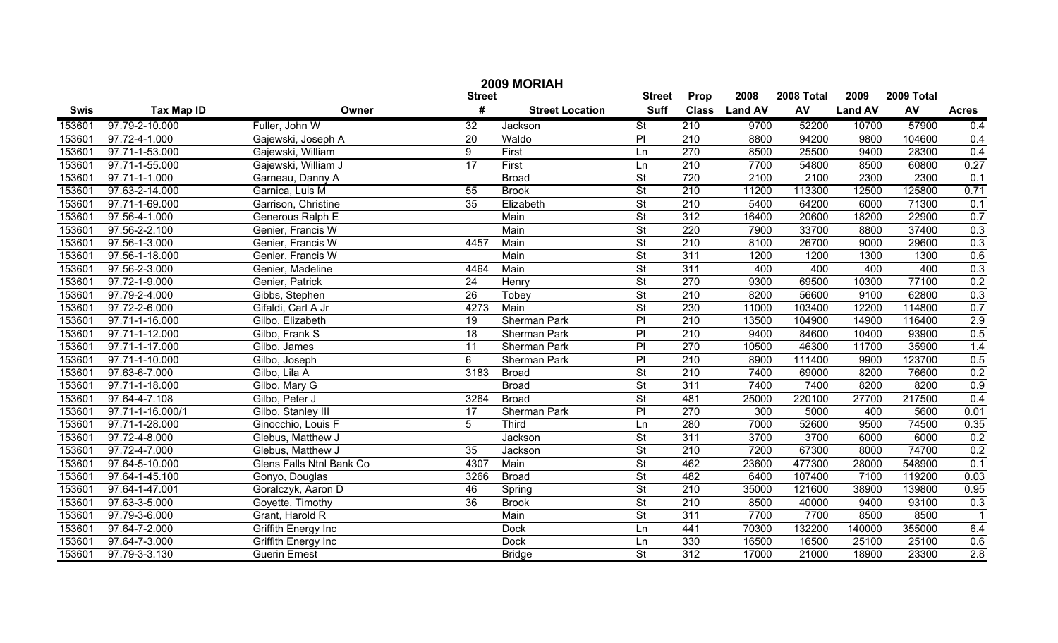|             | 2009 MORIAH       |                            |                 |                        |                          |                  |                |            |                |            |                |  |  |
|-------------|-------------------|----------------------------|-----------------|------------------------|--------------------------|------------------|----------------|------------|----------------|------------|----------------|--|--|
|             |                   |                            | <b>Street</b>   |                        | <b>Street</b>            | Prop             | 2008           | 2008 Total | 2009           | 2009 Total |                |  |  |
| <b>Swis</b> | <b>Tax Map ID</b> | Owner                      | #               | <b>Street Location</b> | <b>Suff</b>              | <b>Class</b>     | <b>Land AV</b> | <b>AV</b>  | <b>Land AV</b> | AV         | <b>Acres</b>   |  |  |
| 153601      | 97.79-2-10.000    | Fuller, John W             | $\overline{32}$ | Jackson                | $\overline{\mathsf{St}}$ | 210              | 9700           | 52200      | 10700          | 57900      | 0.4            |  |  |
| 153601      | 97.72-4-1.000     | Gajewski, Joseph A         | $\overline{20}$ | Waldo                  | $\overline{P}$           | $\overline{210}$ | 8800           | 94200      | 9800           | 104600     | 0.4            |  |  |
| 153601      | 97.71-1-53.000    | Gajewski, William          | 9               | First                  | Ln                       | 270              | 8500           | 25500      | 9400           | 28300      | 0.4            |  |  |
| 153601      | 97.71-1-55.000    | Gajewski, William J        | 17              | First                  | Ln                       | 210              | 7700           | 54800      | 8500           | 60800      | 0.27           |  |  |
| 153601      | 97.71-1-1.000     | Garneau, Danny A           |                 | <b>Broad</b>           | St                       | 720              | 2100           | 2100       | 2300           | 2300       | 0.1            |  |  |
| 153601      | 97.63-2-14.000    | Garnica, Luis M            | 55              | <b>Brook</b>           | $\overline{\mathsf{St}}$ | 210              | 11200          | 113300     | 12500          | 125800     | 0.71           |  |  |
| 153601      | 97.71-1-69.000    | Garrison, Christine        | $\overline{35}$ | Elizabeth              | $\overline{\mathsf{St}}$ | 210              | 5400           | 64200      | 6000           | 71300      | 0.1            |  |  |
| 153601      | 97.56-4-1.000     | Generous Ralph E           |                 | Main                   | St                       | 312              | 16400          | 20600      | 18200          | 22900      | 0.7            |  |  |
| 153601      | 97.56-2-2.100     | Genier, Francis W          |                 | Main                   | St                       | 220              | 7900           | 33700      | 8800           | 37400      | 0.3            |  |  |
| 153601      | 97.56-1-3.000     | Genier, Francis W          | 4457            | Main                   | $\overline{\mathsf{St}}$ | 210              | 8100           | 26700      | 9000           | 29600      | 0.3            |  |  |
| 153601      | 97.56-1-18.000    | Genier, Francis W          |                 | Main                   | $\overline{\mathsf{St}}$ | 311              | 1200           | 1200       | 1300           | 1300       | 0.6            |  |  |
| 153601      | 97.56-2-3.000     | Genier, Madeline           | 4464            | Main                   | $\overline{\mathsf{St}}$ | 311              | 400            | 400        | 400            | 400        | 0.3            |  |  |
| 153601      | 97.72-1-9.000     | Genier, Patrick            | 24              | Henry                  | $\overline{\mathsf{St}}$ | 270              | 9300           | 69500      | 10300          | 77100      | 0.2            |  |  |
| 153601      | 97.79-2-4.000     | Gibbs, Stephen             | 26              | Tobey                  | $\overline{\mathsf{St}}$ | 210              | 8200           | 56600      | 9100           | 62800      | 0.3            |  |  |
| 153601      | 97.72-2-6.000     | Gifaldi, Carl A Jr         | 4273            | Main                   | $\overline{\mathsf{St}}$ | 230              | 11000          | 103400     | 12200          | 114800     | 0.7            |  |  |
| 153601      | 97.71-1-16.000    | Gilbo, Elizabeth           | 19              | Sherman Park           | $\overline{P}$           | 210              | 13500          | 104900     | 14900          | 116400     | 2.9            |  |  |
| 153601      | 97.71-1-12.000    | Gilbo, Frank S             | 18              | Sherman Park           | $\overline{P}$           | 210              | 9400           | 84600      | 10400          | 93900      | 0.5            |  |  |
| 153601      | 97.71-1-17.000    | Gilbo, James               | 11              | Sherman Park           | $\overline{P}$           | 270              | 10500          | 46300      | 11700          | 35900      | 1.4            |  |  |
| 153601      | 97.71-1-10.000    | Gilbo, Joseph              | 6               | Sherman Park           | PI                       | 210              | 8900           | 111400     | 9900           | 123700     | 0.5            |  |  |
| 153601      | 97.63-6-7.000     | Gilbo, Lila A              | 3183            | <b>Broad</b>           | $\overline{\mathsf{St}}$ | 210              | 7400           | 69000      | 8200           | 76600      | 0.2            |  |  |
| 153601      | 97.71-1-18.000    | Gilbo, Mary G              |                 | <b>Broad</b>           | $\overline{\mathsf{St}}$ | $\overline{311}$ | 7400           | 7400       | 8200           | 8200       | 0.9            |  |  |
| 153601      | 97.64-4-7.108     | Gilbo, Peter J             | 3264            | <b>Broad</b>           | $\overline{\mathsf{St}}$ | 481              | 25000          | 220100     | 27700          | 217500     | 0.4            |  |  |
| 153601      | 97.71-1-16.000/1  | Gilbo, Stanley III         | 17              | Sherman Park           | PI                       | $\overline{270}$ | 300            | 5000       | 400            | 5600       | 0.01           |  |  |
| 153601      | 97.71-1-28.000    | Ginocchio, Louis F         | 5               | <b>Third</b>           | Ln                       | 280              | 7000           | 52600      | 9500           | 74500      | 0.35           |  |  |
| 153601      | 97.72-4-8.000     | Glebus, Matthew J          |                 | Jackson                | $\overline{\mathsf{St}}$ | $\overline{311}$ | 3700           | 3700       | 6000           | 6000       | 0.2            |  |  |
| 153601      | 97.72-4-7.000     | Glebus, Matthew J          | 35              | Jackson                | $\overline{\mathsf{St}}$ | 210              | 7200           | 67300      | 8000           | 74700      | 0.2            |  |  |
| 153601      | 97.64-5-10.000    | Glens Falls Ntnl Bank Co   | 4307            | Main                   | $\overline{\mathsf{St}}$ | 462              | 23600          | 477300     | 28000          | 548900     | 0.1            |  |  |
| 153601      | 97.64-1-45.100    | Gonyo, Douglas             | 3266            | <b>Broad</b>           | $\overline{\mathsf{St}}$ | 482              | 6400           | 107400     | 7100           | 119200     | 0.03           |  |  |
| 153601      | 97.64-1-47.001    | Goralczyk, Aaron D         | 46              | Spring                 | $\overline{\mathsf{St}}$ | $\overline{210}$ | 35000          | 121600     | 38900          | 139800     | 0.95           |  |  |
| 153601      | 97.63-3-5.000     | Goyette, Timothy           | $\overline{36}$ | <b>Brook</b>           | $\overline{\mathsf{St}}$ | $\overline{210}$ | 8500           | 40000      | 9400           | 93100      | 0.3            |  |  |
| 153601      | 97.79-3-6.000     | Grant, Harold R            |                 | Main                   | $\overline{\mathsf{St}}$ | $\overline{311}$ | 7700           | 7700       | 8500           | 8500       | $\overline{1}$ |  |  |
| 153601      | 97.64-7-2.000     | <b>Griffith Energy Inc</b> |                 | <b>Dock</b>            | Ln                       | 441              | 70300          | 132200     | 140000         | 355000     | 6.4            |  |  |
| 153601      | 97.64-7-3.000     | <b>Griffith Energy Inc</b> |                 | <b>Dock</b>            | Ln                       | 330              | 16500          | 16500      | 25100          | 25100      | 0.6            |  |  |
| 153601      | 97.79-3-3.130     | <b>Guerin Ernest</b>       |                 | <b>Bridge</b>          | $\overline{\mathsf{St}}$ | $\overline{312}$ | 17000          | 21000      | 18900          | 23300      | 2.8            |  |  |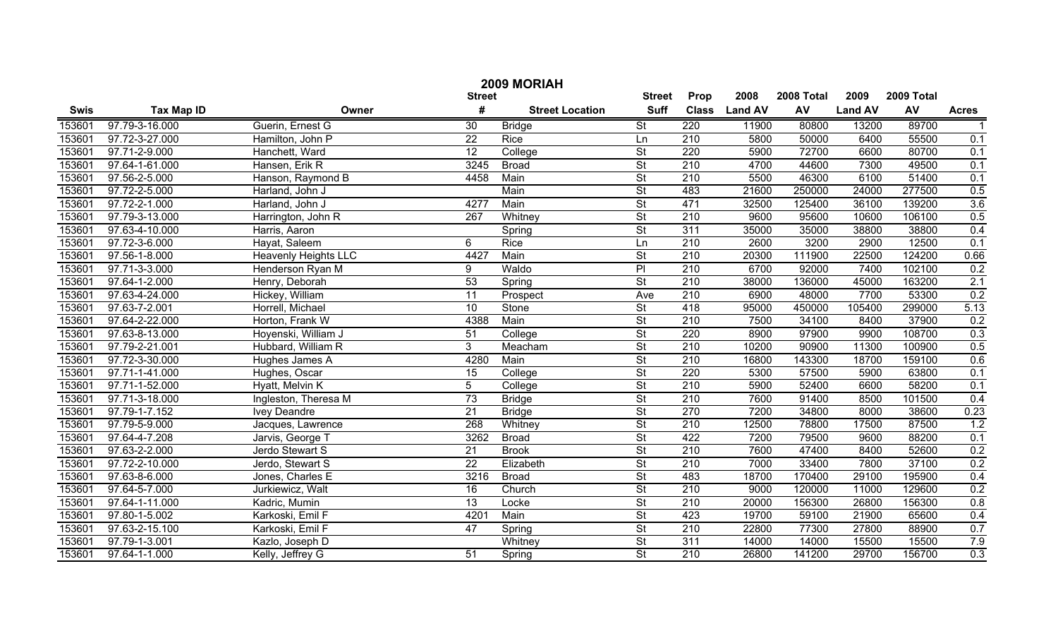|             | 2009 MORIAH       |                             |                 |                        |                          |                  |                |            |                |            |              |  |
|-------------|-------------------|-----------------------------|-----------------|------------------------|--------------------------|------------------|----------------|------------|----------------|------------|--------------|--|
|             |                   |                             | <b>Street</b>   |                        | <b>Street</b>            | Prop             | 2008           | 2008 Total | 2009           | 2009 Total |              |  |
| <b>Swis</b> | <b>Tax Map ID</b> | Owner                       | #               | <b>Street Location</b> | <b>Suff</b>              | <b>Class</b>     | <b>Land AV</b> | AV         | <b>Land AV</b> | AV         | <b>Acres</b> |  |
| 153601      | 97.79-3-16.000    | Guerin, Ernest G            | $\overline{30}$ | <b>Bridge</b>          | St                       | 220              | 11900          | 80800      | 13200          | 89700      |              |  |
| 153601      | 97.72-3-27.000    | Hamilton, John P            | $\overline{22}$ | Rice                   | Ln                       | $\overline{210}$ | 5800           | 50000      | 6400           | 55500      | 0.1          |  |
| 153601      | 97.71-2-9.000     | Hanchett, Ward              | $\overline{12}$ | College                | $\overline{\mathsf{St}}$ | $\overline{220}$ | 5900           | 72700      | 6600           | 80700      | 0.1          |  |
| 153601      | 97.64-1-61.000    | Hansen, Erik R              | 3245            | <b>Broad</b>           | $\overline{\mathsf{St}}$ | 210              | 4700           | 44600      | 7300           | 49500      | 0.1          |  |
| 153601      | 97.56-2-5.000     | Hanson, Raymond B           | 4458            | Main                   | $\overline{\mathsf{St}}$ | 210              | 5500           | 46300      | 6100           | 51400      | 0.1          |  |
| 153601      | 97.72-2-5.000     | Harland, John J             |                 | Main                   | $\overline{\mathsf{St}}$ | 483              | 21600          | 250000     | 24000          | 277500     | 0.5          |  |
| 153601      | 97.72-2-1.000     | Harland, John J             | 4277            | Main                   | $\overline{\mathsf{St}}$ | 471              | 32500          | 125400     | 36100          | 139200     | 3.6          |  |
| 153601      | 97.79-3-13.000    | Harrington, John R          | 267             | Whitney                | $\overline{\mathsf{St}}$ | 210              | 9600           | 95600      | 10600          | 106100     | 0.5          |  |
| 153601      | 97.63-4-10.000    | Harris, Aaron               |                 | Spring                 | $\overline{\mathsf{St}}$ | 311              | 35000          | 35000      | 38800          | 38800      | 0.4          |  |
| 153601      | 97.72-3-6.000     | Hayat, Saleem               | 6               | Rice                   | Ln                       | $\overline{210}$ | 2600           | 3200       | 2900           | 12500      | 0.1          |  |
| 153601      | 97.56-1-8.000     | <b>Heavenly Heights LLC</b> | 4427            | Main                   | $\overline{\mathsf{St}}$ | $\overline{210}$ | 20300          | 111900     | 22500          | 124200     | 0.66         |  |
| 153601      | 97.71-3-3.000     | Henderson Ryan M            | 9               | Waldo                  | PI                       | $\overline{210}$ | 6700           | 92000      | 7400           | 102100     | 0.2          |  |
| 153601      | 97.64-1-2.000     | Henry, Deborah              | 53              | Spring                 | $\overline{\mathsf{St}}$ | $\overline{210}$ | 38000          | 136000     | 45000          | 163200     | 2.1          |  |
| 153601      | 97.63-4-24.000    | Hickey, William             | 11              | Prospect               | Ave                      | $\overline{210}$ | 6900           | 48000      | 7700           | 53300      | 0.2          |  |
| 153601      | 97.63-7-2.001     | Horrell, Michael            | 10              | Stone                  | $\overline{\mathsf{St}}$ | 418              | 95000          | 450000     | 105400         | 299000     | 5.13         |  |
| 153601      | 97.64-2-22.000    | Horton, Frank W             | 4388            | Main                   | $\overline{\mathsf{St}}$ | $\overline{210}$ | 7500           | 34100      | 8400           | 37900      | 0.2          |  |
| 153601      | 97.63-8-13.000    | Hoyenski, William J         | 51              | College                | $\overline{\mathsf{St}}$ | 220              | 8900           | 97900      | 9900           | 108700     | 0.3          |  |
| 153601      | 97.79-2-21.001    | Hubbard, William R          | 3               | Meacham                | $\overline{\mathsf{St}}$ | $\overline{210}$ | 10200          | 90900      | 11300          | 100900     | 0.5          |  |
| 153601      | 97.72-3-30.000    | Hughes James A              | 4280            | Main                   | $\overline{\mathsf{St}}$ | $\overline{210}$ | 16800          | 143300     | 18700          | 159100     | 0.6          |  |
| 153601      | 97.71-1-41.000    | Hughes, Oscar               | 15              | College                | $\overline{\mathsf{St}}$ | 220              | 5300           | 57500      | 5900           | 63800      | 0.1          |  |
| 153601      | 97.71-1-52.000    | Hyatt, Melvin K             | 5               | $\overline{C}$ ollege  | $\overline{\mathsf{St}}$ | $\overline{210}$ | 5900           | 52400      | 6600           | 58200      | 0.1          |  |
| 153601      | 97.71-3-18.000    | Ingleston, Theresa M        | $\overline{73}$ | <b>Bridge</b>          | $\overline{\mathsf{St}}$ | $\overline{210}$ | 7600           | 91400      | 8500           | 101500     | 0.4          |  |
| 153601      | 97.79-1-7.152     | <b>Ivey Deandre</b>         | 21              | <b>Bridge</b>          | $\overline{\mathsf{St}}$ | 270              | 7200           | 34800      | 8000           | 38600      | 0.23         |  |
| 153601      | 97.79-5-9.000     | Jacques, Lawrence           | 268             | Whitney                | $\overline{\mathsf{St}}$ | $\overline{210}$ | 12500          | 78800      | 17500          | 87500      | 1.2          |  |
| 153601      | 97.64-4-7.208     | Jarvis, George T            | 3262            | <b>Broad</b>           | $\overline{\mathsf{St}}$ | 422              | 7200           | 79500      | 9600           | 88200      | 0.1          |  |
| 153601      | 97.63-2-2.000     | Jerdo Stewart S             | 21              | <b>Brook</b>           | $\overline{\mathsf{St}}$ | $\overline{210}$ | 7600           | 47400      | 8400           | 52600      | 0.2          |  |
| 153601      | 97.72-2-10.000    | Jerdo, Stewart S            | $\overline{22}$ | Elizabeth              | $\overline{\mathsf{St}}$ | 210              | 7000           | 33400      | 7800           | 37100      | 0.2          |  |
| 153601      | 97.63-8-6.000     | Jones, Charles E            | 3216            | <b>Broad</b>           | $\overline{\mathsf{St}}$ | 483              | 18700          | 170400     | 29100          | 195900     | 0.4          |  |
| 153601      | 97.64-5-7.000     | Jurkiewicz, Walt            | 16              | Church                 | $\overline{\mathsf{St}}$ | $\overline{210}$ | 9000           | 120000     | 11000          | 129600     | 0.2          |  |
| 153601      | 97.64-1-11.000    | Kadric, Mumin               | $\overline{13}$ | Locke                  | $\overline{\mathsf{St}}$ | $\overline{210}$ | 20000          | 156300     | 26800          | 156300     | 0.8          |  |
| 153601      | 97.80-1-5.002     | Karkoski, Emil F            | 4201            | Main                   | $\overline{\mathsf{St}}$ | 423              | 19700          | 59100      | 21900          | 65600      | 0.4          |  |
| 153601      | 97.63-2-15.100    | Karkoski, Emil F            | 47              | Spring                 | $\overline{\mathsf{St}}$ | $\overline{210}$ | 22800          | 77300      | 27800          | 88900      | 0.7          |  |
| 153601      | 97.79-1-3.001     | Kazlo, Joseph D             |                 | Whitney                | $\overline{\mathsf{St}}$ | 311              | 14000          | 14000      | 15500          | 15500      | 7.9          |  |
| 153601      | 97.64-1-1.000     | Kelly, Jeffrey G            | 51              | Spring                 | $\overline{\mathsf{St}}$ | $\overline{210}$ | 26800          | 141200     | 29700          | 156700     | 0.3          |  |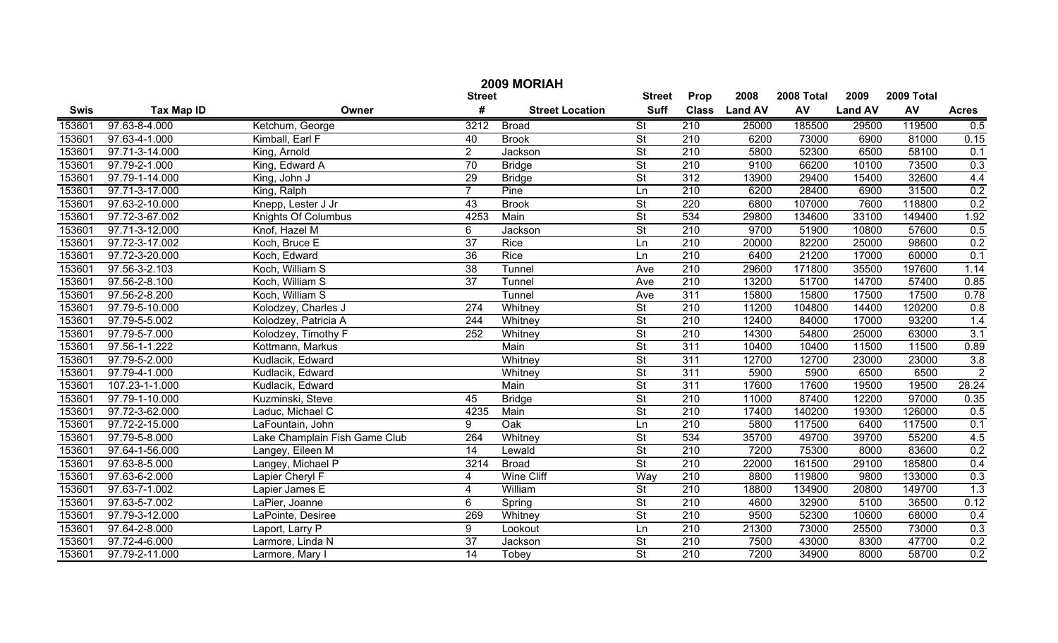| 2009 MORIAH |                   |                               |                  |                        |                          |                  |                |            |                |            |                |
|-------------|-------------------|-------------------------------|------------------|------------------------|--------------------------|------------------|----------------|------------|----------------|------------|----------------|
|             |                   |                               | <b>Street</b>    |                        | <b>Street</b>            | Prop             | 2008           | 2008 Total | 2009           | 2009 Total |                |
| <b>Swis</b> | <b>Tax Map ID</b> | Owner                         | #                | <b>Street Location</b> | <b>Suff</b>              | <b>Class</b>     | <b>Land AV</b> | AV         | <b>Land AV</b> | AV         | <b>Acres</b>   |
| 153601      | 97.63-8-4.000     | Ketchum, George               | 3212             | <b>Broad</b>           | $\overline{\mathsf{St}}$ | 210              | 25000          | 185500     | 29500          | 119500     | 0.5            |
| 153601      | 97.63-4-1.000     | Kimball, Earl F               | 40               | <b>Brook</b>           | $\overline{\mathsf{St}}$ | 210              | 6200           | 73000      | 6900           | 81000      | 0.15           |
| 153601      | 97.71-3-14.000    | King, Arnold                  | $\overline{2}$   | Jackson                | $\overline{\mathsf{St}}$ | 210              | 5800           | 52300      | 6500           | 58100      | 0.1            |
| 153601      | 97.79-2-1.000     | King, Edward A                | $\overline{70}$  | <b>Bridge</b>          | $\overline{\mathsf{St}}$ | 210              | 9100           | 66200      | 10100          | 73500      | 0.3            |
| 153601      | 97.79-1-14.000    | King, John J                  | $\overline{29}$  | <b>Bridge</b>          | $\overline{\mathsf{St}}$ | 312              | 13900          | 29400      | 15400          | 32600      | 4.4            |
| 153601      | 97.71-3-17.000    | King, Ralph                   |                  | Pine                   | Ln                       | 210              | 6200           | 28400      | 6900           | 31500      | 0.2            |
| 153601      | 97.63-2-10.000    | Knepp, Lester J Jr            | 43               | <b>Brook</b>           | $\overline{\mathsf{St}}$ | 220              | 6800           | 107000     | 7600           | 118800     | 0.2            |
| 153601      | 97.72-3-67.002    | <b>Knights Of Columbus</b>    | 4253             | Main                   | $\overline{\mathsf{St}}$ | 534              | 29800          | 134600     | 33100          | 149400     | 1.92           |
| 153601      | 97.71-3-12.000    | Knof, Hazel M                 | 6                | Jackson                | $\overline{\mathsf{St}}$ | 210              | 9700           | 51900      | 10800          | 57600      | 0.5            |
| 153601      | 97.72-3-17.002    | Koch, Bruce E                 | $\overline{37}$  | Rice                   | Ln                       | $\overline{210}$ | 20000          | 82200      | 25000          | 98600      | 0.2            |
| 153601      | 97.72-3-20.000    | Koch, Edward                  | 36               | Rice                   | Ln                       | 210              | 6400           | 21200      | 17000          | 60000      | 0.1            |
| 153601      | 97.56-3-2.103     | Koch, William S               | $\overline{38}$  | Tunnel                 | Ave                      | 210              | 29600          | 171800     | 35500          | 197600     | 1.14           |
| 153601      | 97.56-2-8.100     | Koch, William S               | $\overline{37}$  | Tunnel                 | Ave                      | 210              | 13200          | 51700      | 14700          | 57400      | 0.85           |
| 153601      | 97.56-2-8.200     | Koch, William S               |                  | Tunnel                 | Ave                      | 311              | 15800          | 15800      | 17500          | 17500      | 0.78           |
| 153601      | 97.79-5-10.000    | Kolodzey, Charles J           | 274              | Whitney                | $\overline{\mathsf{St}}$ | $\overline{210}$ | 11200          | 104800     | 14400          | 120200     | 0.8            |
| 153601      | 97.79-5-5.002     | Kolodzey, Patricia A          | 244              | Whitney                | $\overline{\mathsf{St}}$ | 210              | 12400          | 84000      | 17000          | 93200      | 1.4            |
| 153601      | 97.79-5-7.000     | Kolodzey, Timothy F           | $\overline{252}$ | Whitney                | $\overline{\mathsf{St}}$ | 210              | 14300          | 54800      | 25000          | 63000      | 3.1            |
| 153601      | 97.56-1-1.222     | Kottmann, Markus              |                  | Main                   | $\overline{\mathsf{St}}$ | 311              | 10400          | 10400      | 11500          | 11500      | 0.89           |
| 153601      | 97.79-5-2.000     | Kudlacik, Edward              |                  | Whitney                | $\overline{\mathsf{St}}$ | 311              | 12700          | 12700      | 23000          | 23000      | 3.8            |
| 153601      | 97.79-4-1.000     | Kudlacik, Edward              |                  | Whitney                | $\overline{\mathsf{St}}$ | 311              | 5900           | 5900       | 6500           | 6500       | $\overline{2}$ |
| 153601      | 107.23-1-1.000    | Kudlacik, Edward              |                  | Main                   | $\overline{\mathsf{St}}$ | 311              | 17600          | 17600      | 19500          | 19500      | 28.24          |
| 153601      | 97.79-1-10.000    | Kuzminski, Steve              | $\overline{45}$  | <b>Bridge</b>          | $\overline{\mathsf{St}}$ | $\overline{210}$ | 11000          | 87400      | 12200          | 97000      | 0.35           |
| 153601      | 97.72-3-62.000    | Laduc, Michael C              | 4235             | Main                   | $\overline{\mathsf{St}}$ | 210              | 17400          | 140200     | 19300          | 126000     | 0.5            |
| 153601      | 97.72-2-15.000    | LaFountain, John              | 9                | Oak                    | Ln                       | 210              | 5800           | 117500     | 6400           | 117500     | 0.1            |
| 153601      | 97.79-5-8.000     | Lake Champlain Fish Game Club | 264              | Whitney                | $\overline{\mathsf{St}}$ | 534              | 35700          | 49700      | 39700          | 55200      | 4.5            |
| 153601      | 97.64-1-56.000    | Langey, Eileen M              | $\overline{14}$  | Lewald                 | $\overline{\mathsf{St}}$ | 210              | 7200           | 75300      | 8000           | 83600      | 0.2            |
| 153601      | 97.63-8-5.000     | Langey, Michael P             | 3214             | <b>Broad</b>           | $\overline{\mathsf{St}}$ | 210              | 22000          | 161500     | 29100          | 185800     | 0.4            |
| 153601      | 97.63-6-2.000     | Lapier Cheryl F               | 4                | Wine Cliff             | Way                      | 210              | 8800           | 119800     | 9800           | 133000     | 0.3            |
| 153601      | 97.63-7-1.002     | Lapier James E                | 4                | William                | $\overline{\mathsf{St}}$ | 210              | 18800          | 134900     | 20800          | 149700     | 1.3            |
| 153601      | 97.63-5-7.002     | LaPier, Joanne                | 6                | Spring                 | $\overline{\mathsf{St}}$ | 210              | 4600           | 32900      | 5100           | 36500      | 0.12           |
| 153601      | 97.79-3-12.000    | LaPointe, Desiree             | 269              | Whitney                | $\overline{\mathsf{St}}$ | 210              | 9500           | 52300      | 10600          | 68000      | 0.4            |
| 153601      | 97.64-2-8.000     | Laport, Larry P               | 9                | Lookout                | Ln                       | 210              | 21300          | 73000      | 25500          | 73000      | 0.3            |
| 153601      | 97.72-4-6.000     | Larmore, Linda N              | $\overline{37}$  | Jackson                | $\overline{\mathsf{St}}$ | 210              | 7500           | 43000      | 8300           | 47700      | 0.2            |
| 153601      | 97.79-2-11.000    | Larmore, Mary I               | $\overline{14}$  | Tobey                  | $\overline{\mathsf{St}}$ | 210              | 7200           | 34900      | 8000           | 58700      | 0.2            |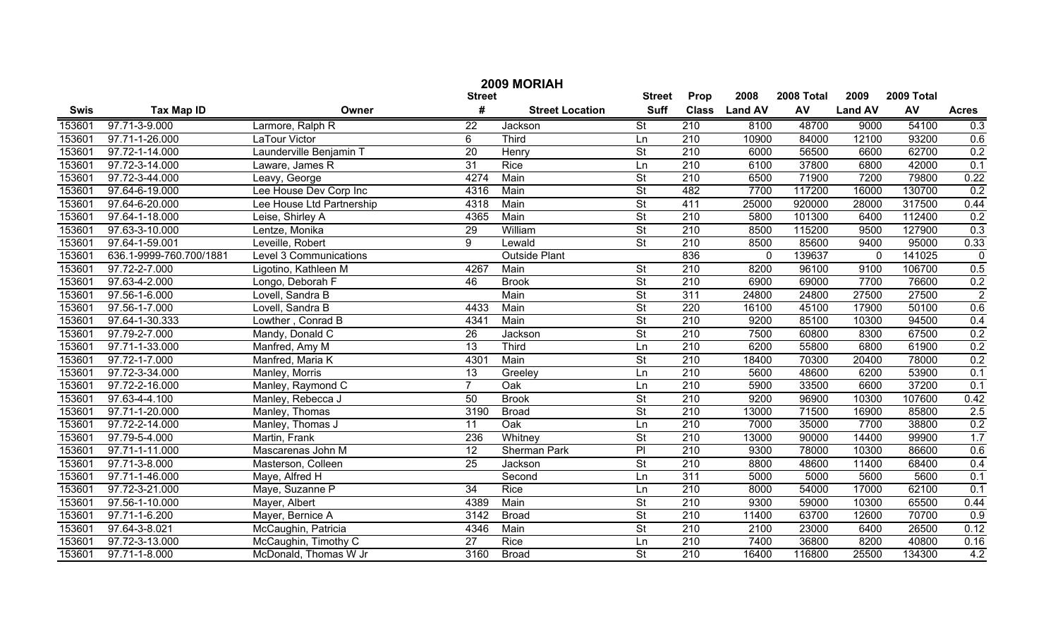|             | 2009 MORIAH             |                           |                 |                        |                          |                  |                |            |                |            |                |  |
|-------------|-------------------------|---------------------------|-----------------|------------------------|--------------------------|------------------|----------------|------------|----------------|------------|----------------|--|
|             |                         |                           | <b>Street</b>   |                        | <b>Street</b>            | Prop             | 2008           | 2008 Total | 2009           | 2009 Total |                |  |
| <b>Swis</b> | <b>Tax Map ID</b>       | Owner                     | #               | <b>Street Location</b> | <b>Suff</b>              | <b>Class</b>     | <b>Land AV</b> | AV         | <b>Land AV</b> | AV         | <b>Acres</b>   |  |
| 153601      | 97.71-3-9.000           | Larmore, Ralph R          | $\overline{22}$ | Jackson                | $\overline{\mathsf{St}}$ | 210              | 8100           | 48700      | 9000           | 54100      | 0.3            |  |
| 153601      | 97.71-1-26.000          | LaTour Victor             | 6               | <b>Third</b>           | Ln                       | 210              | 10900          | 84000      | 12100          | 93200      | 0.6            |  |
| 153601      | 97.72-1-14.000          | Launderville Benjamin T   | 20              | Henry                  | $\overline{\mathsf{St}}$ | 210              | 6000           | 56500      | 6600           | 62700      | 0.2            |  |
| 153601      | 97.72-3-14.000          | Laware, James R           | $\overline{31}$ | <b>Rice</b>            | Ln                       | 210              | 6100           | 37800      | 6800           | 42000      | 0.1            |  |
| 153601      | 97.72-3-44.000          | Leavy, George             | 4274            | Main                   | St                       | 210              | 6500           | 71900      | 7200           | 79800      | 0.22           |  |
| 153601      | 97.64-6-19.000          | Lee House Dev Corp Inc    | 4316            | Main                   | St                       | 482              | 7700           | 117200     | 16000          | 130700     | 0.2            |  |
| 153601      | 97.64-6-20.000          | Lee House Ltd Partnership | 4318            | Main                   | St                       | 411              | 25000          | 920000     | 28000          | 317500     | 0.44           |  |
| 153601      | 97.64-1-18.000          | Leise, Shirley A          | 4365            | Main                   | St                       | 210              | 5800           | 101300     | 6400           | 112400     | 0.2            |  |
| 153601      | 97.63-3-10.000          | Lentze, Monika            | 29              | William                | St                       | 210              | 8500           | 115200     | 9500           | 127900     | 0.3            |  |
| 153601      | 97.64-1-59.001          | Leveille, Robert          | 9               | Lewald                 | $\overline{\mathsf{St}}$ | 210              | 8500           | 85600      | 9400           | 95000      | 0.33           |  |
| 153601      | 636.1-9999-760.700/1881 | Level 3 Communications    |                 | <b>Outside Plant</b>   |                          | 836              | 0              | 139637     | $\mathbf 0$    | 141025     | $\pmb{0}$      |  |
| 153601      | 97.72-2-7.000           | Ligotino, Kathleen M      | 4267            | Main                   | $\overline{\mathsf{St}}$ | 210              | 8200           | 96100      | 9100           | 106700     | 0.5            |  |
| 153601      | 97.63-4-2.000           | Longo, Deborah F          | 46              | <b>Brook</b>           | $\overline{\mathsf{St}}$ | 210              | 6900           | 69000      | 7700           | 76600      | 0.2            |  |
| 153601      | 97.56-1-6.000           | Lovell, Sandra B          |                 | Main                   | $\overline{\mathsf{St}}$ | 311              | 24800          | 24800      | 27500          | 27500      | $\overline{2}$ |  |
| 153601      | 97.56-1-7.000           | Lovell, Sandra B          | 4433            | Main                   | $\overline{\mathsf{St}}$ | 220              | 16100          | 45100      | 17900          | 50100      | 0.6            |  |
| 153601      | 97.64-1-30.333          | Lowther, Conrad B         | 4341            | Main                   | $\overline{\mathsf{St}}$ | 210              | 9200           | 85100      | 10300          | 94500      | 0.4            |  |
| 153601      | 97.79-2-7.000           | Mandy, Donald C           | 26              | Jackson                | $\overline{\mathsf{St}}$ | 210              | 7500           | 60800      | 8300           | 67500      | 0.2            |  |
| 153601      | 97.71-1-33.000          | Manfred, Amy M            | $\overline{13}$ | Third                  | Ln                       | 210              | 6200           | 55800      | 6800           | 61900      | 0.2            |  |
| 153601      | 97.72-1-7.000           | Manfred, Maria K          | 4301            | Main                   | $\overline{\mathsf{St}}$ | 210              | 18400          | 70300      | 20400          | 78000      | 0.2            |  |
| 153601      | 97.72-3-34.000          | Manley, Morris            | 13              | Greeley                | Ln                       | 210              | 5600           | 48600      | 6200           | 53900      | 0.1            |  |
| 153601      | 97.72-2-16.000          | Manley, Raymond C         | $\overline{7}$  | Oak                    | Ln                       | 210              | 5900           | 33500      | 6600           | 37200      | 0.1            |  |
| 153601      | 97.63-4-4.100           | Manley, Rebecca J         | 50              | <b>Brook</b>           | $\overline{\mathsf{St}}$ | $\overline{210}$ | 9200           | 96900      | 10300          | 107600     | 0.42           |  |
| 153601      | 97.71-1-20.000          | Manley, Thomas            | 3190            | <b>Broad</b>           | $\overline{\mathsf{St}}$ | $\overline{210}$ | 13000          | 71500      | 16900          | 85800      | 2.5            |  |
| 153601      | 97.72-2-14.000          | Manley, Thomas J          | 11              | Oak                    | Ln                       | 210              | 7000           | 35000      | 7700           | 38800      | 0.2            |  |
| 153601      | 97.79-5-4.000           | Martin, Frank             | 236             | Whitney                | $\overline{\mathsf{St}}$ | $\overline{210}$ | 13000          | 90000      | 14400          | 99900      | 1.7            |  |
| 153601      | 97.71-1-11.000          | Mascarenas John M         | 12              | Sherman Park           | $\overline{P}$           | $\overline{210}$ | 9300           | 78000      | 10300          | 86600      | 0.6            |  |
| 153601      | 97.71-3-8.000           | Masterson, Colleen        | 25              | Jackson                | $\overline{\mathsf{St}}$ | 210              | 8800           | 48600      | 11400          | 68400      | 0.4            |  |
| 153601      | 97.71-1-46.000          | Maye, Alfred H            |                 | Second                 | Ln                       | $\overline{311}$ | 5000           | 5000       | 5600           | 5600       | 0.1            |  |
| 153601      | 97.72-3-21.000          | Maye, Suzanne P           | 34              | Rice                   | Ln                       | 210              | 8000           | 54000      | 17000          | 62100      | 0.1            |  |
| 153601      | 97.56-1-10.000          | Mayer, Albert             | 4389            | Main                   | $\overline{\mathsf{St}}$ | $\overline{210}$ | 9300           | 59000      | 10300          | 65500      | 0.44           |  |
| 153601      | 97.71-1-6.200           | Mayer, Bernice A          | 3142            | <b>Broad</b>           | $\overline{\mathsf{St}}$ | $\overline{210}$ | 11400          | 63700      | 12600          | 70700      | 0.9            |  |
| 153601      | 97.64-3-8.021           | McCaughin, Patricia       | 4346            | Main                   | $\overline{\mathsf{St}}$ | $\overline{210}$ | 2100           | 23000      | 6400           | 26500      | 0.12           |  |
| 153601      | 97.72-3-13.000          | McCaughin, Timothy C      | $\overline{27}$ | <b>Rice</b>            | Ln                       | $\overline{210}$ | 7400           | 36800      | 8200           | 40800      | 0.16           |  |
| 153601      | 97.71-1-8.000           | McDonald, Thomas W Jr     | 3160            | <b>Broad</b>           | $\overline{\mathsf{St}}$ | $\overline{210}$ | 16400          | 116800     | 25500          | 134300     | 4.2            |  |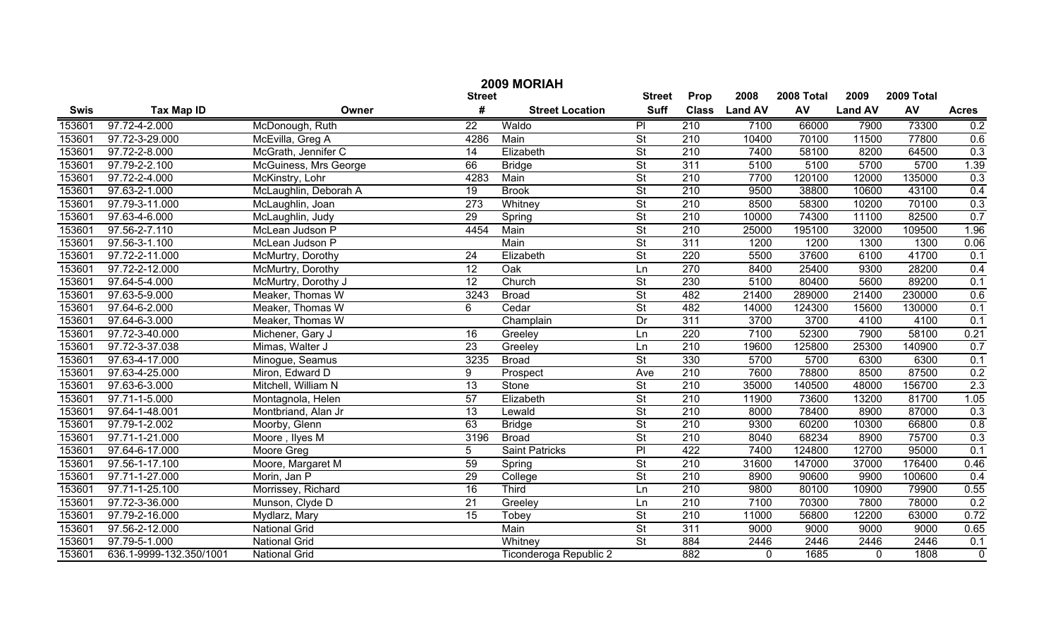|        | 2009 MORIAH             |                       |                 |                        |                          |                  |                |            |                |            |                |  |  |
|--------|-------------------------|-----------------------|-----------------|------------------------|--------------------------|------------------|----------------|------------|----------------|------------|----------------|--|--|
|        |                         |                       | <b>Street</b>   |                        | <b>Street</b>            | Prop             | 2008           | 2008 Total | 2009           | 2009 Total |                |  |  |
| Swis   | <b>Tax Map ID</b>       | Owner                 | #               | <b>Street Location</b> | <b>Suff</b>              | <b>Class</b>     | <b>Land AV</b> | AV         | <b>Land AV</b> | AV         | <b>Acres</b>   |  |  |
| 153601 | 97.72-4-2.000           | McDonough, Ruth       | $\overline{22}$ | Waldo                  | P                        | 210              | 7100           | 66000      | 7900           | 73300      | 0.2            |  |  |
| 153601 | 97.72-3-29.000          | McEvilla, Greg A      | 4286            | Main                   | $\overline{\mathsf{St}}$ | 210              | 10400          | 70100      | 11500          | 77800      | 0.6            |  |  |
| 153601 | 97.72-2-8.000           | McGrath, Jennifer C   | 14              | Elizabeth              | $\overline{\mathsf{St}}$ | 210              | 7400           | 58100      | 8200           | 64500      | 0.3            |  |  |
| 153601 | 97.79-2-2.100           | McGuiness, Mrs George | 66              | <b>Bridge</b>          | $\overline{\mathsf{St}}$ | 311              | 5100           | 5100       | 5700           | 5700       | 1.39           |  |  |
| 153601 | 97.72-2-4.000           | McKinstry, Lohr       | 4283            | Main                   | $\overline{\mathsf{St}}$ | 210              | 7700           | 120100     | 12000          | 135000     | 0.3            |  |  |
| 153601 | 97.63-2-1.000           | McLaughlin, Deborah A | 19              | <b>Brook</b>           | $\overline{\mathsf{St}}$ | 210              | 9500           | 38800      | 10600          | 43100      | 0.4            |  |  |
| 153601 | 97.79-3-11.000          | McLaughlin, Joan      | 273             | Whitney                | $\overline{\mathsf{St}}$ | 210              | 8500           | 58300      | 10200          | 70100      | 0.3            |  |  |
| 153601 | 97.63-4-6.000           | McLaughlin, Judy      | 29              | Spring                 | $\overline{\mathsf{St}}$ | 210              | 10000          | 74300      | 11100          | 82500      | 0.7            |  |  |
| 153601 | 97.56-2-7.110           | McLean Judson P       | 4454            | Main                   | $\overline{\mathsf{St}}$ | 210              | 25000          | 195100     | 32000          | 109500     | 1.96           |  |  |
| 153601 | 97.56-3-1.100           | McLean Judson P       |                 | Main                   | $\overline{\mathsf{St}}$ | 311              | 1200           | 1200       | 1300           | 1300       | 0.06           |  |  |
| 153601 | 97.72-2-11.000          | McMurtry, Dorothy     | 24              | Elizabeth              | $\overline{\mathsf{St}}$ | 220              | 5500           | 37600      | 6100           | 41700      | 0.1            |  |  |
| 153601 | 97.72-2-12.000          | McMurtry, Dorothy     | $\overline{12}$ | Oak                    | Ln                       | 270              | 8400           | 25400      | 9300           | 28200      | 0.4            |  |  |
| 153601 | 97.64-5-4.000           | McMurtry, Dorothy J   | $\overline{12}$ | Church                 | $\overline{\mathsf{St}}$ | 230              | 5100           | 80400      | 5600           | 89200      | 0.1            |  |  |
| 153601 | 97.63-5-9.000           | Meaker, Thomas W      | 3243            | <b>Broad</b>           | $\overline{\mathsf{St}}$ | 482              | 21400          | 289000     | 21400          | 230000     | 0.6            |  |  |
| 153601 | 97.64-6-2.000           | Meaker, Thomas W      | 6               | Cedar                  | $\overline{\mathsf{St}}$ | 482              | 14000          | 124300     | 15600          | 130000     | 0.1            |  |  |
| 153601 | 97.64-6-3.000           | Meaker, Thomas W      |                 | Champlain              | $\overline{Dr}$          | 311              | 3700           | 3700       | 4100           | 4100       | 0.1            |  |  |
| 153601 | 97.72-3-40.000          | Michener, Gary J      | 16              | Greeley                | Ln                       | $\overline{220}$ | 7100           | 52300      | 7900           | 58100      | 0.21           |  |  |
| 153601 | 97.72-3-37.038          | Mimas, Walter J       | 23              | Greeley                | Ln                       | 210              | 19600          | 125800     | 25300          | 140900     | 0.7            |  |  |
| 153601 | 97.63-4-17.000          | Minogue, Seamus       | 3235            | <b>Broad</b>           | $\overline{\mathsf{St}}$ | 330              | 5700           | 5700       | 6300           | 6300       | 0.1            |  |  |
| 153601 | 97.63-4-25.000          | Miron, Edward D       | 9               | Prospect               | Ave                      | 210              | 7600           | 78800      | 8500           | 87500      | 0.2            |  |  |
| 153601 | 97.63-6-3.000           | Mitchell, William N   | 13              | Stone                  | $\overline{\mathsf{St}}$ | 210              | 35000          | 140500     | 48000          | 156700     | 2.3            |  |  |
| 153601 | 97.71-1-5.000           | Montagnola, Helen     | $\overline{57}$ | Elizabeth              | $\overline{\mathsf{St}}$ | 210              | 11900          | 73600      | 13200          | 81700      | 1.05           |  |  |
| 153601 | 97.64-1-48.001          | Montbriand, Alan Jr   | 13              | Lewald                 | $\overline{\mathsf{St}}$ | 210              | 8000           | 78400      | 8900           | 87000      | 0.3            |  |  |
| 153601 | 97.79-1-2.002           | Moorby, Glenn         | 63              | <b>Bridge</b>          | $\overline{\mathsf{St}}$ | 210              | 9300           | 60200      | 10300          | 66800      | 0.8            |  |  |
| 153601 | 97.71-1-21.000          | Moore, Ilyes M        | 3196            | <b>Broad</b>           | $\overline{\mathsf{St}}$ | 210              | 8040           | 68234      | 8900           | 75700      | 0.3            |  |  |
| 153601 | 97.64-6-17.000          | Moore Greg            | 5               | <b>Saint Patricks</b>  | $\overline{P}$           | 422              | 7400           | 124800     | 12700          | 95000      | 0.1            |  |  |
| 153601 | 97.56-1-17.100          | Moore, Margaret M     | 59              | Spring                 | $\overline{\mathsf{St}}$ | $\overline{210}$ | 31600          | 147000     | 37000          | 176400     | 0.46           |  |  |
| 153601 | 97.71-1-27.000          | Morin, Jan P          | 29              | College                | $\overline{\mathsf{St}}$ | 210              | 8900           | 90600      | 9900           | 100600     | 0.4            |  |  |
| 153601 | 97.71-1-25.100          | Morrissey, Richard    | $\overline{16}$ | <b>Third</b>           | Ln                       | 210              | 9800           | 80100      | 10900          | 79900      | 0.55           |  |  |
| 153601 | 97.72-3-36.000          | Munson, Clyde D       | 21              | Greeley                | Ln                       | 210              | 7100           | 70300      | 7800           | 78000      | 0.2            |  |  |
| 153601 | 97.79-2-16.000          | Mydlarz, Mary         | 15              | Tobey                  | $\overline{\mathsf{St}}$ | 210              | 11000          | 56800      | 12200          | 63000      | 0.72           |  |  |
| 153601 | 97.56-2-12.000          | <b>National Grid</b>  |                 | Main                   | $\overline{\mathsf{St}}$ | 311              | 9000           | 9000       | 9000           | 9000       | 0.65           |  |  |
| 153601 | 97.79-5-1.000           | <b>National Grid</b>  |                 | Whitney                | $\overline{\mathsf{St}}$ | 884              | 2446           | 2446       | 2446           | 2446       | 0.1            |  |  |
| 153601 | 636.1-9999-132.350/1001 | <b>National Grid</b>  |                 | Ticonderoga Republic 2 |                          | 882              | $\mathbf 0$    | 1685       | $\mathbf 0$    | 1808       | $\overline{0}$ |  |  |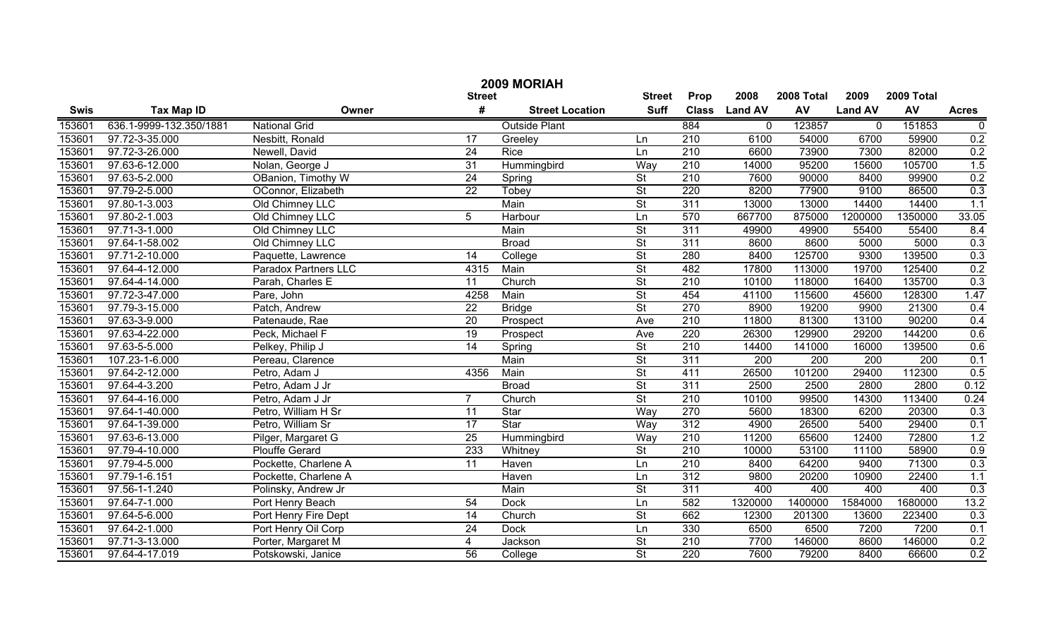|             | 2009 MORIAH                |                       |                 |                        |                          |                  |                |                  |                  |                  |                  |  |
|-------------|----------------------------|-----------------------|-----------------|------------------------|--------------------------|------------------|----------------|------------------|------------------|------------------|------------------|--|
|             |                            |                       | <b>Street</b>   |                        | <b>Street</b>            | Prop             | 2008           | 2008 Total       | 2009             | 2009 Total       |                  |  |
| <b>Swis</b> | <b>Tax Map ID</b>          | Owner                 | #               | <b>Street Location</b> | <b>Suff</b>              | <b>Class</b>     | <b>Land AV</b> | AV               | <b>Land AV</b>   | AV               | <b>Acres</b>     |  |
| 153601      | 636.1-9999-132.350/1881    | <b>National Grid</b>  |                 | <b>Outside Plant</b>   |                          | 884              | 0              | 123857           | $\mathbf 0$      | 151853           | $\boldsymbol{0}$ |  |
| 153601      | 97.72-3-35.000             | Nesbitt, Ronald       | 17              | Greeley                | Ln                       | $\overline{210}$ | 6100           | 54000            | 6700             | 59900            | 0.2              |  |
| 153601      | 97.72-3-26.000             | Newell, David         | $\overline{24}$ | <b>Rice</b>            | Ln                       | 210              | 6600           | 73900            | 7300             | 82000            | 0.2              |  |
| 153601      | 97.63-6-12.000             | Nolan, George J       | $\overline{31}$ | Hummingbird            | Way                      | 210              | 14000          | 95200            | 15600            | 105700           | 1.5              |  |
| 153601      | 97.63-5-2.000              | OBanion, Timothy W    | 24              | Spring                 | $\overline{\mathsf{St}}$ | 210              | 7600           | 90000            | 8400             | 99900            | 0.2              |  |
| 153601      | 97.79-2-5.000              | OConnor, Elizabeth    | $\overline{22}$ | Tobey                  | $\overline{\mathsf{St}}$ | 220              | 8200           | 77900            | 9100             | 86500            | 0.3              |  |
| 153601      | 97.80-1-3.003              | Old Chimney LLC       |                 | Main                   | $\overline{\mathsf{St}}$ | 311              | 13000          | 13000            | 14400            | 14400            | 1.1              |  |
| 153601      | 97.80-2-1.003              | Old Chimney LLC       | $\overline{5}$  | Harbour                | Ln                       | 570              | 667700         | 875000           | 1200000          | 1350000          | 33.05            |  |
| 153601      | 97.71-3-1.000              | Old Chimney LLC       |                 | Main                   | $\overline{\mathsf{St}}$ | 311              | 49900          | 49900            | 55400            | 55400            | 8.4              |  |
| 153601      | 97.64-1-58.002             | Old Chimney LLC       |                 | <b>Broad</b>           | $\overline{St}$          | 311              | 8600           | 8600             | 5000             | 5000             | 0.3              |  |
| 153601      | 97.71-2-10.000             | Paquette, Lawrence    | 14              | College                | $\overline{St}$          | 280              | 8400           | 125700           | 9300             | 139500           | 0.3              |  |
| 153601      | 97.64-4-12.000             | Paradox Partners LLC  | 4315            | Main                   | $\overline{St}$          | 482              | 17800          | 113000           | 19700            | 125400           | 0.2              |  |
| 153601      | 97.64-4-14.000             | Parah, Charles E      | 11              | Church                 | $\overline{St}$          | 210              | 10100          | 118000           | 16400            | 135700           | 0.3              |  |
| 153601      | 97.72-3-47.000             | Pare, John            | 4258            | Main                   | $\overline{St}$          | 454              | 41100          | 115600           | 45600            | 128300           | 1.47             |  |
| 153601      | 97.79-3-15.000             | Patch, Andrew         | $\overline{22}$ | <b>Bridge</b>          | $\overline{\mathsf{St}}$ | 270              | 8900           | 19200            | 9900             | 21300            | 0.4              |  |
| 153601      | 97.63-3-9.000              | Patenaude, Rae        | $\overline{20}$ | Prospect               | Ave                      | $\overline{210}$ | 11800          | 81300            | 13100            | 90200            | 0.4              |  |
| 153601      | 97.63-4-22.000             | Peck, Michael F       | $\overline{19}$ | Prospect               | Ave                      | 220              | 26300          | 129900           | 29200            | 144200           | 0.6              |  |
| 153601      | 97.63-5-5.000              | Pelkey, Philip J      | $\overline{14}$ | Spring                 | $\overline{St}$          | $\overline{210}$ | 14400          | 141000           | 16000            | 139500           | 0.6              |  |
| 153601      | 107.23-1-6.000             | Pereau, Clarence      |                 | Main                   | $\overline{\mathsf{St}}$ | 311              | 200            | $\overline{200}$ | $\overline{200}$ | $\overline{200}$ | 0.1              |  |
| 153601      | 97.64-2-12.000             | Petro, Adam J         | 4356            | Main                   | $\overline{St}$          | 411              | 26500          | 101200           | 29400            | 112300           | 0.5              |  |
| 153601      | 97.64-4-3.200              | Petro, Adam J Jr      |                 | <b>Broad</b>           | $\overline{St}$          | 311              | 2500           | 2500             | 2800             | 2800             | 0.12             |  |
| 153601      | 97.64-4-16.000             | Petro, Adam J Jr      | $\overline{7}$  | Church                 | $\overline{\mathsf{St}}$ | $\overline{210}$ | 10100          | 99500            | 14300            | 113400           | 0.24             |  |
| 153601      | 97.64-1-40.000             | Petro, William H Sr   | $\overline{11}$ | Star                   | Way                      | 270              | 5600           | 18300            | 6200             | 20300            | 0.3              |  |
| 153601      | 97.64-1-39.000             | Petro, William Sr     | $\overline{17}$ | Star                   | Way                      | 312              | 4900           | 26500            | 5400             | 29400            | 0.1              |  |
| 153601      | 97.63-6-13.000             | Pilger, Margaret G    | 25              | Hummingbird            | Way                      | 210              | 11200          | 65600            | 12400            | 72800            | 1.2              |  |
| 153601      | 97.79-4-10.000             | <b>Plouffe Gerard</b> | 233             | Whitney                | $\overline{St}$          | 210              | 10000          | 53100            | 11100            | 58900            | 0.9              |  |
| 153601      | 97.79-4-5.000              | Pockette, Charlene A  | 11              | Haven                  | Ln                       | $\overline{210}$ | 8400           | 64200            | 9400             | 71300            | 0.3              |  |
| 153601      | 97.79-1-6.151              | Pockette, Charlene A  |                 | Haven                  | Ln                       | 312              | 9800           | 20200            | 10900            | 22400            | 1.1              |  |
| 153601      | $\overline{97.56-1-1.240}$ | Polinsky, Andrew Jr   |                 | Main                   | $\overline{\mathsf{St}}$ | 311              | 400            | 400              | 400              | 400              | 0.3              |  |
| 153601      | 97.64-7-1.000              | Port Henry Beach      | 54              | <b>Dock</b>            | Ln                       | 582              | 1320000        | 1400000          | 1584000          | 1680000          | 13.2             |  |
| 153601      | 97.64-5-6.000              | Port Henry Fire Dept  | $\overline{14}$ | Church                 | $\overline{\mathsf{St}}$ | 662              | 12300          | 201300           | 13600            | 223400           | 0.3              |  |
| 153601      | 97.64-2-1.000              | Port Henry Oil Corp   | $\overline{24}$ | <b>Dock</b>            | Ln                       | 330              | 6500           | 6500             | 7200             | 7200             | 0.1              |  |
| 153601      | 97.71-3-13.000             | Porter, Margaret M    | 4               | Jackson                | $\overline{\mathsf{St}}$ | 210              | 7700           | 146000           | 8600             | 146000           | 0.2              |  |
| 153601      | 97.64-4-17.019             | Potskowski, Janice    | 56              | College                | $\overline{\mathsf{St}}$ | 220              | 7600           | 79200            | 8400             | 66600            | 0.2              |  |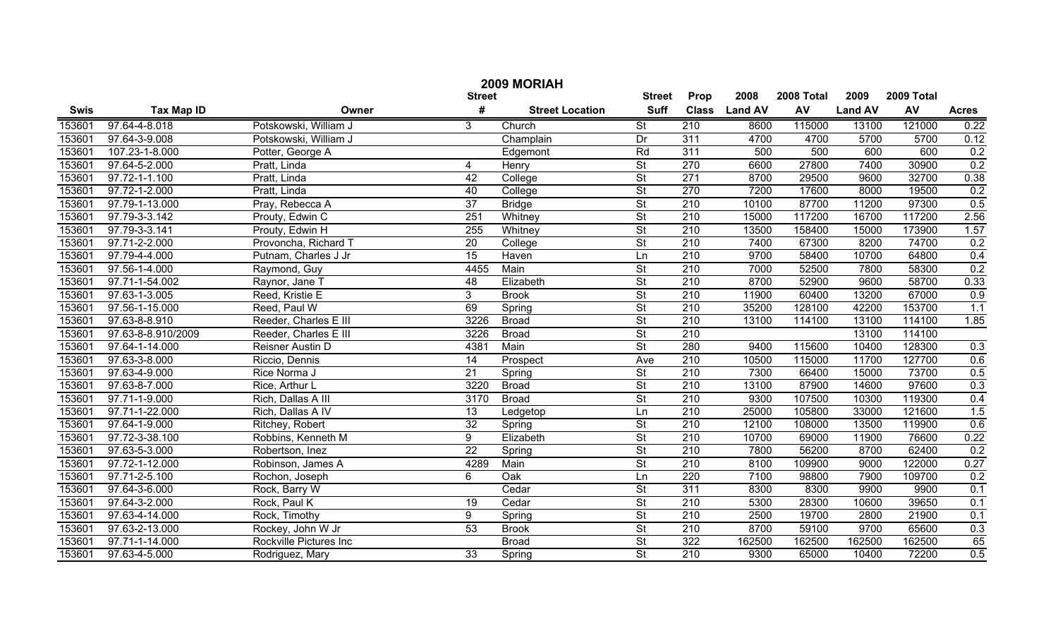| 2009 MORIAH |                    |                        |                 |                        |                          |                  |                |            |                |            |              |
|-------------|--------------------|------------------------|-----------------|------------------------|--------------------------|------------------|----------------|------------|----------------|------------|--------------|
|             |                    |                        | <b>Street</b>   |                        | <b>Street</b>            | Prop             | 2008           | 2008 Total | 2009           | 2009 Total |              |
| <b>Swis</b> | <b>Tax Map ID</b>  | Owner                  | #               | <b>Street Location</b> | <b>Suff</b>              | <b>Class</b>     | <b>Land AV</b> | AV         | <b>Land AV</b> | AV         | <b>Acres</b> |
| 153601      | 97.64-4-8.018      | Potskowski, William J  | 3               | Church                 | $\overline{\mathsf{St}}$ | 210              | 8600           | 115000     | 13100          | 121000     | 0.22         |
| 153601      | 97.64-3-9.008      | Potskowski, William J  |                 | Champlain              | Dr                       | 311              | 4700           | 4700       | 5700           | 5700       | 0.12         |
| 153601      | 107.23-1-8.000     | Potter, George A       |                 | Edgemont               | Rd                       | 311              | 500            | 500        | 600            | 600        | 0.2          |
| 153601      | 97.64-5-2.000      | Pratt, Linda           | 4               | Henry                  | St                       | 270              | 6600           | 27800      | 7400           | 30900      | 0.2          |
| 153601      | 97.72-1-1.100      | Pratt, Linda           | 42              | College                | St                       | 271              | 8700           | 29500      | 9600           | 32700      | 0.38         |
| 153601      | 97.72-1-2.000      | Pratt, Linda           | 40              | College                | St                       | 270              | 7200           | 17600      | 8000           | 19500      | 0.2          |
| 153601      | 97.79-1-13.000     | Pray, Rebecca A        | $\overline{37}$ | <b>Bridge</b>          | St                       | 210              | 10100          | 87700      | 11200          | 97300      | 0.5          |
| 153601      | 97.79-3-3.142      | Prouty, Edwin C        | 251             | Whitney                | St                       | 210              | 15000          | 117200     | 16700          | 117200     | 2.56         |
| 153601      | 97.79-3-3.141      | Prouty, Edwin H        | 255             | Whitney                | St                       | 210              | 13500          | 158400     | 15000          | 173900     | 1.57         |
| 153601      | 97.71-2-2.000      | Provoncha, Richard T   | $\overline{20}$ | College                | $\overline{\mathsf{St}}$ | 210              | 7400           | 67300      | 8200           | 74700      | 0.2          |
| 153601      | 97.79-4-4.000      | Putnam, Charles J Jr   | $\overline{15}$ | Haven                  | Ln                       | $\overline{210}$ | 9700           | 58400      | 10700          | 64800      | 0.4          |
| 153601      | 97.56-1-4.000      | Raymond, Guy           | 4455            | Main                   | $\overline{\mathsf{St}}$ | 210              | 7000           | 52500      | 7800           | 58300      | 0.2          |
| 153601      | 97.71-1-54.002     | Raynor, Jane T         | 48              | Elizabeth              | $\overline{\mathsf{St}}$ | 210              | 8700           | 52900      | 9600           | 58700      | 0.33         |
| 153601      | 97.63-1-3.005      | Reed, Kristie E        | 3 <sup>1</sup>  | <b>Brook</b>           | $\overline{\mathsf{St}}$ | $\overline{210}$ | 11900          | 60400      | 13200          | 67000      | 0.9          |
| 153601      | 97.56-1-15.000     | Reed, Paul W           | 69              | Spring                 | $\overline{\mathsf{St}}$ | $\overline{210}$ | 35200          | 128100     | 42200          | 153700     | 1.1          |
| 153601      | 97.63-8-8.910      | Reeder, Charles E III  | 3226            | <b>Broad</b>           | $\overline{\mathsf{St}}$ | 210              | 13100          | 114100     | 13100          | 114100     | 1.85         |
| 153601      | 97.63-8-8.910/2009 | Reeder, Charles E III  | 3226            | <b>Broad</b>           | $\overline{\mathsf{St}}$ | $\overline{210}$ |                |            | 13100          | 114100     |              |
| 153601      | 97.64-1-14.000     | Reisner Austin D       | 4381            | Main                   | St                       | 280              | 9400           | 115600     | 10400          | 128300     | 0.3          |
| 153601      | 97.63-3-8.000      | Riccio, Dennis         | $\overline{14}$ | Prospect               | Ave                      | 210              | 10500          | 115000     | 11700          | 127700     | 0.6          |
| 153601      | 97.63-4-9.000      | Rice Norma J           | 21              | Spring                 | $\overline{\mathsf{St}}$ | 210              | 7300           | 66400      | 15000          | 73700      | 0.5          |
| 153601      | 97.63-8-7.000      | Rice, Arthur L         | 3220            | <b>Broad</b>           | $\overline{\mathsf{St}}$ | $\overline{210}$ | 13100          | 87900      | 14600          | 97600      | 0.3          |
| 153601      | 97.71-1-9.000      | Rich, Dallas A III     | 3170            | <b>Broad</b>           | $\overline{\mathsf{St}}$ | 210              | 9300           | 107500     | 10300          | 119300     | 0.4          |
| 153601      | 97.71-1-22.000     | Rich, Dallas A IV      | $\overline{13}$ | Ledgetop               | Ln                       | 210              | 25000          | 105800     | 33000          | 121600     | 1.5          |
| 153601      | 97.64-1-9.000      | Ritchey, Robert        | $\overline{32}$ | Spring                 | $\overline{\mathsf{St}}$ | $\overline{210}$ | 12100          | 108000     | 13500          | 119900     | 0.6          |
| 153601      | 97.72-3-38.100     | Robbins, Kenneth M     | 9               | Elizabeth              | $\overline{\mathsf{St}}$ | $\overline{210}$ | 10700          | 69000      | 11900          | 76600      | 0.22         |
| 153601      | 97.63-5-3.000      | Robertson, Inez        | $\overline{22}$ | Spring                 | $\overline{\mathsf{St}}$ | 210              | 7800           | 56200      | 8700           | 62400      | 0.2          |
| 153601      | 97.72-1-12.000     | Robinson, James A      | 4289            | Main                   | $\overline{\mathsf{St}}$ | 210              | 8100           | 109900     | 9000           | 122000     | 0.27         |
| 153601      | 97.71-2-5.100      | Rochon, Joseph         | 6               | Oak                    | Ln                       | 220              | 7100           | 98800      | 7900           | 109700     | 0.2          |
| 153601      | 97.64-3-6.000      | Rock, Barry W          |                 | Cedar                  | $\overline{\mathsf{St}}$ | 311              | 8300           | 8300       | 9900           | 9900       | 0.1          |
| 153601      | 97.64-3-2.000      | Rock, Paul K           | 19              | Cedar                  | $\overline{\mathsf{St}}$ | 210              | 5300           | 28300      | 10600          | 39650      | 0.1          |
| 153601      | 97.63-4-14.000     | Rock, Timothy          | 9               | Spring                 | St                       | 210              | 2500           | 19700      | 2800           | 21900      | 0.1          |
| 153601      | 97.63-2-13.000     | Rockey, John W Jr      | 53              | <b>Brook</b>           | St                       | 210              | 8700           | 59100      | 9700           | 65600      | 0.3          |
| 153601      | 97.71-1-14.000     | Rockville Pictures Inc |                 | <b>Broad</b>           | $\overline{\mathsf{St}}$ | 322              | 162500         | 162500     | 162500         | 162500     | 65           |
| 153601      | 97.63-4-5.000      | Rodriguez, Mary        | $\overline{33}$ | Spring                 | $\overline{\mathsf{St}}$ | $\overline{210}$ | 9300           | 65000      | 10400          | 72200      | 0.5          |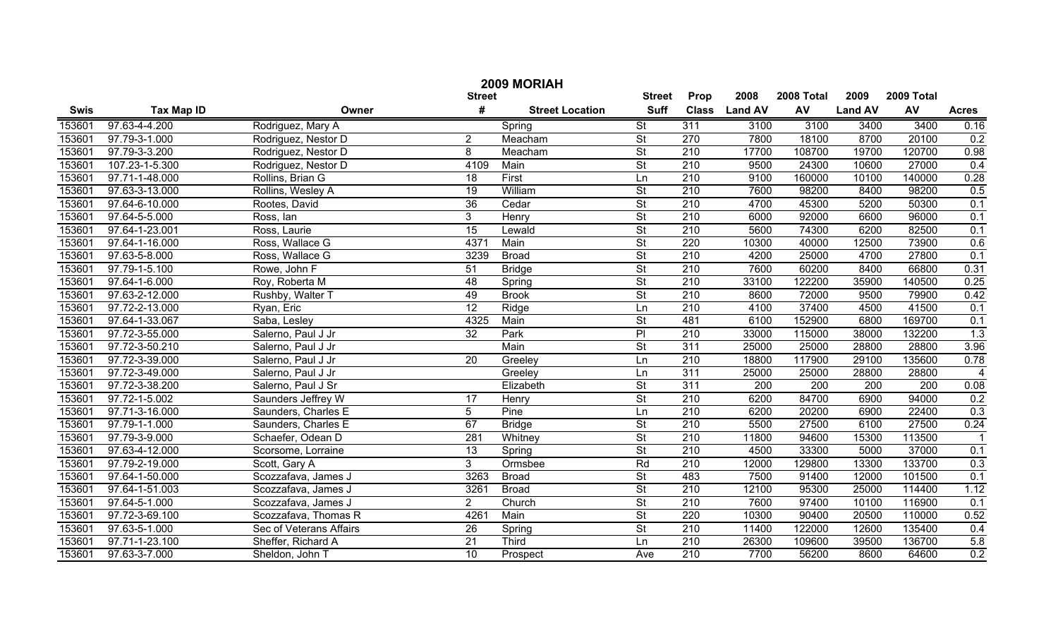|             | 2009 MORIAH       |                         |                 |                        |                          |                  |                |            |                |            |                  |  |
|-------------|-------------------|-------------------------|-----------------|------------------------|--------------------------|------------------|----------------|------------|----------------|------------|------------------|--|
|             |                   |                         | <b>Street</b>   |                        | <b>Street</b>            | Prop             | 2008           | 2008 Total | 2009           | 2009 Total |                  |  |
| <b>Swis</b> | <b>Tax Map ID</b> | Owner                   | #               | <b>Street Location</b> | <b>Suff</b>              | <b>Class</b>     | <b>Land AV</b> | <b>AV</b>  | <b>Land AV</b> | AV         | <b>Acres</b>     |  |
| 153601      | 97.63-4-4.200     | Rodriguez, Mary A       |                 | Spring                 | $\overline{\mathsf{St}}$ | 311              | 3100           | 3100       | 3400           | 3400       | 0.16             |  |
| 153601      | 97.79-3-1.000     | Rodriguez, Nestor D     | $\overline{2}$  | Meacham                | $\overline{\mathsf{St}}$ | $\overline{270}$ | 7800           | 18100      | 8700           | 20100      | 0.2              |  |
| 153601      | 97.79-3-3.200     | Rodriguez, Nestor D     | 8               | Meacham                | $\overline{\mathsf{St}}$ | 210              | 17700          | 108700     | 19700          | 120700     | 0.98             |  |
| 153601      | 107.23-1-5.300    | Rodriguez, Nestor D     | 4109            | Main                   | $\overline{\mathsf{St}}$ | 210              | 9500           | 24300      | 10600          | 27000      | 0.4              |  |
| 153601      | 97.71-1-48.000    | Rollins, Brian G        | 18              | First                  | Ln                       | 210              | 9100           | 160000     | 10100          | 140000     | 0.28             |  |
| 153601      | 97.63-3-13.000    | Rollins, Wesley A       | $\overline{19}$ | William                | $\overline{\mathsf{St}}$ | 210              | 7600           | 98200      | 8400           | 98200      | 0.5              |  |
| 153601      | 97.64-6-10.000    | Rootes, David           | $\overline{36}$ | Cedar                  | $\overline{\mathsf{St}}$ | 210              | 4700           | 45300      | 5200           | 50300      | 0.1              |  |
| 153601      | 97.64-5-5.000     | Ross, Ian               | 3               | Henry                  | $\overline{\mathsf{St}}$ | 210              | 6000           | 92000      | 6600           | 96000      | 0.1              |  |
| 153601      | 97.64-1-23.001    | Ross, Laurie            | 15              | Lewald                 | St                       | 210              | 5600           | 74300      | 6200           | 82500      | 0.1              |  |
| 153601      | 97.64-1-16.000    | Ross, Wallace G         | 4371            | Main                   | $\overline{\mathsf{St}}$ | 220              | 10300          | 40000      | 12500          | 73900      | 0.6              |  |
| 153601      | 97.63-5-8.000     | Ross, Wallace G         | 3239            | <b>Broad</b>           | $\overline{\mathsf{St}}$ | 210              | 4200           | 25000      | 4700           | 27800      | 0.1              |  |
| 153601      | 97.79-1-5.100     | Rowe, John F            | 51              | <b>Bridge</b>          | $\overline{\mathsf{St}}$ | 210              | 7600           | 60200      | 8400           | 66800      | 0.31             |  |
| 153601      | 97.64-1-6.000     | Roy, Roberta M          | 48              | Spring                 | $\overline{\mathsf{St}}$ | $\overline{210}$ | 33100          | 122200     | 35900          | 140500     | 0.25             |  |
| 153601      | 97.63-2-12.000    | Rushby, Walter T        | 49              | <b>Brook</b>           | $\overline{\mathsf{St}}$ | $\overline{210}$ | 8600           | 72000      | 9500           | 79900      | 0.42             |  |
| 153601      | 97.72-2-13.000    | Ryan, Eric              | $\overline{12}$ | Ridge                  | Ln                       | 210              | 4100           | 37400      | 4500           | 41500      | 0.1              |  |
| 153601      | 97.64-1-33.067    | Saba, Lesley            | 4325            | Main                   | $\overline{\mathsf{St}}$ | 481              | 6100           | 152900     | 6800           | 169700     | 0.1              |  |
| 153601      | 97.72-3-55.000    | Salerno, Paul J Jr      | $\overline{32}$ | Park                   | $\overline{P}$           | 210              | 33000          | 115000     | 38000          | 132200     | 1.3              |  |
| 153601      | 97.72-3-50.210    | Salerno, Paul J Jr      |                 | Main                   | $\overline{\mathsf{St}}$ | 311              | 25000          | 25000      | 28800          | 28800      | 3.96             |  |
| 153601      | 97.72-3-39.000    | Salerno, Paul J Jr      | 20              | Greeley                | Ln                       | 210              | 18800          | 117900     | 29100          | 135600     | 0.78             |  |
| 153601      | 97.72-3-49.000    | Salerno, Paul J Jr      |                 | Greeley                | Ln                       | 311              | 25000          | 25000      | 28800          | 28800      | $\overline{4}$   |  |
| 153601      | 97.72-3-38.200    | Salerno, Paul J Sr      |                 | Elizabeth              | $\overline{\mathsf{St}}$ | 311              | 200            | 200        | 200            | 200        | 0.08             |  |
| 153601      | 97.72-1-5.002     | Saunders Jeffrey W      | 17              | Henry                  | $\overline{\mathsf{St}}$ | 210              | 6200           | 84700      | 6900           | 94000      | 0.2              |  |
| 153601      | 97.71-3-16.000    | Saunders, Charles E     | 5               | Pine                   | Ln                       | 210              | 6200           | 20200      | 6900           | 22400      | $\overline{0.3}$ |  |
| 153601      | 97.79-1-1.000     | Saunders, Charles E     | 67              | <b>Bridge</b>          | $\overline{\mathsf{St}}$ | 210              | 5500           | 27500      | 6100           | 27500      | 0.24             |  |
| 153601      | 97.79-3-9.000     | Schaefer, Odean D       | 281             | Whitney                | $\overline{\mathsf{St}}$ | 210              | 11800          | 94600      | 15300          | 113500     |                  |  |
| 153601      | 97.63-4-12.000    | Scorsome, Lorraine      | 13              | Spring                 | $\overline{\mathsf{St}}$ | 210              | 4500           | 33300      | 5000           | 37000      | 0.1              |  |
| 153601      | 97.79-2-19.000    | Scott, Gary A           | 3               | Ormsbee                | Rd                       | 210              | 12000          | 129800     | 13300          | 133700     | 0.3              |  |
| 153601      | 97.64-1-50.000    | Scozzafava, James J     | 3263            | <b>Broad</b>           | $\overline{\mathsf{St}}$ | 483              | 7500           | 91400      | 12000          | 101500     | 0.1              |  |
| 153601      | 97.64-1-51.003    | Scozzafava, James J     | 3261            | <b>Broad</b>           | $\overline{\mathsf{St}}$ | 210              | 12100          | 95300      | 25000          | 114400     | 1.12             |  |
| 153601      | 97.64-5-1.000     | Scozzafava, James J     | $\overline{2}$  | Church                 | $\overline{\mathsf{St}}$ | $\overline{210}$ | 7600           | 97400      | 10100          | 116900     | 0.1              |  |
| 153601      | 97.72-3-69.100    | Scozzafava, Thomas R    | 4261            | Main                   | $\overline{\mathsf{St}}$ | 220              | 10300          | 90400      | 20500          | 110000     | 0.52             |  |
| 153601      | 97.63-5-1.000     | Sec of Veterans Affairs | 26              | Spring                 | $\overline{\mathsf{St}}$ | $\overline{210}$ | 11400          | 122000     | 12600          | 135400     | 0.4              |  |
| 153601      | 97.71-1-23.100    | Sheffer, Richard A      | 21              | Third                  | Ln                       | $\overline{210}$ | 26300          | 109600     | 39500          | 136700     | 5.8              |  |
| 153601      | 97.63-3-7.000     | Sheldon, John T         | $\overline{10}$ | Prospect               | Ave                      | $\overline{210}$ | 7700           | 56200      | 8600           | 64600      | 0.2              |  |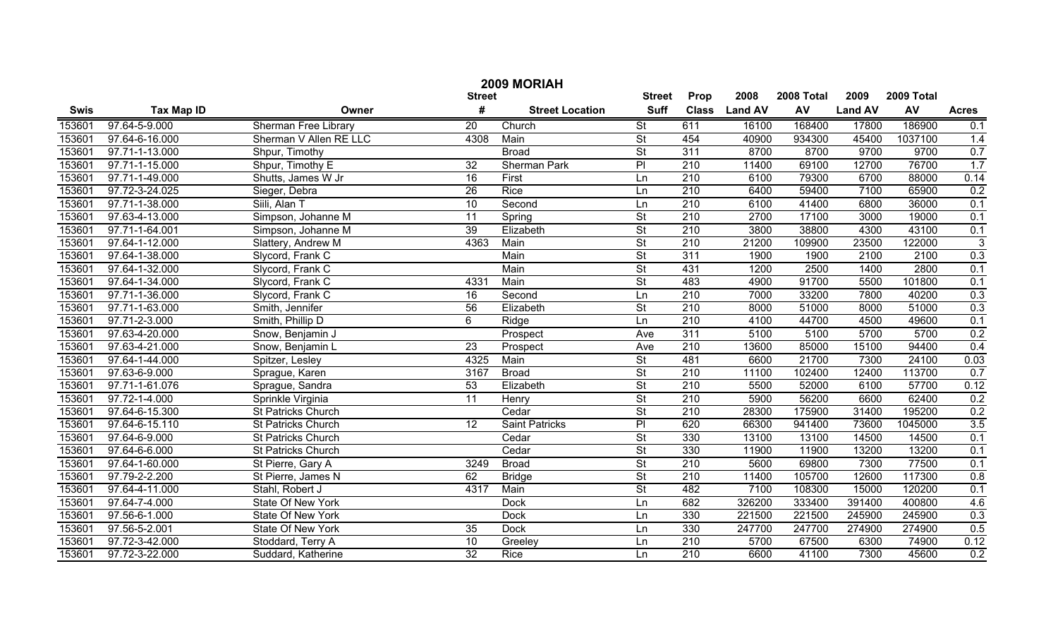|             | 2009 MORIAH       |                             |                 |                        |                          |                  |                |            |                |            |              |  |
|-------------|-------------------|-----------------------------|-----------------|------------------------|--------------------------|------------------|----------------|------------|----------------|------------|--------------|--|
|             |                   |                             | <b>Street</b>   |                        | <b>Street</b>            | Prop             | 2008           | 2008 Total | 2009           | 2009 Total |              |  |
| <b>Swis</b> | <b>Tax Map ID</b> | Owner                       | #               | <b>Street Location</b> | <b>Suff</b>              | <b>Class</b>     | <b>Land AV</b> | AV         | <b>Land AV</b> | AV         | <b>Acres</b> |  |
| 153601      | 97.64-5-9.000     | <b>Sherman Free Library</b> | $\overline{20}$ | Church                 | $\overline{\mathsf{St}}$ | 611              | 16100          | 168400     | 17800          | 186900     | 0.1          |  |
| 153601      | 97.64-6-16.000    | Sherman V Allen RE LLC      | 4308            | Main                   | $\overline{\mathsf{St}}$ | 454              | 40900          | 934300     | 45400          | 1037100    | 1.4          |  |
| 153601      | 97.71-1-13.000    | Shpur, Timothy              |                 | <b>Broad</b>           | $\overline{\mathsf{St}}$ | 311              | 8700           | 8700       | 9700           | 9700       | 0.7          |  |
| 153601      | 97.71-1-15.000    | Shpur, Timothy E            | $\overline{32}$ | <b>Sherman Park</b>    | $\overline{P}$           | 210              | 11400          | 69100      | 12700          | 76700      | 1.7          |  |
| 153601      | 97.71-1-49.000    | Shutts, James W Jr          | 16              | First                  | Ln                       | 210              | 6100           | 79300      | 6700           | 88000      | 0.14         |  |
| 153601      | 97.72-3-24.025    | Sieger, Debra               | 26              | <b>Rice</b>            | Ln                       | 210              | 6400           | 59400      | 7100           | 65900      | 0.2          |  |
| 153601      | 97.71-1-38.000    | Siili, Alan T               | 10              | Second                 | Ln                       | 210              | 6100           | 41400      | 6800           | 36000      | 0.1          |  |
| 153601      | 97.63-4-13.000    | Simpson, Johanne M          | 11              | Spring                 | $\overline{\mathsf{St}}$ | 210              | 2700           | 17100      | 3000           | 19000      | 0.1          |  |
| 153601      | 97.71-1-64.001    | Simpson, Johanne M          | 39              | Elizabeth              | $\overline{\mathsf{St}}$ | 210              | 3800           | 38800      | 4300           | 43100      | 0.1          |  |
| 153601      | 97.64-1-12.000    | Slattery, Andrew M          | 4363            | Main                   | $\overline{\mathsf{St}}$ | $\overline{210}$ | 21200          | 109900     | 23500          | 122000     | $\sqrt{3}$   |  |
| 153601      | 97.64-1-38.000    | Slycord, Frank C            |                 | Main                   | $\overline{\mathsf{St}}$ | 311              | 1900           | 1900       | 2100           | 2100       | 0.3          |  |
| 153601      | 97.64-1-32.000    | Slycord, Frank C            |                 | Main                   | $\overline{\mathsf{St}}$ | 431              | 1200           | 2500       | 1400           | 2800       | 0.1          |  |
| 153601      | 97.64-1-34.000    | Slycord, Frank C            | 4331            | Main                   | $\overline{\mathsf{St}}$ | 483              | 4900           | 91700      | 5500           | 101800     | 0.1          |  |
| 153601      | 97.71-1-36.000    | Slycord, Frank C            | 16              | Second                 | Ln                       | $\overline{210}$ | 7000           | 33200      | 7800           | 40200      | 0.3          |  |
| 153601      | 97.71-1-63.000    | Smith, Jennifer             | 56              | Elizabeth              | $\overline{\mathsf{St}}$ | $\overline{210}$ | 8000           | 51000      | 8000           | 51000      | 0.3          |  |
| 153601      | 97.71-2-3.000     | Smith, Phillip D            | 6               | Ridge                  | Ln                       | $\overline{210}$ | 4100           | 44700      | 4500           | 49600      | 0.1          |  |
| 153601      | 97.63-4-20.000    | Snow, Benjamin J            |                 | Prospect               | Ave                      | 311              | 5100           | 5100       | 5700           | 5700       | 0.2          |  |
| 153601      | 97.63-4-21.000    | Snow, Benjamin L            | 23              | Prospect               | Ave                      | 210              | 13600          | 85000      | 15100          | 94400      | 0.4          |  |
| 153601      | 97.64-1-44.000    | Spitzer, Lesley             | 4325            | Main                   | $\overline{\mathsf{St}}$ | 481              | 6600           | 21700      | 7300           | 24100      | 0.03         |  |
| 153601      | 97.63-6-9.000     | Sprague, Karen              | 3167            | <b>Broad</b>           | $\overline{\mathsf{St}}$ | $\overline{210}$ | 11100          | 102400     | 12400          | 113700     | 0.7          |  |
| 153601      | 97.71-1-61.076    | Sprague, Sandra             | 53              | Elizabeth              | $\overline{\mathsf{St}}$ | $\overline{210}$ | 5500           | 52000      | 6100           | 57700      | 0.12         |  |
| 153601      | 97.72-1-4.000     | Sprinkle Virginia           | 11              | Henry                  | $\overline{\mathsf{St}}$ | $\overline{210}$ | 5900           | 56200      | 6600           | 62400      | 0.2          |  |
| 153601      | 97.64-6-15.300    | St Patricks Church          |                 | Cedar                  | $\overline{\mathsf{St}}$ | 210              | 28300          | 175900     | 31400          | 195200     | 0.2          |  |
| 153601      | 97.64-6-15.110    | <b>St Patricks Church</b>   | 12              | <b>Saint Patricks</b>  | P                        | 620              | 66300          | 941400     | 73600          | 1045000    | 3.5          |  |
| 153601      | 97.64-6-9.000     | <b>St Patricks Church</b>   |                 | Cedar                  | $\overline{\mathsf{St}}$ | 330              | 13100          | 13100      | 14500          | 14500      | 0.1          |  |
| 153601      | 97.64-6-6.000     | <b>St Patricks Church</b>   |                 | Cedar                  | $\overline{\mathsf{St}}$ | 330              | 11900          | 11900      | 13200          | 13200      | 0.1          |  |
| 153601      | 97.64-1-60.000    | St Pierre, Gary A           | 3249            | <b>Broad</b>           | $\overline{\mathsf{St}}$ | 210              | 5600           | 69800      | 7300           | 77500      | 0.1          |  |
| 153601      | 97.79-2-2.200     | St Pierre, James N          | 62              | <b>Bridge</b>          | $\overline{\mathsf{St}}$ | 210              | 11400          | 105700     | 12600          | 117300     | 0.8          |  |
| 153601      | 97.64-4-11.000    | Stahl, Robert J             | 4317            | Main                   | $\overline{\mathsf{St}}$ | 482              | 7100           | 108300     | 15000          | 120200     | 0.1          |  |
| 153601      | 97.64-7-4.000     | State Of New York           |                 | <b>Dock</b>            | Ln                       | 682              | 326200         | 333400     | 391400         | 400800     | 4.6          |  |
| 153601      | 97.56-6-1.000     | <b>State Of New York</b>    |                 | <b>Dock</b>            | Ln                       | 330              | 221500         | 221500     | 245900         | 245900     | 0.3          |  |
| 153601      | 97.56-5-2.001     | State Of New York           | 35              | <b>Dock</b>            | Ln                       | 330              | 247700         | 247700     | 274900         | 274900     | 0.5          |  |
| 153601      | 97.72-3-42.000    | Stoddard, Terry A           | 10              | Greeley                | Ln                       | $\overline{210}$ | 5700           | 67500      | 6300           | 74900      | 0.12         |  |
| 153601      | 97.72-3-22.000    | Suddard, Katherine          | $\overline{32}$ | Rice                   | Ln                       | $\overline{210}$ | 6600           | 41100      | 7300           | 45600      | 0.2          |  |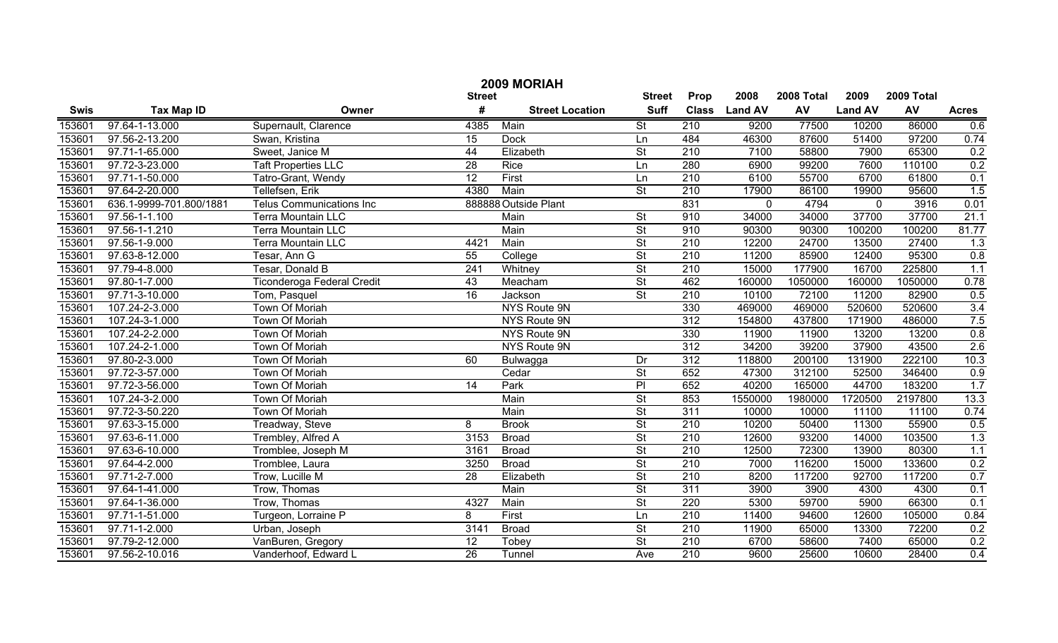| 2009 MORIAH |                         |                                 |                 |                        |                          |                  |                |            |                |            |              |
|-------------|-------------------------|---------------------------------|-----------------|------------------------|--------------------------|------------------|----------------|------------|----------------|------------|--------------|
|             |                         |                                 | <b>Street</b>   |                        | <b>Street</b>            | Prop             | 2008           | 2008 Total | 2009           | 2009 Total |              |
| <b>Swis</b> | <b>Tax Map ID</b>       | Owner                           | #               | <b>Street Location</b> | <b>Suff</b>              | <b>Class</b>     | <b>Land AV</b> | AV         | <b>Land AV</b> | AV         | <b>Acres</b> |
| 153601      | 97.64-1-13.000          | Supernault, Clarence            | 4385            | Main                   | $\overline{\mathsf{St}}$ | 210              | 9200           | 77500      | 10200          | 86000      | 0.6          |
| 153601      | 97.56-2-13.200          | Swan, Kristina                  | $\overline{15}$ | <b>Dock</b>            | Ln                       | 484              | 46300          | 87600      | 51400          | 97200      | 0.74         |
| 153601      | 97.71-1-65.000          | Sweet, Janice M                 | 44              | Elizabeth              | $\overline{\mathsf{St}}$ | 210              | 7100           | 58800      | 7900           | 65300      | 0.2          |
| 153601      | 97.72-3-23.000          | <b>Taft Properties LLC</b>      | 28              | <b>Rice</b>            | Ln                       | 280              | 6900           | 99200      | 7600           | 110100     | 0.2          |
| 153601      | 97.71-1-50.000          | Tatro-Grant, Wendy              | $\overline{12}$ | First                  | Ln                       | 210              | 6100           | 55700      | 6700           | 61800      | 0.1          |
| 153601      | 97.64-2-20.000          | Tellefsen, Erik                 | 4380            | Main                   | $\overline{\mathsf{St}}$ | 210              | 17900          | 86100      | 19900          | 95600      | 1.5          |
| 153601      | 636.1-9999-701.800/1881 | <b>Telus Communications Inc</b> |                 | 888888 Outside Plant   |                          | 831              | 0              | 4794       | $\mathbf 0$    | 3916       | 0.01         |
| 153601      | 97.56-1-1.100           | <b>Terra Mountain LLC</b>       |                 | Main                   | $\overline{\mathsf{St}}$ | 910              | 34000          | 34000      | 37700          | 37700      | 21.1         |
| 153601      | 97.56-1-1.210           | <b>Terra Mountain LLC</b>       |                 | Main                   | $\overline{\mathsf{St}}$ | 910              | 90300          | 90300      | 100200         | 100200     | 81.77        |
| 153601      | 97.56-1-9.000           | Terra Mountain LLC              | 4421            | Main                   | $\overline{\mathsf{St}}$ | 210              | 12200          | 24700      | 13500          | 27400      | 1.3          |
| 153601      | 97.63-8-12.000          | Tesar, Ann G                    | 55              | College                | $\overline{\mathsf{St}}$ | 210              | 11200          | 85900      | 12400          | 95300      | 0.8          |
| 153601      | 97.79-4-8.000           | Tesar, Donald B                 | 241             | Whitney                | $\overline{St}$          | 210              | 15000          | 177900     | 16700          | 225800     | 1.1          |
| 153601      | 97.80-1-7.000           | Ticonderoga Federal Credit      | 43              | Meacham                | $\overline{St}$          | 462              | 160000         | 1050000    | 160000         | 1050000    | 0.78         |
| 153601      | 97.71-3-10.000          | Tom, Pasquel                    | 16              | Jackson                | $\overline{St}$          | 210              | 10100          | 72100      | 11200          | 82900      | 0.5          |
| 153601      | 107.24-2-3.000          | <b>Town Of Moriah</b>           |                 | NYS Route 9N           |                          | 330              | 469000         | 469000     | 520600         | 520600     | 3.4          |
| 153601      | 107.24-3-1.000          | Town Of Moriah                  |                 | NYS Route 9N           |                          | 312              | 154800         | 437800     | 171900         | 486000     | 7.5          |
| 153601      | 107.24-2-2.000          | Town Of Moriah                  |                 | NYS Route 9N           |                          | 330              | 11900          | 11900      | 13200          | 13200      | 0.8          |
| 153601      | 107.24-2-1.000          | Town Of Moriah                  |                 | NYS Route 9N           |                          | $\overline{312}$ | 34200          | 39200      | 37900          | 43500      | 2.6          |
| 153601      | 97.80-2-3.000           | Town Of Moriah                  | 60              | Bulwagga               | Dr                       | 312              | 118800         | 200100     | 131900         | 222100     | 10.3         |
| 153601      | 97.72-3-57.000          | Town Of Moriah                  |                 | Cedar                  | $\overline{\mathsf{St}}$ | 652              | 47300          | 312100     | 52500          | 346400     | 0.9          |
| 153601      | 97.72-3-56.000          | Town Of Moriah                  | 14              | Park                   | P                        | 652              | 40200          | 165000     | 44700          | 183200     | 1.7          |
| 153601      | 107.24-3-2.000          | Town Of Moriah                  |                 | Main                   | $\overline{\mathsf{St}}$ | 853              | 1550000        | 1980000    | 1720500        | 2197800    | 13.3         |
| 153601      | 97.72-3-50.220          | Town Of Moriah                  |                 | Main                   | $\overline{\mathsf{St}}$ | $\overline{311}$ | 10000          | 10000      | 11100          | 11100      | 0.74         |
| 153601      | 97.63-3-15.000          | Treadway, Steve                 | 8               | <b>Brook</b>           | $\overline{\mathsf{St}}$ | 210              | 10200          | 50400      | 11300          | 55900      | 0.5          |
| 153601      | 97.63-6-11.000          | Trembley, Alfred A              | 3153            | <b>Broad</b>           | $\overline{\mathsf{St}}$ | 210              | 12600          | 93200      | 14000          | 103500     | 1.3          |
| 153601      | 97.63-6-10.000          | Tromblee, Joseph M              | 3161            | <b>Broad</b>           | $\overline{\mathsf{St}}$ | 210              | 12500          | 72300      | 13900          | 80300      | 1.1          |
| 153601      | 97.64-4-2.000           | Tromblee, Laura                 | 3250            | <b>Broad</b>           | $\overline{\mathsf{St}}$ | 210              | 7000           | 116200     | 15000          | 133600     | 0.2          |
| 153601      | 97.71-2-7.000           | Trow, Lucille M                 | 28              | Elizabeth              | $\overline{\mathsf{St}}$ | 210              | 8200           | 117200     | 92700          | 117200     | 0.7          |
| 153601      | 97.64-1-41.000          | Trow, Thomas                    |                 | Main                   | $\overline{\mathsf{St}}$ | $\overline{311}$ | 3900           | 3900       | 4300           | 4300       | 0.1          |
| 153601      | 97.64-1-36.000          | Trow, Thomas                    | 4327            | Main                   | $\overline{\mathsf{St}}$ | 220              | 5300           | 59700      | 5900           | 66300      | 0.1          |
| 153601      | 97.71-1-51.000          | Turgeon, Lorraine P             | 8               | First                  | Ln                       | $\overline{210}$ | 11400          | 94600      | 12600          | 105000     | 0.84         |
| 153601      | 97.71-1-2.000           | Urban, Joseph                   | 3141            | <b>Broad</b>           | $\overline{\mathsf{St}}$ | $\overline{210}$ | 11900          | 65000      | 13300          | 72200      | 0.2          |
| 153601      | 97.79-2-12.000          | VanBuren, Gregory               | $\overline{12}$ | Tobey                  | $\overline{\mathsf{St}}$ | $\overline{210}$ | 6700           | 58600      | 7400           | 65000      | 0.2          |
| 153601      | 97.56-2-10.016          | Vanderhoof, Edward L            | $\overline{26}$ | Tunnel                 | Ave                      | $\overline{210}$ | 9600           | 25600      | 10600          | 28400      | 0.4          |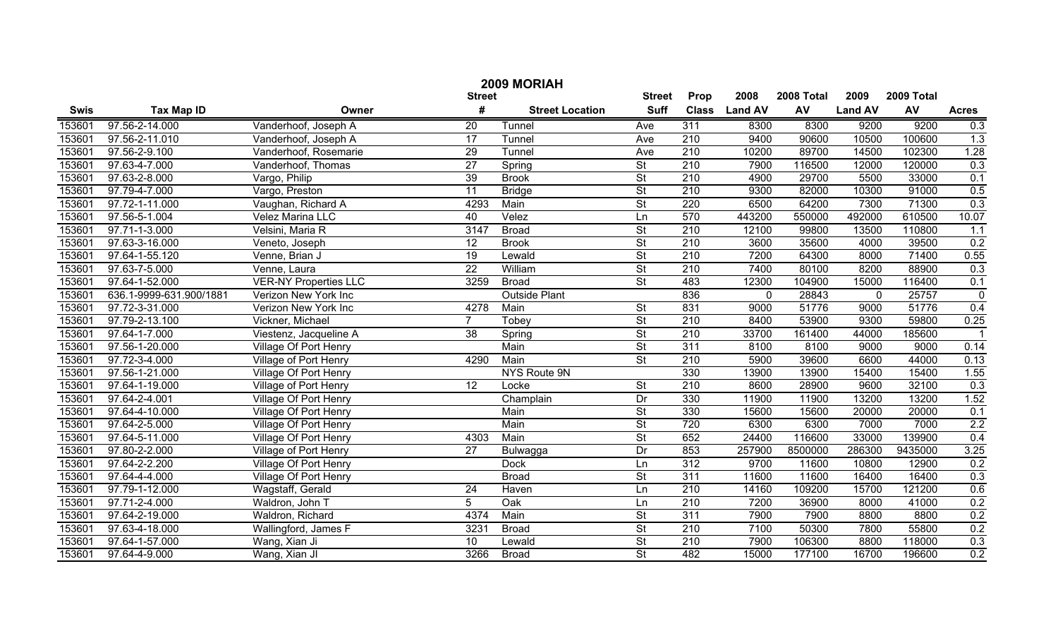|             | 2009 MORIAH             |                              |                 |                        |                          |                  |                |            |                |            |              |  |
|-------------|-------------------------|------------------------------|-----------------|------------------------|--------------------------|------------------|----------------|------------|----------------|------------|--------------|--|
|             |                         |                              | <b>Street</b>   |                        | <b>Street</b>            | Prop             | 2008           | 2008 Total | 2009           | 2009 Total |              |  |
| <b>Swis</b> | <b>Tax Map ID</b>       | Owner                        | #               | <b>Street Location</b> | <b>Suff</b>              | <b>Class</b>     | <b>Land AV</b> | AV         | <b>Land AV</b> | AV         | <b>Acres</b> |  |
| 153601      | 97.56-2-14.000          | Vanderhoof, Joseph A         | $\overline{20}$ | Tunnel                 | Ave                      | 311              | 8300           | 8300       | 9200           | 9200       | 0.3          |  |
| 153601      | 97.56-2-11.010          | Vanderhoof, Joseph A         | 17              | Tunnel                 | Ave                      | 210              | 9400           | 90600      | 10500          | 100600     | 1.3          |  |
| 153601      | 97.56-2-9.100           | Vanderhoof, Rosemarie        | 29              | Tunnel                 | Ave                      | 210              | 10200          | 89700      | 14500          | 102300     | 1.28         |  |
| 153601      | 97.63-4-7.000           | Vanderhoof, Thomas           | $\overline{27}$ | Spring                 | St                       | 210              | 7900           | 116500     | 12000          | 120000     | 0.3          |  |
| 153601      | 97.63-2-8.000           | Vargo, Philip                | 39              | <b>Brook</b>           | $\overline{\mathsf{St}}$ | 210              | 4900           | 29700      | 5500           | 33000      | 0.1          |  |
| 153601      | 97.79-4-7.000           | Vargo, Preston               | $\overline{11}$ | <b>Bridge</b>          | St                       | 210              | 9300           | 82000      | 10300          | 91000      | 0.5          |  |
| 153601      | 97.72-1-11.000          | Vaughan, Richard A           | 4293            | Main                   | St                       | 220              | 6500           | 64200      | 7300           | 71300      | 0.3          |  |
| 153601      | 97.56-5-1.004           | <b>Velez Marina LLC</b>      | 40              | Velez                  | Ln                       | 570              | 443200         | 550000     | 492000         | 610500     | 10.07        |  |
| 153601      | 97.71-1-3.000           | Velsini, Maria R             | 3147            | <b>Broad</b>           | St                       | 210              | 12100          | 99800      | 13500          | 110800     | 1.1          |  |
| 153601      | 97.63-3-16.000          | Veneto, Joseph               | $\overline{12}$ | <b>Brook</b>           | $\overline{\mathsf{St}}$ | 210              | 3600           | 35600      | 4000           | 39500      | 0.2          |  |
| 153601      | 97.64-1-55.120          | Venne, Brian J               | $\overline{19}$ | Lewald                 | $\overline{\mathsf{St}}$ | $\overline{210}$ | 7200           | 64300      | 8000           | 71400      | 0.55         |  |
| 153601      | 97.63-7-5.000           | Venne, Laura                 | $\overline{22}$ | William                | $\overline{\mathsf{St}}$ | $\overline{210}$ | 7400           | 80100      | 8200           | 88900      | 0.3          |  |
| 153601      | 97.64-1-52.000          | <b>VER-NY Properties LLC</b> | 3259            | <b>Broad</b>           | $\overline{\mathsf{St}}$ | 483              | 12300          | 104900     | 15000          | 116400     | 0.1          |  |
| 153601      | 636.1-9999-631.900/1881 | Verizon New York Inc         |                 | <b>Outside Plant</b>   |                          | 836              | 0              | 28843      | $\mathbf 0$    | 25757      | $\mathbf 0$  |  |
| 153601      | 97.72-3-31.000          | Verizon New York Inc         | 4278            | Main                   | $\overline{\mathsf{St}}$ | 831              | 9000           | 51776      | 9000           | 51776      | 0.4          |  |
| 153601      | 97.79-2-13.100          | Vickner, Michael             | $\overline{7}$  | Tobey                  | $\overline{\mathsf{St}}$ | $\overline{210}$ | 8400           | 53900      | 9300           | 59800      | 0.25         |  |
| 153601      | 97.64-1-7.000           | Viestenz, Jacqueline A       | $\overline{38}$ | Spring                 | $\overline{\mathsf{St}}$ | $\overline{210}$ | 33700          | 161400     | 44000          | 185600     |              |  |
| 153601      | 97.56-1-20.000          | Village Of Port Henry        |                 | Main                   | $\overline{\mathsf{St}}$ | 311              | 8100           | 8100       | 9000           | 9000       | 0.14         |  |
| 153601      | 97.72-3-4.000           | Village of Port Henry        | 4290            | Main                   | $\overline{\mathsf{St}}$ | 210              | 5900           | 39600      | 6600           | 44000      | 0.13         |  |
| 153601      | 97.56-1-21.000          | <b>Village Of Port Henry</b> |                 | NYS Route 9N           |                          | 330              | 13900          | 13900      | 15400          | 15400      | 1.55         |  |
| 153601      | 97.64-1-19.000          | Village of Port Henry        | $\overline{12}$ | Locke                  | $\overline{\mathsf{St}}$ | $\overline{210}$ | 8600           | 28900      | 9600           | 32100      | 0.3          |  |
| 153601      | 97.64-2-4.001           | Village Of Port Henry        |                 | Champlain              | Dr                       | 330              | 11900          | 11900      | 13200          | 13200      | 1.52         |  |
| 153601      | 97.64-4-10.000          | Village Of Port Henry        |                 | Main                   | $\overline{\mathsf{St}}$ | 330              | 15600          | 15600      | 20000          | 20000      | 0.1          |  |
| 153601      | 97.64-2-5.000           | Village Of Port Henry        |                 | Main                   | $\overline{\mathsf{St}}$ | 720              | 6300           | 6300       | 7000           | 7000       | 2.2          |  |
| 153601      | 97.64-5-11.000          | Village Of Port Henry        | 4303            | Main                   | $\overline{\mathsf{St}}$ | 652              | 24400          | 116600     | 33000          | 139900     | 0.4          |  |
| 153601      | 97.80-2-2.000           | Village of Port Henry        | $\overline{27}$ | Bulwagga               | Dr                       | 853              | 257900         | 8500000    | 286300         | 9435000    | 3.25         |  |
| 153601      | 97.64-2-2.200           | Village Of Port Henry        |                 | <b>Dock</b>            | Ln                       | 312              | 9700           | 11600      | 10800          | 12900      | 0.2          |  |
| 153601      | 97.64-4-4.000           | Village Of Port Henry        |                 | <b>Broad</b>           | $\overline{\mathsf{St}}$ | 311              | 11600          | 11600      | 16400          | 16400      | 0.3          |  |
| 153601      | 97.79-1-12.000          | Wagstaff, Gerald             | 24              | Haven                  | Ln                       | 210              | 14160          | 109200     | 15700          | 121200     | 0.6          |  |
| 153601      | 97.71-2-4.000           | Waldron, John T              | 5               | Oak                    | Ln                       | 210              | 7200           | 36900      | 8000           | 41000      | 0.2          |  |
| 153601      | 97.64-2-19.000          | Waldron, Richard             | 4374            | Main                   | St                       | 311              | 7900           | 7900       | 8800           | 8800       | 0.2          |  |
| 153601      | 97.63-4-18.000          | Wallingford, James F         | 3231            | <b>Broad</b>           | St                       | 210              | 7100           | 50300      | 7800           | 55800      | 0.2          |  |
| 153601      | 97.64-1-57.000          | Wang, Xian Ji                | $\overline{10}$ | Lewald                 | $\overline{\mathsf{St}}$ | 210              | 7900           | 106300     | 8800           | 118000     | 0.3          |  |
| 153601      | 97.64-4-9.000           | Wang, Xian JI                | 3266            | <b>Broad</b>           | $\overline{\mathsf{St}}$ | 482              | 15000          | 177100     | 16700          | 196600     | 0.2          |  |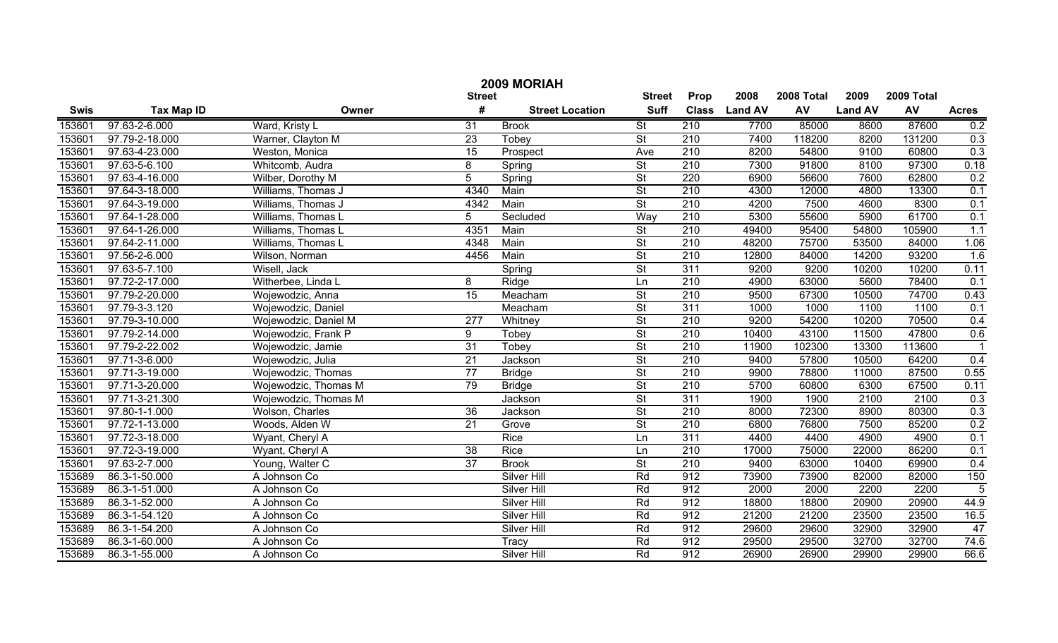|        | 2009 MORIAH       |                      |                 |                        |                          |                  |                |            |                |            |                |  |
|--------|-------------------|----------------------|-----------------|------------------------|--------------------------|------------------|----------------|------------|----------------|------------|----------------|--|
|        |                   |                      | <b>Street</b>   |                        | <b>Street</b>            | Prop             | 2008           | 2008 Total | 2009           | 2009 Total |                |  |
| Swis   | <b>Tax Map ID</b> | Owner                | #               | <b>Street Location</b> | <b>Suff</b>              | <b>Class</b>     | <b>Land AV</b> | AV         | <b>Land AV</b> | AV         | <b>Acres</b>   |  |
| 153601 | 97.63-2-6.000     | Ward, Kristy L       | 31              | <b>Brook</b>           | $\overline{\mathsf{St}}$ | 210              | 7700           | 85000      | 8600           | 87600      | 0.2            |  |
| 153601 | 97.79-2-18.000    | Warner, Clayton M    | $\overline{23}$ | Tobey                  | $\overline{\mathsf{St}}$ | 210              | 7400           | 118200     | 8200           | 131200     | 0.3            |  |
| 153601 | 97.63-4-23.000    | Weston, Monica       | $\overline{15}$ | Prospect               | Ave                      | 210              | 8200           | 54800      | 9100           | 60800      | 0.3            |  |
| 153601 | 97.63-5-6.100     | Whitcomb, Audra      | 8               | Spring                 | $\overline{\mathsf{St}}$ | 210              | 7300           | 91800      | 8100           | 97300      | 0.18           |  |
| 153601 | 97.63-4-16.000    | Wilber, Dorothy M    | $\overline{5}$  | Spring                 | $\overline{\mathsf{St}}$ | 220              | 6900           | 56600      | 7600           | 62800      | 0.2            |  |
| 153601 | 97.64-3-18.000    | Williams, Thomas J   | 4340            | Main                   | $\overline{\mathsf{St}}$ | 210              | 4300           | 12000      | 4800           | 13300      | 0.1            |  |
| 153601 | 97.64-3-19.000    | Williams, Thomas J   | 4342            | Main                   | $\overline{\mathsf{St}}$ | 210              | 4200           | 7500       | 4600           | 8300       | 0.1            |  |
| 153601 | 97.64-1-28.000    | Williams, Thomas L   | 5               | Secluded               | Way                      | 210              | 5300           | 55600      | 5900           | 61700      | 0.1            |  |
| 153601 | 97.64-1-26.000    | Williams, Thomas L   | 4351            | Main                   | $\overline{\mathsf{St}}$ | 210              | 49400          | 95400      | 54800          | 105900     | 1.1            |  |
| 153601 | 97.64-2-11.000    | Williams, Thomas L   | 4348            | Main                   | $\overline{\mathsf{St}}$ | 210              | 48200          | 75700      | 53500          | 84000      | 1.06           |  |
| 153601 | 97.56-2-6.000     | Wilson, Norman       | 4456            | Main                   | $\overline{\mathsf{St}}$ | 210              | 12800          | 84000      | 14200          | 93200      | 1.6            |  |
| 153601 | 97.63-5-7.100     | Wisell, Jack         |                 | Spring                 | $\overline{\mathsf{St}}$ | 311              | 9200           | 9200       | 10200          | 10200      | 0.11           |  |
| 153601 | 97.72-2-17.000    | Witherbee, Linda L   | 8               | Ridge                  | Ln                       | 210              | 4900           | 63000      | 5600           | 78400      | 0.1            |  |
| 153601 | 97.79-2-20.000    | Wojewodzic, Anna     | $\overline{15}$ | Meacham                | $\overline{\mathsf{St}}$ | $\overline{210}$ | 9500           | 67300      | 10500          | 74700      | 0.43           |  |
| 153601 | 97.79-3-3.120     | Wojewodzic, Daniel   |                 | Meacham                | $\overline{\mathsf{St}}$ | 311              | 1000           | 1000       | 1100           | 1100       | 0.1            |  |
| 153601 | 97.79-3-10.000    | Wojewodzic, Daniel M | 277             | Whitney                | $\overline{\mathsf{St}}$ | 210              | 9200           | 54200      | 10200          | 70500      | 0.4            |  |
| 153601 | 97.79-2-14.000    | Wojewodzic, Frank P  | 9               | Tobey                  | $\overline{\mathsf{St}}$ | $\overline{210}$ | 10400          | 43100      | 11500          | 47800      | 0.6            |  |
| 153601 | 97.79-2-22.002    | Wojewodzic, Jamie    | $\overline{31}$ | Tobey                  | $\overline{\mathsf{St}}$ | $\overline{210}$ | 11900          | 102300     | 13300          | 113600     |                |  |
| 153601 | 97.71-3-6.000     | Wojewodzic, Julia    | 21              | Jackson                | $\overline{\mathsf{St}}$ | 210              | 9400           | 57800      | 10500          | 64200      | 0.4            |  |
| 153601 | 97.71-3-19.000    | Wojewodzic, Thomas   | 77              | <b>Bridge</b>          | $\overline{\mathsf{St}}$ | 210              | 9900           | 78800      | 11000          | 87500      | 0.55           |  |
| 153601 | 97.71-3-20.000    | Wojewodzic, Thomas M | 79              | <b>Bridge</b>          | $\overline{\mathsf{St}}$ | 210              | 5700           | 60800      | 6300           | 67500      | 0.11           |  |
| 153601 | 97.71-3-21.300    | Wojewodzic, Thomas M |                 | Jackson                | $\overline{\mathsf{St}}$ | 311              | 1900           | 1900       | 2100           | 2100       | 0.3            |  |
| 153601 | 97.80-1-1.000     | Wolson, Charles      | $\overline{36}$ | Jackson                | $\overline{\mathsf{St}}$ | 210              | 8000           | 72300      | 8900           | 80300      | 0.3            |  |
| 153601 | 97.72-1-13.000    | Woods, Alden W       | $\overline{21}$ | Grove                  | $\overline{\mathsf{St}}$ | 210              | 6800           | 76800      | 7500           | 85200      | 0.2            |  |
| 153601 | 97.72-3-18.000    | Wyant, Cheryl A      |                 | Rice                   | Ln                       | 311              | 4400           | 4400       | 4900           | 4900       | 0.1            |  |
| 153601 | 97.72-3-19.000    | Wyant, Cheryl A      | $\overline{38}$ | Rice                   | Ln                       | $\overline{210}$ | 17000          | 75000      | 22000          | 86200      | 0.1            |  |
| 153601 | 97.63-2-7.000     | Young, Walter C      | $\overline{37}$ | <b>Brook</b>           | $\overline{\mathsf{St}}$ | 210              | 9400           | 63000      | 10400          | 69900      | 0.4            |  |
| 153689 | 86.3-1-50.000     | A Johnson Co         |                 | Silver Hill            | Rd                       | 912              | 73900          | 73900      | 82000          | 82000      | 150            |  |
| 153689 | 86.3-1-51.000     | A Johnson Co         |                 | Silver Hill            | Rd                       | 912              | 2000           | 2000       | 2200           | 2200       | $\overline{5}$ |  |
| 153689 | 86.3-1-52.000     | A Johnson Co         |                 | <b>Silver Hill</b>     | Rd                       | 912              | 18800          | 18800      | 20900          | 20900      | 44.9           |  |
| 153689 | 86.3-1-54.120     | A Johnson Co         |                 | <b>Silver Hill</b>     | Rd                       | 912              | 21200          | 21200      | 23500          | 23500      | 16.5           |  |
| 153689 | 86.3-1-54.200     | A Johnson Co         |                 | <b>Silver Hill</b>     | Rd                       | 912              | 29600          | 29600      | 32900          | 32900      | 47             |  |
| 153689 | 86.3-1-60.000     | A Johnson Co         |                 | Tracy                  | Rd                       | 912              | 29500          | 29500      | 32700          | 32700      | 74.6           |  |
| 153689 | 86.3-1-55.000     | A Johnson Co         |                 | <b>Silver Hill</b>     | Rd                       | 912              | 26900          | 26900      | 29900          | 29900      | 66.6           |  |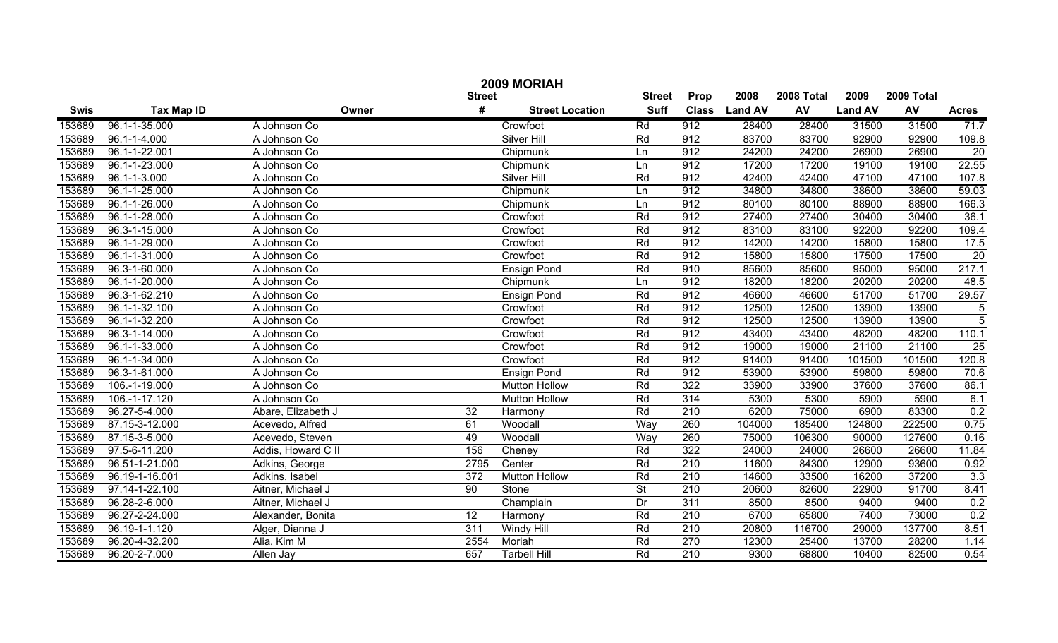|             | 2009 MORIAH        |                    |                 |                        |                          |                  |                |            |                |            |                |  |
|-------------|--------------------|--------------------|-----------------|------------------------|--------------------------|------------------|----------------|------------|----------------|------------|----------------|--|
|             |                    |                    | <b>Street</b>   |                        | <b>Street</b>            | Prop             | 2008           | 2008 Total | 2009           | 2009 Total |                |  |
| <b>Swis</b> | <b>Tax Map ID</b>  | Owner              | #               | <b>Street Location</b> | <b>Suff</b>              | <b>Class</b>     | <b>Land AV</b> | AV         | <b>Land AV</b> | AV         | <b>Acres</b>   |  |
| 153689      | 96.1-1-35.000      | A Johnson Co       |                 | Crowfoot               | Rd                       | 912              | 28400          | 28400      | 31500          | 31500      | 71.7           |  |
| 153689      | $96.1 - 1 - 4.000$ | A Johnson Co       |                 | <b>Silver Hill</b>     | Rd                       | 912              | 83700          | 83700      | 92900          | 92900      | 109.8          |  |
| 153689      | 96.1-1-22.001      | A Johnson Co       |                 | Chipmunk               | Ln                       | 912              | 24200          | 24200      | 26900          | 26900      | 20             |  |
| 153689      | 96.1-1-23.000      | A Johnson Co       |                 | Chipmunk               | Ln                       | 912              | 17200          | 17200      | 19100          | 19100      | 22.55          |  |
| 153689      | $96.1 - 1 - 3.000$ | A Johnson Co       |                 | <b>Silver Hill</b>     | Rd                       | 912              | 42400          | 42400      | 47100          | 47100      | 107.8          |  |
| 153689      | 96.1-1-25.000      | A Johnson Co       |                 | Chipmunk               | Ln                       | 912              | 34800          | 34800      | 38600          | 38600      | 59.03          |  |
| 153689      | 96.1-1-26.000      | A Johnson Co       |                 | Chipmunk               | Ln                       | 912              | 80100          | 80100      | 88900          | 88900      | 166.3          |  |
| 153689      | 96.1-1-28.000      | A Johnson Co       |                 | Crowfoot               | Rd                       | 912              | 27400          | 27400      | 30400          | 30400      | 36.1           |  |
| 153689      | 96.3-1-15.000      | A Johnson Co       |                 | Crowfoot               | Rd                       | 912              | 83100          | 83100      | 92200          | 92200      | 109.4          |  |
| 153689      | 96.1-1-29.000      | A Johnson Co       |                 | Crowfoot               | Rd                       | 912              | 14200          | 14200      | 15800          | 15800      | 17.5           |  |
| 153689      | 96.1-1-31.000      | A Johnson Co       |                 | Crowfoot               | Rd                       | 912              | 15800          | 15800      | 17500          | 17500      | 20             |  |
| 153689      | 96.3-1-60.000      | A Johnson Co       |                 | <b>Ensign Pond</b>     | Rd                       | 910              | 85600          | 85600      | 95000          | 95000      | 217.1          |  |
| 153689      | 96.1-1-20.000      | A Johnson Co       |                 | Chipmunk               | Ln                       | 912              | 18200          | 18200      | 20200          | 20200      | 48.5           |  |
| 153689      | 96.3-1-62.210      | A Johnson Co       |                 | <b>Ensign Pond</b>     | Rd                       | 912              | 46600          | 46600      | 51700          | 51700      | 29.57          |  |
| 153689      | 96.1-1-32.100      | A Johnson Co       |                 | Crowfoot               | Rd                       | 912              | 12500          | 12500      | 13900          | 13900      | 5              |  |
| 153689      | 96.1-1-32.200      | A Johnson Co       |                 | Crowfoot               | Rd                       | 912              | 12500          | 12500      | 13900          | 13900      | $\overline{5}$ |  |
| 153689      | 96.3-1-14.000      | A Johnson Co       |                 | Crowfoot               | Rd                       | 912              | 43400          | 43400      | 48200          | 48200      | 110.1          |  |
| 153689      | 96.1-1-33.000      | A Johnson Co       |                 | Crowfoot               | Rd                       | 912              | 19000          | 19000      | 21100          | 21100      | 25             |  |
| 153689      | 96.1-1-34.000      | A Johnson Co       |                 | Crowfoot               | Rd                       | 912              | 91400          | 91400      | 101500         | 101500     | 120.8          |  |
| 153689      | 96.3-1-61.000      | A Johnson Co       |                 | <b>Ensign Pond</b>     | Rd                       | 912              | 53900          | 53900      | 59800          | 59800      | 70.6           |  |
| 153689      | 106.-1-19.000      | A Johnson Co       |                 | <b>Mutton Hollow</b>   | Rd                       | 322              | 33900          | 33900      | 37600          | 37600      | 86.1           |  |
| 153689      | 106.-1-17.120      | A Johnson Co       |                 | <b>Mutton Hollow</b>   | Rd                       | 314              | 5300           | 5300       | 5900           | 5900       | 6.1            |  |
| 153689      | 96.27-5-4.000      | Abare, Elizabeth J | 32              | Harmony                | Rd                       | 210              | 6200           | 75000      | 6900           | 83300      | 0.2            |  |
| 153689      | 87.15-3-12.000     | Acevedo, Alfred    | 61              | Woodall                | Way                      | 260              | 104000         | 185400     | 124800         | 222500     | 0.75           |  |
| 153689      | 87.15-3-5.000      | Acevedo, Steven    | 49              | Woodall                | Way                      | 260              | 75000          | 106300     | 90000          | 127600     | 0.16           |  |
| 153689      | 97.5-6-11.200      | Addis, Howard C II | 156             | Cheney                 | Rd                       | 322              | 24000          | 24000      | 26600          | 26600      | 11.84          |  |
| 153689      | 96.51-1-21.000     | Adkins, George     | 2795            | Center                 | Rd                       | 210              | 11600          | 84300      | 12900          | 93600      | 0.92           |  |
| 153689      | 96.19-1-16.001     | Adkins, Isabel     | 372             | <b>Mutton Hollow</b>   | Rd                       | 210              | 14600          | 33500      | 16200          | 37200      | 3.3            |  |
| 153689      | 97.14-1-22.100     | Aitner, Michael J  | 90              | Stone                  | $\overline{\mathsf{St}}$ | 210              | 20600          | 82600      | 22900          | 91700      | 8.41           |  |
| 153689      | 96.28-2-6.000      | Aitner, Michael J  |                 | Champlain              | Dr                       | $\overline{311}$ | 8500           | 8500       | 9400           | 9400       | 0.2            |  |
| 153689      | 96.27-2-24.000     | Alexander, Bonita  | $\overline{12}$ | Harmony                | Rd                       | $\overline{210}$ | 6700           | 65800      | 7400           | 73000      | 0.2            |  |
| 153689      | 96.19-1-1.120      | Alger, Dianna J    | 311             | <b>Windy Hill</b>      | Rd                       | 210              | 20800          | 116700     | 29000          | 137700     | 8.51           |  |
| 153689      | 96.20-4-32.200     | Alia, Kim M        | 2554            | Moriah                 | Rd                       | $\overline{270}$ | 12300          | 25400      | 13700          | 28200      | 1.14           |  |
| 153689      | 96.20-2-7.000      | Allen Jay          | 657             | <b>Tarbell Hill</b>    | Rd                       | $\overline{210}$ | 9300           | 68800      | 10400          | 82500      | 0.54           |  |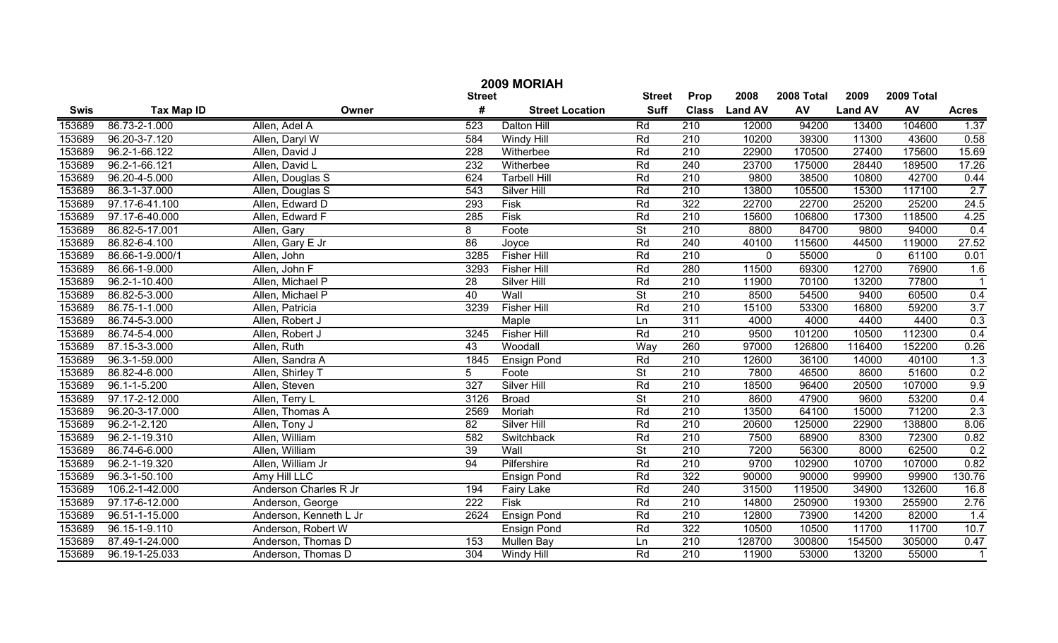|             | 2009 MORIAH        |                        |                  |                        |                          |                  |                |            |                |            |                |  |
|-------------|--------------------|------------------------|------------------|------------------------|--------------------------|------------------|----------------|------------|----------------|------------|----------------|--|
|             |                    |                        | <b>Street</b>    |                        | <b>Street</b>            | Prop             | 2008           | 2008 Total | 2009           | 2009 Total |                |  |
| <b>Swis</b> | <b>Tax Map ID</b>  | Owner                  | #                | <b>Street Location</b> | <b>Suff</b>              | <b>Class</b>     | <b>Land AV</b> | AV         | <b>Land AV</b> | AV         | <b>Acres</b>   |  |
| 153689      | 86.73-2-1.000      | Allen, Adel A          | $\overline{523}$ | Dalton Hill            | Rd                       | 210              | 12000          | 94200      | 13400          | 104600     | 1.37           |  |
| 153689      | 96.20-3-7.120      | Allen, Daryl W         | 584              | Windy Hill             | Rd                       | $\overline{210}$ | 10200          | 39300      | 11300          | 43600      | 0.58           |  |
| 153689      | 96.2-1-66.122      | Allen, David J         | 228              | Witherbee              | Rd                       | $\overline{210}$ | 22900          | 170500     | 27400          | 175600     | 15.69          |  |
| 153689      | 96.2-1-66.121      | Allen, David L         | 232              | Witherbee              | Rd                       | 240              | 23700          | 175000     | 28440          | 189500     | 17.26          |  |
| 153689      | 96.20-4-5.000      | Allen, Douglas S       | 624              | <b>Tarbell Hill</b>    | Rd                       | 210              | 9800           | 38500      | 10800          | 42700      | 0.44           |  |
| 153689      | 86.3-1-37.000      | Allen, Douglas S       | 543              | <b>Silver Hill</b>     | Rd                       | 210              | 13800          | 105500     | 15300          | 117100     | 2.7            |  |
| 153689      | 97.17-6-41.100     | Allen, Edward D        | 293              | <b>Fisk</b>            | Rd                       | 322              | 22700          | 22700      | 25200          | 25200      | 24.5           |  |
| 153689      | 97.17-6-40.000     | Allen, Edward F        | 285              | <b>Fisk</b>            | Rd                       | 210              | 15600          | 106800     | 17300          | 118500     | 4.25           |  |
| 153689      | 86.82-5-17.001     | Allen, Gary            | $\overline{8}$   | Foote                  | $\overline{\mathsf{St}}$ | 210              | 8800           | 84700      | 9800           | 94000      | 0.4            |  |
| 153689      | 86.82-6-4.100      | Allen, Gary E Jr       | 86               | Joyce                  | Rd                       | 240              | 40100          | 115600     | 44500          | 119000     | 27.52          |  |
| 153689      | 86.66-1-9.000/1    | Allen, John            | 3285             | <b>Fisher Hill</b>     | Rd                       | 210              | $\mathbf 0$    | 55000      | $\mathbf 0$    | 61100      | 0.01           |  |
| 153689      | 86.66-1-9.000      | Allen, John F          | 3293             | <b>Fisher Hill</b>     | Rd                       | 280              | 11500          | 69300      | 12700          | 76900      | 1.6            |  |
| 153689      | 96.2-1-10.400      | Allen, Michael P       | 28               | Silver Hill            | Rd                       | 210              | 11900          | 70100      | 13200          | 77800      | $\overline{1}$ |  |
| 153689      | 86.82-5-3.000      | Allen, Michael P       | 40               | Wall                   | St                       | 210              | 8500           | 54500      | 9400           | 60500      | 0.4            |  |
| 153689      | 86.75-1-1.000      | Allen, Patricia        | 3239             | <b>Fisher Hill</b>     | Rd                       | 210              | 15100          | 53300      | 16800          | 59200      | 3.7            |  |
| 153689      | 86.74-5-3.000      | Allen, Robert J        |                  | Maple                  | Ln                       | 311              | 4000           | 4000       | 4400           | 4400       | 0.3            |  |
| 153689      | 86.74-5-4.000      | Allen, Robert J        | 3245             | <b>Fisher Hill</b>     | Rd                       | 210              | 9500           | 101200     | 10500          | 112300     | 0.4            |  |
| 153689      | 87.15-3-3.000      | Allen, Ruth            | 43               | Woodall                | Way                      | 260              | 97000          | 126800     | 116400         | 152200     | 0.26           |  |
| 153689      | 96.3-1-59.000      | Allen, Sandra A        | 1845             | Ensign Pond            | Rd                       | 210              | 12600          | 36100      | 14000          | 40100      | 1.3            |  |
| 153689      | 86.82-4-6.000      | Allen, Shirley T       | 5                | Foote                  | $\overline{\mathsf{St}}$ | 210              | 7800           | 46500      | 8600           | 51600      | 0.2            |  |
| 153689      | $96.1 - 1 - 5.200$ | Allen, Steven          | 327              | Silver Hill            | Rd                       | 210              | 18500          | 96400      | 20500          | 107000     | 9.9            |  |
| 153689      | 97.17-2-12.000     | Allen, Terry L         | 3126             | <b>Broad</b>           | $\overline{\mathsf{St}}$ | 210              | 8600           | 47900      | 9600           | 53200      | 0.4            |  |
| 153689      | 96.20-3-17.000     | Allen, Thomas A        | 2569             | Moriah                 | Rd                       | 210              | 13500          | 64100      | 15000          | 71200      | 2.3            |  |
| 153689      | 96.2-1-2.120       | Allen, Tony J          | 82               | Silver Hill            | Rd                       | 210              | 20600          | 125000     | 22900          | 138800     | 8.06           |  |
| 153689      | 96.2-1-19.310      | Allen, William         | 582              | Switchback             | Rd                       | 210              | 7500           | 68900      | 8300           | 72300      | 0.82           |  |
| 153689      | 86.74-6-6.000      | Allen, William         | 39               | Wall                   | $\overline{\mathsf{St}}$ | 210              | 7200           | 56300      | 8000           | 62500      | 0.2            |  |
| 153689      | 96.2-1-19.320      | Allen, William Jr      | 94               | Pilfershire            | Rd                       | 210              | 9700           | 102900     | 10700          | 107000     | 0.82           |  |
| 153689      | 96.3-1-50.100      | Amy Hill LLC           |                  | <b>Ensign Pond</b>     | Rd                       | 322              | 90000          | 90000      | 99900          | 99900      | 130.76         |  |
| 153689      | 106.2-1-42.000     | Anderson Charles R Jr  | 194              | <b>Fairy Lake</b>      | Rd                       | 240              | 31500          | 119500     | 34900          | 132600     | 16.8           |  |
| 153689      | 97.17-6-12.000     | Anderson, George       | $\overline{222}$ | <b>Fisk</b>            | Rd                       | $\overline{210}$ | 14800          | 250900     | 19300          | 255900     | 2.76           |  |
| 153689      | 96.51-1-15.000     | Anderson, Kenneth L Jr | 2624             | <b>Ensign Pond</b>     | Rd                       | $\overline{210}$ | 12800          | 73900      | 14200          | 82000      | 1.4            |  |
| 153689      | 96.15-1-9.110      | Anderson, Robert W     |                  | <b>Ensign Pond</b>     | Rd                       | 322              | 10500          | 10500      | 11700          | 11700      | 10.7           |  |
| 153689      | 87.49-1-24.000     | Anderson, Thomas D     | 153              | Mullen Bay             | Ln                       | $\overline{210}$ | 128700         | 300800     | 154500         | 305000     | 0.47           |  |
| 153689      | 96.19-1-25.033     | Anderson, Thomas D     | 304              | Windy Hill             | Rd                       | $\overline{210}$ | 11900          | 53000      | 13200          | 55000      | $\overline{1}$ |  |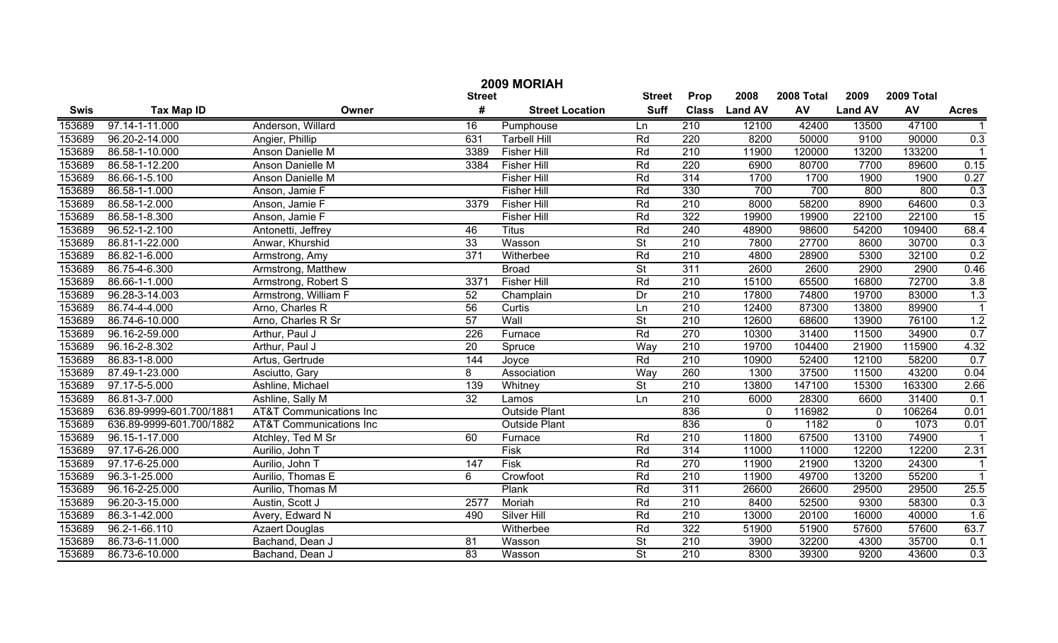|             | 2009 MORIAH              |                                    |                 |                        |                          |                  |                |            |                |            |                      |  |
|-------------|--------------------------|------------------------------------|-----------------|------------------------|--------------------------|------------------|----------------|------------|----------------|------------|----------------------|--|
|             |                          |                                    | <b>Street</b>   |                        | <b>Street</b>            | Prop             | 2008           | 2008 Total | 2009           | 2009 Total |                      |  |
| <b>Swis</b> | <b>Tax Map ID</b>        | Owner                              | #               | <b>Street Location</b> | <b>Suff</b>              | <b>Class</b>     | <b>Land AV</b> | <b>AV</b>  | <b>Land AV</b> | AV         | <b>Acres</b>         |  |
| 153689      | 97.14-1-11.000           | Anderson, Willard                  | $\overline{16}$ | Pumphouse              | Ln                       | 210              | 12100          | 42400      | 13500          | 47100      |                      |  |
| 153689      | 96.20-2-14.000           | Angier, Phillip                    | 631             | <b>Tarbell Hill</b>    | Rd                       | 220              | 8200           | 50000      | 9100           | 90000      | 0.3                  |  |
| 153689      | 86.58-1-10.000           | Anson Danielle M                   | 3389            | <b>Fisher Hill</b>     | Rd                       | 210              | 11900          | 120000     | 13200          | 133200     |                      |  |
| 153689      | 86.58-1-12.200           | Anson Danielle M                   | 3384            | <b>Fisher Hill</b>     | Rd                       | 220              | 6900           | 80700      | 7700           | 89600      | 0.15                 |  |
| 153689      | 86.66-1-5.100            | Anson Danielle M                   |                 | <b>Fisher Hill</b>     | Rd                       | 314              | 1700           | 1700       | 1900           | 1900       | 0.27                 |  |
| 153689      | 86.58-1-1.000            | Anson, Jamie F                     |                 | <b>Fisher Hill</b>     | Rd                       | 330              | 700            | 700        | 800            | 800        | 0.3                  |  |
| 153689      | 86.58-1-2.000            | Anson, Jamie F                     | 3379            | <b>Fisher Hill</b>     | Rd                       | 210              | 8000           | 58200      | 8900           | 64600      | 0.3                  |  |
| 153689      | 86.58-1-8.300            | Anson, Jamie F                     |                 | <b>Fisher Hill</b>     | Rd                       | 322              | 19900          | 19900      | 22100          | 22100      | $\overline{15}$      |  |
| 153689      | 96.52-1-2.100            | Antonetti, Jeffrey                 | 46              | <b>Titus</b>           | Rd                       | 240              | 48900          | 98600      | 54200          | 109400     | 68.4                 |  |
| 153689      | 86.81-1-22.000           | Anwar, Khurshid                    | 33              | Wasson                 | $\overline{\mathsf{St}}$ | 210              | 7800           | 27700      | 8600           | 30700      | 0.3                  |  |
| 153689      | 86.82-1-6.000            | Armstrong, Amy                     | 371             | Witherbee              | Rd                       | 210              | 4800           | 28900      | 5300           | 32100      | 0.2                  |  |
| 153689      | 86.75-4-6.300            | Armstrong, Matthew                 |                 | <b>Broad</b>           | $\overline{\mathsf{St}}$ | 311              | 2600           | 2600       | 2900           | 2900       | 0.46                 |  |
| 153689      | 86.66-1-1.000            | Armstrong, Robert S                | 3371            | <b>Fisher Hill</b>     | Rd                       | 210              | 15100          | 65500      | 16800          | 72700      | 3.8                  |  |
| 153689      | 96.28-3-14.003           | Armstrong, William F               | 52              | Champlain              | Dr                       | 210              | 17800          | 74800      | 19700          | 83000      | 1.3                  |  |
| 153689      | 86.74-4-4.000            | Arno, Charles R                    | 56              | Curtis                 | Ln                       | 210              | 12400          | 87300      | 13800          | 89900      | $\blacktriangleleft$ |  |
| 153689      | 86.74-6-10.000           | Arno, Charles R Sr                 | 57              | Wall                   | $\overline{\mathsf{St}}$ | 210              | 12600          | 68600      | 13900          | 76100      | 1.2                  |  |
| 153689      | 96.16-2-59.000           | Arthur, Paul J                     | 226             | Furnace                | Rd                       | 270              | 10300          | 31400      | 11500          | 34900      | 0.7                  |  |
| 153689      | 96.16-2-8.302            | Arthur, Paul J                     | 20              | Spruce                 | Way                      | 210              | 19700          | 104400     | 21900          | 115900     | 4.32                 |  |
| 153689      | 86.83-1-8.000            | Artus, Gertrude                    | 144             | Joyce                  | Rd                       | 210              | 10900          | 52400      | 12100          | 58200      | 0.7                  |  |
| 153689      | 87.49-1-23.000           | Asciutto, Gary                     | 8               | Association            | Way                      | 260              | 1300           | 37500      | 11500          | 43200      | 0.04                 |  |
| 153689      | 97.17-5-5.000            | Ashline, Michael                   | 139             | Whitney                | $\overline{\mathsf{St}}$ | 210              | 13800          | 147100     | 15300          | 163300     | 2.66                 |  |
| 153689      | 86.81-3-7.000            | Ashline, Sally M                   | 32              | Lamos                  | Ln                       | 210              | 6000           | 28300      | 6600           | 31400      | 0.1                  |  |
| 153689      | 636.89-9999-601.700/1881 | <b>AT&amp;T</b> Communications Inc |                 | <b>Outside Plant</b>   |                          | 836              | 0              | 116982     | $\mathbf{0}$   | 106264     | 0.01                 |  |
| 153689      | 636.89-9999-601.700/1882 | <b>AT&amp;T Communications Inc</b> |                 | <b>Outside Plant</b>   |                          | 836              | $\mathbf 0$    | 1182       | $\Omega$       | 1073       | 0.01                 |  |
| 153689      | 96.15-1-17.000           | Atchley, Ted M Sr                  | 60              | Furnace                | Rd                       | 210              | 11800          | 67500      | 13100          | 74900      |                      |  |
| 153689      | 97.17-6-26.000           | Aurilio, John T                    |                 | Fisk                   | Rd                       | 314              | 11000          | 11000      | 12200          | 12200      | 2.31                 |  |
| 153689      | 97.17-6-25.000           | Aurilio, John T                    | 147             | Fisk                   | Rd                       | 270              | 11900          | 21900      | 13200          | 24300      | $\mathbf{1}$         |  |
| 153689      | 96.3-1-25.000            | Aurilio, Thomas E                  | 6               | Crowfoot               | Rd                       | 210              | 11900          | 49700      | 13200          | 55200      | $\overline{1}$       |  |
| 153689      | 96.16-2-25.000           | Aurilio, Thomas M                  |                 | Plank                  | Rd                       | 311              | 26600          | 26600      | 29500          | 29500      | 25.5                 |  |
| 153689      | 96.20-3-15.000           | Austin, Scott J                    | 2577            | Moriah                 | Rd                       | 210              | 8400           | 52500      | 9300           | 58300      | 0.3                  |  |
| 153689      | 86.3-1-42.000            | Avery, Edward N                    | 490             | Silver Hill            | Rd                       | $\overline{210}$ | 13000          | 20100      | 16000          | 40000      | 1.6                  |  |
| 153689      | 96.2-1-66.110            | <b>Azaert Douglas</b>              |                 | Witherbee              | Rd                       | 322              | 51900          | 51900      | 57600          | 57600      | 63.7                 |  |
| 153689      | 86.73-6-11.000           | Bachand, Dean J                    | 81              | Wasson                 | $\overline{\mathsf{St}}$ | $\overline{210}$ | 3900           | 32200      | 4300           | 35700      | 0.1                  |  |
| 153689      | 86.73-6-10.000           | Bachand, Dean J                    | $\overline{83}$ | Wasson                 | $\overline{\mathsf{St}}$ | $\overline{210}$ | 8300           | 39300      | 9200           | 43600      | 0.3                  |  |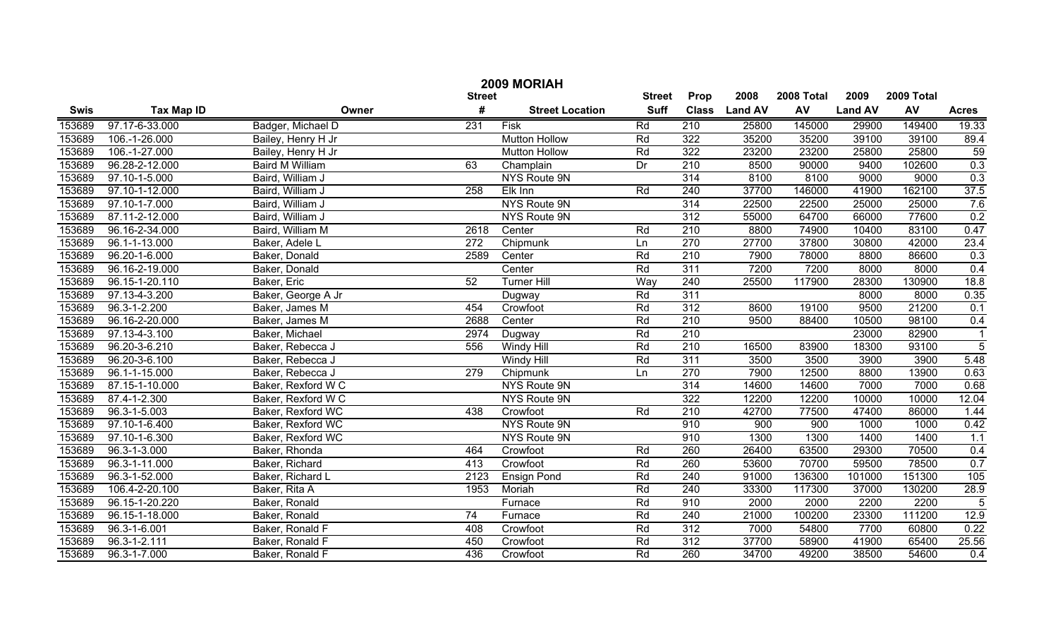|             | 2009 MORIAH        |                        |                 |                        |               |                  |                |            |                |            |                |  |
|-------------|--------------------|------------------------|-----------------|------------------------|---------------|------------------|----------------|------------|----------------|------------|----------------|--|
|             |                    |                        | <b>Street</b>   |                        | <b>Street</b> | Prop             | 2008           | 2008 Total | 2009           | 2009 Total |                |  |
| <b>Swis</b> | <b>Tax Map ID</b>  | Owner                  | #               | <b>Street Location</b> | <b>Suff</b>   | <b>Class</b>     | <b>Land AV</b> | <b>AV</b>  | <b>Land AV</b> | AV         | <b>Acres</b>   |  |
| 153689      | 97.17-6-33.000     | Badger, Michael D      | 231             | <b>Fisk</b>            | Rd            | 210              | 25800          | 145000     | 29900          | 149400     | 19.33          |  |
| 153689      | 106.-1-26.000      | Bailey, Henry H Jr     |                 | <b>Mutton Hollow</b>   | Rd            | 322              | 35200          | 35200      | 39100          | 39100      | 89.4           |  |
| 153689      | 106.-1-27.000      | Bailey, Henry H Jr     |                 | <b>Mutton Hollow</b>   | Rd            | 322              | 23200          | 23200      | 25800          | 25800      | 59             |  |
| 153689      | 96.28-2-12.000     | <b>Baird M William</b> | 63              | Champlain              | Dr            | $\overline{210}$ | 8500           | 90000      | 9400           | 102600     | 0.3            |  |
| 153689      | 97.10-1-5.000      | Baird, William J       |                 | NYS Route 9N           |               | 314              | 8100           | 8100       | 9000           | 9000       | 0.3            |  |
| 153689      | 97.10-1-12.000     | Baird, William J       | 258             | Elk Inn                | Rd            | 240              | 37700          | 146000     | 41900          | 162100     | 37.5           |  |
| 153689      | 97.10-1-7.000      | Baird, William J       |                 | NYS Route 9N           |               | 314              | 22500          | 22500      | 25000          | 25000      | 7.6            |  |
| 153689      | 87.11-2-12.000     | Baird, William J       |                 | NYS Route 9N           |               | 312              | 55000          | 64700      | 66000          | 77600      | 0.2            |  |
| 153689      | 96.16-2-34.000     | Baird, William M       | 2618            | Center                 | Rd            | $\overline{210}$ | 8800           | 74900      | 10400          | 83100      | 0.47           |  |
| 153689      | 96.1-1-13.000      | Baker, Adele L         | 272             | Chipmunk               | Ln            | 270              | 27700          | 37800      | 30800          | 42000      | 23.4           |  |
| 153689      | 96.20-1-6.000      | Baker, Donald          | 2589            | Center                 | Rd            | 210              | 7900           | 78000      | 8800           | 86600      | 0.3            |  |
| 153689      | 96.16-2-19.000     | Baker, Donald          |                 | Center                 | Rd            | 311              | 7200           | 7200       | 8000           | 8000       | 0.4            |  |
| 153689      | 96.15-1-20.110     | Baker, Eric            | 52              | <b>Turner Hill</b>     | Way           | 240              | 25500          | 117900     | 28300          | 130900     | 18.8           |  |
| 153689      | 97.13-4-3.200      | Baker, George A Jr     |                 | Dugway                 | Rd            | 311              |                |            | 8000           | 8000       | 0.35           |  |
| 153689      | 96.3-1-2.200       | Baker, James M         | 454             | Crowfoot               | Rd            | 312              | 8600           | 19100      | 9500           | 21200      | 0.1            |  |
| 153689      | 96.16-2-20.000     | Baker, James M         | 2688            | Center                 | Rd            | $\overline{210}$ | 9500           | 88400      | 10500          | 98100      | 0.4            |  |
| 153689      | 97.13-4-3.100      | Baker, Michael         | 2974            | Dugway                 | Rd            | 210              |                |            | 23000          | 82900      | $\mathbf 1$    |  |
| 153689      | 96.20-3-6.210      | Baker, Rebecca J       | 556             | Windy Hill             | Rd            | 210              | 16500          | 83900      | 18300          | 93100      | $\overline{5}$ |  |
| 153689      | 96.20-3-6.100      | Baker, Rebecca J       |                 | Windy Hill             | Rd            | 311              | 3500           | 3500       | 3900           | 3900       | 5.48           |  |
| 153689      | 96.1-1-15.000      | Baker, Rebecca J       | 279             | Chipmunk               | Ln            | 270              | 7900           | 12500      | 8800           | 13900      | 0.63           |  |
| 153689      | 87.15-1-10.000     | Baker, Rexford W C     |                 | NYS Route 9N           |               | $\overline{314}$ | 14600          | 14600      | 7000           | 7000       | 0.68           |  |
| 153689      | 87.4-1-2.300       | Baker, Rexford W C     |                 | NYS Route 9N           |               | 322              | 12200          | 12200      | 10000          | 10000      | 12.04          |  |
| 153689      | $96.3 - 1 - 5.003$ | Baker, Rexford WC      | 438             | Crowfoot               | Rd            | 210              | 42700          | 77500      | 47400          | 86000      | 1.44           |  |
| 153689      | 97.10-1-6.400      | Baker, Rexford WC      |                 | NYS Route 9N           |               | 910              | 900            | 900        | 1000           | 1000       | 0.42           |  |
| 153689      | 97.10-1-6.300      | Baker, Rexford WC      |                 | NYS Route 9N           |               | 910              | 1300           | 1300       | 1400           | 1400       | 1.1            |  |
| 153689      | 96.3-1-3.000       | Baker, Rhonda          | 464             | Crowfoot               | Rd            | 260              | 26400          | 63500      | 29300          | 70500      | 0.4            |  |
| 153689      | 96.3-1-11.000      | Baker, Richard         | 413             | Crowfoot               | Rd            | 260              | 53600          | 70700      | 59500          | 78500      | 0.7            |  |
| 153689      | 96.3-1-52.000      | Baker, Richard L       | 2123            | <b>Ensign Pond</b>     | Rd            | 240              | 91000          | 136300     | 101000         | 151300     | 105            |  |
| 153689      | 106.4-2-20.100     | Baker, Rita A          | 1953            | Moriah                 | Rd            | 240              | 33300          | 117300     | 37000          | 130200     | 28.9           |  |
| 153689      | 96.15-1-20.220     | Baker, Ronald          |                 | Furnace                | Rd            | 910              | 2000           | 2000       | 2200           | 2200       | $\overline{5}$ |  |
| 153689      | 96.15-1-18.000     | Baker, Ronald          | $\overline{74}$ | Furnace                | Rd            | 240              | 21000          | 100200     | 23300          | 111200     | 12.9           |  |
| 153689      | $96.3 - 1 - 6.001$ | Baker, Ronald F        | 408             | Crowfoot               | Rd            | $\overline{312}$ | 7000           | 54800      | 7700           | 60800      | 0.22           |  |
| 153689      | $96.3 - 1 - 2.111$ | Baker, Ronald F        | 450             | Crowfoot               | Rd            | $\overline{312}$ | 37700          | 58900      | 41900          | 65400      | 25.56          |  |
| 153689      | 96.3-1-7.000       | Baker, Ronald F        | 436             | Crowfoot               | Rd            | 260              | 34700          | 49200      | 38500          | 54600      | 0.4            |  |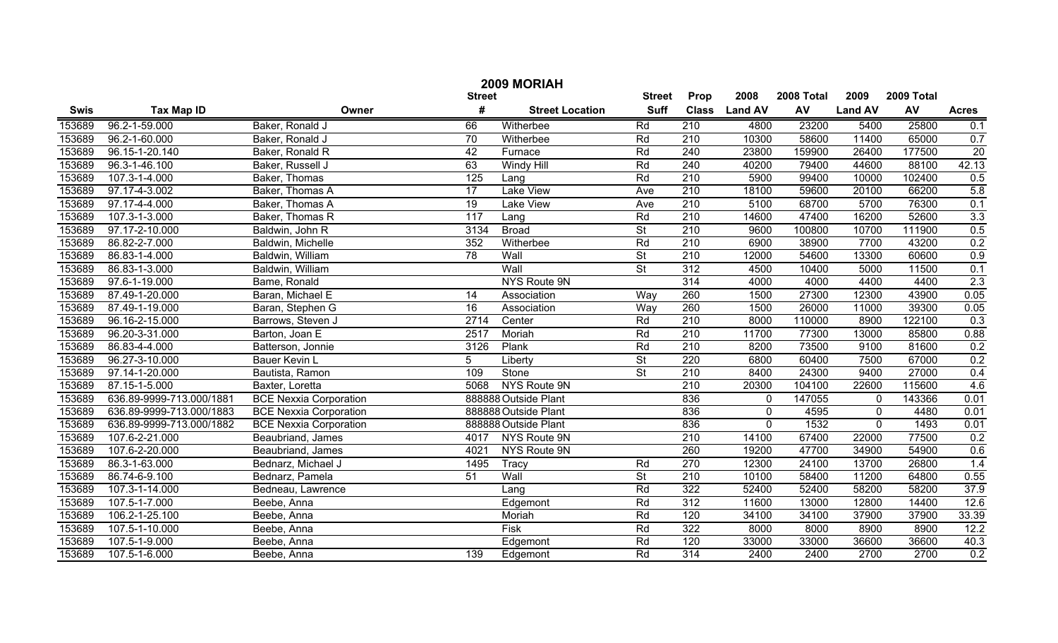|             | 2009 MORIAH                    |                               |                 |                        |                          |                  |                |            |                |            |                 |  |
|-------------|--------------------------------|-------------------------------|-----------------|------------------------|--------------------------|------------------|----------------|------------|----------------|------------|-----------------|--|
|             |                                |                               | <b>Street</b>   |                        | <b>Street</b>            | Prop             | 2008           | 2008 Total | 2009           | 2009 Total |                 |  |
| <b>Swis</b> | <b>Tax Map ID</b>              | Owner                         | #               | <b>Street Location</b> | <b>Suff</b>              | <b>Class</b>     | <b>Land AV</b> | AV         | <b>Land AV</b> | AV         | <b>Acres</b>    |  |
| 153689      | 96.2-1-59.000                  | Baker, Ronald J               | 66              | Witherbee              | Rd                       | 210              | 4800           | 23200      | 5400           | 25800      | 0.1             |  |
| 153689      | 96.2-1-60.000                  | Baker, Ronald J               | $\overline{70}$ | Witherbee              | Rd                       | $\overline{210}$ | 10300          | 58600      | 11400          | 65000      | 0.7             |  |
| 153689      | 96.15-1-20.140                 | Baker, Ronald R               | $\overline{42}$ | Furnace                | Rd                       | 240              | 23800          | 159900     | 26400          | 177500     | $\overline{20}$ |  |
| 153689      | 96.3-1-46.100                  | Baker, Russell J              | 63              | <b>Windy Hill</b>      | Rd                       | 240              | 40200          | 79400      | 44600          | 88100      | 42.13           |  |
| 153689      | 107.3-1-4.000                  | Baker, Thomas                 | 125             | Lang                   | Rd                       | 210              | 5900           | 99400      | 10000          | 102400     | 0.5             |  |
| 153689      | 97.17-4-3.002                  | Baker, Thomas A               | 17              | <b>Lake View</b>       | Ave                      | 210              | 18100          | 59600      | 20100          | 66200      | 5.8             |  |
| 153689      | 97.17-4-4.000                  | Baker, Thomas A               | 19              | <b>Lake View</b>       | Ave                      | $\overline{210}$ | 5100           | 68700      | 5700           | 76300      | 0.1             |  |
| 153689      | 107.3-1-3.000                  | Baker, Thomas R               | 117             | Lang                   | Rd                       | 210              | 14600          | 47400      | 16200          | 52600      | 3.3             |  |
| 153689      | 97.17-2-10.000                 | Baldwin, John R               | 3134            | <b>Broad</b>           | $\overline{\mathsf{St}}$ | 210              | 9600           | 100800     | 10700          | 111900     | 0.5             |  |
| 153689      | $\overline{86.82 - 2 - 7.000}$ | Baldwin, Michelle             | 352             | Witherbee              | Rd                       | 210              | 6900           | 38900      | 7700           | 43200      | 0.2             |  |
| 153689      | 86.83-1-4.000                  | Baldwin, William              | 78              | Wall                   | $\overline{St}$          | 210              | 12000          | 54600      | 13300          | 60600      | 0.9             |  |
| 153689      | 86.83-1-3.000                  | Baldwin, William              |                 | Wall                   | $\overline{\mathsf{St}}$ | 312              | 4500           | 10400      | 5000           | 11500      | 0.1             |  |
| 153689      | 97.6-1-19.000                  | Bame, Ronald                  |                 | NYS Route 9N           |                          | 314              | 4000           | 4000       | 4400           | 4400       | 2.3             |  |
| 153689      | 87.49-1-20.000                 | Baran, Michael E              | 14              | Association            | Way                      | 260              | 1500           | 27300      | 12300          | 43900      | 0.05            |  |
| 153689      | 87.49-1-19.000                 | Baran, Stephen G              | 16              | Association            | Way                      | 260              | 1500           | 26000      | 11000          | 39300      | 0.05            |  |
| 153689      | 96.16-2-15.000                 | Barrows, Steven J             | 2714            | Center                 | Rd                       | 210              | 8000           | 110000     | 8900           | 122100     | 0.3             |  |
| 153689      | 96.20-3-31.000                 | Barton, Joan E                | 2517            | Moriah                 | Rd                       | 210              | 11700          | 77300      | 13000          | 85800      | 0.88            |  |
| 153689      | 86.83-4-4.000                  | Batterson, Jonnie             | 3126            | Plank                  | Rd                       | 210              | 8200           | 73500      | 9100           | 81600      | 0.2             |  |
| 153689      | 96.27-3-10.000                 | Bauer Kevin L                 | 5               | Liberty                | $\overline{\mathsf{St}}$ | 220              | 6800           | 60400      | 7500           | 67000      | 0.2             |  |
| 153689      | 97.14-1-20.000                 | Bautista, Ramon               | 109             | Stone                  | $\overline{\mathsf{St}}$ | 210              | 8400           | 24300      | 9400           | 27000      | 0.4             |  |
| 153689      | 87.15-1-5.000                  | Baxter, Loretta               | 5068            | NYS Route 9N           |                          | 210              | 20300          | 104100     | 22600          | 115600     | 4.6             |  |
| 153689      | 636.89-9999-713.000/1881       | <b>BCE Nexxia Corporation</b> |                 | 888888 Outside Plant   |                          | 836              | 0              | 147055     | $\mathbf 0$    | 143366     | 0.01            |  |
| 153689      | 636.89-9999-713.000/1883       | <b>BCE Nexxia Corporation</b> |                 | 888888 Outside Plant   |                          | 836              | $\mathbf 0$    | 4595       | $\Omega$       | 4480       | 0.01            |  |
| 153689      | 636.89-9999-713.000/1882       | <b>BCE Nexxia Corporation</b> |                 | 888888 Outside Plant   |                          | 836              | $\mathbf 0$    | 1532       | $\mathbf 0$    | 1493       | 0.01            |  |
| 153689      | 107.6-2-21.000                 | Beaubriand, James             | 4017            | NYS Route 9N           |                          | 210              | 14100          | 67400      | 22000          | 77500      | 0.2             |  |
| 153689      | 107.6-2-20.000                 | Beaubriand, James             | 4021            | <b>NYS Route 9N</b>    |                          | 260              | 19200          | 47700      | 34900          | 54900      | 0.6             |  |
| 153689      | 86.3-1-63.000                  | Bednarz, Michael J            | 1495            | Tracy                  | Rd                       | 270              | 12300          | 24100      | 13700          | 26800      | 1.4             |  |
| 153689      | 86.74-6-9.100                  | Bednarz, Pamela               | 51              | Wall                   | $\overline{\mathsf{St}}$ | 210              | 10100          | 58400      | 11200          | 64800      | 0.55            |  |
| 153689      | 107.3-1-14.000                 | Bedneau, Lawrence             |                 | Lang                   | Rd                       | 322              | 52400          | 52400      | 58200          | 58200      | 37.9            |  |
| 153689      | 107.5-1-7.000                  | Beebe, Anna                   |                 | Edgemont               | Rd                       | $\overline{312}$ | 11600          | 13000      | 12800          | 14400      | 12.6            |  |
| 153689      | 106.2-1-25.100                 | Beebe, Anna                   |                 | Moriah                 | Rd                       | $\overline{120}$ | 34100          | 34100      | 37900          | 37900      | 33.39           |  |
| 153689      | 107.5-1-10.000                 | Beebe, Anna                   |                 | <b>Fisk</b>            | Rd                       | 322              | 8000           | 8000       | 8900           | 8900       | 12.2            |  |
| 153689      | 107.5-1-9.000                  | Beebe, Anna                   |                 | Edgemont               | Rd                       | 120              | 33000          | 33000      | 36600          | 36600      | 40.3            |  |
| 153689      | 107.5-1-6.000                  | Beebe, Anna                   | 139             | Edgemont               | Rd                       | 314              | 2400           | 2400       | 2700           | 2700       | 0.2             |  |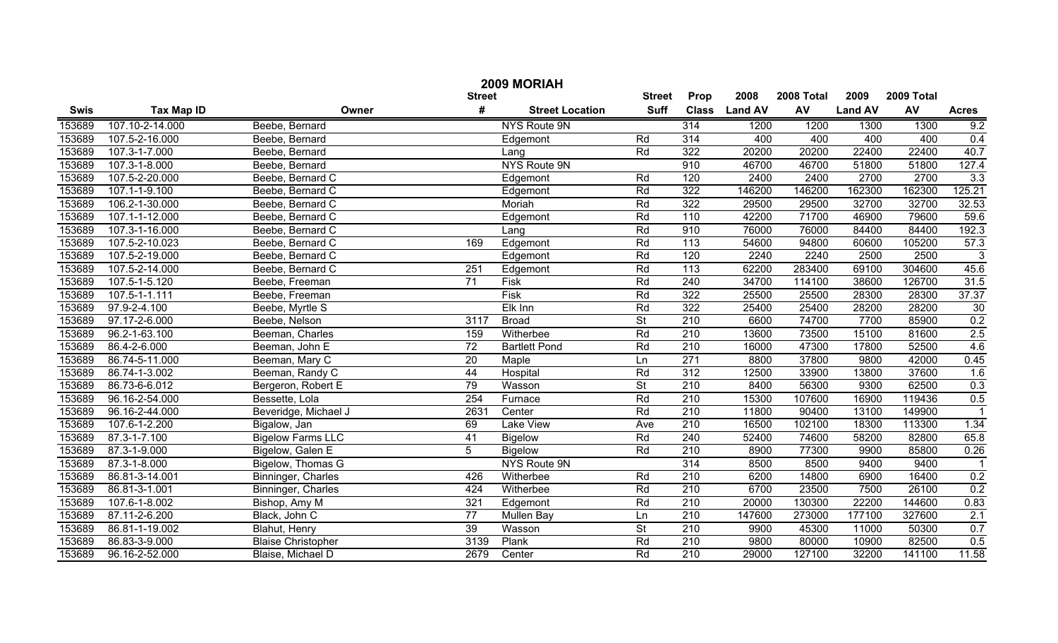|             |                   |                           |                 | 2009 MORIAH            |                          |                  |                |            |                |            |                         |
|-------------|-------------------|---------------------------|-----------------|------------------------|--------------------------|------------------|----------------|------------|----------------|------------|-------------------------|
|             |                   |                           | <b>Street</b>   |                        | <b>Street</b>            | Prop             | 2008           | 2008 Total | 2009           | 2009 Total |                         |
| <b>Swis</b> | <b>Tax Map ID</b> | Owner                     | #               | <b>Street Location</b> | <b>Suff</b>              | <b>Class</b>     | <b>Land AV</b> | <b>AV</b>  | <b>Land AV</b> | AV         | <b>Acres</b>            |
| 153689      | 107.10-2-14.000   | Beebe, Bernard            |                 | NYS Route 9N           |                          | 314              | 1200           | 1200       | 1300           | 1300       | 9.2                     |
| 153689      | 107.5-2-16.000    | Beebe, Bernard            |                 | Edgemont               | Rd                       | 314              | 400            | 400        | 400            | 400        | 0.4                     |
| 153689      | 107.3-1-7.000     | Beebe, Bernard            |                 | Lang                   | Rd                       | 322              | 20200          | 20200      | 22400          | 22400      | 40.7                    |
| 153689      | 107.3-1-8.000     | Beebe, Bernard            |                 | <b>NYS Route 9N</b>    |                          | 910              | 46700          | 46700      | 51800          | 51800      | 127.4                   |
| 153689      | 107.5-2-20.000    | Beebe, Bernard C          |                 | Edgemont               | Rd                       | 120              | 2400           | 2400       | 2700           | 2700       | 3.3                     |
| 153689      | 107.1-1-9.100     | Beebe, Bernard C          |                 | Edgemont               | Rd                       | 322              | 146200         | 146200     | 162300         | 162300     | 125.21                  |
| 153689      | 106.2-1-30.000    | Beebe, Bernard C          |                 | Moriah                 | Rd                       | 322              | 29500          | 29500      | 32700          | 32700      | 32.53                   |
| 153689      | 107.1-1-12.000    | Beebe, Bernard C          |                 | Edgemont               | Rd                       | 110              | 42200          | 71700      | 46900          | 79600      | 59.6                    |
| 153689      | 107.3-1-16.000    | Beebe, Bernard C          |                 | Lang                   | Rd                       | 910              | 76000          | 76000      | 84400          | 84400      | 192.3                   |
| 153689      | 107.5-2-10.023    | Beebe, Bernard C          | 169             | Edgemont               | Rd                       | $\overline{113}$ | 54600          | 94800      | 60600          | 105200     | 57.3                    |
| 153689      | 107.5-2-19.000    | Beebe, Bernard C          |                 | Edgemont               | Rd                       | 120              | 2240           | 2240       | 2500           | 2500       | $\mathbf{3}$            |
| 153689      | 107.5-2-14.000    | Beebe, Bernard C          | 251             | Edgemont               | Rd                       | $\overline{113}$ | 62200          | 283400     | 69100          | 304600     | 45.6                    |
| 153689      | 107.5-1-5.120     | Beebe, Freeman            | 71              | Fisk                   | Rd                       | 240              | 34700          | 114100     | 38600          | 126700     | 31.5                    |
| 153689      | 107.5-1-1.111     | Beebe, Freeman            |                 | Fisk                   | Rd                       | 322              | 25500          | 25500      | 28300          | 28300      | 37.37                   |
| 153689      | 97.9-2-4.100      | Beebe, Myrtle S           |                 | Elk Inn                | Rd                       | 322              | 25400          | 25400      | 28200          | 28200      | 30                      |
| 153689      | 97.17-2-6.000     | Beebe, Nelson             | 3117            | <b>Broad</b>           | $\overline{\mathsf{St}}$ | 210              | 6600           | 74700      | 7700           | 85900      | 0.2                     |
| 153689      | 96.2-1-63.100     | Beeman, Charles           | 159             | Witherbee              | Rd                       | 210              | 13600          | 73500      | 15100          | 81600      | 2.5                     |
| 153689      | 86.4-2-6.000      | Beeman, John E            | 72              | <b>Bartlett Pond</b>   | Rd                       | 210              | 16000          | 47300      | 17800          | 52500      | 4.6                     |
| 153689      | 86.74-5-11.000    | Beeman, Mary C            | 20              | Maple                  | Ln                       | 271              | 8800           | 37800      | 9800           | 42000      | 0.45                    |
| 153689      | 86.74-1-3.002     | Beeman, Randy C           | 44              | Hospital               | Rd                       | 312              | 12500          | 33900      | 13800          | 37600      | 1.6                     |
| 153689      | 86.73-6-6.012     | Bergeron, Robert E        | 79              | Wasson                 | $\overline{\mathsf{St}}$ | 210              | 8400           | 56300      | 9300           | 62500      | 0.3                     |
| 153689      | 96.16-2-54.000    | Bessette, Lola            | 254             | Furnace                | Rd                       | 210              | 15300          | 107600     | 16900          | 119436     | 0.5                     |
| 153689      | 96.16-2-44.000    | Beveridge, Michael J      | 2631            | Center                 | Rd                       | 210              | 11800          | 90400      | 13100          | 149900     | $\overline{\mathbf{1}}$ |
| 153689      | 107.6-1-2.200     | Bigalow, Jan              | 69              | Lake View              | Ave                      | 210              | 16500          | 102100     | 18300          | 113300     | 1.34                    |
| 153689      | 87.3-1-7.100      | <b>Bigelow Farms LLC</b>  | 41              | <b>Bigelow</b>         | Rd                       | 240              | 52400          | 74600      | 58200          | 82800      | 65.8                    |
| 153689      | 87.3-1-9.000      | Bigelow, Galen E          | 5               | <b>Bigelow</b>         | Rd                       | 210              | 8900           | 77300      | 9900           | 85800      | 0.26                    |
| 153689      | 87.3-1-8.000      | Bigelow, Thomas G         |                 | NYS Route 9N           |                          | $\overline{314}$ | 8500           | 8500       | 9400           | 9400       | -1                      |
| 153689      | 86.81-3-14.001    | Binninger, Charles        | 426             | Witherbee              | Rd                       | 210              | 6200           | 14800      | 6900           | 16400      | 0.2                     |
| 153689      | 86.81-3-1.001     | Binninger, Charles        | 424             | Witherbee              | Rd                       | 210              | 6700           | 23500      | 7500           | 26100      | 0.2                     |
| 153689      | 107.6-1-8.002     | Bishop, Amy M             | 321             | Edgemont               | Rd                       | $\overline{210}$ | 20000          | 130300     | 22200          | 144600     | 0.83                    |
| 153689      | 87.11-2-6.200     | Black, John C             | $\overline{77}$ | Mullen Bay             | Ln                       | $\overline{210}$ | 147600         | 273000     | 177100         | 327600     | 2.1                     |
| 153689      | 86.81-1-19.002    | Blahut, Henry             | $\overline{39}$ | Wasson                 | $\overline{\mathsf{St}}$ | 210              | 9900           | 45300      | 11000          | 50300      | 0.7                     |
| 153689      | 86.83-3-9.000     | <b>Blaise Christopher</b> | 3139            | Plank                  | Rd                       | $\overline{210}$ | 9800           | 80000      | 10900          | 82500      | 0.5                     |
| 153689      | 96.16-2-52.000    | Blaise, Michael D         | 2679            | Center                 | Rd                       | $\overline{210}$ | 29000          | 127100     | 32200          | 141100     | 11.58                   |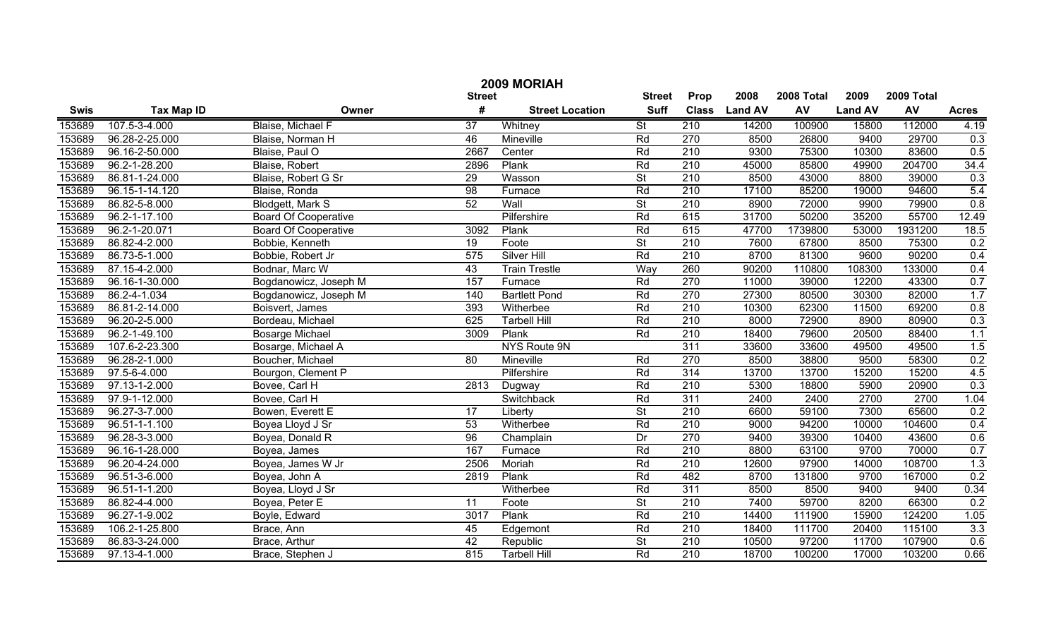|             | 2009 MORIAH         |                             |                 |                        |                          |                  |                |            |                |            |              |  |
|-------------|---------------------|-----------------------------|-----------------|------------------------|--------------------------|------------------|----------------|------------|----------------|------------|--------------|--|
|             |                     |                             | <b>Street</b>   |                        | <b>Street</b>            | Prop             | 2008           | 2008 Total | 2009           | 2009 Total |              |  |
| <b>Swis</b> | <b>Tax Map ID</b>   | Owner                       | #               | <b>Street Location</b> | <b>Suff</b>              | <b>Class</b>     | <b>Land AV</b> | <b>AV</b>  | <b>Land AV</b> | AV         | <b>Acres</b> |  |
| 153689      | 107.5-3-4.000       | Blaise, Michael F           | $\overline{37}$ | Whitney                | $\overline{\mathsf{St}}$ | 210              | 14200          | 100900     | 15800          | 112000     | 4.19         |  |
| 153689      | 96.28-2-25.000      | Blaise, Norman H            | 46              | Mineville              | Rd                       | 270              | 8500           | 26800      | 9400           | 29700      | 0.3          |  |
| 153689      | 96.16-2-50.000      | Blaise, Paul O              | 2667            | Center                 | Rd                       | 210              | 9300           | 75300      | 10300          | 83600      | 0.5          |  |
| 153689      | 96.2-1-28.200       | Blaise, Robert              | 2896            | Plank                  | Rd                       | 210              | 45000          | 85800      | 49900          | 204700     | 34.4         |  |
| 153689      | 86.81-1-24.000      | Blaise, Robert G Sr         | $\overline{29}$ | Wasson                 | $\overline{\mathsf{St}}$ | 210              | 8500           | 43000      | 8800           | 39000      | 0.3          |  |
| 153689      | 96.15-1-14.120      | Blaise, Ronda               | 98              | Furnace                | Rd                       | 210              | 17100          | 85200      | 19000          | 94600      | 5.4          |  |
| 153689      | 86.82-5-8.000       | Blodgett, Mark S            | 52              | Wall                   | $\overline{\mathsf{St}}$ | 210              | 8900           | 72000      | 9900           | 79900      | 0.8          |  |
| 153689      | 96.2-1-17.100       | <b>Board Of Cooperative</b> |                 | Pilfershire            | Rd                       | 615              | 31700          | 50200      | 35200          | 55700      | 12.49        |  |
| 153689      | 96.2-1-20.071       | <b>Board Of Cooperative</b> | 3092            | Plank                  | Rd                       | 615              | 47700          | 1739800    | 53000          | 1931200    | 18.5         |  |
| 153689      | $86.82 - 4 - 2.000$ | Bobbie, Kenneth             | 19              | Foote                  | $\overline{\mathsf{St}}$ | 210              | 7600           | 67800      | 8500           | 75300      | 0.2          |  |
| 153689      | 86.73-5-1.000       | Bobbie, Robert Jr           | 575             | <b>Silver Hill</b>     | Rd                       | 210              | 8700           | 81300      | 9600           | 90200      | 0.4          |  |
| 153689      | 87.15-4-2.000       | Bodnar, Marc W              | 43              | <b>Train Trestle</b>   | Way                      | 260              | 90200          | 110800     | 108300         | 133000     | 0.4          |  |
| 153689      | 96.16-1-30.000      | Bogdanowicz, Joseph M       | 157             | Furnace                | Rd                       | 270              | 11000          | 39000      | 12200          | 43300      | 0.7          |  |
| 153689      | 86.2-4-1.034        | Bogdanowicz, Joseph M       | 140             | <b>Bartlett Pond</b>   | Rd                       | 270              | 27300          | 80500      | 30300          | 82000      | 1.7          |  |
| 153689      | 86.81-2-14.000      | Boisvert, James             | 393             | Witherbee              | Rd                       | 210              | 10300          | 62300      | 11500          | 69200      | 0.8          |  |
| 153689      | 96.20-2-5.000       | Bordeau, Michael            | 625             | <b>Tarbell Hill</b>    | Rd                       | 210              | 8000           | 72900      | 8900           | 80900      | 0.3          |  |
| 153689      | 96.2-1-49.100       | <b>Bosarge Michael</b>      | 3009            | Plank                  | Rd                       | 210              | 18400          | 79600      | 20500          | 88400      | 1.1          |  |
| 153689      | 107.6-2-23.300      | Bosarge, Michael A          |                 | NYS Route 9N           |                          | 311              | 33600          | 33600      | 49500          | 49500      | 1.5          |  |
| 153689      | 96.28-2-1.000       | Boucher, Michael            | 80              | Mineville              | Rd                       | 270              | 8500           | 38800      | 9500           | 58300      | 0.2          |  |
| 153689      | 97.5-6-4.000        | Bourgon, Clement P          |                 | Pilfershire            | Rd                       | 314              | 13700          | 13700      | 15200          | 15200      | 4.5          |  |
| 153689      | 97.13-1-2.000       | Bovee, Carl H               | 2813            | Dugway                 | Rd                       | 210              | 5300           | 18800      | 5900           | 20900      | 0.3          |  |
| 153689      | 97.9-1-12.000       | Bovee, Carl H               |                 | Switchback             | Rd                       | $\overline{311}$ | 2400           | 2400       | 2700           | 2700       | 1.04         |  |
| 153689      | 96.27-3-7.000       | Bowen, Everett E            | 17              | Liberty                | $\overline{\mathsf{St}}$ | 210              | 6600           | 59100      | 7300           | 65600      | 0.2          |  |
| 153689      | 96.51-1-1.100       | Boyea Lloyd J Sr            | 53              | Witherbee              | Rd                       | 210              | 9000           | 94200      | 10000          | 104600     | 0.4          |  |
| 153689      | 96.28-3-3.000       | Boyea, Donald R             | 96              | Champlain              | Dr                       | 270              | 9400           | 39300      | 10400          | 43600      | 0.6          |  |
| 153689      | 96.16-1-28.000      | Boyea, James                | 167             | Furnace                | Rd                       | 210              | 8800           | 63100      | 9700           | 70000      | 0.7          |  |
| 153689      | 96.20-4-24.000      | Boyea, James W Jr           | 2506            | Moriah                 | Rd                       | 210              | 12600          | 97900      | 14000          | 108700     | 1.3          |  |
| 153689      | 96.51-3-6.000       | Boyea, John A               | 2819            | Plank                  | Rd                       | 482              | 8700           | 131800     | 9700           | 167000     | 0.2          |  |
| 153689      | 96.51-1-1.200       | Boyea, Lloyd J Sr           |                 | Witherbee              | Rd                       | $\overline{311}$ | 8500           | 8500       | 9400           | 9400       | 0.34         |  |
| 153689      | 86.82-4-4.000       | Boyea, Peter E              | 11              | Foote                  | $\overline{\mathsf{St}}$ | $\overline{210}$ | 7400           | 59700      | 8200           | 66300      | 0.2          |  |
| 153689      | 96.27-1-9.002       | Boyle, Edward               | 3017            | Plank                  | Rd                       | $\overline{210}$ | 14400          | 111900     | 15900          | 124200     | 1.05         |  |
| 153689      | 106.2-1-25.800      | Brace, Ann                  | 45              | Edgemont               | Rd                       | 210              | 18400          | 111700     | 20400          | 115100     | 3.3          |  |
| 153689      | 86.83-3-24.000      | Brace, Arthur               | 42              | Republic               | $\overline{\mathsf{St}}$ | $\overline{210}$ | 10500          | 97200      | 11700          | 107900     | 0.6          |  |
| 153689      | 97.13-4-1.000       | Brace, Stephen J            | 815             | <b>Tarbell Hill</b>    | Rd                       | $\overline{210}$ | 18700          | 100200     | 17000          | 103200     | 0.66         |  |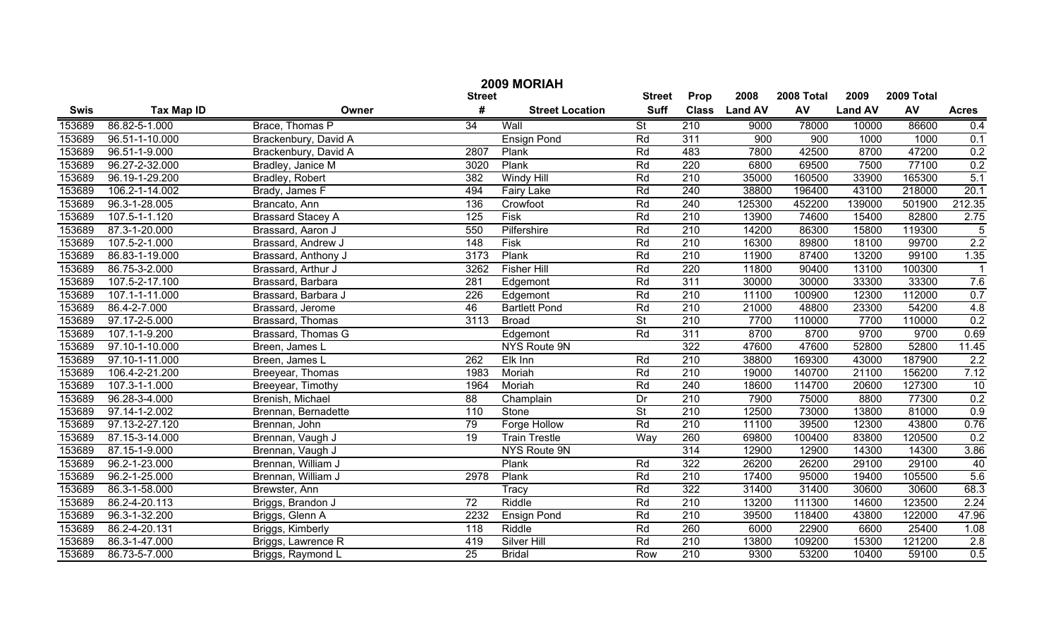| 2009 MORIAH |                   |                          |                 |                        |                          |                  |                |            |                |            |                         |
|-------------|-------------------|--------------------------|-----------------|------------------------|--------------------------|------------------|----------------|------------|----------------|------------|-------------------------|
|             |                   |                          | <b>Street</b>   |                        | <b>Street</b>            | Prop             | 2008           | 2008 Total | 2009           | 2009 Total |                         |
| <b>Swis</b> | <b>Tax Map ID</b> | Owner                    | #               | <b>Street Location</b> | <b>Suff</b>              | <b>Class</b>     | <b>Land AV</b> | AV         | <b>Land AV</b> | AV         | <b>Acres</b>            |
| 153689      | 86.82-5-1.000     | Brace, Thomas P          | 34              | Wall                   | $\overline{\mathsf{St}}$ | 210              | 9000           | 78000      | 10000          | 86600      | 0.4                     |
| 153689      | 96.51-1-10.000    | Brackenbury, David A     |                 | <b>Ensign Pond</b>     | Rd                       | 311              | 900            | 900        | 1000           | 1000       | 0.1                     |
| 153689      | 96.51-1-9.000     | Brackenbury, David A     | 2807            | Plank                  | Rd                       | 483              | 7800           | 42500      | 8700           | 47200      | 0.2                     |
| 153689      | 96.27-2-32.000    | Bradley, Janice M        | 3020            | Plank                  | Rd                       | 220              | 6800           | 69500      | 7500           | 77100      | 0.2                     |
| 153689      | 96.19-1-29.200    | Bradley, Robert          | 382             | <b>Windy Hill</b>      | Rd                       | 210              | 35000          | 160500     | 33900          | 165300     | 5.1                     |
| 153689      | 106.2-1-14.002    | Brady, James F           | 494             | <b>Fairy Lake</b>      | Rd                       | 240              | 38800          | 196400     | 43100          | 218000     | 20.1                    |
| 153689      | 96.3-1-28.005     | Brancato, Ann            | 136             | Crowfoot               | Rd                       | 240              | 125300         | 452200     | 139000         | 501900     | 212.35                  |
| 153689      | 107.5-1-1.120     | <b>Brassard Stacey A</b> | 125             | <b>Fisk</b>            | Rd                       | 210              | 13900          | 74600      | 15400          | 82800      | 2.75                    |
| 153689      | 87.3-1-20.000     | Brassard, Aaron J        | 550             | Pilfershire            | Rd                       | 210              | 14200          | 86300      | 15800          | 119300     | $\overline{5}$          |
| 153689      | 107.5-2-1.000     | Brassard, Andrew J       | 148             | Fisk                   | Rd                       | 210              | 16300          | 89800      | 18100          | 99700      | 2.2                     |
| 153689      | 86.83-1-19.000    | Brassard, Anthony J      | 3173            | Plank                  | Rd                       | 210              | 11900          | 87400      | 13200          | 99100      | 1.35                    |
| 153689      | 86.75-3-2.000     | Brassard, Arthur J       | 3262            | <b>Fisher Hill</b>     | Rd                       | 220              | 11800          | 90400      | 13100          | 100300     | $\overline{\mathbf{1}}$ |
| 153689      | 107.5-2-17.100    | Brassard, Barbara        | 281             | Edgemont               | Rd                       | 311              | 30000          | 30000      | 33300          | 33300      | 7.6                     |
| 153689      | 107.1-1-11.000    | Brassard, Barbara J      | 226             | Edgemont               | Rd                       | 210              | 11100          | 100900     | 12300          | 112000     | 0.7                     |
| 153689      | 86.4-2-7.000      | Brassard, Jerome         | 46              | <b>Bartlett Pond</b>   | Rd                       | 210              | 21000          | 48800      | 23300          | 54200      | 4.8                     |
| 153689      | 97.17-2-5.000     | Brassard, Thomas         | 3113            | <b>Broad</b>           | $\overline{\mathsf{St}}$ | $\overline{210}$ | 7700           | 110000     | 7700           | 110000     | 0.2                     |
| 153689      | 107.1-1-9.200     | Brassard, Thomas G       |                 | Edgemont               | Rd                       | 311              | 8700           | 8700       | 9700           | 9700       | 0.69                    |
| 153689      | 97.10-1-10.000    | Breen, James L           |                 | NYS Route 9N           |                          | 322              | 47600          | 47600      | 52800          | 52800      | 11.45                   |
| 153689      | 97.10-1-11.000    | Breen, James L           | 262             | Elk Inn                | Rd                       | 210              | 38800          | 169300     | 43000          | 187900     | 2.2                     |
| 153689      | 106.4-2-21.200    | Breeyear, Thomas         | 1983            | Moriah                 | Rd                       | 210              | 19000          | 140700     | 21100          | 156200     | 7.12                    |
| 153689      | 107.3-1-1.000     | Breeyear, Timothy        | 1964            | Moriah                 | Rd                       | 240              | 18600          | 114700     | 20600          | 127300     | 10                      |
| 153689      | 96.28-3-4.000     | Brenish, Michael         | 88              | Champlain              | Dr                       | 210              | 7900           | 75000      | 8800           | 77300      | 0.2                     |
| 153689      | 97.14-1-2.002     | Brennan, Bernadette      | 110             | Stone                  | $\overline{\mathsf{St}}$ | 210              | 12500          | 73000      | 13800          | 81000      | 0.9                     |
| 153689      | 97.13-2-27.120    | Brennan, John            | 79              | Forge Hollow           | Rd                       | 210              | 11100          | 39500      | 12300          | 43800      | 0.76                    |
| 153689      | 87.15-3-14.000    | Brennan, Vaugh J         | 19              | <b>Train Trestle</b>   | Wav                      | 260              | 69800          | 100400     | 83800          | 120500     | 0.2                     |
| 153689      | 87.15-1-9.000     | Brennan, Vaugh J         |                 | NYS Route 9N           |                          | 314              | 12900          | 12900      | 14300          | 14300      | 3.86                    |
| 153689      | 96.2-1-23.000     | Brennan, William J       |                 | Plank                  | Rd                       | 322              | 26200          | 26200      | 29100          | 29100      | 40                      |
| 153689      | 96.2-1-25.000     | Brennan, William J       | 2978            | Plank                  | Rd                       | 210              | 17400          | 95000      | 19400          | 105500     | 5.6                     |
| 153689      | 86.3-1-58.000     | Brewster, Ann            |                 | Tracy                  | Rd                       | 322              | 31400          | 31400      | 30600          | 30600      | 68.3                    |
| 153689      | 86.2-4-20.113     | Briggs, Brandon J        | $\overline{72}$ | Riddle                 | Rd                       | $\overline{210}$ | 13200          | 111300     | 14600          | 123500     | 2.24                    |
| 153689      | 96.3-1-32.200     | Briggs, Glenn A          | 2232            | <b>Ensign Pond</b>     | Rd                       | $\overline{210}$ | 39500          | 118400     | 43800          | 122000     | 47.96                   |
| 153689      | 86.2-4-20.131     | Briggs, Kimberly         | 118             | Riddle                 | Rd                       | 260              | 6000           | 22900      | 6600           | 25400      | 1.08                    |
| 153689      | 86.3-1-47.000     | Briggs, Lawrence R       | 419             | <b>Silver Hill</b>     | Rd                       | $\overline{210}$ | 13800          | 109200     | 15300          | 121200     | 2.8                     |
| 153689      | 86.73-5-7.000     | Briggs, Raymond L        | $\overline{25}$ | <b>Bridal</b>          | Row                      | $\overline{210}$ | 9300           | 53200      | 10400          | 59100      | 0.5                     |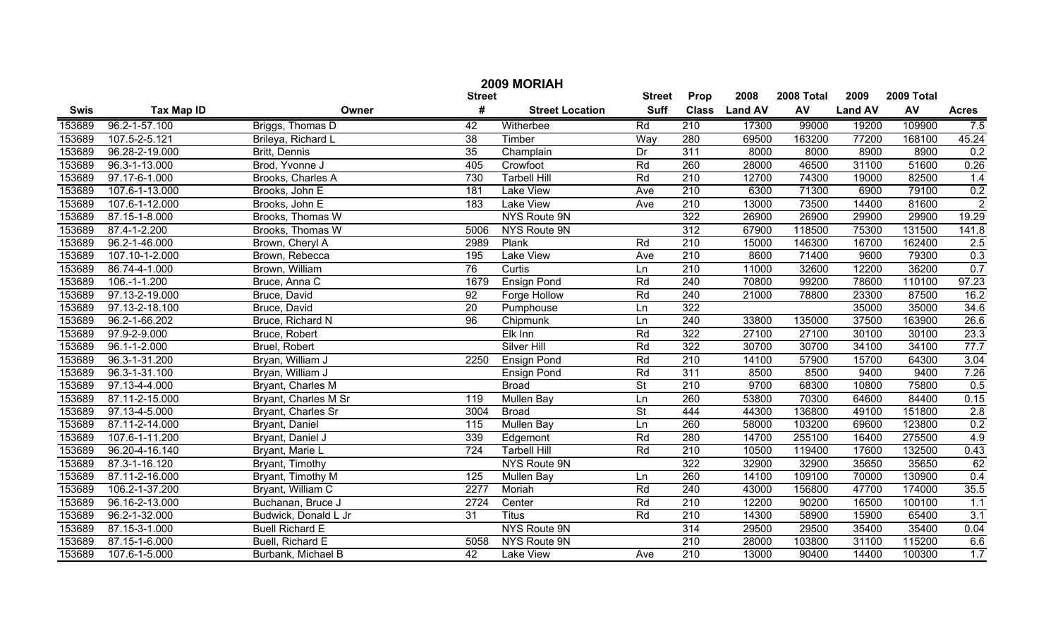|             | 2009 MORIAH         |                        |                   |                        |                 |                  |                |            |                |            |                |  |
|-------------|---------------------|------------------------|-------------------|------------------------|-----------------|------------------|----------------|------------|----------------|------------|----------------|--|
|             |                     |                        | <b>Street</b>     |                        | <b>Street</b>   | Prop             | 2008           | 2008 Total | 2009           | 2009 Total |                |  |
| <b>Swis</b> | <b>Tax Map ID</b>   | Owner                  | #                 | <b>Street Location</b> | <b>Suff</b>     | <b>Class</b>     | <b>Land AV</b> | AV         | <b>Land AV</b> | AV         | <b>Acres</b>   |  |
| 153689      | 96.2-1-57.100       | Briggs, Thomas D       | 42                | Witherbee              | Rd              | 210              | 17300          | 99000      | 19200          | 109900     | 7.5            |  |
| 153689      | 107.5-2-5.121       | Brileya, Richard L     | $\overline{38}$   | Timber                 | Way             | 280              | 69500          | 163200     | 77200          | 168100     | 45.24          |  |
| 153689      | 96.28-2-19.000      | Britt, Dennis          | $\overline{35}$   | Champlain              | Dr              | 311              | 8000           | 8000       | 8900           | 8900       | 0.2            |  |
| 153689      | 96.3-1-13.000       | Brod, Yvonne J         | 405               | Crowfoot               | Rd              | 260              | 28000          | 46500      | 31100          | 51600      | 0.26           |  |
| 153689      | 97.17-6-1.000       | Brooks, Charles A      | 730               | <b>Tarbell Hill</b>    | Rd              | 210              | 12700          | 74300      | 19000          | 82500      | 1.4            |  |
| 153689      | 107.6-1-13.000      | Brooks, John E         | 181               | <b>Lake View</b>       | Ave             | 210              | 6300           | 71300      | 6900           | 79100      | 0.2            |  |
| 153689      | 107.6-1-12.000      | Brooks, John E         | 183               | <b>Lake View</b>       | Ave             | 210              | 13000          | 73500      | 14400          | 81600      | $\overline{2}$ |  |
| 153689      | 87.15-1-8.000       | Brooks, Thomas W       |                   | NYS Route 9N           |                 | 322              | 26900          | 26900      | 29900          | 29900      | 19.29          |  |
| 153689      | 87.4-1-2.200        | Brooks, Thomas W       | 5006              | NYS Route 9N           |                 | 312              | 67900          | 118500     | 75300          | 131500     | 141.8          |  |
| 153689      | 96.2-1-46.000       | Brown, Cheryl A        | 2989              | Plank                  | Rd              | $\overline{210}$ | 15000          | 146300     | 16700          | 162400     | 2.5            |  |
| 153689      | 107.10-1-2.000      | Brown, Rebecca         | 195               | <b>Lake View</b>       | Ave             | $\overline{210}$ | 8600           | 71400      | 9600           | 79300      | 0.3            |  |
| 153689      | 86.74-4-1.000       | Brown, William         | 76                | Curtis                 | Ln              | $\overline{210}$ | 11000          | 32600      | 12200          | 36200      | 0.7            |  |
| 153689      | $106.-1-1.200$      | Bruce, Anna C          | 1679              | <b>Ensign Pond</b>     | Rd              | 240              | 70800          | 99200      | 78600          | 110100     | 97.23          |  |
| 153689      | 97.13-2-19.000      | Bruce, David           | $\overline{92}$   | Forge Hollow           | Rd              | 240              | 21000          | 78800      | 23300          | 87500      | 16.2           |  |
| 153689      | 97.13-2-18.100      | Bruce, David           | $\overline{20}$   | Pumphouse              | Ln              | 322              |                |            | 35000          | 35000      | 34.6           |  |
| 153689      | 96.2-1-66.202       | Bruce, Richard N       | $\overline{96}$   | Chipmunk               | Ln              | 240              | 33800          | 135000     | 37500          | 163900     | 26.6           |  |
| 153689      | 97.9-2-9.000        | Bruce, Robert          |                   | Elk Inn                | Rd              | $\overline{322}$ | 27100          | 27100      | 30100          | 30100      | 23.3           |  |
| 153689      | $96.1 - 1 - 2.000$  | Bruel, Robert          |                   | Silver Hill            | Rd              | 322              | 30700          | 30700      | 34100          | 34100      | 77.7           |  |
| 153689      | 96.3-1-31.200       | Bryan, William J       | 2250              | <b>Ensign Pond</b>     | Rd              | $\overline{210}$ | 14100          | 57900      | 15700          | 64300      | 3.04           |  |
| 153689      | 96.3-1-31.100       | Bryan, William J       |                   | <b>Ensign Pond</b>     | Rd              | 311              | 8500           | 8500       | 9400           | 9400       | 7.26           |  |
| 153689      | 97.13-4-4.000       | Bryant, Charles M      |                   | <b>Broad</b>           | $\overline{St}$ | $\overline{210}$ | 9700           | 68300      | 10800          | 75800      | 0.5            |  |
| 153689      | 87.11-2-15.000      | Bryant, Charles M Sr   | 119               | <b>Mullen Bay</b>      | Ln              | 260              | 53800          | 70300      | 64600          | 84400      | 0.15           |  |
| 153689      | 97.13-4-5.000       | Bryant, Charles Sr     | 3004              | <b>Broad</b>           | $\overline{St}$ | 444              | 44300          | 136800     | 49100          | 151800     | 2.8            |  |
| 153689      | 87.11-2-14.000      | Bryant, Daniel         | $\frac{115}{115}$ | <b>Mullen Bay</b>      | Ln              | 260              | 58000          | 103200     | 69600          | 123800     | 0.2            |  |
| 153689      | 107.6-1-11.200      | Bryant, Daniel J       | 339               | Edgemont               | Rd              | 280              | 14700          | 255100     | 16400          | 275500     | 4.9            |  |
| 153689      | 96.20-4-16.140      | Bryant, Marie L        | 724               | <b>Tarbell Hill</b>    | Rd              | $\overline{210}$ | 10500          | 119400     | 17600          | 132500     | 0.43           |  |
| 153689      | 87.3-1-16.120       | Bryant, Timothy        |                   | NYS Route 9N           |                 | 322              | 32900          | 32900      | 35650          | 35650      | 62             |  |
| 153689      | 87.11-2-16.000      | Bryant, Timothy M      | 125               | Mullen Bay             | Ln              | 260              | 14100          | 109100     | 70000          | 130900     | 0.4            |  |
| 153689      | 106.2-1-37.200      | Bryant, William C      | 2277              | Moriah                 | Rd              | 240              | 43000          | 156800     | 47700          | 174000     | 35.5           |  |
| 153689      | 96.16-2-13.000      | Buchanan, Bruce J      | 2724              | Center                 | Rd              | 210              | 12200          | 90200      | 16500          | 100100     | 1.1            |  |
| 153689      | 96.2-1-32.000       | Budwick, Donald L Jr   | $\overline{31}$   | <b>Titus</b>           | Rd              | 210              | 14300          | 58900      | 15900          | 65400      | 3.1            |  |
| 153689      | 87.15-3-1.000       | <b>Buell Richard E</b> |                   | <b>NYS Route 9N</b>    |                 | 314              | 29500          | 29500      | 35400          | 35400      | 0.04           |  |
| 153689      | 87.15-1-6.000       | Buell, Richard E       | 5058              | NYS Route 9N           |                 | $\overline{210}$ | 28000          | 103800     | 31100          | 115200     | 6.6            |  |
| 153689      | $107.6 - 1 - 5.000$ | Burbank, Michael B     | 42                | Lake View              | Ave             | $\overline{210}$ | 13000          | 90400      | 14400          | 100300     | 1.7            |  |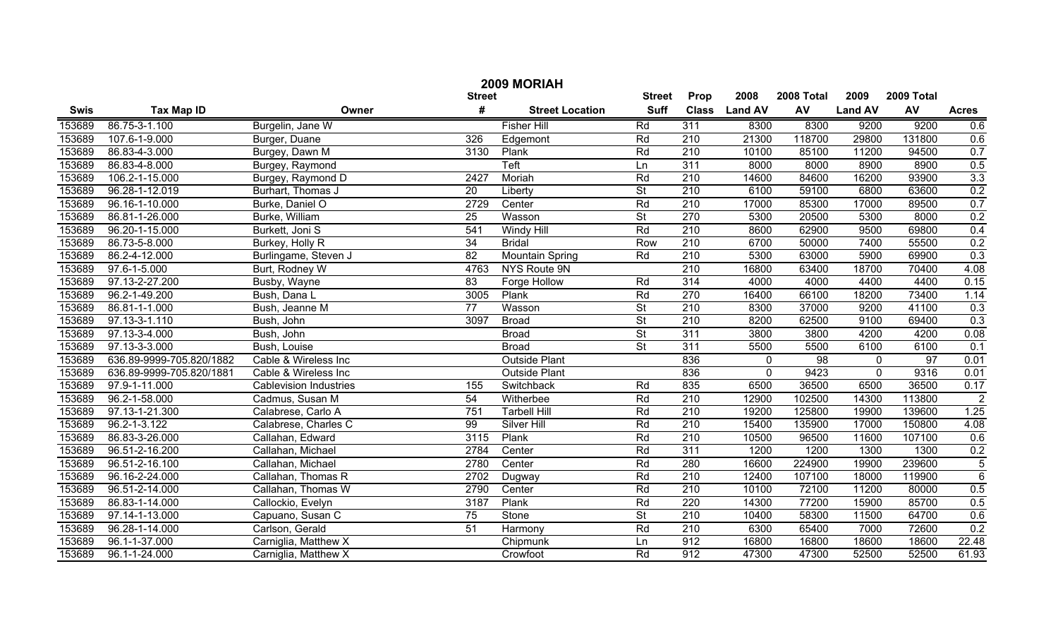|             | 2009 MORIAH              |                               |                 |                        |                          |                  |                |                 |                |            |                |  |
|-------------|--------------------------|-------------------------------|-----------------|------------------------|--------------------------|------------------|----------------|-----------------|----------------|------------|----------------|--|
|             |                          |                               | <b>Street</b>   |                        | <b>Street</b>            | Prop             | 2008           | 2008 Total      | 2009           | 2009 Total |                |  |
| <b>Swis</b> | <b>Tax Map ID</b>        | Owner                         | #               | <b>Street Location</b> | <b>Suff</b>              | <b>Class</b>     | <b>Land AV</b> | AV              | <b>Land AV</b> | AV         | <b>Acres</b>   |  |
| 153689      | 86.75-3-1.100            | Burgelin, Jane W              |                 | <b>Fisher Hill</b>     | Rd                       | 311              | 8300           | 8300            | 9200           | 9200       | 0.6            |  |
| 153689      | 107.6-1-9.000            | Burger, Duane                 | 326             | Edgemont               | Rd                       | $\overline{210}$ | 21300          | 118700          | 29800          | 131800     | 0.6            |  |
| 153689      | 86.83-4-3.000            | Burgey, Dawn M                | 3130            | Plank                  | Rd                       | 210              | 10100          | 85100           | 11200          | 94500      | 0.7            |  |
| 153689      | 86.83-4-8.000            | Burgey, Raymond               |                 | Teft                   | Ln                       | 311              | 8000           | 8000            | 8900           | 8900       | 0.5            |  |
| 153689      | 106.2-1-15.000           | Burgey, Raymond D             | 2427            | Moriah                 | Rd                       | 210              | 14600          | 84600           | 16200          | 93900      | 3.3            |  |
| 153689      | 96.28-1-12.019           | Burhart, Thomas J             | $\overline{20}$ | Liberty                | $\overline{\mathsf{St}}$ | 210              | 6100           | 59100           | 6800           | 63600      | 0.2            |  |
| 153689      | 96.16-1-10.000           | Burke, Daniel O               | 2729            | Center                 | Rd                       | 210              | 17000          | 85300           | 17000          | 89500      | 0.7            |  |
| 153689      | 86.81-1-26.000           | Burke, William                | 25              | Wasson                 | $\overline{\mathsf{St}}$ | 270              | 5300           | 20500           | 5300           | 8000       | 0.2            |  |
| 153689      | 96.20-1-15.000           | Burkett, Joni S               | 541             | <b>Windy Hill</b>      | Rd                       | 210              | 8600           | 62900           | 9500           | 69800      | 0.4            |  |
| 153689      | 86.73-5-8.000            | Burkey, Holly R               | 34              | <b>Bridal</b>          | Row                      | $\overline{210}$ | 6700           | 50000           | 7400           | 55500      | 0.2            |  |
| 153689      | 86.2-4-12.000            | Burlingame, Steven J          | 82              | Mountain Spring        | Rd                       | $\overline{210}$ | 5300           | 63000           | 5900           | 69900      | 0.3            |  |
| 153689      | 97.6-1-5.000             | Burt, Rodney W                | 4763            | NYS Route 9N           |                          | $\overline{210}$ | 16800          | 63400           | 18700          | 70400      | 4.08           |  |
| 153689      | 97.13-2-27.200           | Busby, Wayne                  | 83              | Forge Hollow           | Rd                       | 314              | 4000           | 4000            | 4400           | 4400       | 0.15           |  |
| 153689      | 96.2-1-49.200            | Bush, Dana L                  | 3005            | Plank                  | Rd                       | 270              | 16400          | 66100           | 18200          | 73400      | 1.14           |  |
| 153689      | 86.81-1-1.000            | Bush, Jeanne M                | $\overline{77}$ | Wasson                 | $\overline{\mathsf{St}}$ | $\overline{210}$ | 8300           | 37000           | 9200           | 41100      | 0.3            |  |
| 153689      | 97.13-3-1.110            | Bush, John                    | 3097            | <b>Broad</b>           | $\overline{\mathsf{St}}$ | $\overline{210}$ | 8200           | 62500           | 9100           | 69400      | 0.3            |  |
| 153689      | 97.13-3-4.000            | Bush, John                    |                 | <b>Broad</b>           | $\overline{\mathsf{St}}$ | 311              | 3800           | 3800            | 4200           | 4200       | 0.08           |  |
| 153689      | 97.13-3-3.000            | Bush, Louise                  |                 | <b>Broad</b>           | $\overline{\mathsf{St}}$ | 311              | 5500           | 5500            | 6100           | 6100       | 0.1            |  |
| 153689      | 636.89-9999-705.820/1882 | Cable & Wireless Inc          |                 | <b>Outside Plant</b>   |                          | 836              | $\mathbf 0$    | $\overline{98}$ | $\mathbf{0}$   | 97         | 0.01           |  |
| 153689      | 636.89-9999-705.820/1881 | Cable & Wireless Inc          |                 | <b>Outside Plant</b>   |                          | 836              | $\mathbf 0$    | 9423            | $\Omega$       | 9316       | 0.01           |  |
| 153689      | 97.9-1-11.000            | <b>Cablevision Industries</b> | 155             | Switchback             | Rd                       | 835              | 6500           | 36500           | 6500           | 36500      | 0.17           |  |
| 153689      | 96.2-1-58.000            | Cadmus, Susan M               | 54              | Witherbee              | Rd                       | 210              | 12900          | 102500          | 14300          | 113800     | $\overline{2}$ |  |
| 153689      | 97.13-1-21.300           | Calabrese, Carlo A            | 751             | <b>Tarbell Hill</b>    | Rd                       | 210              | 19200          | 125800          | 19900          | 139600     | 1.25           |  |
| 153689      | 96.2-1-3.122             | Calabrese, Charles C          | 99              | Silver Hill            | Rd                       | 210              | 15400          | 135900          | 17000          | 150800     | 4.08           |  |
| 153689      | 86.83-3-26.000           | Callahan, Edward              | 3115            | Plank                  | Rd                       | 210              | 10500          | 96500           | 11600          | 107100     | 0.6            |  |
| 153689      | 96.51-2-16.200           | Callahan, Michael             | 2784            | Center                 | Rd                       | 311              | 1200           | 1200            | 1300           | 1300       | 0.2            |  |
| 153689      | 96.51-2-16.100           | Callahan, Michael             | 2780            | Center                 | Rd                       | 280              | 16600          | 224900          | 19900          | 239600     | $\overline{5}$ |  |
| 153689      | 96.16-2-24.000           | Callahan, Thomas R            | 2702            | Dugway                 | Rd                       | 210              | 12400          | 107100          | 18000          | 119900     | 6              |  |
| 153689      | 96.51-2-14.000           | Callahan, Thomas W            | 2790            | Center                 | Rd                       | 210              | 10100          | 72100           | 11200          | 80000      | 0.5            |  |
| 153689      | 86.83-1-14.000           | Callockio, Evelyn             | 3187            | Plank                  | Rd                       | $\overline{220}$ | 14300          | 77200           | 15900          | 85700      | 0.5            |  |
| 153689      | 97.14-1-13.000           | Capuano, Susan C              | $\overline{75}$ | Stone                  | $\overline{\mathsf{St}}$ | $\overline{210}$ | 10400          | 58300           | 11500          | 64700      | 0.6            |  |
| 153689      | 96.28-1-14.000           | Carlson, Gerald               | 51              | Harmony                | Rd                       | $\overline{210}$ | 6300           | 65400           | 7000           | 72600      | 0.2            |  |
| 153689      | 96.1-1-37.000            | Carniglia, Matthew X          |                 | Chipmunk               | Ln                       | 912              | 16800          | 16800           | 18600          | 18600      | 22.48          |  |
| 153689      | 96.1-1-24.000            | Carniglia, Matthew X          |                 | Crowfoot               | Rd                       | 912              | 47300          | 47300           | 52500          | 52500      | 61.93          |  |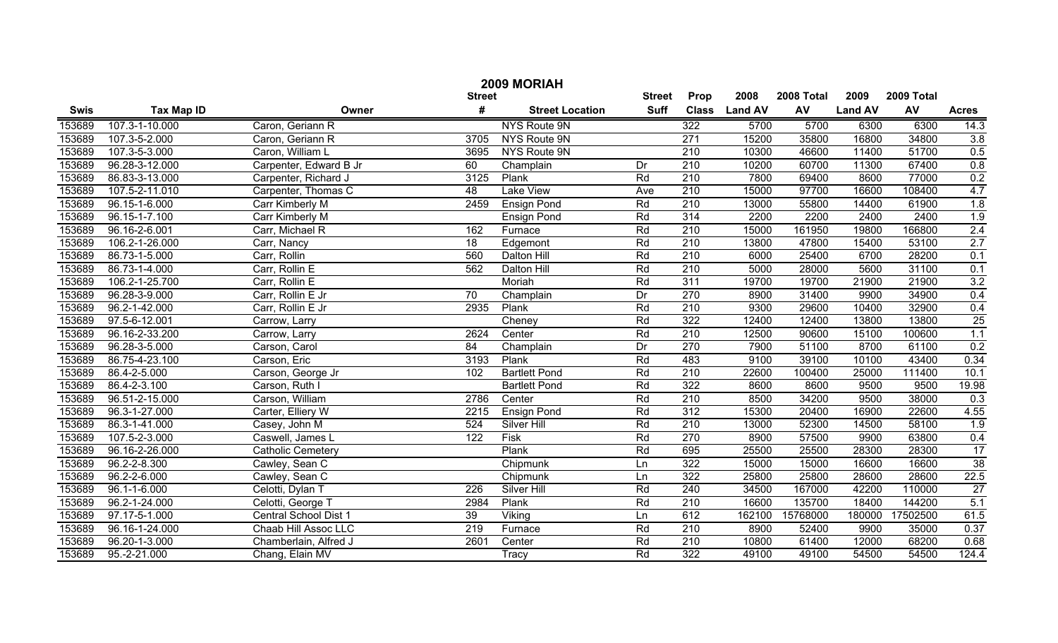|        | 2009 MORIAH         |                              |                  |                            |                 |                  |               |            |                |            |                  |  |
|--------|---------------------|------------------------------|------------------|----------------------------|-----------------|------------------|---------------|------------|----------------|------------|------------------|--|
|        |                     |                              | <b>Street</b>    |                            | <b>Street</b>   | Prop             | 2008          | 2008 Total | 2009           | 2009 Total |                  |  |
| Swis   | <b>Tax Map ID</b>   | Owner                        | #                | <b>Street Location</b>     | <b>Suff</b>     |                  | Class Land AV | AV         | <b>Land AV</b> | AV         | <b>Acres</b>     |  |
| 153689 | 107.3-1-10.000      | Caron, Geriann R             |                  | NYS Route 9N               |                 | 322              | 5700          | 5700       | 6300           | 6300       | 14.3             |  |
| 153689 | 107.3-5-2.000       | Caron, Geriann R             | 3705             | NYS Route 9N               |                 | 271              | 15200         | 35800      | 16800          | 34800      | 3.8              |  |
| 153689 | 107.3-5-3.000       | Caron, William L             | 3695             | NYS Route 9N               |                 | $\overline{210}$ | 10300         | 46600      | 11400          | 51700      | 0.5              |  |
| 153689 | 96.28-3-12.000      | Carpenter, Edward B Jr       | 60               | Champlain                  | Dr              | $\overline{210}$ | 10200         | 60700      | 11300          | 67400      | 0.8              |  |
| 153689 | 86.83-3-13.000      | Carpenter, Richard J         | 3125             | Plank                      | Rd              | 210              | 7800          | 69400      | 8600           | 77000      | 0.2              |  |
| 153689 | 107.5-2-11.010      | Carpenter, Thomas C          | $\overline{48}$  | <b>Lake View</b>           | Ave             | 210              | 15000         | 97700      | 16600          | 108400     | 4.7              |  |
| 153689 | 96.15-1-6.000       | Carr Kimberly M              | 2459             | <b>Ensign Pond</b>         | Rd              | 210              | 13000         | 55800      | 14400          | 61900      | 1.8              |  |
| 153689 | 96.15-1-7.100       | Carr Kimberly M              |                  | <b>Ensign Pond</b>         | Rd              | 314              | 2200          | 2200       | 2400           | 2400       | 1.9              |  |
| 153689 | 96.16-2-6.001       | Carr, Michael R              | 162              | Furnace                    | Rd              | 210              | 15000         | 161950     | 19800          | 166800     | 2.4              |  |
| 153689 | 106.2-1-26.000      | Carr, Nancy                  | 18               | Edgemont                   | Rd              | 210              | 13800         | 47800      | 15400          | 53100      | 2.7              |  |
| 153689 | 86.73-1-5.000       | Carr, Rollin                 | 560              | Dalton Hill                | Rd              | 210              | 6000          | 25400      | 6700           | 28200      | 0.1              |  |
| 153689 | 86.73-1-4.000       | Carr, Rollin E               | 562              | Dalton Hill                | Rd              | 210              | 5000          | 28000      | 5600           | 31100      | 0.1              |  |
| 153689 | 106.2-1-25.700      | Carr, Rollin E               |                  | Moriah                     | Rd              | 311              | 19700         | 19700      | 21900          | 21900      | 3.2              |  |
| 153689 | 96.28-3-9.000       | Carr, Rollin E Jr            | $\overline{70}$  | Champlain                  | $\overline{Dr}$ | $\overline{270}$ | 8900          | 31400      | 9900           | 34900      | 0.4              |  |
| 153689 | $96.2 - 1 - 42.000$ | Carr, Rollin E Jr            | 2935             | Plank                      | Rd              | 210              | 9300          | 29600      | 10400          | 32900      | 0.4              |  |
| 153689 | 97.5-6-12.001       | Carrow, Larry                |                  | Cheney                     | Rd              | 322              | 12400         | 12400      | 13800          | 13800      | 25               |  |
| 153689 | 96.16-2-33.200      | Carrow, Larry                | 2624             | Center                     | Rd              | $\overline{210}$ | 12500         | 90600      | 15100          | 100600     | 1.1              |  |
| 153689 | 96.28-3-5.000       | Carson, Carol                | 84               | Champlain                  | Dr              | 270              | 7900          | 51100      | 8700           | 61100      | 0.2              |  |
| 153689 | 86.75-4-23.100      | Carson, Eric                 | 3193             | Plank                      | Rd              | 483              | 9100          | 39100      | 10100          | 43400      | 0.34             |  |
| 153689 | 86.4-2-5.000        | Carson, George Jr            | 102              | <b>Bartlett Pond</b>       | Rd              | $\overline{210}$ | 22600         | 100400     | 25000          | 111400     | 10.1             |  |
| 153689 | 86.4-2-3.100        | Carson, Ruth I               |                  | <b>Bartlett Pond</b>       | Rd              | 322              | 8600          | 8600       | 9500           | 9500       | 19.98            |  |
| 153689 | 96.51-2-15.000      | Carson, William              | 2786             | Center                     | Rd              | 210              | 8500          | 34200      | 9500           | 38000      | 0.3              |  |
| 153689 | 96.3-1-27.000       | Carter, Elliery W            | 2215             | Ensign Pond                | Rd              | 312              | 15300         | 20400      | 16900          | 22600      | 4.55             |  |
| 153689 | 86.3-1-41.000       | Casey, John M                | 524              | <b>Silver Hill</b>         | Rd              | $\overline{210}$ | 13000         | 52300      | 14500          | 58100      | $\overline{1.9}$ |  |
| 153689 | 107.5-2-3.000       | Caswell, James L             | $\overline{122}$ | Fisk                       | Rd              | 270              | 8900          | 57500      | 9900           | 63800      | 0.4              |  |
| 153689 | 96.16-2-26.000      | <b>Catholic Cemetery</b>     |                  | Plank                      | Rd              | 695              | 25500         | 25500      | 28300          | 28300      | 17               |  |
| 153689 | 96.2-2-8.300        | Cawley, Sean C               |                  | Chipmunk                   | Ln              | 322              | 15000         | 15000      | 16600          | 16600      | 38               |  |
| 153689 | $96.2 - 2 - 6.000$  | Cawley, Sean C               |                  | Chipmunk                   | Ln              | 322              | 25800         | 25800      | 28600          | 28600      | 22.5             |  |
| 153689 | $96.1 - 1 - 6.000$  | Celotti, Dylan T             | 226              | Silver Hill                | Rd              | 240              | 34500         | 167000     | 42200          | 110000     | $\overline{27}$  |  |
| 153689 | 96.2-1-24.000       | Celotti, George T            | 2984             | Plank                      | Rd              | 210              | 16600         | 135700     | 18400          | 144200     | 5.1              |  |
| 153689 | 97.17-5-1.000       | <b>Central School Dist 1</b> | $\overline{39}$  | Viking                     | Ln              | 612              | 162100        | 15768000   | 180000         | 17502500   | 61.5             |  |
| 153689 | 96.16-1-24.000      | Chaab Hill Assoc LLC         | 219              | Furnace                    | Rd              | 210              | 8900          | 52400      | 9900           | 35000      | 0.37             |  |
| 153689 | 96.20-1-3.000       | Chamberlain, Alfred J        | 2601             | Center                     | Rd              | $\overline{210}$ | 10800         | 61400      | 12000          | 68200      | 0.68             |  |
| 153689 | 95.-2-21.000        | Chang, Elain MV              |                  | $\overline{\text{Tr}}$ acy | Rd              | 322              | 49100         | 49100      | 54500          | 54500      | 124.4            |  |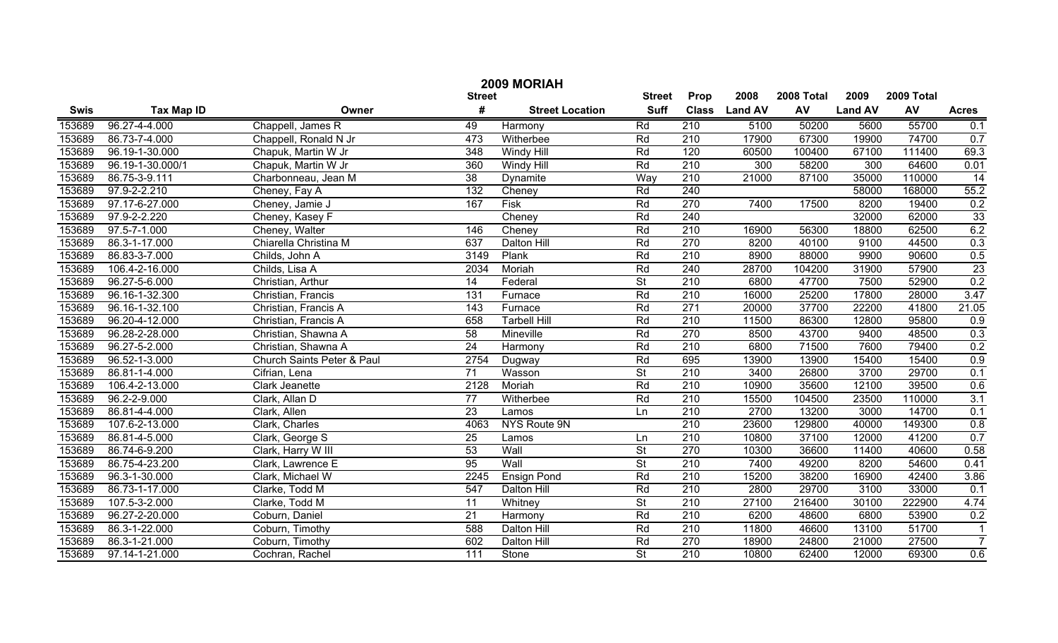| 2009 MORIAH |                   |                            |                 |                        |                          |                  |                |            |                |            |                 |  |
|-------------|-------------------|----------------------------|-----------------|------------------------|--------------------------|------------------|----------------|------------|----------------|------------|-----------------|--|
|             |                   |                            | <b>Street</b>   |                        | <b>Street</b>            | Prop             | 2008           | 2008 Total | 2009           | 2009 Total |                 |  |
| <b>Swis</b> | <b>Tax Map ID</b> | Owner                      | #               | <b>Street Location</b> | <b>Suff</b>              | <b>Class</b>     | <b>Land AV</b> | AV         | <b>Land AV</b> | AV         | <b>Acres</b>    |  |
| 153689      | 96.27-4-4.000     | Chappell, James R          | 49              | Harmony                | Rd                       | 210              | 5100           | 50200      | 5600           | 55700      | 0.1             |  |
| 153689      | 86.73-7-4.000     | Chappell, Ronald N Jr      | 473             | Witherbee              | Rd                       | 210              | 17900          | 67300      | 19900          | 74700      | 0.7             |  |
| 153689      | 96.19-1-30.000    | Chapuk, Martin W Jr        | 348             | <b>Windy Hill</b>      | Rd                       | 120              | 60500          | 100400     | 67100          | 111400     | 69.3            |  |
| 153689      | 96.19-1-30.000/1  | Chapuk, Martin W Jr        | 360             | <b>Windy Hill</b>      | Rd                       | 210              | 300            | 58200      | 300            | 64600      | 0.01            |  |
| 153689      | 86.75-3-9.111     | Charbonneau, Jean M        | 38              | Dynamite               | Way                      | 210              | 21000          | 87100      | 35000          | 110000     | 14              |  |
| 153689      | 97.9-2-2.210      | Cheney, Fay A              | 132             | Cheney                 | Rd                       | 240              |                |            | 58000          | 168000     | 55.2            |  |
| 153689      | 97.17-6-27.000    | Cheney, Jamie J            | 167             | <b>Fisk</b>            | Rd                       | 270              | 7400           | 17500      | 8200           | 19400      | 0.2             |  |
| 153689      | 97.9-2-2.220      | Cheney, Kasey F            |                 | Cheney                 | Rd                       | 240              |                |            | 32000          | 62000      | 33              |  |
| 153689      | 97.5-7-1.000      | Cheney, Walter             | 146             | Cheney                 | Rd                       | 210              | 16900          | 56300      | 18800          | 62500      | 6.2             |  |
| 153689      | 86.3-1-17.000     | Chiarella Christina M      | 637             | Dalton Hill            | Rd                       | 270              | 8200           | 40100      | 9100           | 44500      | 0.3             |  |
| 153689      | 86.83-3-7.000     | Childs, John A             | 3149            | Plank                  | Rd                       | 210              | 8900           | 88000      | 9900           | 90600      | 0.5             |  |
| 153689      | 106.4-2-16.000    | Childs, Lisa A             | 2034            | Moriah                 | Rd                       | 240              | 28700          | 104200     | 31900          | 57900      | $\overline{23}$ |  |
| 153689      | 96.27-5-6.000     | Christian, Arthur          | 14              | Federal                | $\overline{\mathsf{St}}$ | 210              | 6800           | 47700      | 7500           | 52900      | 0.2             |  |
| 153689      | 96.16-1-32.300    | Christian, Francis         | 131             | Furnace                | Rd                       | 210              | 16000          | 25200      | 17800          | 28000      | 3.47            |  |
| 153689      | 96.16-1-32.100    | Christian, Francis A       | 143             | Furnace                | Rd                       | 271              | 20000          | 37700      | 22200          | 41800      | 21.05           |  |
| 153689      | 96.20-4-12.000    | Christian, Francis A       | 658             | <b>Tarbell Hill</b>    | Rd                       | 210              | 11500          | 86300      | 12800          | 95800      | 0.9             |  |
| 153689      | 96.28-2-28.000    | Christian, Shawna A        | 58              | Mineville              | Rd                       | 270              | 8500           | 43700      | 9400           | 48500      | 0.3             |  |
| 153689      | 96.27-5-2.000     | Christian, Shawna A        | 24              | Harmony                | Rd                       | 210              | 6800           | 71500      | 7600           | 79400      | 0.2             |  |
| 153689      | 96.52-1-3.000     | Church Saints Peter & Paul | 2754            | Dugway                 | Rd                       | 695              | 13900          | 13900      | 15400          | 15400      | 0.9             |  |
| 153689      | 86.81-1-4.000     | Cifrian, Lena              | 71              | Wasson                 | $\overline{\mathsf{St}}$ | 210              | 3400           | 26800      | 3700           | 29700      | 0.1             |  |
| 153689      | 106.4-2-13.000    | Clark Jeanette             | 2128            | Moriah                 | Rd                       | 210              | 10900          | 35600      | 12100          | 39500      | 0.6             |  |
| 153689      | 96.2-2-9.000      | Clark, Allan D             | 77              | Witherbee              | Rd                       | 210              | 15500          | 104500     | 23500          | 110000     | 3.1             |  |
| 153689      | 86.81-4-4.000     | Clark, Allen               | 23              | Lamos                  | Ln                       | 210              | 2700           | 13200      | 3000           | 14700      | 0.1             |  |
| 153689      | 107.6-2-13.000    | Clark, Charles             | 4063            | NYS Route 9N           |                          | $\overline{210}$ | 23600          | 129800     | 40000          | 149300     | 0.8             |  |
| 153689      | 86.81-4-5.000     | Clark, George S            | 25              | Lamos                  | Ln                       | 210              | 10800          | 37100      | 12000          | 41200      | 0.7             |  |
| 153689      | 86.74-6-9.200     | Clark, Harry W III         | $\overline{53}$ | Wall                   | $\overline{\mathsf{St}}$ | 270              | 10300          | 36600      | 11400          | 40600      | 0.58            |  |
| 153689      | 86.75-4-23.200    | Clark, Lawrence E          | $\overline{95}$ | Wall                   | $\overline{\mathsf{St}}$ | 210              | 7400           | 49200      | 8200           | 54600      | 0.41            |  |
| 153689      | 96.3-1-30.000     | Clark, Michael W           | 2245            | <b>Ensign Pond</b>     | Rd                       | 210              | 15200          | 38200      | 16900          | 42400      | 3.86            |  |
| 153689      | 86.73-1-17.000    | Clarke, Todd M             | 547             | Dalton Hill            | Rd                       | 210              | 2800           | 29700      | 3100           | 33000      | 0.1             |  |
| 153689      | 107.5-3-2.000     | Clarke, Todd M             | 11              | Whitney                | $\overline{\mathsf{St}}$ | $\overline{210}$ | 27100          | 216400     | 30100          | 222900     | 4.74            |  |
| 153689      | 96.27-2-20.000    | Coburn, Daniel             | 21              | Harmony                | Rd                       | $\overline{210}$ | 6200           | 48600      | 6800           | 53900      | 0.2             |  |
| 153689      | 86.3-1-22.000     | Coburn, Timothy            | 588             | Dalton Hill            | Rd                       | $\overline{210}$ | 11800          | 46600      | 13100          | 51700      | $\overline{1}$  |  |
| 153689      | 86.3-1-21.000     | Coburn, Timothy            | 602             | Dalton Hill            | Rd                       | 270              | 18900          | 24800      | 21000          | 27500      | $\overline{7}$  |  |
| 153689      | 97.14-1-21.000    | Cochran, Rachel            | 111             | Stone                  | $\overline{\mathsf{St}}$ | $\overline{210}$ | 10800          | 62400      | 12000          | 69300      | 0.6             |  |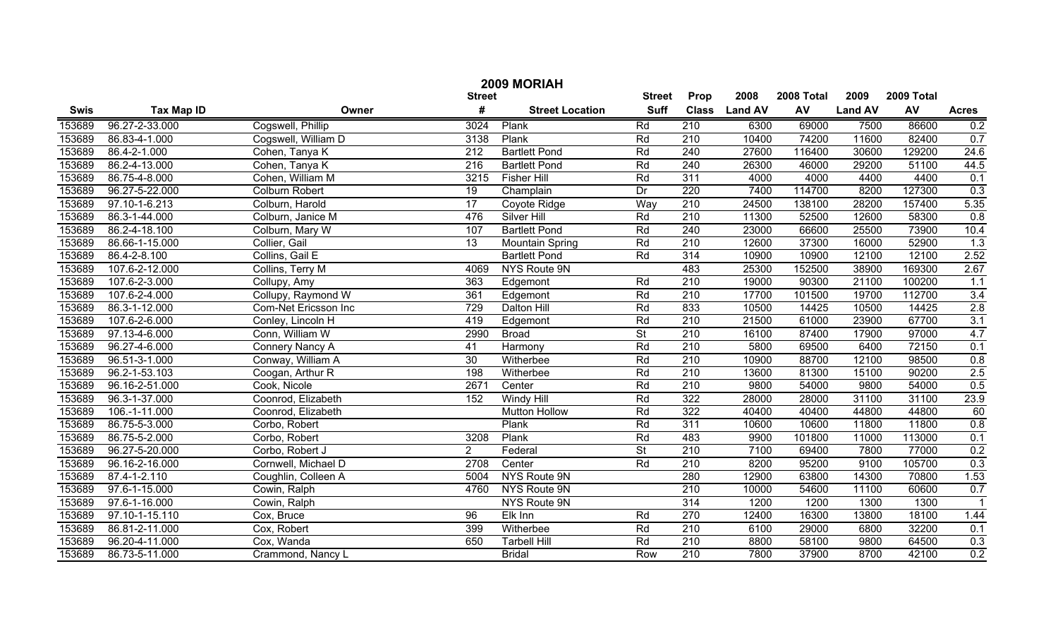|        | 2009 MORIAH         |                       |                  |                        |                          |                  |                |            |                |            |                         |  |  |
|--------|---------------------|-----------------------|------------------|------------------------|--------------------------|------------------|----------------|------------|----------------|------------|-------------------------|--|--|
|        |                     |                       | <b>Street</b>    |                        | <b>Street</b>            | Prop             | 2008           | 2008 Total | 2009           | 2009 Total |                         |  |  |
| Swis   | <b>Tax Map ID</b>   | Owner                 | #                | <b>Street Location</b> | <b>Suff</b>              | <b>Class</b>     | <b>Land AV</b> | AV         | <b>Land AV</b> | AV         | <b>Acres</b>            |  |  |
| 153689 | 96.27-2-33.000      | Cogswell, Phillip     | 3024             | Plank                  | Rd                       | 210              | 6300           | 69000      | 7500           | 86600      | 0.2                     |  |  |
| 153689 | 86.83-4-1.000       | Cogswell, William D   | 3138             | Plank                  | Rd                       | $\overline{210}$ | 10400          | 74200      | 11600          | 82400      | 0.7                     |  |  |
| 153689 | 86.4-2-1.000        | Cohen, Tanya K        | $\overline{212}$ | <b>Bartlett Pond</b>   | Rd                       | 240              | 27600          | 116400     | 30600          | 129200     | 24.6                    |  |  |
| 153689 | 86.2-4-13.000       | Cohen, Tanya K        | $\overline{216}$ | <b>Bartlett Pond</b>   | Rd                       | 240              | 26300          | 46000      | 29200          | 51100      | 44.5                    |  |  |
| 153689 | 86.75-4-8.000       | Cohen, William M      | 3215             | <b>Fisher Hill</b>     | Rd                       | 311              | 4000           | 4000       | 4400           | 4400       | 0.1                     |  |  |
| 153689 | 96.27-5-22.000      | <b>Colburn Robert</b> | 19               | Champlain              | Dr                       | 220              | 7400           | 114700     | 8200           | 127300     | 0.3                     |  |  |
| 153689 | 97.10-1-6.213       | Colburn, Harold       | $\overline{17}$  | Coyote Ridge           | Way                      | 210              | 24500          | 138100     | 28200          | 157400     | 5.35                    |  |  |
| 153689 | 86.3-1-44.000       | Colburn, Janice M     | 476              | Silver Hill            | Rd                       | 210              | 11300          | 52500      | 12600          | 58300      | 0.8                     |  |  |
| 153689 | 86.2-4-18.100       | Colburn, Mary W       | 107              | <b>Bartlett Pond</b>   | Rd                       | 240              | 23000          | 66600      | 25500          | 73900      | 10.4                    |  |  |
| 153689 | 86.66-1-15.000      | Collier, Gail         | 13               | <b>Mountain Spring</b> | Rd                       | 210              | 12600          | 37300      | 16000          | 52900      | 1.3                     |  |  |
| 153689 | 86.4-2-8.100        | Collins, Gail E       |                  | <b>Bartlett Pond</b>   | Rd                       | 314              | 10900          | 10900      | 12100          | 12100      | 2.52                    |  |  |
| 153689 | 107.6-2-12.000      | Collins, Terry M      | 4069             | NYS Route 9N           |                          | 483              | 25300          | 152500     | 38900          | 169300     | 2.67                    |  |  |
| 153689 | 107.6-2-3.000       | Collupy, Amy          | 363              | Edgemont               | Rd                       | 210              | 19000          | 90300      | 21100          | 100200     | 1.1                     |  |  |
| 153689 | 107.6-2-4.000       | Collupy, Raymond W    | 361              | Edgemont               | Rd                       | $\overline{210}$ | 17700          | 101500     | 19700          | 112700     | 3.4                     |  |  |
| 153689 | $86.3 - 1 - 12.000$ | Com-Net Ericsson Inc  | 729              | Dalton Hill            | Rd                       | 833              | 10500          | 14425      | 10500          | 14425      | 2.8                     |  |  |
| 153689 | 107.6-2-6.000       | Conley, Lincoln H     | 419              | Edgemont               | Rd                       | 210              | 21500          | 61000      | 23900          | 67700      | 3.1                     |  |  |
| 153689 | 97.13-4-6.000       | Conn, William W       | 2990             | <b>Broad</b>           | $\overline{\mathsf{St}}$ | $\overline{210}$ | 16100          | 87400      | 17900          | 97000      | 4.7                     |  |  |
| 153689 | 96.27-4-6.000       | Connery Nancy A       | 41               | Harmony                | Rd                       | $\overline{210}$ | 5800           | 69500      | 6400           | 72150      | 0.1                     |  |  |
| 153689 | 96.51-3-1.000       | Conway, William A     | $\overline{30}$  | Witherbee              | Rd                       | $\overline{210}$ | 10900          | 88700      | 12100          | 98500      | 0.8                     |  |  |
| 153689 | 96.2-1-53.103       | Coogan, Arthur R      | 198              | Witherbee              | Rd                       | $\overline{210}$ | 13600          | 81300      | 15100          | 90200      | 2.5                     |  |  |
| 153689 | 96.16-2-51.000      | Cook, Nicole          | 2671             | Center                 | Rd                       | $\overline{210}$ | 9800           | 54000      | 9800           | 54000      | 0.5                     |  |  |
| 153689 | 96.3-1-37.000       | Coonrod, Elizabeth    | 152              | <b>Windy Hill</b>      | Rd                       | 322              | 28000          | 28000      | 31100          | 31100      | 23.9                    |  |  |
| 153689 | 106.-1-11.000       | Coonrod, Elizabeth    |                  | <b>Mutton Hollow</b>   | Rd                       | 322              | 40400          | 40400      | 44800          | 44800      | 60                      |  |  |
| 153689 | 86.75-5-3.000       | Corbo, Robert         |                  | Plank                  | Rd                       | 311              | 10600          | 10600      | 11800          | 11800      | 0.8                     |  |  |
| 153689 | 86.75-5-2.000       | Corbo, Robert         | 3208             | Plank                  | Rd                       | 483              | 9900           | 101800     | 11000          | 113000     | 0.1                     |  |  |
| 153689 | 96.27-5-20.000      | Corbo, Robert J       | $\overline{2}$   | Federal                | $\overline{\mathsf{St}}$ | 210              | 7100           | 69400      | 7800           | 77000      | 0.2                     |  |  |
| 153689 | 96.16-2-16.000      | Cornwell, Michael D   | 2708             | Center                 | Rd                       | $\overline{210}$ | 8200           | 95200      | 9100           | 105700     | 0.3                     |  |  |
| 153689 | 87.4-1-2.110        | Coughlin, Colleen A   | 5004             | NYS Route 9N           |                          | 280              | 12900          | 63800      | 14300          | 70800      | 1.53                    |  |  |
| 153689 | 97.6-1-15.000       | Cowin, Ralph          | 4760             | NYS Route 9N           |                          | $\overline{210}$ | 10000          | 54600      | 11100          | 60600      | 0.7                     |  |  |
| 153689 | 97.6-1-16.000       | Cowin, Ralph          |                  | NYS Route 9N           |                          | 314              | 1200           | 1200       | 1300           | 1300       | $\overline{\mathbf{1}}$ |  |  |
| 153689 | 97.10-1-15.110      | Cox, Bruce            | 96               | Elk Inn                | Rd                       | 270              | 12400          | 16300      | 13800          | 18100      | 1.44                    |  |  |
| 153689 | 86.81-2-11.000      | Cox, Robert           | 399              | Witherbee              | Rd                       | 210              | 6100           | 29000      | 6800           | 32200      | 0.1                     |  |  |
| 153689 | 96.20-4-11.000      | Cox, Wanda            | 650              | <b>Tarbell Hill</b>    | Rd                       | 210              | 8800           | 58100      | 9800           | 64500      | 0.3                     |  |  |
| 153689 | 86.73-5-11.000      | Crammond, Nancy L     |                  | <b>Bridal</b>          | Row                      | 210              | 7800           | 37900      | 8700           | 42100      | 0.2                     |  |  |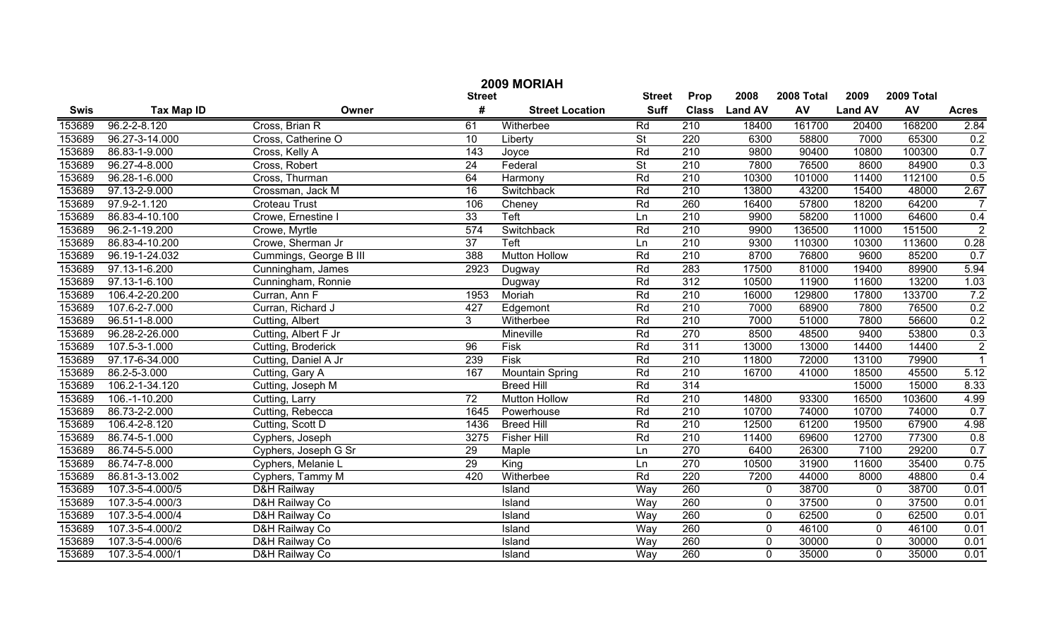|             | 2009 MORIAH        |                        |                 |                        |                          |              |                |            |                |            |                |  |
|-------------|--------------------|------------------------|-----------------|------------------------|--------------------------|--------------|----------------|------------|----------------|------------|----------------|--|
|             |                    |                        | <b>Street</b>   |                        | <b>Street</b>            | Prop         | 2008           | 2008 Total | 2009           | 2009 Total |                |  |
| <b>Swis</b> | <b>Tax Map ID</b>  | Owner                  | #               | <b>Street Location</b> | <b>Suff</b>              | <b>Class</b> | <b>Land AV</b> | <b>AV</b>  | <b>Land AV</b> | AV         | <b>Acres</b>   |  |
| 153689      | $96.2 - 2 - 8.120$ | Cross, Brian R         | 61              | Witherbee              | Rd                       | 210          | 18400          | 161700     | 20400          | 168200     | 2.84           |  |
| 153689      | 96.27-3-14.000     | Cross, Catherine O     | $\overline{10}$ | Liberty                | $\overline{St}$          | 220          | 6300           | 58800      | 7000           | 65300      | 0.2            |  |
| 153689      | 86.83-1-9.000      | Cross, Kelly A         | 143             | Joyce                  | Rd                       | 210          | 9800           | 90400      | 10800          | 100300     | 0.7            |  |
| 153689      | 96.27-4-8.000      | Cross, Robert          | $\overline{24}$ | Federal                | $\overline{\mathsf{St}}$ | 210          | 7800           | 76500      | 8600           | 84900      | 0.3            |  |
| 153689      | 96.28-1-6.000      | Cross, Thurman         | 64              | Harmony                | Rd                       | 210          | 10300          | 101000     | 11400          | 112100     | 0.5            |  |
| 153689      | 97.13-2-9.000      | Crossman, Jack M       | $\overline{16}$ | Switchback             | Rd                       | 210          | 13800          | 43200      | 15400          | 48000      | 2.67           |  |
| 153689      | 97.9-2-1.120       | <b>Croteau Trust</b>   | 106             | Cheney                 | Rd                       | 260          | 16400          | 57800      | 18200          | 64200      |                |  |
| 153689      | 86.83-4-10.100     | Crowe, Ernestine I     | 33              | <b>Teft</b>            | Ln                       | 210          | 9900           | 58200      | 11000          | 64600      | 0.4            |  |
| 153689      | 96.2-1-19.200      | Crowe, Myrtle          | 574             | Switchback             | Rd                       | 210          | 9900           | 136500     | 11000          | 151500     | $\overline{2}$ |  |
| 153689      | 86.83-4-10.200     | Crowe, Sherman Jr      | $\overline{37}$ | Teft                   | Ln                       | 210          | 9300           | 110300     | 10300          | 113600     | 0.28           |  |
| 153689      | 96.19-1-24.032     | Cummings, George B III | 388             | <b>Mutton Hollow</b>   | Rd                       | 210          | 8700           | 76800      | 9600           | 85200      | 0.7            |  |
| 153689      | 97.13-1-6.200      | Cunningham, James      | 2923            | Dugway                 | Rd                       | 283          | 17500          | 81000      | 19400          | 89900      | 5.94           |  |
| 153689      | 97.13-1-6.100      | Cunningham, Ronnie     |                 | Dugway                 | Rd                       | 312          | 10500          | 11900      | 11600          | 13200      | 1.03           |  |
| 153689      | 106.4-2-20.200     | Curran, Ann F          | 1953            | Moriah                 | Rd                       | 210          | 16000          | 129800     | 17800          | 133700     | 7.2            |  |
| 153689      | 107.6-2-7.000      | Curran, Richard J      | 427             | Edgemont               | Rd                       | 210          | 7000           | 68900      | 7800           | 76500      | 0.2            |  |
| 153689      | 96.51-1-8.000      | Cutting, Albert        | 3 <sup>1</sup>  | Witherbee              | Rd                       | 210          | 7000           | 51000      | 7800           | 56600      | 0.2            |  |
| 153689      | 96.28-2-26.000     | Cutting, Albert F Jr   |                 | Mineville              | Rd                       | 270          | 8500           | 48500      | 9400           | 53800      | 0.3            |  |
| 153689      | 107.5-3-1.000      | Cutting, Broderick     | 96              | Fisk                   | Rd                       | 311          | 13000          | 13000      | 14400          | 14400      | $\overline{2}$ |  |
| 153689      | 97.17-6-34.000     | Cutting, Daniel A Jr   | 239             | Fisk                   | Rd                       | 210          | 11800          | 72000      | 13100          | 79900      | $\overline{1}$ |  |
| 153689      | 86.2-5-3.000       | Cutting, Gary A        | 167             | <b>Mountain Spring</b> | Rd                       | 210          | 16700          | 41000      | 18500          | 45500      | 5.12           |  |
| 153689      | 106.2-1-34.120     | Cutting, Joseph M      |                 | <b>Breed Hill</b>      | Rd                       | 314          |                |            | 15000          | 15000      | 8.33           |  |
| 153689      | 106.-1-10.200      | Cutting, Larry         | $\overline{72}$ | <b>Mutton Hollow</b>   | Rd                       | 210          | 14800          | 93300      | 16500          | 103600     | 4.99           |  |
| 153689      | 86.73-2-2.000      | Cutting, Rebecca       | 1645            | Powerhouse             | Rd                       | 210          | 10700          | 74000      | 10700          | 74000      | 0.7            |  |
| 153689      | 106.4-2-8.120      | Cutting, Scott D       | 1436            | <b>Breed Hill</b>      | Rd                       | 210          | 12500          | 61200      | 19500          | 67900      | 4.98           |  |
| 153689      | 86.74-5-1.000      | Cyphers, Joseph        | 3275            | <b>Fisher Hill</b>     | Rd                       | 210          | 11400          | 69600      | 12700          | 77300      | 0.8            |  |
| 153689      | 86.74-5-5.000      | Cyphers, Joseph G Sr   | 29              | Maple                  | Ln                       | 270          | 6400           | 26300      | 7100           | 29200      | 0.7            |  |
| 153689      | 86.74-7-8.000      | Cyphers, Melanie L     | $\overline{29}$ | King                   | Ln                       | 270          | 10500          | 31900      | 11600          | 35400      | 0.75           |  |
| 153689      | 86.81-3-13.002     | Cyphers, Tammy M       | 420             | Witherbee              | Rd                       | 220          | 7200           | 44000      | 8000           | 48800      | 0.4            |  |
| 153689      | 107.3-5-4.000/5    | D&H Railway            |                 | Island                 | Way                      | 260          | 0              | 38700      | $\mathbf 0$    | 38700      | 0.01           |  |
| 153689      | 107.3-5-4.000/3    | D&H Railway Co         |                 | Island                 | Way                      | 260          | $\mathbf 0$    | 37500      | $\mathbf 0$    | 37500      | 0.01           |  |
| 153689      | 107.3-5-4.000/4    | D&H Railway Co         |                 | Island                 | Way                      | 260          | $\mathbf 0$    | 62500      | $\mathbf 0$    | 62500      | 0.01           |  |
| 153689      | 107.3-5-4.000/2    | D&H Railway Co         |                 | Island                 | Way                      | 260          | $\mathbf 0$    | 46100      | $\mathbf 0$    | 46100      | 0.01           |  |
| 153689      | 107.3-5-4.000/6    | D&H Railway Co         |                 | Island                 | Way                      | 260          | $\mathbf 0$    | 30000      | $\mathbf 0$    | 30000      | 0.01           |  |
| 153689      | 107.3-5-4.000/1    | D&H Railway Co         |                 | Island                 | Way                      | 260          | $\mathbf 0$    | 35000      | $\mathbf 0$    | 35000      | 0.01           |  |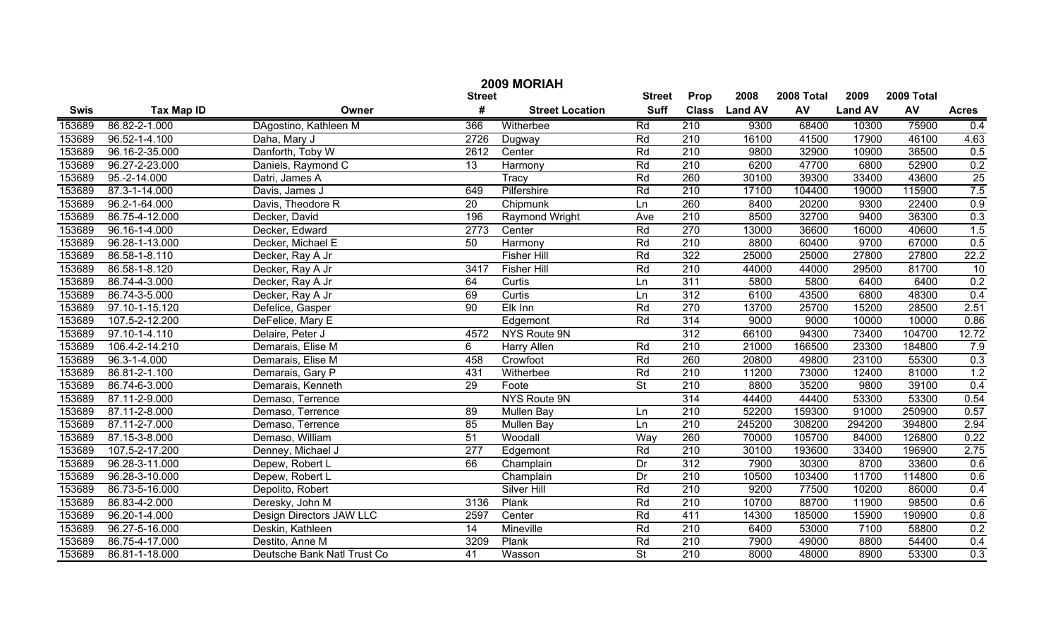|        | 2009 MORIAH        |                             |                  |                        |                          |                  |                |            |                |            |              |  |  |
|--------|--------------------|-----------------------------|------------------|------------------------|--------------------------|------------------|----------------|------------|----------------|------------|--------------|--|--|
|        |                    |                             | <b>Street</b>    |                        | <b>Street</b>            | Prop             | 2008           | 2008 Total | 2009           | 2009 Total |              |  |  |
| Swis   | <b>Tax Map ID</b>  | Owner                       | #                | <b>Street Location</b> | <b>Suff</b>              | <b>Class</b>     | <b>Land AV</b> | AV         | <b>Land AV</b> | AV         | <b>Acres</b> |  |  |
| 153689 | 86.82-2-1.000      | DAgostino, Kathleen M       | 366              | Witherbee              | Rd                       | 210              | 9300           | 68400      | 10300          | 75900      | 0.4          |  |  |
| 153689 | 96.52-1-4.100      | Daha, Mary J                | 2726             | Dugway                 | Rd                       | $\overline{210}$ | 16100          | 41500      | 17900          | 46100      | 4.63         |  |  |
| 153689 | 96.16-2-35.000     | Danforth, Toby W            | 2612             | Center                 | Rd                       | 210              | 9800           | 32900      | 10900          | 36500      | 0.5          |  |  |
| 153689 | 96.27-2-23.000     | Daniels, Raymond C          | $\overline{13}$  | Harmony                | Rd                       | 210              | 6200           | 47700      | 6800           | 52900      | 0.2          |  |  |
| 153689 | $95.-2-14.000$     | Datri, James A              |                  | Tracy                  | Rd                       | 260              | 30100          | 39300      | 33400          | 43600      | 25           |  |  |
| 153689 | 87.3-1-14.000      | Davis, James J              | 649              | Pilfershire            | Rd                       | 210              | 17100          | 104400     | 19000          | 115900     | 7.5          |  |  |
| 153689 | 96.2-1-64.000      | Davis, Theodore R           | $\overline{20}$  | Chipmunk               | Ln                       | 260              | 8400           | 20200      | 9300           | 22400      | 0.9          |  |  |
| 153689 | 86.75-4-12.000     | Decker, David               | 196              | Raymond Wright         | Ave                      | 210              | 8500           | 32700      | 9400           | 36300      | 0.3          |  |  |
| 153689 | 96.16-1-4.000      | Decker, Edward              | 2773             | Center                 | Rd                       | 270              | 13000          | 36600      | 16000          | 40600      | 1.5          |  |  |
| 153689 | 96.28-1-13.000     | Decker, Michael E           | 50               | Harmony                | Rd                       | $\overline{210}$ | 8800           | 60400      | 9700           | 67000      | 0.5          |  |  |
| 153689 | 86.58-1-8.110      | Decker, Ray A Jr            |                  | <b>Fisher Hill</b>     | Rd                       | 322              | 25000          | 25000      | 27800          | 27800      | 22.2         |  |  |
| 153689 | 86.58-1-8.120      | Decker, Ray A Jr            | 3417             | <b>Fisher Hill</b>     | Rd                       | 210              | 44000          | 44000      | 29500          | 81700      | 10           |  |  |
| 153689 | 86.74-4-3.000      | Decker, Ray A Jr            | 64               | Curtis                 | Ln                       | 311              | 5800           | 5800       | 6400           | 6400       | 0.2          |  |  |
| 153689 | 86.74-3-5.000      | Decker, Ray A Jr            | 69               | Curtis                 | Ln                       | 312              | 6100           | 43500      | 6800           | 48300      | 0.4          |  |  |
| 153689 | 97.10-1-15.120     | Defelice, Gasper            | $\overline{90}$  | Elk Inn                | Rd                       | 270              | 13700          | 25700      | 15200          | 28500      | 2.51         |  |  |
| 153689 | 107.5-2-12.200     | DeFelice, Mary E            |                  | Edgemont               | Rd                       | 314              | 9000           | 9000       | 10000          | 10000      | 0.86         |  |  |
| 153689 | 97.10-1-4.110      | Delaire, Peter J            | 4572             | NYS Route 9N           |                          | 312              | 66100          | 94300      | 73400          | 104700     | 12.72        |  |  |
| 153689 | 106.4-2-14.210     | Demarais, Elise M           | 6                | Harry Allen            | Rd                       | $\overline{210}$ | 21000          | 166500     | 23300          | 184800     | 7.9          |  |  |
| 153689 | $96.3 - 1 - 4.000$ | Demarais, Elise M           | 458              | Crowfoot               | Rd                       | 260              | 20800          | 49800      | 23100          | 55300      | 0.3          |  |  |
| 153689 | 86.81-2-1.100      | Demarais, Gary P            | 431              | Witherbee              | Rd                       | $\overline{210}$ | 11200          | 73000      | 12400          | 81000      | 1.2          |  |  |
| 153689 | 86.74-6-3.000      | Demarais, Kenneth           | $\overline{29}$  | Foote                  | $\overline{\mathsf{St}}$ | $\overline{210}$ | 8800           | 35200      | 9800           | 39100      | 0.4          |  |  |
| 153689 | 87.11-2-9.000      | Demaso, Terrence            |                  | NYS Route 9N           |                          | 314              | 44400          | 44400      | 53300          | 53300      | 0.54         |  |  |
| 153689 | 87.11-2-8.000      | Demaso, Terrence            | 89               | Mullen Bay             | Ln                       | 210              | 52200          | 159300     | 91000          | 250900     | 0.57         |  |  |
| 153689 | 87.11-2-7.000      | Demaso, Terrence            | 85               | Mullen Bay             | Ln                       | 210              | 245200         | 308200     | 294200         | 394800     | 2.94         |  |  |
| 153689 | 87.15-3-8.000      | Demaso, William             | $\overline{51}$  | Woodall                | Way                      | 260              | 70000          | 105700     | 84000          | 126800     | 0.22         |  |  |
| 153689 | 107.5-2-17.200     | Denney, Michael J           | $\overline{277}$ | Edgemont               | Rd                       | $\overline{210}$ | 30100          | 193600     | 33400          | 196900     | 2.75         |  |  |
| 153689 | 96.28-3-11.000     | Depew, Robert L             | 66               | Champlain              | Dr                       | 312              | 7900           | 30300      | 8700           | 33600      | 0.6          |  |  |
| 153689 | 96.28-3-10.000     | Depew, Robert L             |                  | Champlain              | Dr                       | 210              | 10500          | 103400     | 11700          | 114800     | 0.6          |  |  |
| 153689 | 86.73-5-16.000     | Depolito, Robert            |                  | <b>Silver Hill</b>     | Rd                       | $\overline{210}$ | 9200           | 77500      | 10200          | 86000      | 0.4          |  |  |
| 153689 | 86.83-4-2.000      | Deresky, John M             | 3136             | Plank                  | Rd                       | 210              | 10700          | 88700      | 11900          | 98500      | 0.6          |  |  |
| 153689 | 96.20-1-4.000      | Design Directors JAW LLC    | 2597             | Center                 | Rd                       | 411              | 14300          | 185000     | 15900          | 190900     | 0.8          |  |  |
| 153689 | 96.27-5-16.000     | Deskin, Kathleen            | 14               | Mineville              | Rd                       | $\overline{210}$ | 6400           | 53000      | 7100           | 58800      | 0.2          |  |  |
| 153689 | 86.75-4-17.000     | Destito, Anne M             | 3209             | Plank                  | Rd                       | $\overline{210}$ | 7900           | 49000      | 8800           | 54400      | 0.4          |  |  |
| 153689 | 86.81-1-18.000     | Deutsche Bank Natl Trust Co | 41               | Wasson                 | $\overline{\mathsf{St}}$ | $\overline{210}$ | 8000           | 48000      | 8900           | 53300      | 0.3          |  |  |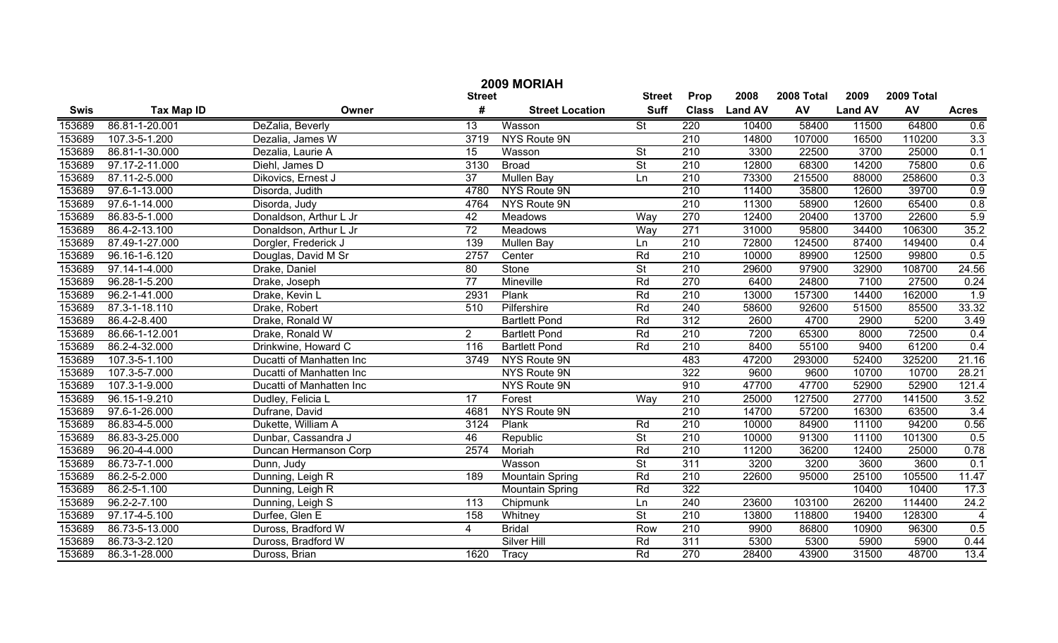|             | 2009 MORIAH       |                          |                 |                        |                          |                  |                |            |                |            |                  |  |
|-------------|-------------------|--------------------------|-----------------|------------------------|--------------------------|------------------|----------------|------------|----------------|------------|------------------|--|
|             |                   |                          | <b>Street</b>   |                        | <b>Street</b>            | Prop             | 2008           | 2008 Total | 2009           | 2009 Total |                  |  |
| <b>Swis</b> | <b>Tax Map ID</b> | Owner                    | #               | <b>Street Location</b> | <b>Suff</b>              | <b>Class</b>     | <b>Land AV</b> | AV         | <b>Land AV</b> | AV         | <b>Acres</b>     |  |
| 153689      | 86.81-1-20.001    | DeZalia, Beverly         | $\overline{13}$ | Wasson                 | $\overline{\mathsf{St}}$ | $\overline{220}$ | 10400          | 58400      | 11500          | 64800      | 0.6              |  |
| 153689      | 107.3-5-1.200     | Dezalia, James W         | 3719            | NYS Route 9N           |                          | $\overline{210}$ | 14800          | 107000     | 16500          | 110200     | 3.3              |  |
| 153689      | 86.81-1-30.000    | Dezalia, Laurie A        | $\overline{15}$ | Wasson                 | $\overline{St}$          | $\overline{210}$ | 3300           | 22500      | 3700           | 25000      | 0.1              |  |
| 153689      | 97.17-2-11.000    | Diehl, James D           | 3130            | <b>Broad</b>           | $\overline{\mathsf{St}}$ | 210              | 12800          | 68300      | 14200          | 75800      | 0.6              |  |
| 153689      | 87.11-2-5.000     | Dikovics, Ernest J       | $\overline{37}$ | <b>Mullen Bay</b>      | Ln                       | 210              | 73300          | 215500     | 88000          | 258600     | 0.3              |  |
| 153689      | 97.6-1-13.000     | Disorda, Judith          | 4780            | NYS Route 9N           |                          | 210              | 11400          | 35800      | 12600          | 39700      | 0.9              |  |
| 153689      | 97.6-1-14.000     | Disorda, Judy            | 4764            | <b>NYS Route 9N</b>    |                          | 210              | 11300          | 58900      | 12600          | 65400      | 0.8              |  |
| 153689      | 86.83-5-1.000     | Donaldson, Arthur L Jr   | 42              | Meadows                | Way                      | 270              | 12400          | 20400      | 13700          | 22600      | 5.9              |  |
| 153689      | 86.4-2-13.100     | Donaldson, Arthur L Jr   | $\overline{72}$ | <b>Meadows</b>         | Way                      | 271              | 31000          | 95800      | 34400          | 106300     | 35.2             |  |
| 153689      | 87.49-1-27.000    | Dorgler, Frederick J     | 139             | Mullen Bay             | Ln                       | 210              | 72800          | 124500     | 87400          | 149400     | 0.4              |  |
| 153689      | 96.16-1-6.120     | Douglas, David M Sr      | 2757            | Center                 | Rd                       | 210              | 10000          | 89900      | 12500          | 99800      | 0.5              |  |
| 153689      | 97.14-1-4.000     | Drake, Daniel            | 80              | Stone                  | $\overline{\mathsf{St}}$ | 210              | 29600          | 97900      | 32900          | 108700     | 24.56            |  |
| 153689      | 96.28-1-5.200     | Drake, Joseph            | $\overline{77}$ | Mineville              | Rd                       | 270              | 6400           | 24800      | 7100           | 27500      | 0.24             |  |
| 153689      | 96.2-1-41.000     | Drake, Kevin L           | 2931            | Plank                  | Rd                       | 210              | 13000          | 157300     | 14400          | 162000     | $\overline{1.9}$ |  |
| 153689      | 87.3-1-18.110     | Drake, Robert            | 510             | Pilfershire            | Rd                       | 240              | 58600          | 92600      | 51500          | 85500      | 33.32            |  |
| 153689      | 86.4-2-8.400      | Drake, Ronald W          |                 | <b>Bartlett Pond</b>   | Rd                       | 312              | 2600           | 4700       | 2900           | 5200       | 3.49             |  |
| 153689      | 86.66-1-12.001    | Drake, Ronald W          | $2^{\circ}$     | <b>Bartlett Pond</b>   | Rd                       | 210              | 7200           | 65300      | 8000           | 72500      | 0.4              |  |
| 153689      | 86.2-4-32.000     | Drinkwine, Howard C      | 116             | <b>Bartlett Pond</b>   | Rd                       | 210              | 8400           | 55100      | 9400           | 61200      | 0.4              |  |
| 153689      | 107.3-5-1.100     | Ducatti of Manhatten Inc | 3749            | NYS Route 9N           |                          | 483              | 47200          | 293000     | 52400          | 325200     | 21.16            |  |
| 153689      | 107.3-5-7.000     | Ducatti of Manhatten Inc |                 | NYS Route 9N           |                          | 322              | 9600           | 9600       | 10700          | 10700      | 28.21            |  |
| 153689      | 107.3-1-9.000     | Ducatti of Manhatten Inc |                 | NYS Route 9N           |                          | 910              | 47700          | 47700      | 52900          | 52900      | 121.4            |  |
| 153689      | 96.15-1-9.210     | Dudley, Felicia L        | 17              | Forest                 | Way                      | 210              | 25000          | 127500     | 27700          | 141500     | 3.52             |  |
| 153689      | 97.6-1-26.000     | Dufrane, David           | 4681            | <b>NYS Route 9N</b>    |                          | 210              | 14700          | 57200      | 16300          | 63500      | 3.4              |  |
| 153689      | 86.83-4-5.000     | Dukette, William A       | 3124            | Plank                  | Rd                       | 210              | 10000          | 84900      | 11100          | 94200      | 0.56             |  |
| 153689      | 86.83-3-25.000    | Dunbar, Cassandra J      | 46              | Republic               | $\overline{\mathsf{St}}$ | 210              | 10000          | 91300      | 11100          | 101300     | 0.5              |  |
| 153689      | 96.20-4-4.000     | Duncan Hermanson Corp    | 2574            | Moriah                 | Rd                       | 210              | 11200          | 36200      | 12400          | 25000      | 0.78             |  |
| 153689      | 86.73-7-1.000     | Dunn, Judy               |                 | Wasson                 | $\overline{\mathsf{St}}$ | 311              | 3200           | 3200       | 3600           | 3600       | 0.1              |  |
| 153689      | 86.2-5-2.000      | Dunning, Leigh R         | 189             | <b>Mountain Spring</b> | Rd                       | 210              | 22600          | 95000      | 25100          | 105500     | 11.47            |  |
| 153689      | 86.2-5-1.100      | Dunning, Leigh R         |                 | <b>Mountain Spring</b> | Rd                       | 322              |                |            | 10400          | 10400      | 17.3             |  |
| 153689      | 96.2-2-7.100      | Dunning, Leigh S         | 113             | Chipmunk               | Ln                       | 240              | 23600          | 103100     | 26200          | 114400     | 24.2             |  |
| 153689      | 97.17-4-5.100     | Durfee, Glen E           | 158             | Whitney                | $\overline{\mathsf{St}}$ | $\overline{210}$ | 13800          | 118800     | 19400          | 128300     | $\overline{4}$   |  |
| 153689      | 86.73-5-13.000    | Duross, Bradford W       | 4               | <b>Bridal</b>          | Row                      | 210              | 9900           | 86800      | 10900          | 96300      | 0.5              |  |
| 153689      | 86.73-3-2.120     | Duross, Bradford W       |                 | Silver Hill            | Rd                       | $\overline{311}$ | 5300           | 5300       | 5900           | 5900       | 0.44             |  |
| 153689      | 86.3-1-28.000     | Duross, Brian            | 1620            | Tracy                  | Rd                       | $\overline{270}$ | 28400          | 43900      | 31500          | 48700      | 13.4             |  |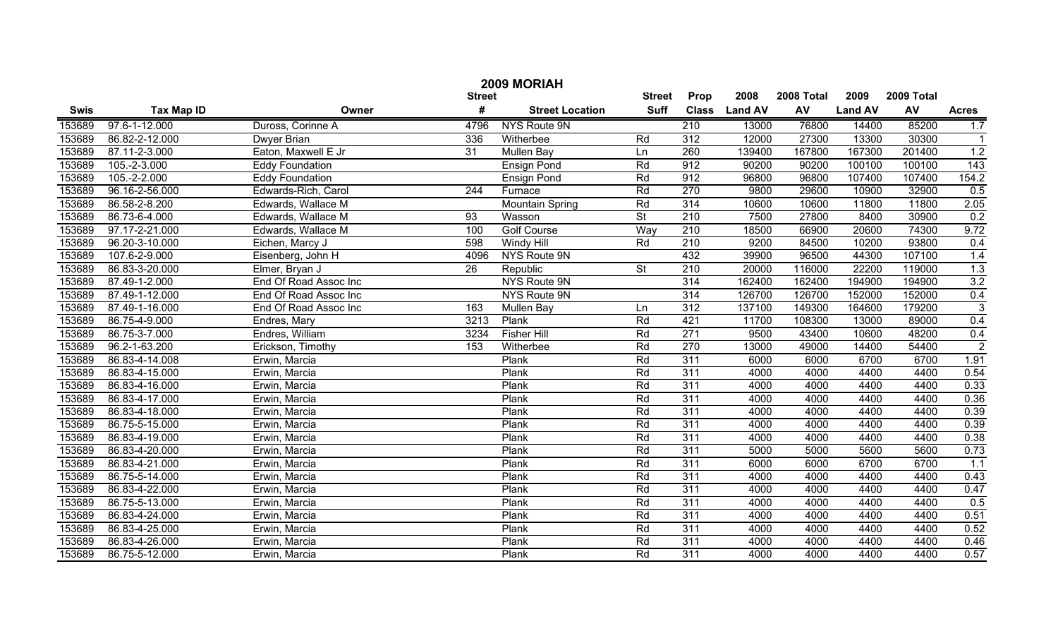| 2009 MORIAH |                   |                        |                 |                        |                              |                  |                |            |                |            |                  |
|-------------|-------------------|------------------------|-----------------|------------------------|------------------------------|------------------|----------------|------------|----------------|------------|------------------|
|             |                   |                        | <b>Street</b>   |                        | <b>Street</b><br><b>Suff</b> | Prop             | 2008           | 2008 Total | 2009           | 2009 Total |                  |
| <b>Swis</b> | <b>Tax Map ID</b> | Owner                  | #               | <b>Street Location</b> |                              | <b>Class</b>     | <b>Land AV</b> | AV         | <b>Land AV</b> | AV         | <b>Acres</b>     |
| 153689      | 97.6-1-12.000     | Duross, Corinne A      | 4796            | NYS Route 9N           |                              | 210              | 13000          | 76800      | 14400          | 85200      | 1.7              |
| 153689      | 86.82-2-12.000    | Dwyer Brian            | 336             | Witherbee              | Rd                           | $\overline{312}$ | 12000          | 27300      | 13300          | 30300      | $\mathbf{1}$     |
| 153689      | 87.11-2-3.000     | Eaton, Maxwell E Jr    | 31              | <b>Mullen Bay</b>      | Ln                           | 260              | 139400         | 167800     | 167300         | 201400     | 1.2              |
| 153689      | $105.-2-3.000$    | <b>Eddy Foundation</b> |                 | <b>Ensign Pond</b>     | Rd                           | 912              | 90200          | 90200      | 100100         | 100100     | 143              |
| 153689      | $105.-2-2.000$    | <b>Eddy Foundation</b> |                 | <b>Ensign Pond</b>     | Rd                           | 912              | 96800          | 96800      | 107400         | 107400     | 154.2            |
| 153689      | 96.16-2-56.000    | Edwards-Rich, Carol    | 244             | Furnace                | Rd                           | 270              | 9800           | 29600      | 10900          | 32900      | 0.5              |
| 153689      | 86.58-2-8.200     | Edwards, Wallace M     |                 | <b>Mountain Spring</b> | Rd                           | 314              | 10600          | 10600      | 11800          | 11800      | 2.05             |
| 153689      | 86.73-6-4.000     | Edwards, Wallace M     | 93              | Wasson                 | $\overline{\mathsf{St}}$     | 210              | 7500           | 27800      | 8400           | 30900      | 0.2              |
| 153689      | 97.17-2-21.000    | Edwards, Wallace M     | 100             | <b>Golf Course</b>     | Way                          | 210              | 18500          | 66900      | 20600          | 74300      | 9.72             |
| 153689      | 96.20-3-10.000    | Eichen, Marcy J        | 598             | <b>Windy Hill</b>      | Rd                           | $\overline{210}$ | 9200           | 84500      | 10200          | 93800      | 0.4              |
| 153689      | 107.6-2-9.000     | Eisenberg, John H      | 4096            | NYS Route 9N           |                              | 432              | 39900          | 96500      | 44300          | 107100     | 1.4              |
| 153689      | 86.83-3-20.000    | Elmer, Bryan J         | $\overline{26}$ | Republic               | $\overline{\mathsf{St}}$     | 210              | 20000          | 116000     | 22200          | 119000     | $\overline{1.3}$ |
| 153689      | 87.49-1-2.000     | End Of Road Assoc Inc  |                 | NYS Route 9N           |                              | 314              | 162400         | 162400     | 194900         | 194900     | 3.2              |
| 153689      | 87.49-1-12.000    | End Of Road Assoc Inc  |                 | NYS Route 9N           |                              | 314              | 126700         | 126700     | 152000         | 152000     | 0.4              |
| 153689      | 87.49-1-16.000    | End Of Road Assoc Inc  | 163             | Mullen Bay             | Ln                           | 312              | 137100         | 149300     | 164600         | 179200     | $\overline{3}$   |
| 153689      | 86.75-4-9.000     | Endres, Mary           | 3213            | Plank                  | Rd                           | 421              | 11700          | 108300     | 13000          | 89000      | 0.4              |
| 153689      | 86.75-3-7.000     | Endres, William        | 3234            | <b>Fisher Hill</b>     | Rd                           | 271              | 9500           | 43400      | 10600          | 48200      | 0.4              |
| 153689      | 96.2-1-63.200     | Erickson, Timothy      | 153             | Witherbee              | Rd                           | 270              | 13000          | 49000      | 14400          | 54400      | $\overline{2}$   |
| 153689      | 86.83-4-14.008    | Erwin, Marcia          |                 | Plank                  | Rd                           | 311              | 6000           | 6000       | 6700           | 6700       | 1.91             |
| 153689      | 86.83-4-15.000    | Erwin, Marcia          |                 | Plank                  | Rd                           | 311              | 4000           | 4000       | 4400           | 4400       | 0.54             |
| 153689      | 86.83-4-16.000    | Erwin, Marcia          |                 | Plank                  | Rd                           | 311              | 4000           | 4000       | 4400           | 4400       | 0.33             |
| 153689      | 86.83-4-17.000    | Erwin, Marcia          |                 | Plank                  | Rd                           | 311              | 4000           | 4000       | 4400           | 4400       | 0.36             |
| 153689      | 86.83-4-18.000    | Erwin, Marcia          |                 | Plank                  | Rd                           | 311              | 4000           | 4000       | 4400           | 4400       | 0.39             |
| 153689      | 86.75-5-15.000    | Erwin, Marcia          |                 | Plank                  | Rd                           | 311              | 4000           | 4000       | 4400           | 4400       | 0.39             |
| 153689      | 86.83-4-19.000    | Erwin, Marcia          |                 | Plank                  | Rd                           | 311              | 4000           | 4000       | 4400           | 4400       | 0.38             |
| 153689      | 86.83-4-20.000    | Erwin, Marcia          |                 | Plank                  | Rd                           | 311              | 5000           | 5000       | 5600           | 5600       | 0.73             |
| 153689      | 86.83-4-21.000    | Erwin, Marcia          |                 | Plank                  | Rd                           | 311              | 6000           | 6000       | 6700           | 6700       | $\overline{1.1}$ |
| 153689      | 86.75-5-14.000    | Erwin, Marcia          |                 | Plank                  | Rd                           | 311              | 4000           | 4000       | 4400           | 4400       | 0.43             |
| 153689      | 86.83-4-22.000    | Erwin, Marcia          |                 | Plank                  | Rd                           | 311              | 4000           | 4000       | 4400           | 4400       | 0.47             |
| 153689      | 86.75-5-13.000    | Erwin, Marcia          |                 | Plank                  | Rd                           | 311              | 4000           | 4000       | 4400           | 4400       | 0.5              |
| 153689      | 86.83-4-24.000    | Erwin, Marcia          |                 | Plank                  | Rd                           | 311              | 4000           | 4000       | 4400           | 4400       | 0.51             |
| 153689      | 86.83-4-25.000    | Erwin, Marcia          |                 | Plank                  | Rd                           | 311              | 4000           | 4000       | 4400           | 4400       | 0.52             |
| 153689      | 86.83-4-26.000    | Erwin, Marcia          |                 | Plank                  | Rd                           | 311              | 4000           | 4000       | 4400           | 4400       | 0.46             |
| 153689      | 86.75-5-12.000    | Erwin, Marcia          |                 | Plank                  | Rd                           | 311              | 4000           | 4000       | 4400           | 4400       | 0.57             |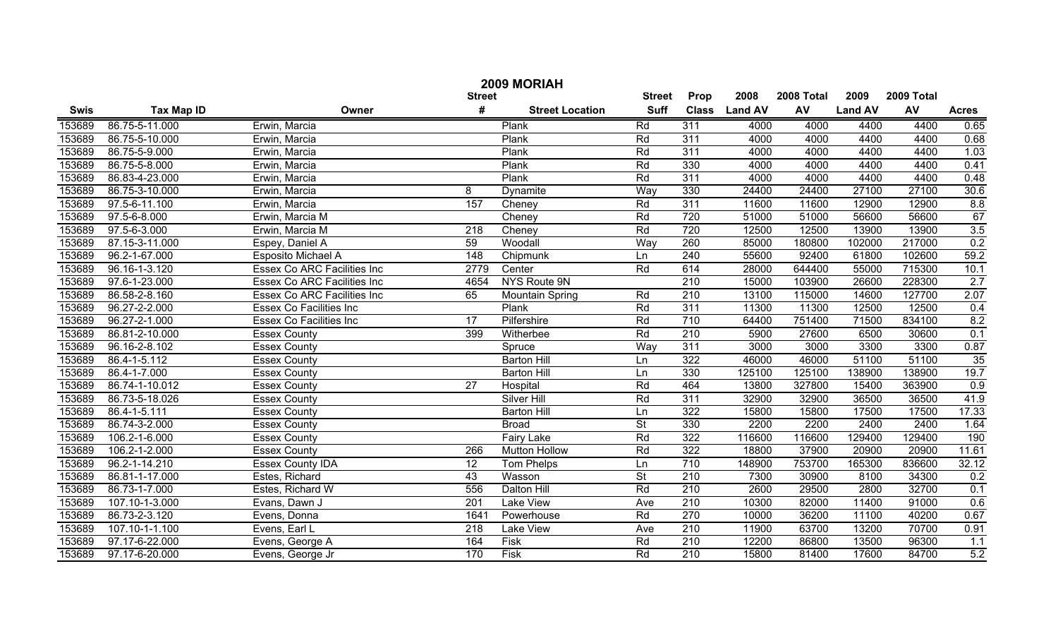|             | 2009 MORIAH       |                                    |                  |                        |                          |                  |                |            |                |            |              |  |
|-------------|-------------------|------------------------------------|------------------|------------------------|--------------------------|------------------|----------------|------------|----------------|------------|--------------|--|
|             |                   |                                    | <b>Street</b>    |                        | <b>Street</b>            | Prop             | 2008           | 2008 Total | 2009           | 2009 Total |              |  |
| <b>Swis</b> | <b>Tax Map ID</b> | Owner                              | #                | <b>Street Location</b> | <b>Suff</b>              | <b>Class</b>     | <b>Land AV</b> | AV         | <b>Land AV</b> | AV         | <b>Acres</b> |  |
| 153689      | 86.75-5-11.000    | Erwin, Marcia                      |                  | Plank                  | Rd                       | $\overline{311}$ | 4000           | 4000       | 4400           | 4400       | 0.65         |  |
| 153689      | 86.75-5-10.000    | Erwin, Marcia                      |                  | Plank                  | Rd                       | 311              | 4000           | 4000       | 4400           | 4400       | 0.68         |  |
| 153689      | 86.75-5-9.000     | Erwin, Marcia                      |                  | Plank                  | Rd                       | 311              | 4000           | 4000       | 4400           | 4400       | 1.03         |  |
| 153689      | 86.75-5-8.000     | Erwin, Marcia                      |                  | Plank                  | Rd                       | 330              | 4000           | 4000       | 4400           | 4400       | 0.41         |  |
| 153689      | 86.83-4-23.000    | Erwin, Marcia                      |                  | Plank                  | Rd                       | 311              | 4000           | 4000       | 4400           | 4400       | 0.48         |  |
| 153689      | 86.75-3-10.000    | Erwin, Marcia                      | $\overline{8}$   | <b>Dynamite</b>        | Way                      | 330              | 24400          | 24400      | 27100          | 27100      | 30.6         |  |
| 153689      | 97.5-6-11.100     | Erwin, Marcia                      | 157              | Cheney                 | Rd                       | 311              | 11600          | 11600      | 12900          | 12900      | 8.8          |  |
| 153689      | 97.5-6-8.000      | Erwin, Marcia M                    |                  | Cheney                 | Rd                       | 720              | 51000          | 51000      | 56600          | 56600      | 67           |  |
| 153689      | 97.5-6-3.000      | Erwin, Marcia M                    | $\overline{218}$ | Cheney                 | Rd                       | 720              | 12500          | 12500      | 13900          | 13900      | 3.5          |  |
| 153689      | 87.15-3-11.000    | Espey, Daniel A                    | 59               | Woodall                | Way                      | 260              | 85000          | 180800     | 102000         | 217000     | 0.2          |  |
| 153689      | 96.2-1-67.000     | Esposito Michael A                 | 148              | Chipmunk               | Ln                       | 240              | 55600          | 92400      | 61800          | 102600     | 59.2         |  |
| 153689      | 96.16-1-3.120     | <b>Essex Co ARC Facilities Inc</b> | 2779             | Center                 | Rd                       | 614              | 28000          | 644400     | 55000          | 715300     | 10.1         |  |
| 153689      | 97.6-1-23.000     | <b>Essex Co ARC Facilities Inc</b> | 4654             | NYS Route 9N           |                          | $\overline{210}$ | 15000          | 103900     | 26600          | 228300     | 2.7          |  |
| 153689      | 86.58-2-8.160     | Essex Co ARC Facilities Inc        | 65               | <b>Mountain Spring</b> | Rd                       | 210              | 13100          | 115000     | 14600          | 127700     | 2.07         |  |
| 153689      | 96.27-2-2.000     | Essex Co Facilities Inc            |                  | Plank                  | Rd                       | 311              | 11300          | 11300      | 12500          | 12500      | 0.4          |  |
| 153689      | 96.27-2-1.000     | <b>Essex Co Facilities Inc</b>     | $\overline{17}$  | Pilfershire            | Rd                       | 710              | 64400          | 751400     | 71500          | 834100     | 8.2          |  |
| 153689      | 86.81-2-10.000    | <b>Essex County</b>                | 399              | Witherbee              | Rd                       | $\overline{210}$ | 5900           | 27600      | 6500           | 30600      | 0.1          |  |
| 153689      | 96.16-2-8.102     | <b>Essex County</b>                |                  | Spruce                 | Way                      | 311              | 3000           | 3000       | 3300           | 3300       | 0.87         |  |
| 153689      | 86.4-1-5.112      | <b>Essex County</b>                |                  | <b>Barton Hill</b>     | Ln                       | 322              | 46000          | 46000      | 51100          | 51100      | 35           |  |
| 153689      | 86.4-1-7.000      | <b>Essex County</b>                |                  | <b>Barton Hill</b>     | Ln                       | 330              | 125100         | 125100     | 138900         | 138900     | 19.7         |  |
| 153689      | 86.74-1-10.012    | <b>Essex County</b>                | 27               | Hospital               | Rd                       | 464              | 13800          | 327800     | 15400          | 363900     | 0.9          |  |
| 153689      | 86.73-5-18.026    | <b>Essex County</b>                |                  | <b>Silver Hill</b>     | Rd                       | 311              | 32900          | 32900      | 36500          | 36500      | 41.9         |  |
| 153689      | 86.4-1-5.111      | <b>Essex County</b>                |                  | <b>Barton Hill</b>     | Ln                       | 322              | 15800          | 15800      | 17500          | 17500      | 17.33        |  |
| 153689      | 86.74-3-2.000     | <b>Essex County</b>                |                  | <b>Broad</b>           | <b>St</b>                | 330              | 2200           | 2200       | 2400           | 2400       | 1.64         |  |
| 153689      | 106.2-1-6.000     | <b>Essex County</b>                |                  | Fairy Lake             | Rd                       | 322              | 116600         | 116600     | 129400         | 129400     | 190          |  |
| 153689      | 106.2-1-2.000     | <b>Essex County</b>                | 266              | <b>Mutton Hollow</b>   | Rd                       | 322              | 18800          | 37900      | 20900          | 20900      | 11.61        |  |
| 153689      | 96.2-1-14.210     | <b>Essex County IDA</b>            | 12               | <b>Tom Phelps</b>      | Ln                       | 710              | 148900         | 753700     | 165300         | 836600     | 32.12        |  |
| 153689      | 86.81-1-17.000    | Estes, Richard                     | 43               | Wasson                 | $\overline{\mathsf{St}}$ | $\overline{210}$ | 7300           | 30900      | 8100           | 34300      | 0.2          |  |
| 153689      | 86.73-1-7.000     | Estes, Richard W                   | 556              | Dalton Hill            | Rd                       | $\overline{210}$ | 2600           | 29500      | 2800           | 32700      | 0.1          |  |
| 153689      | 107.10-1-3.000    | Evans, Dawn J                      | 201              | <b>Lake View</b>       | Ave                      | 210              | 10300          | 82000      | 11400          | 91000      | 0.6          |  |
| 153689      | 86.73-2-3.120     | Evens, Donna                       | 1641             | Powerhouse             | Rd                       | 270              | 10000          | 36200      | 11100          | 40200      | 0.67         |  |
| 153689      | 107.10-1-1.100    | Evens, Earl L                      | $\overline{218}$ | <b>Lake View</b>       | Ave                      | 210              | 11900          | 63700      | 13200          | 70700      | 0.91         |  |
| 153689      | 97.17-6-22.000    | Evens, George A                    | 164              | Fisk                   | Rd                       | 210              | 12200          | 86800      | 13500          | 96300      | 1.1          |  |
| 153689      | 97.17-6-20.000    | Evens, George Jr                   | 170              | Fisk                   | Rd                       | $\overline{210}$ | 15800          | 81400      | 17600          | 84700      | 5.2          |  |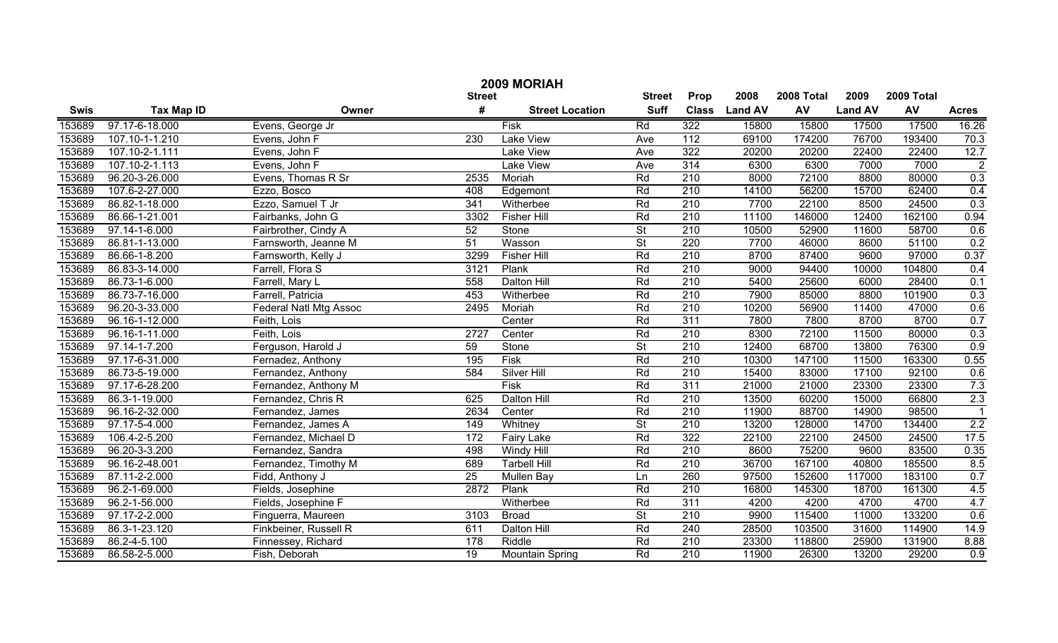|             | 2009 MORIAH       |                               |               |                        |                          |                  |                |            |                |            |                         |  |
|-------------|-------------------|-------------------------------|---------------|------------------------|--------------------------|------------------|----------------|------------|----------------|------------|-------------------------|--|
|             |                   |                               | <b>Street</b> |                        | <b>Street</b>            | Prop             | 2008           | 2008 Total | 2009           | 2009 Total |                         |  |
| <b>Swis</b> | <b>Tax Map ID</b> | Owner                         | #             | <b>Street Location</b> | <b>Suff</b>              | <b>Class</b>     | <b>Land AV</b> | AV         | <b>Land AV</b> | AV         | <b>Acres</b>            |  |
| 153689      | 97.17-6-18.000    | Evens, George Jr              |               | Fisk                   | Rd                       | 322              | 15800          | 15800      | 17500          | 17500      | 16.26                   |  |
| 153689      | 107.10-1-1.210    | Evens, John F                 | 230           | Lake View              | Ave                      | $\frac{11}{2}$   | 69100          | 174200     | 76700          | 193400     | 70.3                    |  |
| 153689      | 107.10-2-1.111    | Evens, John F                 |               | <b>Lake View</b>       | Ave                      | 322              | 20200          | 20200      | 22400          | 22400      | 12.7                    |  |
| 153689      | 107.10-2-1.113    | Evens, John F                 |               | <b>Lake View</b>       | Ave                      | 314              | 6300           | 6300       | 7000           | 7000       | $\overline{2}$          |  |
| 153689      | 96.20-3-26.000    | Evens, Thomas R Sr            | 2535          | Moriah                 | Rd                       | 210              | 8000           | 72100      | 8800           | 80000      | 0.3                     |  |
| 153689      | 107.6-2-27.000    | Ezzo, Bosco                   | 408           | Edgemont               | Rd                       | 210              | 14100          | 56200      | 15700          | 62400      | 0.4                     |  |
| 153689      | 86.82-1-18.000    | Ezzo, Samuel T Jr             | 341           | Witherbee              | Rd                       | 210              | 7700           | 22100      | 8500           | 24500      | 0.3                     |  |
| 153689      | 86.66-1-21.001    | Fairbanks, John G             | 3302          | <b>Fisher Hill</b>     | Rd                       | 210              | 11100          | 146000     | 12400          | 162100     | 0.94                    |  |
| 153689      | 97.14-1-6.000     | Fairbrother, Cindy A          | 52            | Stone                  | $\overline{\mathsf{St}}$ | 210              | 10500          | 52900      | 11600          | 58700      | 0.6                     |  |
| 153689      | 86.81-1-13.000    | Farnsworth, Jeanne M          | 51            | Wasson                 | $\overline{\mathsf{St}}$ | 220              | 7700           | 46000      | 8600           | 51100      | 0.2                     |  |
| 153689      | 86.66-1-8.200     | Farnsworth, Kelly J           | 3299          | <b>Fisher Hill</b>     | Rd                       | $\overline{210}$ | 8700           | 87400      | 9600           | 97000      | 0.37                    |  |
| 153689      | 86.83-3-14.000    | Farrell, Flora S              | 3121          | Plank                  | Rd                       | $\overline{210}$ | 9000           | 94400      | 10000          | 104800     | 0.4                     |  |
| 153689      | 86.73-1-6.000     | Farrell, Mary L               | 558           | Dalton Hill            | Rd                       | $\overline{210}$ | 5400           | 25600      | 6000           | 28400      | 0.1                     |  |
| 153689      | 86.73-7-16.000    | Farrell, Patricia             | 453           | Witherbee              | Rd                       | $\overline{210}$ | 7900           | 85000      | 8800           | 101900     | 0.3                     |  |
| 153689      | 96.20-3-33.000    | <b>Federal Natl Mtg Assoc</b> | 2495          | Moriah                 | Rd                       | $\overline{210}$ | 10200          | 56900      | 11400          | 47000      | 0.6                     |  |
| 153689      | 96.16-1-12.000    | Feith, Lois                   |               | Center                 | Rd                       | 311              | 7800           | 7800       | 8700           | 8700       | 0.7                     |  |
| 153689      | 96.16-1-11.000    | Feith, Lois                   | 2727          | Center                 | Rd                       | 210              | 8300           | 72100      | 11500          | 80000      | 0.3                     |  |
| 153689      | 97.14-1-7.200     | Ferguson, Harold J            | 59            | Stone                  | $\overline{\mathsf{St}}$ | $\overline{210}$ | 12400          | 68700      | 13800          | 76300      | 0.9                     |  |
| 153689      | 97.17-6-31.000    | Fernadez, Anthony             | 195           | <b>Fisk</b>            | Rd                       | $\overline{210}$ | 10300          | 147100     | 11500          | 163300     | 0.55                    |  |
| 153689      | 86.73-5-19.000    | Fernandez, Anthony            | 584           | Silver Hill            | Rd                       | 210              | 15400          | 83000      | 17100          | 92100      | 0.6                     |  |
| 153689      | 97.17-6-28.200    | Fernandez, Anthony M          |               | Fisk                   | Rd                       | 311              | 21000          | 21000      | 23300          | 23300      | 7.3                     |  |
| 153689      | 86.3-1-19.000     | Fernandez, Chris R            | 625           | Dalton Hill            | Rd                       | 210              | 13500          | 60200      | 15000          | 66800      | 2.3                     |  |
| 153689      | 96.16-2-32.000    | Fernandez, James              | 2634          | Center                 | Rd                       | 210              | 11900          | 88700      | 14900          | 98500      | $\overline{\mathbf{1}}$ |  |
| 153689      | 97.17-5-4.000     | Fernandez, James A            | 149           | Whitney                | $\overline{\mathsf{St}}$ | 210              | 13200          | 128000     | 14700          | 134400     | 2.2                     |  |
| 153689      | 106.4-2-5.200     | Fernandez, Michael D          | 172           | <b>Fairy Lake</b>      | Rd                       | 322              | 22100          | 22100      | 24500          | 24500      | 17.5                    |  |
| 153689      | 96.20-3-3.200     | Fernandez, Sandra             | 498           | Windy Hill             | Rd                       | 210              | 8600           | 75200      | 9600           | 83500      | 0.35                    |  |
| 153689      | 96.16-2-48.001    | Fernandez, Timothy M          | 689           | <b>Tarbell Hill</b>    | Rd                       | 210              | 36700          | 167100     | 40800          | 185500     | 8.5                     |  |
| 153689      | 87.11-2-2.000     | Fidd, Anthony J               | 25            | <b>Mullen Bay</b>      | Ln                       | 260              | 97500          | 152600     | 117000         | 183100     | 0.7                     |  |
| 153689      | 96.2-1-69.000     | Fields, Josephine             | 2872          | Plank                  | Rd                       | 210              | 16800          | 145300     | 18700          | 161300     | 4.5                     |  |
| 153689      | 96.2-1-56.000     | Fields, Josephine F           |               | Witherbee              | Rd                       | $\overline{311}$ | 4200           | 4200       | 4700           | 4700       | 4.7                     |  |
| 153689      | 97.17-2-2.000     | Finguerra, Maureen            | 3103          | <b>Broad</b>           | $\overline{\mathsf{St}}$ | $\overline{210}$ | 9900           | 115400     | 11000          | 133200     | 0.6                     |  |
| 153689      | 86.3-1-23.120     | Finkbeiner, Russell R         | 611           | Dalton Hill            | Rd                       | 240              | 28500          | 103500     | 31600          | 114900     | 14.9                    |  |
| 153689      | 86.2-4-5.100      | Finnessey, Richard            | 178           | Riddle                 | Rd                       | $\overline{210}$ | 23300          | 118800     | 25900          | 131900     | 8.88                    |  |
| 153689      | 86.58-2-5.000     | Fish, Deborah                 | 19            | <b>Mountain Spring</b> | Rd                       | $\overline{210}$ | 11900          | 26300      | 13200          | 29200      | 0.9                     |  |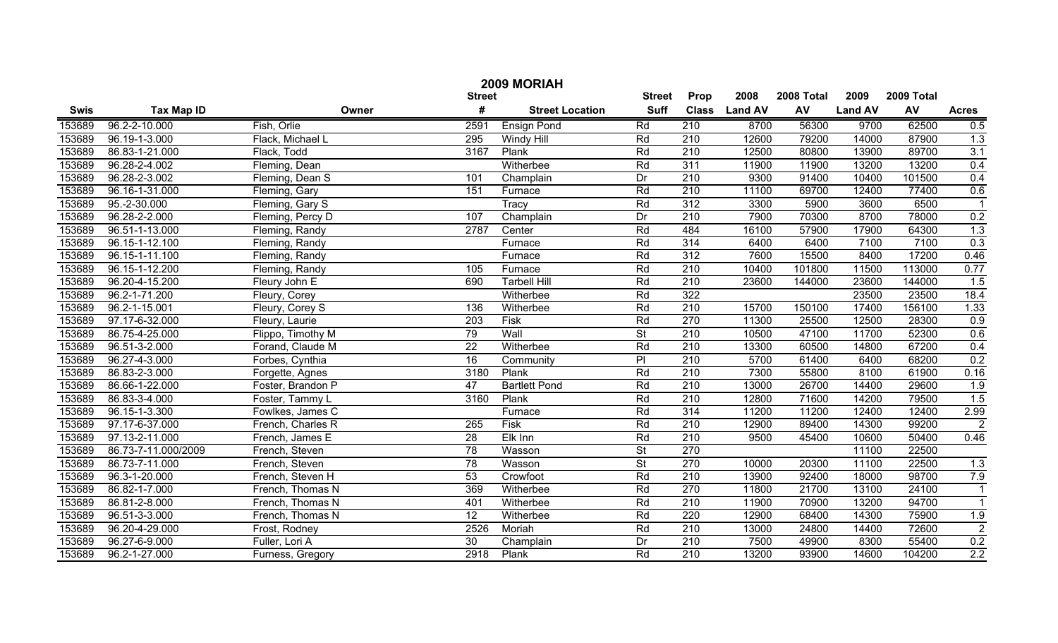|             | 2009 MORIAH                    |                   |                 |                        |                          |                  |                |            |                |            |                  |  |
|-------------|--------------------------------|-------------------|-----------------|------------------------|--------------------------|------------------|----------------|------------|----------------|------------|------------------|--|
|             |                                |                   | <b>Street</b>   |                        | <b>Street</b>            | Prop             | 2008           | 2008 Total | 2009           | 2009 Total |                  |  |
| <b>Swis</b> | <b>Tax Map ID</b>              | Owner             | #               | <b>Street Location</b> | <b>Suff</b>              | <b>Class</b>     | <b>Land AV</b> | AV         | <b>Land AV</b> | AV         | <b>Acres</b>     |  |
| 153689      | 96.2-2-10.000                  | Fish, Orlie       | 2591            | <b>Ensign Pond</b>     | Rd                       | 210              | 8700           | 56300      | 9700           | 62500      | 0.5              |  |
| 153689      | 96.19-1-3.000                  | Flack, Michael L  | 295             | Windy Hill             | Rd                       | $\overline{210}$ | 12600          | 79200      | 14000          | 87900      | 1.3              |  |
| 153689      | 86.83-1-21.000                 | Flack, Todd       | 3167            | Plank                  | Rd                       | $\overline{210}$ | 12500          | 80800      | 13900          | 89700      | 3.1              |  |
| 153689      | 96.28-2-4.002                  | Fleming, Dean     |                 | Witherbee              | Rd                       | 311              | 11900          | 11900      | 13200          | 13200      | 0.4              |  |
| 153689      | 96.28-2-3.002                  | Fleming, Dean S   | 101             | Champlain              | Dr                       | 210              | 9300           | 91400      | 10400          | 101500     | 0.4              |  |
| 153689      | 96.16-1-31.000                 | Fleming, Gary     | 151             | Furnace                | Rd                       | 210              | 11100          | 69700      | 12400          | 77400      | 0.6              |  |
| 153689      | 95.-2-30.000                   | Fleming, Gary S   |                 | Tracy                  | Rd                       | 312              | 3300           | 5900       | 3600           | 6500       | $\overline{1}$   |  |
| 153689      | 96.28-2-2.000                  | Fleming, Percy D  | 107             | Champlain              | Dr                       | 210              | 7900           | 70300      | 8700           | 78000      | 0.2              |  |
| 153689      | 96.51-1-13.000                 | Fleming, Randy    | 2787            | Center                 | Rd                       | 484              | 16100          | 57900      | 17900          | 64300      | 1.3              |  |
| 153689      | 96.15-1-12.100                 | Fleming, Randy    |                 | Furnace                | Rd                       | 314              | 6400           | 6400       | 7100           | 7100       | 0.3              |  |
| 153689      | 96.15-1-11.100                 | Fleming, Randy    |                 | Furnace                | Rd                       | $\overline{312}$ | 7600           | 15500      | 8400           | 17200      | 0.46             |  |
| 153689      | 96.15-1-12.200                 | Fleming, Randy    | 105             | Furnace                | Rd                       | 210              | 10400          | 101800     | 11500          | 113000     | 0.77             |  |
| 153689      | 96.20-4-15.200                 | Fleury John E     | 690             | <b>Tarbell Hill</b>    | Rd                       | 210              | 23600          | 144000     | 23600          | 144000     | 1.5              |  |
| 153689      | 96.2-1-71.200                  | Fleury, Corey     |                 | Witherbee              | Rd                       | 322              |                |            | 23500          | 23500      | 18.4             |  |
| 153689      | 96.2-1-15.001                  | Fleury, Corey S   | 136             | Witherbee              | Rd                       | $\overline{210}$ | 15700          | 150100     | 17400          | 156100     | 1.33             |  |
| 153689      | 97.17-6-32.000                 | Fleury, Laurie    | 203             | Fisk                   | Rd                       | 270              | 11300          | 25500      | 12500          | 28300      | 0.9              |  |
| 153689      | 86.75-4-25.000                 | Flippo, Timothy M | 79              | Wall                   | $\overline{\mathsf{St}}$ | 210              | 10500          | 47100      | 11700          | 52300      | 0.6              |  |
| 153689      | 96.51-3-2.000                  | Forand, Claude M  | 22              | Witherbee              | Rd                       | 210              | 13300          | 60500      | 14800          | 67200      | 0.4              |  |
| 153689      | 96.27-4-3.000                  | Forbes, Cynthia   | 16              | Community              | PI                       | 210              | 5700           | 61400      | 6400           | 68200      | 0.2              |  |
| 153689      | 86.83-2-3.000                  | Forgette, Agnes   | 3180            | Plank                  | Rd                       | 210              | 7300           | 55800      | 8100           | 61900      | 0.16             |  |
| 153689      | 86.66-1-22.000                 | Foster, Brandon P | 47              | <b>Bartlett Pond</b>   | Rd                       | 210              | 13000          | 26700      | 14400          | 29600      | 1.9              |  |
| 153689      | 86.83-3-4.000                  | Foster, Tammy L   | 3160            | Plank                  | Rd                       | 210              | 12800          | 71600      | 14200          | 79500      | 1.5              |  |
| 153689      | 96.15-1-3.300                  | Fowlkes, James C  |                 | Furnace                | Rd                       | 314              | 11200          | 11200      | 12400          | 12400      | 2.99             |  |
| 153689      | 97.17-6-37.000                 | French, Charles R | 265             | Fisk                   | Rd                       | 210              | 12900          | 89400      | 14300          | 99200      | $\overline{2}$   |  |
| 153689      | 97.13-2-11.000                 | French, James E   | 28              | Elk Inn                | Rd                       | 210              | 9500           | 45400      | 10600          | 50400      | 0.46             |  |
| 153689      | 86.73-7-11.000/2009            | French, Steven    | 78              | Wasson                 | $\overline{\mathsf{St}}$ | 270              |                |            | 11100          | 22500      |                  |  |
| 153689      | 86.73-7-11.000                 | French, Steven    | 78              | Wasson                 | $\overline{\mathsf{St}}$ | 270              | 10000          | 20300      | 11100          | 22500      | 1.3              |  |
| 153689      | 96.3-1-20.000                  | French, Steven H  | 53              | Crowfoot               | Rd                       | 210              | 13900          | 92400      | 18000          | 98700      | 7.9              |  |
| 153689      | $\overline{86.82 - 1 - 7.000}$ | French, Thomas N  | 369             | Witherbee              | Rd                       | 270              | 11800          | 21700      | 13100          | 24100      | $\mathbf{1}$     |  |
| 153689      | 86.81-2-8.000                  | French, Thomas N  | 401             | Witherbee              | Rd                       | $\overline{210}$ | 11900          | 70900      | 13200          | 94700      | $\mathbf{1}$     |  |
| 153689      | 96.51-3-3.000                  | French, Thomas N  | $\overline{12}$ | Witherbee              | Rd                       | 220              | 12900          | 68400      | 14300          | 75900      | 1.9              |  |
| 153689      | 96.20-4-29.000                 | Frost, Rodney     | 2526            | Moriah                 | Rd                       | 210              | 13000          | 24800      | 14400          | 72600      | $\overline{2}$   |  |
| 153689      | 96.27-6-9.000                  | Fuller, Lori A    | 30              | Champlain              | Dr                       | $\overline{210}$ | 7500           | 49900      | 8300           | 55400      | 0.2              |  |
| 153689      | 96.2-1-27.000                  | Furness, Gregory  | 2918            | Plank                  | Rd                       | $\overline{210}$ | 13200          | 93900      | 14600          | 104200     | $\overline{2.2}$ |  |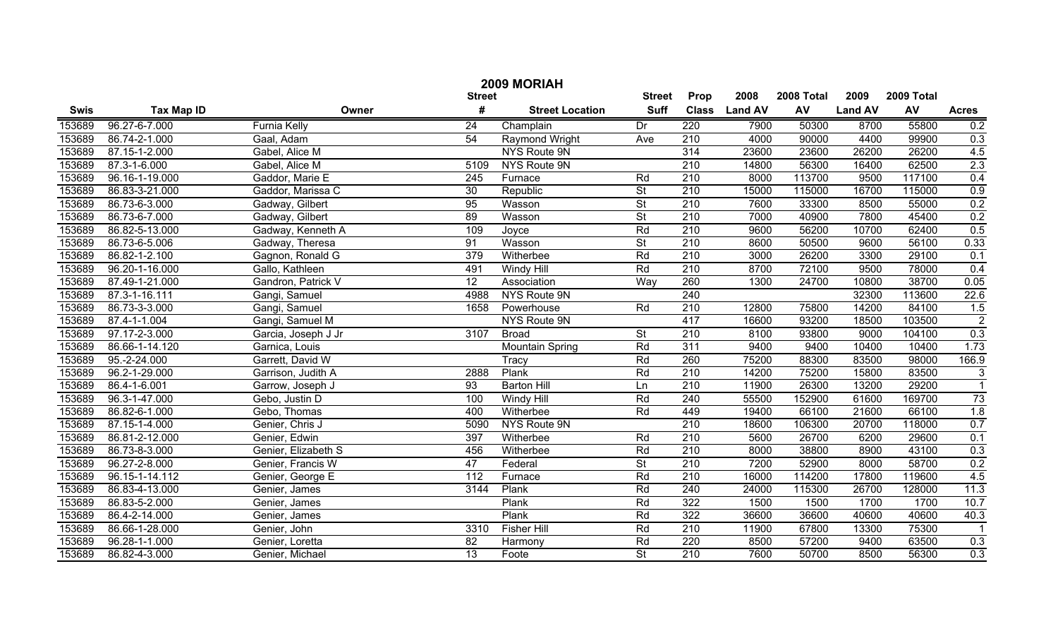|             | 2009 MORIAH         |                     |                  |                        |                          |                  |                |            |                |            |                           |  |
|-------------|---------------------|---------------------|------------------|------------------------|--------------------------|------------------|----------------|------------|----------------|------------|---------------------------|--|
|             |                     |                     | <b>Street</b>    |                        | <b>Street</b>            | Prop             | 2008           | 2008 Total | 2009           | 2009 Total |                           |  |
| <b>Swis</b> | <b>Tax Map ID</b>   | Owner               | #                | <b>Street Location</b> | <b>Suff</b>              | <b>Class</b>     | <b>Land AV</b> | AV         | <b>Land AV</b> | AV         | <b>Acres</b>              |  |
| 153689      | 96.27-6-7.000       | <b>Furnia Kelly</b> | $\overline{24}$  | Champlain              | Dr                       | 220              | 7900           | 50300      | 8700           | 55800      | 0.2                       |  |
| 153689      | $86.74 - 2 - 1.000$ | Gaal, Adam          | $\overline{54}$  | Raymond Wright         | Ave                      | $\overline{210}$ | 4000           | 90000      | 4400           | 99900      | 0.3                       |  |
| 153689      | 87.15-1-2.000       | Gabel, Alice M      |                  | NYS Route 9N           |                          | 314              | 23600          | 23600      | 26200          | 26200      | 4.5                       |  |
| 153689      | 87.3-1-6.000        | Gabel, Alice M      | 5109             | NYS Route 9N           |                          | 210              | 14800          | 56300      | 16400          | 62500      | 2.3                       |  |
| 153689      | 96.16-1-19.000      | Gaddor, Marie E     | $\overline{245}$ | Furnace                | Rd                       | 210              | 8000           | 113700     | 9500           | 117100     | 0.4                       |  |
| 153689      | 86.83-3-21.000      | Gaddor, Marissa C   | 30               | Republic               | $\overline{\mathsf{St}}$ | 210              | 15000          | 115000     | 16700          | 115000     | 0.9                       |  |
| 153689      | 86.73-6-3.000       | Gadway, Gilbert     | 95               | Wasson                 | $\overline{\mathsf{St}}$ | 210              | 7600           | 33300      | 8500           | 55000      | 0.2                       |  |
| 153689      | 86.73-6-7.000       | Gadway, Gilbert     | 89               | Wasson                 | $\overline{\mathsf{St}}$ | 210              | 7000           | 40900      | 7800           | 45400      | 0.2                       |  |
| 153689      | 86.82-5-13.000      | Gadway, Kenneth A   | 109              | Joyce                  | Rd                       | 210              | 9600           | 56200      | 10700          | 62400      | 0.5                       |  |
| 153689      | 86.73-6-5.006       | Gadway, Theresa     | 91               | Wasson                 | $\overline{\mathsf{St}}$ | $\overline{210}$ | 8600           | 50500      | 9600           | 56100      | 0.33                      |  |
| 153689      | 86.82-1-2.100       | Gagnon, Ronald G    | 379              | Witherbee              | Rd                       | $\overline{210}$ | 3000           | 26200      | 3300           | 29100      | 0.1                       |  |
| 153689      | 96.20-1-16.000      | Gallo, Kathleen     | 491              | Windy Hill             | Rd                       | $\overline{210}$ | 8700           | 72100      | 9500           | 78000      | 0.4                       |  |
| 153689      | 87.49-1-21.000      | Gandron, Patrick V  | 12               | Association            | Way                      | 260              | 1300           | 24700      | 10800          | 38700      | 0.05                      |  |
| 153689      | 87.3-1-16.111       | Gangi, Samuel       | 4988             | NYS Route 9N           |                          | 240              |                |            | 32300          | 113600     | 22.6                      |  |
| 153689      | 86.73-3-3.000       | Gangi, Samuel       | 1658             | Powerhouse             | Rd                       | 210              | 12800          | 75800      | 14200          | 84100      | 1.5                       |  |
| 153689      | 87.4-1-1.004        | Gangi, Samuel M     |                  | NYS Route 9N           |                          | 417              | 16600          | 93200      | 18500          | 103500     | $\overline{2}$            |  |
| 153689      | 97.17-2-3.000       | Garcia, Joseph J Jr | 3107             | <b>Broad</b>           | $\overline{\mathsf{St}}$ | 210              | 8100           | 93800      | 9000           | 104100     | 0.3                       |  |
| 153689      | 86.66-1-14.120      | Garnica, Louis      |                  | <b>Mountain Spring</b> | Rd                       | 311              | 9400           | 9400       | 10400          | 10400      | 1.73                      |  |
| 153689      | 95.-2-24.000        | Garrett, David W    |                  | Tracy                  | Rd                       | 260              | 75200          | 88300      | 83500          | 98000      | 166.9                     |  |
| 153689      | 96.2-1-29.000       | Garrison, Judith A  | 2888             | Plank                  | Rd                       | 210              | 14200          | 75200      | 15800          | 83500      | $\ensuremath{\mathsf{3}}$ |  |
| 153689      | 86.4-1-6.001        | Garrow, Joseph J    | 93               | <b>Barton Hill</b>     | Ln                       | 210              | 11900          | 26300      | 13200          | 29200      | $\overline{1}$            |  |
| 153689      | 96.3-1-47.000       | Gebo, Justin D      | 100              | Windy Hill             | Rd                       | 240              | 55500          | 152900     | 61600          | 169700     | 73                        |  |
| 153689      | 86.82-6-1.000       | Gebo, Thomas        | 400              | Witherbee              | Rd                       | 449              | 19400          | 66100      | 21600          | 66100      | 1.8                       |  |
| 153689      | 87.15-1-4.000       | Genier, Chris J     | 5090             | NYS Route 9N           |                          | $\overline{210}$ | 18600          | 106300     | 20700          | 118000     | 0.7                       |  |
| 153689      | 86.81-2-12.000      | Genier, Edwin       | 397              | Witherbee              | Rd                       | 210              | 5600           | 26700      | 6200           | 29600      | 0.1                       |  |
| 153689      | 86.73-8-3.000       | Genier, Elizabeth S | 456              | Witherbee              | Rd                       | 210              | 8000           | 38800      | 8900           | 43100      | 0.3                       |  |
| 153689      | 96.27-2-8.000       | Genier, Francis W   | 47               | Federal                | $\overline{\mathsf{St}}$ | 210              | 7200           | 52900      | 8000           | 58700      | 0.2                       |  |
| 153689      | 96.15-1-14.112      | Genier, George E    | 112              | Furnace                | Rd                       | 210              | 16000          | 114200     | 17800          | 119600     | 4.5                       |  |
| 153689      | 86.83-4-13.000      | Genier, James       | 3144             | Plank                  | Rd                       | 240              | 24000          | 115300     | 26700          | 128000     | 11.3                      |  |
| 153689      | 86.83-5-2.000       | Genier, James       |                  | Plank                  | Rd                       | 322              | 1500           | 1500       | 1700           | 1700       | 10.7                      |  |
| 153689      | 86.4-2-14.000       | Genier, James       |                  | Plank                  | Rd                       | 322              | 36600          | 36600      | 40600          | 40600      | 40.3                      |  |
| 153689      | 86.66-1-28.000      | Genier, John        | 3310             | <b>Fisher Hill</b>     | Rd                       | $\overline{210}$ | 11900          | 67800      | 13300          | 75300      | $\mathbf{1}$              |  |
| 153689      | 96.28-1-1.000       | Genier, Loretta     | 82               | Harmony                | Rd                       | 220              | 8500           | 57200      | 9400           | 63500      | 0.3                       |  |
| 153689      | 86.82-4-3.000       | Genier, Michael     | $\overline{13}$  | Foote                  | $\overline{\mathsf{St}}$ | $\overline{210}$ | 7600           | 50700      | 8500           | 56300      | 0.3                       |  |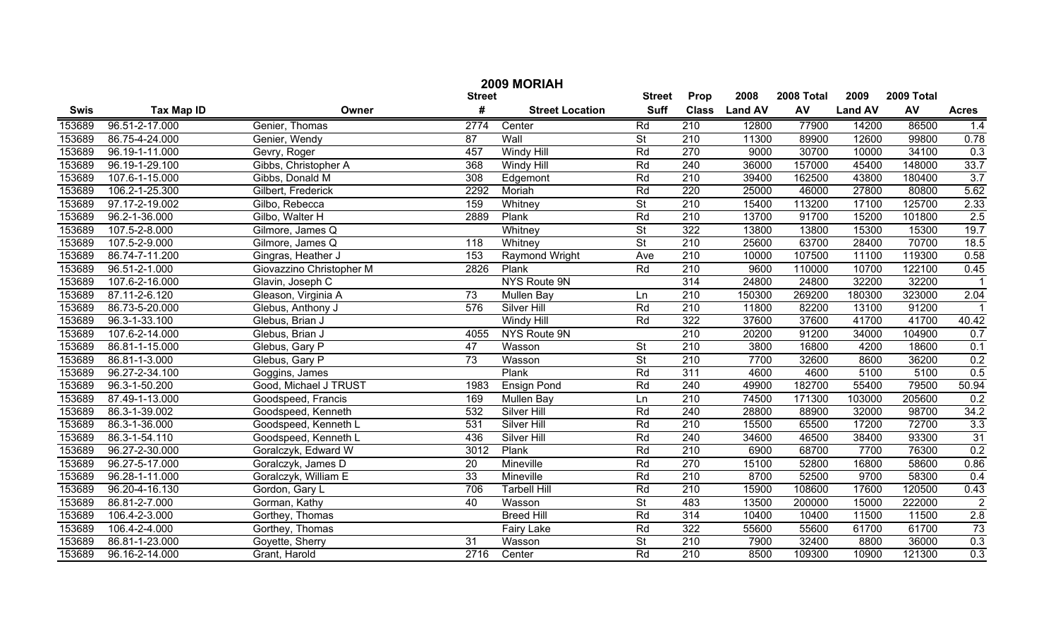| 2009 MORIAH |                   |                          |                 |                        |                          |                  |                |            |                |        |                 |
|-------------|-------------------|--------------------------|-----------------|------------------------|--------------------------|------------------|----------------|------------|----------------|--------|-----------------|
|             |                   | <b>Street</b>            | <b>Street</b>   | Prop                   | 2008                     | 2008 Total       | 2009           | 2009 Total |                |        |                 |
| <b>Swis</b> | <b>Tax Map ID</b> | Owner                    | #               | <b>Street Location</b> | <b>Suff</b>              | <b>Class</b>     | <b>Land AV</b> | <b>AV</b>  | <b>Land AV</b> | AV     | <b>Acres</b>    |
| 153689      | 96.51-2-17.000    | Genier, Thomas           | 2774            | Center                 | Rd                       | 210              | 12800          | 77900      | 14200          | 86500  | 1.4             |
| 153689      | 86.75-4-24.000    | Genier, Wendy            | $\overline{87}$ | Wall                   | $\overline{St}$          | $\overline{210}$ | 11300          | 89900      | 12600          | 99800  | 0.78            |
| 153689      | 96.19-1-11.000    | Gevry, Roger             | 457             | <b>Windy Hill</b>      | Rd                       | 270              | 9000           | 30700      | 10000          | 34100  | 0.3             |
| 153689      | 96.19-1-29.100    | Gibbs, Christopher A     | 368             | <b>Windy Hill</b>      | Rd                       | 240              | 36000          | 157000     | 45400          | 148000 | 33.7            |
| 153689      | 107.6-1-15.000    | Gibbs, Donald M          | 308             | Edgemont               | Rd                       | 210              | 39400          | 162500     | 43800          | 180400 | 3.7             |
| 153689      | 106.2-1-25.300    | Gilbert, Frederick       | 2292            | Moriah                 | Rd                       | 220              | 25000          | 46000      | 27800          | 80800  | 5.62            |
| 153689      | 97.17-2-19.002    | Gilbo, Rebecca           | 159             | Whitney                | $\overline{\mathsf{St}}$ | 210              | 15400          | 113200     | 17100          | 125700 | 2.33            |
| 153689      | 96.2-1-36.000     | Gilbo, Walter H          | 2889            | Plank                  | Rd                       | 210              | 13700          | 91700      | 15200          | 101800 | 2.5             |
| 153689      | 107.5-2-8.000     | Gilmore, James Q         |                 | Whitney                | $\overline{\mathsf{St}}$ | 322              | 13800          | 13800      | 15300          | 15300  | 19.7            |
| 153689      | 107.5-2-9.000     | Gilmore, James Q         | 118             | Whitney                | $\overline{\mathsf{St}}$ | $\overline{210}$ | 25600          | 63700      | 28400          | 70700  | 18.5            |
| 153689      | 86.74-7-11.200    | Gingras, Heather J       | 153             | Raymond Wright         | Ave                      | 210              | 10000          | 107500     | 11100          | 119300 | 0.58            |
| 153689      | 96.51-2-1.000     | Giovazzino Christopher M | 2826            | Plank                  | Rd                       | 210              | 9600           | 110000     | 10700          | 122100 | 0.45            |
| 153689      | 107.6-2-16.000    | Glavin, Joseph C         |                 | NYS Route 9N           |                          | 314              | 24800          | 24800      | 32200          | 32200  |                 |
| 153689      | 87.11-2-6.120     | Gleason, Virginia A      | 73              | Mullen Bay             | Ln                       | 210              | 150300         | 269200     | 180300         | 323000 | 2.04            |
| 153689      | 86.73-5-20.000    | Glebus, Anthony J        | 576             | <b>Silver Hill</b>     | Rd                       | 210              | 11800          | 82200      | 13100          | 91200  |                 |
| 153689      | 96.3-1-33.100     | Glebus, Brian J          |                 | Windy Hill             | Rd                       | 322              | 37600          | 37600      | 41700          | 41700  | 40.42           |
| 153689      | 107.6-2-14.000    | Glebus, Brian J          | 4055            | NYS Route 9N           |                          | $\overline{210}$ | 20200          | 91200      | 34000          | 104900 | 0.7             |
| 153689      | 86.81-1-15.000    | Glebus, Gary P           | 47              | Wasson                 | $\overline{\mathsf{St}}$ | 210              | 3800           | 16800      | 4200           | 18600  | 0.1             |
| 153689      | 86.81-1-3.000     | Glebus, Gary P           | $\overline{73}$ | Wasson                 | $\overline{\mathsf{St}}$ | $\overline{210}$ | 7700           | 32600      | 8600           | 36200  | 0.2             |
| 153689      | 96.27-2-34.100    | Goggins, James           |                 | Plank                  | Rd                       | 311              | 4600           | 4600       | 5100           | 5100   | 0.5             |
| 153689      | 96.3-1-50.200     | Good, Michael J TRUST    | 1983            | <b>Ensign Pond</b>     | Rd                       | 240              | 49900          | 182700     | 55400          | 79500  | 50.94           |
| 153689      | 87.49-1-13.000    | Goodspeed, Francis       | 169             | Mullen Bay             | Ln                       | 210              | 74500          | 171300     | 103000         | 205600 | 0.2             |
| 153689      | 86.3-1-39.002     | Goodspeed, Kenneth       | 532             | Silver Hill            | Rd                       | 240              | 28800          | 88900      | 32000          | 98700  | 34.2            |
| 153689      | 86.3-1-36.000     | Goodspeed, Kenneth L     | 531             | Silver Hill            | Rd                       | 210              | 15500          | 65500      | 17200          | 72700  | 3.3             |
| 153689      | 86.3-1-54.110     | Goodspeed, Kenneth L     | 436             | Silver Hill            | Rd                       | 240              | 34600          | 46500      | 38400          | 93300  | $\overline{31}$ |
| 153689      | 96.27-2-30.000    | Goralczyk, Edward W      | 3012            | Plank                  | Rd                       | 210              | 6900           | 68700      | 7700           | 76300  | 0.2             |
| 153689      | 96.27-5-17.000    | Goralczyk, James D       | 20              | Mineville              | Rd                       | 270              | 15100          | 52800      | 16800          | 58600  | 0.86            |
| 153689      | 96.28-1-11.000    | Goralczyk, William E     | 33              | Mineville              | Rd                       | 210              | 8700           | 52500      | 9700           | 58300  | 0.4             |
| 153689      | 96.20-4-16.130    | Gordon, Gary L           | 706             | <b>Tarbell Hill</b>    | Rd                       | 210              | 15900          | 108600     | 17600          | 120500 | 0.43            |
| 153689      | 86.81-2-7.000     | Gorman, Kathy            | 40              | Wasson                 | $\overline{\mathsf{St}}$ | 483              | 13500          | 200000     | 15000          | 222000 | $\overline{2}$  |
| 153689      | 106.4-2-3.000     | Gorthey, Thomas          |                 | <b>Breed Hill</b>      | Rd                       | 314              | 10400          | 10400      | 11500          | 11500  | 2.8             |
| 153689      | 106.4-2-4.000     | Gorthey, Thomas          |                 | Fairy Lake             | Rd                       | $\overline{322}$ | 55600          | 55600      | 61700          | 61700  | 73              |
| 153689      | 86.81-1-23.000    | Goyette, Sherry          | 31              | Wasson                 | $\overline{\mathsf{St}}$ | $\overline{210}$ | 7900           | 32400      | 8800           | 36000  | 0.3             |
| 153689      | 96.16-2-14.000    | Grant, Harold            | 2716            | Center                 | Rd                       | $\overline{210}$ | 8500           | 109300     | 10900          | 121300 | 0.3             |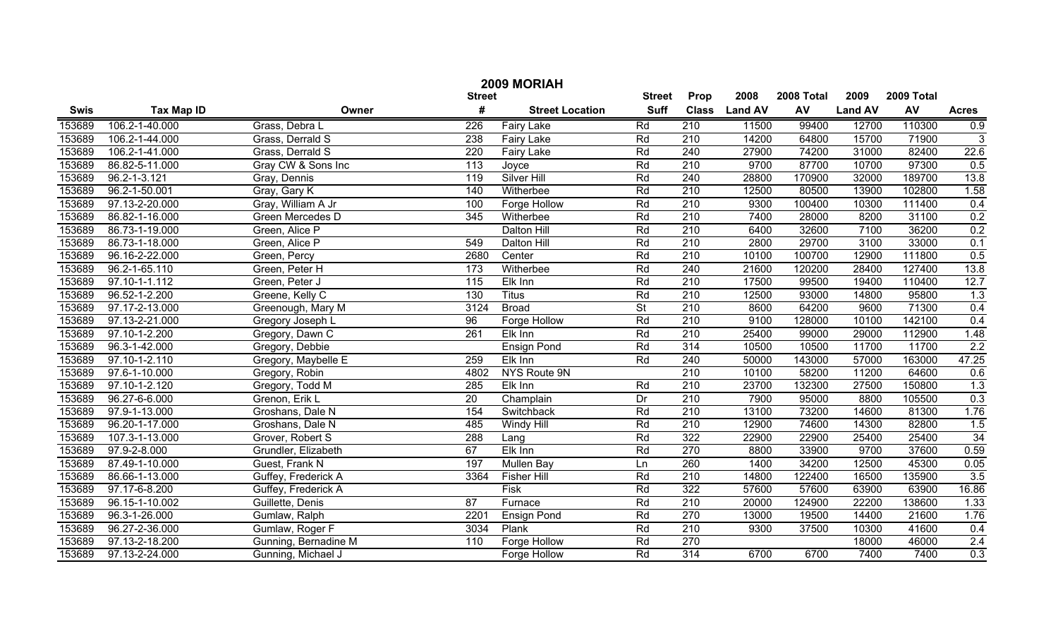|             | 2009 MORIAH        |                      |                   |                        |                 |                  |                |            |                |            |                 |  |
|-------------|--------------------|----------------------|-------------------|------------------------|-----------------|------------------|----------------|------------|----------------|------------|-----------------|--|
|             |                    |                      | <b>Street</b>     |                        | <b>Street</b>   | Prop             | 2008           | 2008 Total | 2009           | 2009 Total |                 |  |
| <b>Swis</b> | <b>Tax Map ID</b>  | Owner                | #                 | <b>Street Location</b> | <b>Suff</b>     | <b>Class</b>     | <b>Land AV</b> | AV         | <b>Land AV</b> | AV         | <b>Acres</b>    |  |
| 153689      | 106.2-1-40.000     | Grass, Debra L       | 226               | Fairy Lake             | Rd              | 210              | 11500          | 99400      | 12700          | 110300     | 0.9             |  |
| 153689      | 106.2-1-44.000     | Grass, Derrald S     | 238               | <b>Fairy Lake</b>      | Rd              | 210              | 14200          | 64800      | 15700          | 71900      | $\overline{3}$  |  |
| 153689      | 106.2-1-41.000     | Grass, Derrald S     | 220               | <b>Fairy Lake</b>      | Rd              | 240              | 27900          | 74200      | 31000          | 82400      | 22.6            |  |
| 153689      | 86.82-5-11.000     | Gray CW & Sons Inc   | $\overline{113}$  | Joyce                  | Rd              | 210              | 9700           | 87700      | 10700          | 97300      | 0.5             |  |
| 153689      | $96.2 - 1 - 3.121$ | Gray, Dennis         | 119               | <b>Silver Hill</b>     | Rd              | 240              | 28800          | 170900     | 32000          | 189700     | 13.8            |  |
| 153689      | 96.2-1-50.001      | Gray, Gary K         | 140               | Witherbee              | Rd              | 210              | 12500          | 80500      | 13900          | 102800     | 1.58            |  |
| 153689      | 97.13-2-20.000     | Gray, William A Jr   | 100               | <b>Forge Hollow</b>    | Rd              | $\overline{210}$ | 9300           | 100400     | 10300          | 111400     | 0.4             |  |
| 153689      | 86.82-1-16.000     | Green Mercedes D     | 345               | Witherbee              | Rd              | 210              | 7400           | 28000      | 8200           | 31100      | 0.2             |  |
| 153689      | 86.73-1-19.000     | Green, Alice P       |                   | <b>Dalton Hill</b>     | Rd              | 210              | 6400           | 32600      | 7100           | 36200      | 0.2             |  |
| 153689      | 86.73-1-18.000     | Green, Alice P       | 549               | Dalton Hill            | Rd              | 210              | 2800           | 29700      | 3100           | 33000      | 0.1             |  |
| 153689      | 96.16-2-22.000     | Green, Percy         | 2680              | Center                 | Rd              | 210              | 10100          | 100700     | 12900          | 111800     | 0.5             |  |
| 153689      | 96.2-1-65.110      | Green, Peter H       | 173               | Witherbee              | Rd              | 240              | 21600          | 120200     | 28400          | 127400     | 13.8            |  |
| 153689      | 97.10-1-1.112      | Green, Peter J       | $\frac{115}{115}$ | Elk Inn                | Rd              | 210              | 17500          | 99500      | 19400          | 110400     | 12.7            |  |
| 153689      | 96.52-1-2.200      | Greene, Kelly C      | 130               | <b>Titus</b>           | Rd              | 210              | 12500          | 93000      | 14800          | 95800      | 1.3             |  |
| 153689      | 97.17-2-13.000     | Greenough, Mary M    | 3124              | <b>Broad</b>           | $\overline{St}$ | 210              | 8600           | 64200      | 9600           | 71300      | 0.4             |  |
| 153689      | 97.13-2-21.000     | Gregory Joseph L     | 96                | Forge Hollow           | Rd              | 210              | 9100           | 128000     | 10100          | 142100     | 0.4             |  |
| 153689      | 97.10-1-2.200      | Gregory, Dawn C      | 261               | Elk Inn                | Rd              | 210              | 25400          | 99000      | 29000          | 112900     | 1.48            |  |
| 153689      | 96.3-1-42.000      | Gregory, Debbie      |                   | <b>Ensign Pond</b>     | Rd              | 314              | 10500          | 10500      | 11700          | 11700      | 2.2             |  |
| 153689      | 97.10-1-2.110      | Gregory, Maybelle E  | 259               | Elk Inn                | Rd              | 240              | 50000          | 143000     | 57000          | 163000     | 47.25           |  |
| 153689      | 97.6-1-10.000      | Gregory, Robin       | 4802              | NYS Route 9N           |                 | 210              | 10100          | 58200      | 11200          | 64600      | 0.6             |  |
| 153689      | 97.10-1-2.120      | Gregory, Todd M      | 285               | Elk Inn                | Rd              | 210              | 23700          | 132300     | 27500          | 150800     | 1.3             |  |
| 153689      | 96.27-6-6.000      | Grenon, Erik L       | 20                | Champlain              | Dr              | 210              | 7900           | 95000      | 8800           | 105500     | 0.3             |  |
| 153689      | 97.9-1-13.000      | Groshans, Dale N     | 154               | Switchback             | Rd              | 210              | 13100          | 73200      | 14600          | 81300      | 1.76            |  |
| 153689      | 96.20-1-17.000     | Groshans, Dale N     | 485               | Windy Hill             | Rd              | 210              | 12900          | 74600      | 14300          | 82800      | 1.5             |  |
| 153689      | 107.3-1-13.000     | Grover, Robert S     | 288               | Lang                   | Rd              | 322              | 22900          | 22900      | 25400          | 25400      | $\overline{34}$ |  |
| 153689      | 97.9-2-8.000       | Grundler, Elizabeth  | 67                | Elk Inn                | Rd              | 270              | 8800           | 33900      | 9700           | 37600      | 0.59            |  |
| 153689      | 87.49-1-10.000     | Guest, Frank N       | 197               | Mullen Bay             | Ln              | 260              | 1400           | 34200      | 12500          | 45300      | 0.05            |  |
| 153689      | 86.66-1-13.000     | Guffey, Frederick A  | 3364              | <b>Fisher Hill</b>     | Rd              | 210              | 14800          | 122400     | 16500          | 135900     | 3.5             |  |
| 153689      | 97.17-6-8.200      | Guffey, Frederick A  |                   | <b>Fisk</b>            | Rd              | 322              | 57600          | 57600      | 63900          | 63900      | 16.86           |  |
| 153689      | 96.15-1-10.002     | Guillette, Denis     | 87                | Furnace                | Rd              | $\overline{210}$ | 20000          | 124900     | 22200          | 138600     | 1.33            |  |
| 153689      | 96.3-1-26.000      | Gumlaw, Ralph        | 2201              | <b>Ensign Pond</b>     | Rd              | $\overline{270}$ | 13000          | 19500      | 14400          | 21600      | 1.76            |  |
| 153689      | 96.27-2-36.000     | Gumlaw, Roger F      | 3034              | Plank                  | Rd              | 210              | 9300           | 37500      | 10300          | 41600      | 0.4             |  |
| 153689      | 97.13-2-18.200     | Gunning, Bernadine M | 110               | Forge Hollow           | Rd              | $\overline{270}$ |                |            | 18000          | 46000      | 2.4             |  |
| 153689      | 97.13-2-24.000     | Gunning, Michael J   |                   | Forge Hollow           | Rd              | $\overline{314}$ | 6700           | 6700       | 7400           | 7400       | 0.3             |  |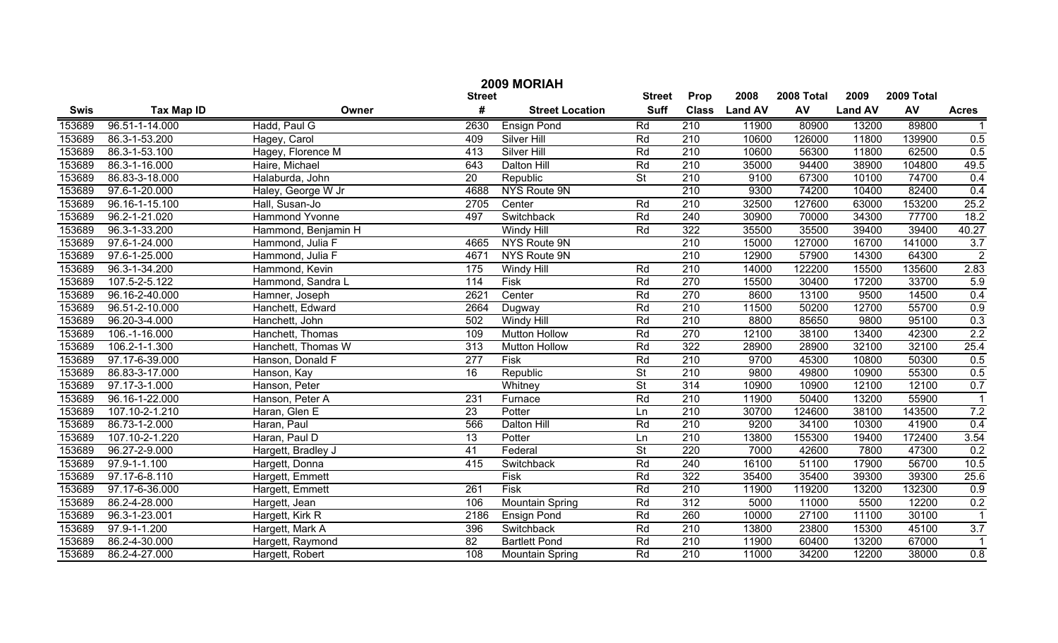|               | 2009 MORIAH       |                       |                 |                        |                          |                  |                |            |                |            |                  |  |
|---------------|-------------------|-----------------------|-----------------|------------------------|--------------------------|------------------|----------------|------------|----------------|------------|------------------|--|
| <b>Street</b> |                   |                       |                 |                        |                          | Prop             | 2008           | 2008 Total | 2009           | 2009 Total |                  |  |
| <b>Swis</b>   | <b>Tax Map ID</b> | Owner                 | #               | <b>Street Location</b> | <b>Suff</b>              | <b>Class</b>     | <b>Land AV</b> | AV         | <b>Land AV</b> | AV         | <b>Acres</b>     |  |
| 153689        | 96.51-1-14.000    | Hadd, Paul G          | 2630            | <b>Ensign Pond</b>     | Rd                       | 210              | 11900          | 80900      | 13200          | 89800      |                  |  |
| 153689        | 86.3-1-53.200     | Hagey, Carol          | 409             | Silver Hill            | Rd                       | $\overline{210}$ | 10600          | 126000     | 11800          | 139900     | 0.5              |  |
| 153689        | 86.3-1-53.100     | Hagey, Florence M     | 413             | <b>Silver Hill</b>     | Rd                       | $\overline{210}$ | 10600          | 56300      | 11800          | 62500      | 0.5              |  |
| 153689        | 86.3-1-16.000     | Haire, Michael        | 643             | Dalton Hill            | Rd                       | 210              | 35000          | 94400      | 38900          | 104800     | 49.5             |  |
| 153689        | 86.83-3-18.000    | Halaburda, John       | $\overline{20}$ | Republic               | $\overline{\mathsf{St}}$ | 210              | 9100           | 67300      | 10100          | 74700      | 0.4              |  |
| 153689        | 97.6-1-20.000     | Haley, George W Jr    | 4688            | NYS Route 9N           |                          | 210              | 9300           | 74200      | 10400          | 82400      | 0.4              |  |
| 153689        | 96.16-1-15.100    | Hall, Susan-Jo        | 2705            | Center                 | Rd                       | $\overline{210}$ | 32500          | 127600     | 63000          | 153200     | 25.2             |  |
| 153689        | 96.2-1-21.020     | <b>Hammond Yvonne</b> | 497             | Switchback             | Rd                       | 240              | 30900          | 70000      | 34300          | 77700      | 18.2             |  |
| 153689        | 96.3-1-33.200     | Hammond, Benjamin H   |                 | <b>Windy Hill</b>      | Rd                       | 322              | 35500          | 35500      | 39400          | 39400      | 40.27            |  |
| 153689        | 97.6-1-24.000     | Hammond, Julia F      | 4665            | NYS Route 9N           |                          | $\overline{210}$ | 15000          | 127000     | 16700          | 141000     | 3.7              |  |
| 153689        | 97.6-1-25.000     | Hammond, Julia F      | 4671            | NYS Route 9N           |                          | $\overline{210}$ | 12900          | 57900      | 14300          | 64300      | $\overline{2}$   |  |
| 153689        | 96.3-1-34.200     | Hammond, Kevin        | 175             | Windy Hill             | Rd                       | 210              | 14000          | 122200     | 15500          | 135600     | 2.83             |  |
| 153689        | 107.5-2-5.122     | Hammond, Sandra L     | 114             | Fisk                   | Rd                       | 270              | 15500          | 30400      | 17200          | 33700      | 5.9              |  |
| 153689        | 96.16-2-40.000    | Hamner, Joseph        | 2621            | Center                 | Rd                       | 270              | 8600           | 13100      | 9500           | 14500      | 0.4              |  |
| 153689        | 96.51-2-10.000    | Hanchett, Edward      | 2664            | Dugway                 | Rd                       | 210              | 11500          | 50200      | 12700          | 55700      | 0.9              |  |
| 153689        | 96.20-3-4.000     | Hanchett, John        | 502             | Windy Hill             | Rd                       | 210              | 8800           | 85650      | 9800           | 95100      | 0.3              |  |
| 153689        | 106.-1-16.000     | Hanchett, Thomas      | 109             | <b>Mutton Hollow</b>   | Rd                       | 270              | 12100          | 38100      | 13400          | 42300      | $\overline{2.2}$ |  |
| 153689        | 106.2-1-1.300     | Hanchett, Thomas W    | 313             | <b>Mutton Hollow</b>   | Rd                       | 322              | 28900          | 28900      | 32100          | 32100      | 25.4             |  |
| 153689        | 97.17-6-39.000    | Hanson, Donald F      | 277             | Fisk                   | Rd                       | 210              | 9700           | 45300      | 10800          | 50300      | 0.5              |  |
| 153689        | 86.83-3-17.000    | Hanson, Kay           | 16              | Republic               | $\overline{\mathsf{St}}$ | 210              | 9800           | 49800      | 10900          | 55300      | 0.5              |  |
| 153689        | 97.17-3-1.000     | Hanson, Peter         |                 | Whitney                | $\overline{\mathsf{St}}$ | $\overline{314}$ | 10900          | 10900      | 12100          | 12100      | 0.7              |  |
| 153689        | 96.16-1-22.000    | Hanson, Peter A       | 231             | Furnace                | Rd                       | 210              | 11900          | 50400      | 13200          | 55900      |                  |  |
| 153689        | 107.10-2-1.210    | Haran, Glen E         | 23              | Potter                 | Ln                       | 210              | 30700          | 124600     | 38100          | 143500     | 7.2              |  |
| 153689        | 86.73-1-2.000     | Haran, Paul           | 566             | Dalton Hill            | Rd                       | 210              | 9200           | 34100      | 10300          | 41900      | 0.4              |  |
| 153689        | 107.10-2-1.220    | Haran, Paul D         | 13              | Potter                 | Ln                       | 210              | 13800          | 155300     | 19400          | 172400     | 3.54             |  |
| 153689        | 96.27-2-9.000     | Hargett, Bradley J    | 41              | Federal                | $\overline{\mathsf{St}}$ | 220              | 7000           | 42600      | 7800           | 47300      | 0.2              |  |
| 153689        | 97.9-1-1.100      | Hargett, Donna        | 415             | Switchback             | Rd                       | 240              | 16100          | 51100      | 17900          | 56700      | 10.5             |  |
| 153689        | 97.17-6-8.110     | Hargett, Emmett       |                 | $\overline{F}$ isk     | Rd                       | 322              | 35400          | 35400      | 39300          | 39300      | 25.6             |  |
| 153689        | 97.17-6-36.000    | Hargett, Emmett       | 261             | <b>Fisk</b>            | Rd                       | 210              | 11900          | 119200     | 13200          | 132300     | 0.9              |  |
| 153689        | 86.2-4-28.000     | Hargett, Jean         | 106             | <b>Mountain Spring</b> | Rd                       | $\overline{312}$ | 5000           | 11000      | 5500           | 12200      | 0.2              |  |
| 153689        | 96.3-1-23.001     | Hargett, Kirk R       | 2186            | <b>Ensign Pond</b>     | Rd                       | 260              | 10000          | 27100      | 11100          | 30100      | -1               |  |
| 153689        | 97.9-1-1.200      | Hargett, Mark A       | 396             | Switchback             | Rd                       | 210              | 13800          | 23800      | 15300          | 45100      | 3.7              |  |
| 153689        | 86.2-4-30.000     | Hargett, Raymond      | $\overline{82}$ | <b>Bartlett Pond</b>   | Rd                       | $\overline{210}$ | 11900          | 60400      | 13200          | 67000      | $\mathbf{1}$     |  |
| 153689        | 86.2-4-27.000     | Hargett, Robert       | 108             | <b>Mountain Spring</b> | Rd                       | $\overline{210}$ | 11000          | 34200      | 12200          | 38000      | 0.8              |  |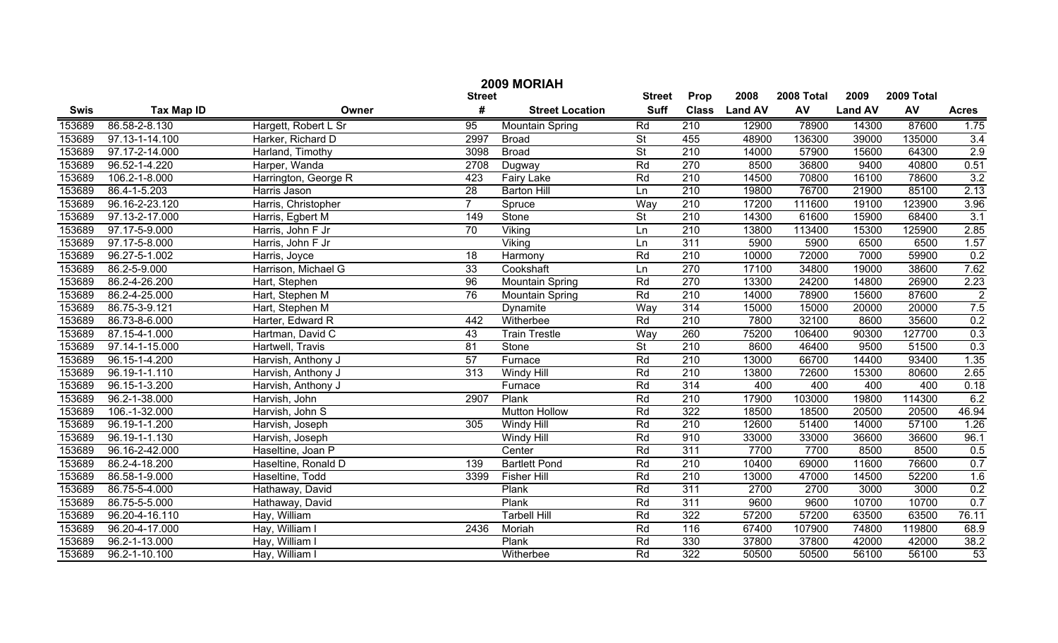|             | 2009 MORIAH       |                      |                  |                        |                          |                  |                |            |                |            |                |  |
|-------------|-------------------|----------------------|------------------|------------------------|--------------------------|------------------|----------------|------------|----------------|------------|----------------|--|
|             |                   |                      | <b>Street</b>    |                        | <b>Street</b>            | Prop             | 2008           | 2008 Total | 2009           | 2009 Total |                |  |
| <b>Swis</b> | <b>Tax Map ID</b> | Owner                | #                | <b>Street Location</b> | <b>Suff</b>              | <b>Class</b>     | <b>Land AV</b> | AV         | <b>Land AV</b> | AV         | <b>Acres</b>   |  |
| 153689      | 86.58-2-8.130     | Hargett, Robert L Sr | $\overline{95}$  | Mountain Spring        | Rd                       | 210              | 12900          | 78900      | 14300          | 87600      | 1.75           |  |
| 153689      | 97.13-1-14.100    | Harker, Richard D    | 2997             | <b>Broad</b>           | $\overline{St}$          | 455              | 48900          | 136300     | 39000          | 135000     | 3.4            |  |
| 153689      | 97.17-2-14.000    | Harland, Timothy     | 3098             | <b>Broad</b>           | $\overline{St}$          | 210              | 14000          | 57900      | 15600          | 64300      | 2.9            |  |
| 153689      | 96.52-1-4.220     | Harper, Wanda        | 2708             | Dugway                 | Rd                       | 270              | 8500           | 36800      | 9400           | 40800      | 0.51           |  |
| 153689      | 106.2-1-8.000     | Harrington, George R | 423              | <b>Fairy Lake</b>      | Rd                       | 210              | 14500          | 70800      | 16100          | 78600      | 3.2            |  |
| 153689      | 86.4-1-5.203      | Harris Jason         | 28               | <b>Barton Hill</b>     | Ln                       | 210              | 19800          | 76700      | 21900          | 85100      | 2.13           |  |
| 153689      | 96.16-2-23.120    | Harris, Christopher  |                  | Spruce                 | Way                      | 210              | 17200          | 111600     | 19100          | 123900     | 3.96           |  |
| 153689      | 97.13-2-17.000    | Harris, Egbert M     | $\overline{149}$ | Stone                  | $\overline{\mathsf{St}}$ | 210              | 14300          | 61600      | 15900          | 68400      | 3.1            |  |
| 153689      | 97.17-5-9.000     | Harris, John F Jr    | 70               | Viking                 | Ln                       | 210              | 13800          | 113400     | 15300          | 125900     | 2.85           |  |
| 153689      | 97.17-5-8.000     | Harris, John F Jr    |                  | $\overline{V}$ iking   | Ln                       | 311              | 5900           | 5900       | 6500           | 6500       | 1.57           |  |
| 153689      | 96.27-5-1.002     | Harris, Joyce        | 18               | Harmony                | Rd                       | 210              | 10000          | 72000      | 7000           | 59900      | 0.2            |  |
| 153689      | 86.2-5-9.000      | Harrison, Michael G  | 33               | Cookshaft              | Ln                       | 270              | 17100          | 34800      | 19000          | 38600      | 7.62           |  |
| 153689      | 86.2-4-26.200     | Hart, Stephen        | 96               | <b>Mountain Spring</b> | Rd                       | 270              | 13300          | 24200      | 14800          | 26900      | 2.23           |  |
| 153689      | 86.2-4-25.000     | Hart, Stephen M      | 76               | <b>Mountain Spring</b> | Rd                       | 210              | 14000          | 78900      | 15600          | 87600      | $\overline{2}$ |  |
| 153689      | 86.75-3-9.121     | Hart, Stephen M      |                  | Dynamite               | Way                      | 314              | 15000          | 15000      | 20000          | 20000      | 7.5            |  |
| 153689      | 86.73-8-6.000     | Harter, Edward R     | 442              | Witherbee              | Rd                       | $\overline{210}$ | 7800           | 32100      | 8600           | 35600      | 0.2            |  |
| 153689      | 87.15-4-1.000     | Hartman, David C     | 43               | <b>Train Trestle</b>   | Way                      | 260              | 75200          | 106400     | 90300          | 127700     | 0.3            |  |
| 153689      | 97.14-1-15.000    | Hartwell, Travis     | 81               | Stone                  | $\overline{\mathsf{St}}$ | 210              | 8600           | 46400      | 9500           | 51500      | 0.3            |  |
| 153689      | 96.15-1-4.200     | Harvish, Anthony J   | 57               | Furnace                | Rd                       | 210              | 13000          | 66700      | 14400          | 93400      | 1.35           |  |
| 153689      | 96.19-1-1.110     | Harvish, Anthony J   | 313              | Windy Hill             | Rd                       | 210              | 13800          | 72600      | 15300          | 80600      | 2.65           |  |
| 153689      | 96.15-1-3.200     | Harvish, Anthony J   |                  | Furnace                | Rd                       | 314              | 400            | 400        | 400            | 400        | 0.18           |  |
| 153689      | 96.2-1-38.000     | Harvish, John        | 2907             | Plank                  | Rd                       | 210              | 17900          | 103000     | 19800          | 114300     | 6.2            |  |
| 153689      | 106.-1-32.000     | Harvish, John S      |                  | <b>Mutton Hollow</b>   | Rd                       | 322              | 18500          | 18500      | 20500          | 20500      | 46.94          |  |
| 153689      | 96.19-1-1.200     | Harvish, Joseph      | 305              | Windy Hill             | Rd                       | 210              | 12600          | 51400      | 14000          | 57100      | 1.26           |  |
| 153689      | 96.19-1-1.130     | Harvish, Joseph      |                  | Windy Hill             | Rd                       | 910              | 33000          | 33000      | 36600          | 36600      | 96.1           |  |
| 153689      | 96.16-2-42.000    | Haseltine, Joan P    |                  | Center                 | Rd                       | 311              | 7700           | 7700       | 8500           | 8500       | 0.5            |  |
| 153689      | 86.2-4-18.200     | Haseltine, Ronald D  | 139              | <b>Bartlett Pond</b>   | Rd                       | 210              | 10400          | 69000      | 11600          | 76600      | 0.7            |  |
| 153689      | 86.58-1-9.000     | Haseltine, Todd      | 3399             | <b>Fisher Hill</b>     | Rd                       | 210              | 13000          | 47000      | 14500          | 52200      | 1.6            |  |
| 153689      | 86.75-5-4.000     | Hathaway, David      |                  | Plank                  | Rd                       | $\overline{311}$ | 2700           | 2700       | 3000           | 3000       | 0.2            |  |
| 153689      | 86.75-5-5.000     | Hathaway, David      |                  | Plank                  | Rd                       | $\overline{311}$ | 9600           | 9600       | 10700          | 10700      | 0.7            |  |
| 153689      | 96.20-4-16.110    | Hay, William         |                  | <b>Tarbell Hill</b>    | Rd                       | 322              | 57200          | 57200      | 63500          | 63500      | 76.11          |  |
| 153689      | 96.20-4-17.000    | Hay, William I       | 2436             | Moriah                 | Rd                       | 116              | 67400          | 107900     | 74800          | 119800     | 68.9           |  |
| 153689      | 96.2-1-13.000     | Hay, William I       |                  | Plank                  | Rd                       | 330              | 37800          | 37800      | 42000          | 42000      | 38.2           |  |
| 153689      | 96.2-1-10.100     | Hay, William I       |                  | Witherbee              | Rd                       | 322              | 50500          | 50500      | 56100          | 56100      | 53             |  |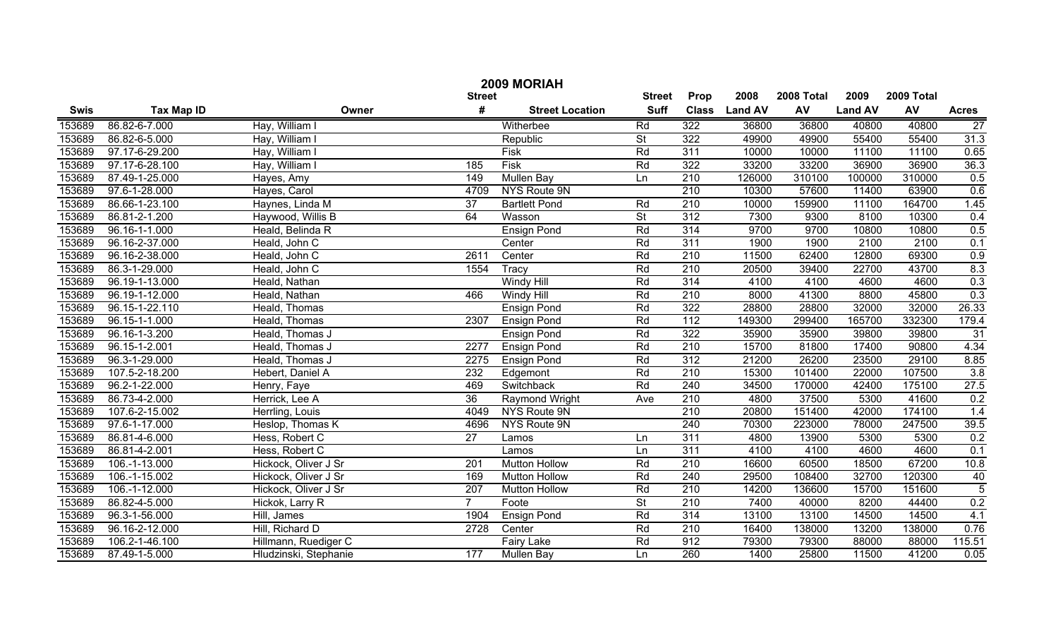|             | 2009 MORIAH       |                       |                  |                        |                          |                  |                |            |                |            |                 |  |
|-------------|-------------------|-----------------------|------------------|------------------------|--------------------------|------------------|----------------|------------|----------------|------------|-----------------|--|
|             |                   |                       | <b>Street</b>    |                        | <b>Street</b>            | Prop             | 2008           | 2008 Total | 2009           | 2009 Total |                 |  |
| <b>Swis</b> | <b>Tax Map ID</b> | Owner                 | #                | <b>Street Location</b> | <b>Suff</b>              | <b>Class</b>     | <b>Land AV</b> | AV         | <b>Land AV</b> | AV         | <b>Acres</b>    |  |
| 153689      | 86.82-6-7.000     | Hay, William I        |                  | Witherbee              | Rd                       | 322              | 36800          | 36800      | 40800          | 40800      | $\overline{27}$ |  |
| 153689      | 86.82-6-5.000     | Hay, William I        |                  | Republic               | $\overline{\mathsf{St}}$ | 322              | 49900          | 49900      | 55400          | 55400      | 31.3            |  |
| 153689      | 97.17-6-29.200    | Hay, William I        |                  | Fisk                   | Rd                       | 311              | 10000          | 10000      | 11100          | 11100      | 0.65            |  |
| 153689      | 97.17-6-28.100    | Hay, William I        | 185              | <b>Fisk</b>            | Rd                       | 322              | 33200          | 33200      | 36900          | 36900      | 36.3            |  |
| 153689      | 87.49-1-25.000    | Hayes, Amy            | 149              | <b>Mullen Bay</b>      | Ln                       | 210              | 126000         | 310100     | 100000         | 310000     | 0.5             |  |
| 153689      | 97.6-1-28.000     | Hayes, Carol          | 4709             | NYS Route 9N           |                          | 210              | 10300          | 57600      | 11400          | 63900      | 0.6             |  |
| 153689      | 86.66-1-23.100    | Haynes, Linda M       | 37               | <b>Bartlett Pond</b>   | Rd                       | 210              | 10000          | 159900     | 11100          | 164700     | 1.45            |  |
| 153689      | 86.81-2-1.200     | Haywood, Willis B     | 64               | Wasson                 | $\overline{\mathsf{St}}$ | 312              | 7300           | 9300       | 8100           | 10300      | 0.4             |  |
| 153689      | 96.16-1-1.000     | Heald, Belinda R      |                  | <b>Ensign Pond</b>     | Rd                       | 314              | 9700           | 9700       | 10800          | 10800      | 0.5             |  |
| 153689      | 96.16-2-37.000    | Heald, John C         |                  | Center                 | Rd                       | 311              | 1900           | 1900       | 2100           | 2100       | 0.1             |  |
| 153689      | 96.16-2-38.000    | Heald, John C         | 2611             | Center                 | Rd                       | $\overline{210}$ | 11500          | 62400      | 12800          | 69300      | 0.9             |  |
| 153689      | 86.3-1-29.000     | Heald, John C         | 1554             | Tracy                  | Rd                       | 210              | 20500          | 39400      | 22700          | 43700      | 8.3             |  |
| 153689      | 96.19-1-13.000    | Heald, Nathan         |                  | <b>Windy Hill</b>      | Rd                       | 314              | 4100           | 4100       | 4600           | 4600       | 0.3             |  |
| 153689      | 96.19-1-12.000    | Heald, Nathan         | 466              | <b>Windy Hill</b>      | Rd                       | $\overline{210}$ | 8000           | 41300      | 8800           | 45800      | 0.3             |  |
| 153689      | 96.15-1-22.110    | Heald, Thomas         |                  | <b>Ensign Pond</b>     | Rd                       | 322              | 28800          | 28800      | 32000          | 32000      | 26.33           |  |
| 153689      | 96.15-1-1.000     | Heald, Thomas         | 2307             | <b>Ensign Pond</b>     | Rd                       | 112              | 149300         | 299400     | 165700         | 332300     | 179.4           |  |
| 153689      | 96.16-1-3.200     | Heald, Thomas J       |                  | <b>Ensign Pond</b>     | Rd                       | 322              | 35900          | 35900      | 39800          | 39800      | 31              |  |
| 153689      | 96.15-1-2.001     | Heald, Thomas J       | 2277             | <b>Ensign Pond</b>     | Rd                       | $\overline{210}$ | 15700          | 81800      | 17400          | 90800      | 4.34            |  |
| 153689      | 96.3-1-29.000     | Heald, Thomas J       | 2275             | <b>Ensign Pond</b>     | Rd                       | $\overline{312}$ | 21200          | 26200      | 23500          | 29100      | 8.85            |  |
| 153689      | 107.5-2-18.200    | Hebert, Daniel A      | 232              | Edgemont               | Rd                       | $\overline{210}$ | 15300          | 101400     | 22000          | 107500     | 3.8             |  |
| 153689      | 96.2-1-22.000     | Henry, Faye           | 469              | Switchback             | Rd                       | 240              | 34500          | 170000     | 42400          | 175100     | 27.5            |  |
| 153689      | 86.73-4-2.000     | Herrick, Lee A        | $\overline{36}$  | Raymond Wright         | Ave                      | $\overline{210}$ | 4800           | 37500      | 5300           | 41600      | 0.2             |  |
| 153689      | 107.6-2-15.002    | Herrling, Louis       | 4049             | NYS Route 9N           |                          | 210              | 20800          | 151400     | 42000          | 174100     | 1.4             |  |
| 153689      | 97.6-1-17.000     | Heslop, Thomas K      | 4696             | NYS Route 9N           |                          | 240              | 70300          | 223000     | 78000          | 247500     | 39.5            |  |
| 153689      | 86.81-4-6.000     | Hess, Robert C        | $\overline{27}$  | Lamos                  | Ln                       | 311              | 4800           | 13900      | 5300           | 5300       | 0.2             |  |
| 153689      | 86.81-4-2.001     | Hess, Robert C        |                  | Lamos                  | Ln                       | 311              | 4100           | 4100       | 4600           | 4600       | 0.1             |  |
| 153689      | 106.-1-13.000     | Hickock, Oliver J Sr  | $\overline{201}$ | <b>Mutton Hollow</b>   | Rd                       | $\overline{210}$ | 16600          | 60500      | 18500          | 67200      | 10.8            |  |
| 153689      | 106.-1-15.002     | Hickock, Oliver J Sr  | 169              | <b>Mutton Hollow</b>   | Rd                       | 240              | 29500          | 108400     | 32700          | 120300     | 40              |  |
| 153689      | 106.-1-12.000     | Hickock, Oliver J Sr  | 207              | <b>Mutton Hollow</b>   | Rd                       | 210              | 14200          | 136600     | 15700          | 151600     | $\overline{5}$  |  |
| 153689      | 86.82-4-5.000     | Hickok, Larry R       | $\overline{7}$   | Foote                  | $\overline{\mathsf{St}}$ | 210              | 7400           | 40000      | 8200           | 44400      | 0.2             |  |
| 153689      | 96.3-1-56.000     | Hill, James           | 1904             | <b>Ensign Pond</b>     | Rd                       | 314              | 13100          | 13100      | 14500          | 14500      | 4.1             |  |
| 153689      | 96.16-2-12.000    | Hill, Richard D       | 2728             | Center                 | Rd                       | $\overline{210}$ | 16400          | 138000     | 13200          | 138000     | 0.76            |  |
| 153689      | 106.2-1-46.100    | Hillmann, Ruediger C  |                  | <b>Fairy Lake</b>      | Rd                       | 912              | 79300          | 79300      | 88000          | 88000      | 115.51          |  |
| 153689      | 87.49-1-5.000     | Hludzinski, Stephanie | 177              | Mullen Bay             | Ln                       | 260              | 1400           | 25800      | 11500          | 41200      | 0.05            |  |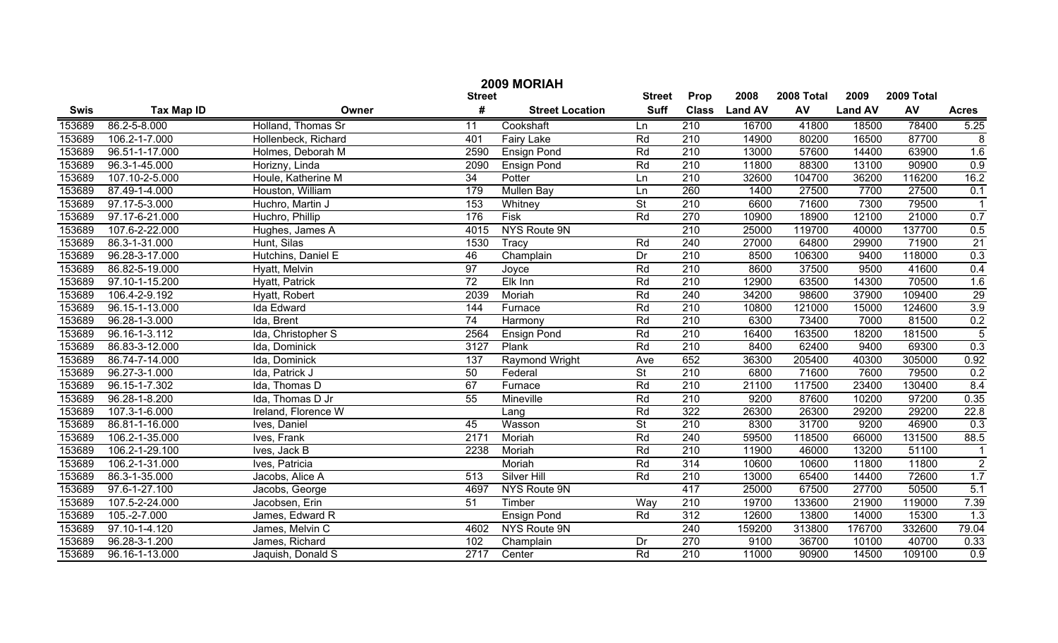|             | 2009 MORIAH       |                     |                 |                        |                          |                  |                |            |                |            |                 |
|-------------|-------------------|---------------------|-----------------|------------------------|--------------------------|------------------|----------------|------------|----------------|------------|-----------------|
|             |                   |                     | <b>Street</b>   |                        | <b>Street</b>            | Prop             | 2008           | 2008 Total | 2009           | 2009 Total |                 |
| <b>Swis</b> | <b>Tax Map ID</b> | Owner               | #               | <b>Street Location</b> | <b>Suff</b>              | <b>Class</b>     | <b>Land AV</b> | AV         | <b>Land AV</b> | AV         | <b>Acres</b>    |
| 153689      | 86.2-5-8.000      | Holland, Thomas Sr  | 11              | Cookshaft              | Ln                       | 210              | 16700          | 41800      | 18500          | 78400      | 5.25            |
| 153689      | 106.2-1-7.000     | Hollenbeck, Richard | 401             | <b>Fairy Lake</b>      | Rd                       | $\overline{210}$ | 14900          | 80200      | 16500          | 87700      | $\overline{8}$  |
| 153689      | 96.51-1-17.000    | Holmes, Deborah M   | 2590            | <b>Ensign Pond</b>     | Rd                       | $\overline{210}$ | 13000          | 57600      | 14400          | 63900      | 1.6             |
| 153689      | 96.3-1-45.000     | Horizny, Linda      | 2090            | <b>Ensign Pond</b>     | Rd                       | 210              | 11800          | 88300      | 13100          | 90900      | 0.9             |
| 153689      | 107.10-2-5.000    | Houle, Katherine M  | 34              | Potter                 | Ln                       | 210              | 32600          | 104700     | 36200          | 116200     | 16.2            |
| 153689      | 87.49-1-4.000     | Houston, William    | 179             | <b>Mullen Bay</b>      | Ln                       | 260              | 1400           | 27500      | 7700           | 27500      | 0.1             |
| 153689      | 97.17-5-3.000     | Huchro, Martin J    | 153             | Whitney                | $\overline{\mathsf{St}}$ | 210              | 6600           | 71600      | 7300           | 79500      |                 |
| 153689      | 97.17-6-21.000    | Huchro, Phillip     | 176             | Fisk                   | Rd                       | 270              | 10900          | 18900      | 12100          | 21000      | 0.7             |
| 153689      | 107.6-2-22.000    | Hughes, James A     | 4015            | NYS Route 9N           |                          | 210              | 25000          | 119700     | 40000          | 137700     | 0.5             |
| 153689      | 86.3-1-31.000     | Hunt, Silas         | 1530            | Tracy                  | Rd                       | 240              | 27000          | 64800      | 29900          | 71900      | $\overline{21}$ |
| 153689      | 96.28-3-17.000    | Hutchins, Daniel E  | 46              | Champlain              | Dr                       | $\overline{210}$ | 8500           | 106300     | 9400           | 118000     | 0.3             |
| 153689      | 86.82-5-19.000    | Hyatt, Melvin       | $\overline{97}$ | Joyce                  | Rd                       | 210              | 8600           | 37500      | 9500           | 41600      | 0.4             |
| 153689      | 97.10-1-15.200    | Hyatt, Patrick      | $\overline{72}$ | Elk Inn                | Rd                       | 210              | 12900          | 63500      | 14300          | 70500      | 1.6             |
| 153689      | 106.4-2-9.192     | Hyatt, Robert       | 2039            | Moriah                 | Rd                       | 240              | 34200          | 98600      | 37900          | 109400     | 29              |
| 153689      | 96.15-1-13.000    | Ida Edward          | 144             | Furnace                | Rd                       | 210              | 10800          | 121000     | 15000          | 124600     | 3.9             |
| 153689      | 96.28-1-3.000     | Ida, Brent          | 74              | Harmony                | Rd                       | 210              | 6300           | 73400      | 7000           | 81500      | 0.2             |
| 153689      | 96.16-1-3.112     | Ida, Christopher S  | 2564            | <b>Ensign Pond</b>     | Rd                       | 210              | 16400          | 163500     | 18200          | 181500     | $\overline{5}$  |
| 153689      | 86.83-3-12.000    | Ida, Dominick       | 3127            | Plank                  | Rd                       | 210              | 8400           | 62400      | 9400           | 69300      | 0.3             |
| 153689      | 86.74-7-14.000    | Ida, Dominick       | 137             | Raymond Wright         | Ave                      | 652              | 36300          | 205400     | 40300          | 305000     | 0.92            |
| 153689      | 96.27-3-1.000     | Ida, Patrick J      | 50              | Federal                | $\overline{\mathsf{St}}$ | 210              | 6800           | 71600      | 7600           | 79500      | 0.2             |
| 153689      | 96.15-1-7.302     | Ida, Thomas D       | 67              | Furnace                | Rd                       | 210              | 21100          | 117500     | 23400          | 130400     | 8.4             |
| 153689      | 96.28-1-8.200     | Ida, Thomas D Jr    | 55              | Mineville              | Rd                       | 210              | 9200           | 87600      | 10200          | 97200      | 0.35            |
| 153689      | 107.3-1-6.000     | Ireland, Florence W |                 | Lang                   | Rd                       | 322              | 26300          | 26300      | 29200          | 29200      | 22.8            |
| 153689      | 86.81-1-16.000    | Ives, Daniel        | 45              | Wasson                 | $\overline{\mathsf{St}}$ | 210              | 8300           | 31700      | 9200           | 46900      | 0.3             |
| 153689      | 106.2-1-35.000    | Ives, Frank         | 2171            | Moriah                 | Rd                       | 240              | 59500          | 118500     | 66000          | 131500     | 88.5            |
| 153689      | 106.2-1-29.100    | Ives, Jack B        | 2238            | Moriah                 | Rd                       | 210              | 11900          | 46000      | 13200          | 51100      | $\mathbf{1}$    |
| 153689      | 106.2-1-31.000    | Ives, Patricia      |                 | Moriah                 | Rd                       | 314              | 10600          | 10600      | 11800          | 11800      | $\overline{2}$  |
| 153689      | 86.3-1-35.000     | Jacobs, Alice A     | 513             | Silver Hill            | Rd                       | 210              | 13000          | 65400      | 14400          | 72600      | 1.7             |
| 153689      | 97.6-1-27.100     | Jacobs, George      | 4697            | NYS Route 9N           |                          | 417              | 25000          | 67500      | 27700          | 50500      | 5.1             |
| 153689      | 107.5-2-24.000    | Jacobsen, Erin      | $\overline{51}$ | Timber                 | Way                      | 210              | 19700          | 133600     | 21900          | 119000     | 7.39            |
| 153689      | $105.-2-7.000$    | James, Edward R     |                 | <b>Ensign Pond</b>     | Rd                       | 312              | 12600          | 13800      | 14000          | 15300      | 1.3             |
| 153689      | 97.10-1-4.120     | James, Melvin C     | 4602            | NYS Route 9N           |                          | 240              | 159200         | 313800     | 176700         | 332600     | 79.04           |
| 153689      | 96.28-3-1.200     | James, Richard      | 102             | Champlain              | Dr                       | $\overline{270}$ | 9100           | 36700      | 10100          | 40700      | 0.33            |
| 153689      | 96.16-1-13.000    | Jaquish, Donald S   | 2717            | Center                 | Rd                       | $\overline{210}$ | 11000          | 90900      | 14500          | 109100     | 0.9             |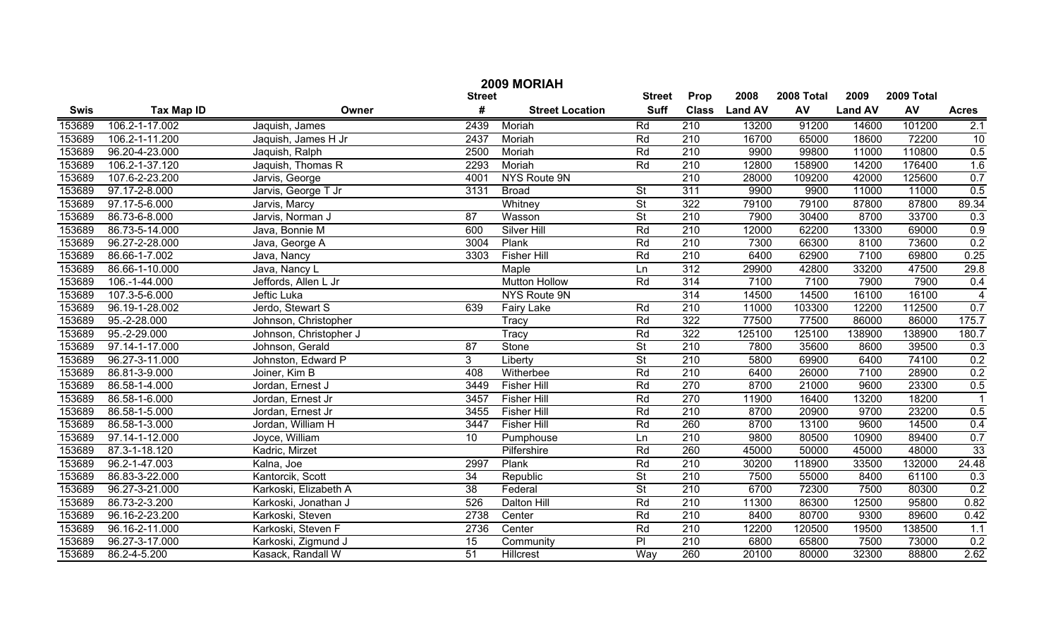| 2009 MORIAH |                   |                        |                 |                        |                          |                  |                |            |                |        |                |
|-------------|-------------------|------------------------|-----------------|------------------------|--------------------------|------------------|----------------|------------|----------------|--------|----------------|
|             |                   | <b>Street</b>          | <b>Street</b>   | Prop                   | 2008                     | 2008 Total       | 2009           | 2009 Total |                |        |                |
| <b>Swis</b> | <b>Tax Map ID</b> | Owner                  | #               | <b>Street Location</b> | <b>Suff</b>              | <b>Class</b>     | <b>Land AV</b> | AV         | <b>Land AV</b> | AV     | <b>Acres</b>   |
| 153689      | 106.2-1-17.002    | Jaquish, James         | 2439            | Moriah                 | Rd                       | 210              | 13200          | 91200      | 14600          | 101200 | 2.1            |
| 153689      | 106.2-1-11.200    | Jaquish, James H Jr    | 2437            | Moriah                 | Rd                       | $\overline{210}$ | 16700          | 65000      | 18600          | 72200  | 10             |
| 153689      | 96.20-4-23.000    | Jaquish, Ralph         | 2500            | Moriah                 | Rd                       | $\overline{210}$ | 9900           | 99800      | 11000          | 110800 | 0.5            |
| 153689      | 106.2-1-37.120    | Jaquish, Thomas R      | 2293            | Moriah                 | Rd                       | $\overline{210}$ | 12800          | 158900     | 14200          | 176400 | 1.6            |
| 153689      | 107.6-2-23.200    | Jarvis, George         | 4001            | <b>NYS Route 9N</b>    |                          | 210              | 28000          | 109200     | 42000          | 125600 | 0.7            |
| 153689      | 97.17-2-8.000     | Jarvis, George T Jr    | 3131            | <b>Broad</b>           | $\overline{\mathsf{St}}$ | 311              | 9900           | 9900       | 11000          | 11000  | 0.5            |
| 153689      | 97.17-5-6.000     | Jarvis, Marcy          |                 | Whitney                | $\overline{\mathsf{St}}$ | 322              | 79100          | 79100      | 87800          | 87800  | 89.34          |
| 153689      | 86.73-6-8.000     | Jarvis, Norman J       | 87              | Wasson                 | $\overline{\mathsf{St}}$ | 210              | 7900           | 30400      | 8700           | 33700  | 0.3            |
| 153689      | 86.73-5-14.000    | Java, Bonnie M         | 600             | <b>Silver Hill</b>     | Rd                       | 210              | 12000          | 62200      | 13300          | 69000  | 0.9            |
| 153689      | 96.27-2-28.000    | Java, George A         | 3004            | Plank                  | Rd                       | 210              | 7300           | 66300      | 8100           | 73600  | 0.2            |
| 153689      | 86.66-1-7.002     | Java, Nancy            | 3303            | <b>Fisher Hill</b>     | Rd                       | 210              | 6400           | 62900      | 7100           | 69800  | 0.25           |
| 153689      | 86.66-1-10.000    | Java, Nancy L          |                 | Maple                  | Ln                       | 312              | 29900          | 42800      | 33200          | 47500  | 29.8           |
| 153689      | 106.-1-44.000     | Jeffords, Allen L Jr   |                 | <b>Mutton Hollow</b>   | Rd                       | 314              | 7100           | 7100       | 7900           | 7900   | 0.4            |
| 153689      | 107.3-5-6.000     | Jeftic Luka            |                 | NYS Route 9N           |                          | 314              | 14500          | 14500      | 16100          | 16100  | $\overline{4}$ |
| 153689      | 96.19-1-28.002    | Jerdo, Stewart S       | 639             | <b>Fairy Lake</b>      | Rd                       | 210              | 11000          | 103300     | 12200          | 112500 | 0.7            |
| 153689      | 95.-2-28.000      | Johnson, Christopher   |                 | Tracy                  | Rd                       | 322              | 77500          | 77500      | 86000          | 86000  | 175.7          |
| 153689      | 95.-2-29.000      | Johnson, Christopher J |                 | Tracy                  | Rd                       | 322              | 125100         | 125100     | 138900         | 138900 | 180.7          |
| 153689      | 97.14-1-17.000    | Johnson, Gerald        | 87              | Stone                  | $\overline{St}$          | 210              | 7800           | 35600      | 8600           | 39500  | 0.3            |
| 153689      | 96.27-3-11.000    | Johnston, Edward P     | 3 <sup>1</sup>  | Liberty                | $\overline{\mathsf{St}}$ | 210              | 5800           | 69900      | 6400           | 74100  | 0.2            |
| 153689      | 86.81-3-9.000     | Joiner, Kim B          | 408             | Witherbee              | Rd                       | 210              | 6400           | 26000      | 7100           | 28900  | 0.2            |
| 153689      | 86.58-1-4.000     | Jordan, Ernest J       | 3449            | <b>Fisher Hill</b>     | Rd                       | 270              | 8700           | 21000      | 9600           | 23300  | 0.5            |
| 153689      | 86.58-1-6.000     | Jordan, Ernest Jr      | 3457            | <b>Fisher Hill</b>     | Rd                       | 270              | 11900          | 16400      | 13200          | 18200  |                |
| 153689      | 86.58-1-5.000     | Jordan, Ernest Jr      | 3455            | <b>Fisher Hill</b>     | Rd                       | 210              | 8700           | 20900      | 9700           | 23200  | 0.5            |
| 153689      | 86.58-1-3.000     | Jordan, William H      | 3447            | <b>Fisher Hill</b>     | Rd                       | 260              | 8700           | 13100      | 9600           | 14500  | 0.4            |
| 153689      | 97.14-1-12.000    | Joyce, William         | 10              | Pumphouse              | Ln                       | 210              | 9800           | 80500      | 10900          | 89400  | 0.7            |
| 153689      | 87.3-1-18.120     | Kadric, Mirzet         |                 | Pilfershire            | Rd                       | 260              | 45000          | 50000      | 45000          | 48000  | 33             |
| 153689      | 96.2-1-47.003     | Kalna, Joe             | 2997            | Plank                  | Rd                       | 210              | 30200          | 118900     | 33500          | 132000 | 24.48          |
| 153689      | 86.83-3-22.000    | Kantorcik, Scott       | 34              | Republic               | $\overline{\mathsf{St}}$ | 210              | 7500           | 55000      | 8400           | 61100  | 0.3            |
| 153689      | 96.27-3-21.000    | Karkoski, Elizabeth A  | $\overline{38}$ | Federal                | $\overline{\mathsf{St}}$ | 210              | 6700           | 72300      | 7500           | 80300  | 0.2            |
| 153689      | 86.73-2-3.200     | Karkoski, Jonathan J   | 526             | <b>Dalton Hill</b>     | Rd                       | $\overline{210}$ | 11300          | 86300      | 12500          | 95800  | 0.82           |
| 153689      | 96.16-2-23.200    | Karkoski, Steven       | 2738            | Center                 | Rd                       | $\overline{210}$ | 8400           | 80700      | 9300           | 89600  | 0.42           |
| 153689      | 96.16-2-11.000    | Karkoski, Steven F     | 2736            | Center                 | Rd                       | 210              | 12200          | 120500     | 19500          | 138500 | 1.1            |
| 153689      | 96.27-3-17.000    | Karkoski, Zigmund J    | 15              | Community              | $\overline{P}$           | $\overline{210}$ | 6800           | 65800      | 7500           | 73000  | 0.2            |
| 153689      | 86.2-4-5.200      | Kasack, Randall W      | 51              | <b>Hillcrest</b>       | Way                      | 260              | 20100          | 80000      | 32300          | 88800  | 2.62           |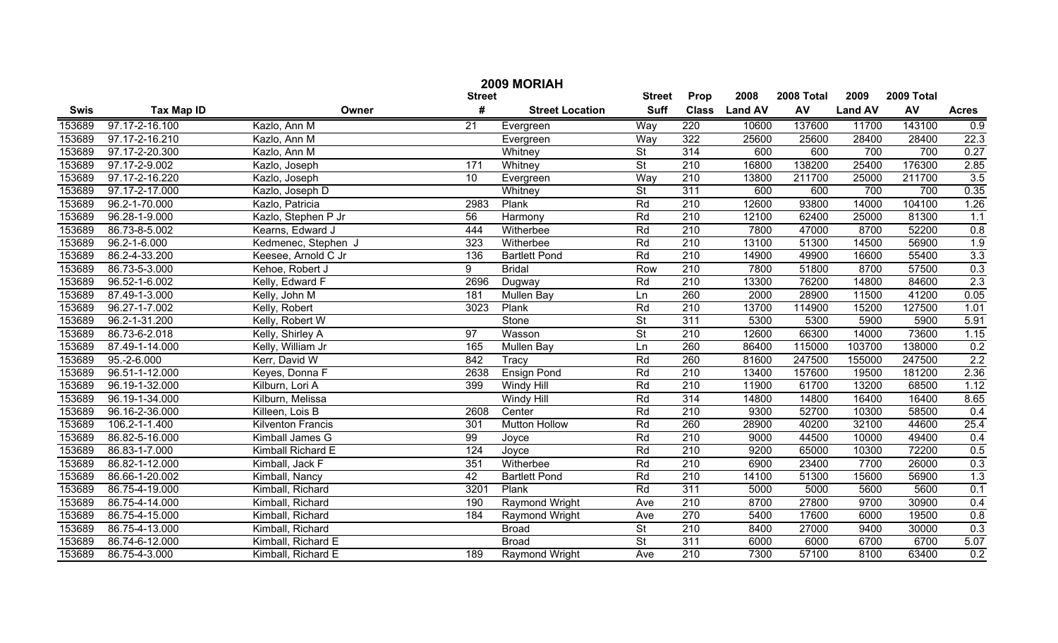|             | 2009 MORIAH       |                          |                 |                        |                          |                  |                |            |                |            |                  |  |
|-------------|-------------------|--------------------------|-----------------|------------------------|--------------------------|------------------|----------------|------------|----------------|------------|------------------|--|
|             |                   |                          | <b>Street</b>   |                        | <b>Street</b>            | Prop             | 2008           | 2008 Total | 2009           | 2009 Total |                  |  |
| <b>Swis</b> | <b>Tax Map ID</b> | Owner                    | #               | <b>Street Location</b> | <b>Suff</b>              | <b>Class</b>     | <b>Land AV</b> | AV         | <b>Land AV</b> | AV         | <b>Acres</b>     |  |
| 153689      | 97.17-2-16.100    | Kazlo, Ann M             | 21              | Evergreen              | Way                      | 220              | 10600          | 137600     | 11700          | 143100     | 0.9              |  |
| 153689      | 97.17-2-16.210    | Kazlo, Ann M             |                 | Evergreen              | Way                      | 322              | 25600          | 25600      | 28400          | 28400      | 22.3             |  |
| 153689      | 97.17-2-20.300    | Kazlo, Ann M             |                 | Whitney                | $\overline{\mathsf{St}}$ | 314              | 600            | 600        | 700            | 700        | 0.27             |  |
| 153689      | 97.17-2-9.002     | Kazlo, Joseph            | 171             | Whitney                | $\overline{\mathsf{St}}$ | 210              | 16800          | 138200     | 25400          | 176300     | 2.85             |  |
| 153689      | 97.17-2-16.220    | Kazlo, Joseph            | $\overline{10}$ | Evergreen              | Way                      | 210              | 13800          | 211700     | 25000          | 211700     | 3.5              |  |
| 153689      | 97.17-2-17.000    | Kazlo, Joseph D          |                 | Whitney                | $\overline{\mathsf{St}}$ | 311              | 600            | 600        | 700            | 700        | 0.35             |  |
| 153689      | 96.2-1-70.000     | Kazlo, Patricia          | 2983            | Plank                  | Rd                       | 210              | 12600          | 93800      | 14000          | 104100     | 1.26             |  |
| 153689      | 96.28-1-9.000     | Kazlo, Stephen P Jr      | 56              | Harmony                | Rd                       | 210              | 12100          | 62400      | 25000          | 81300      | 1.1              |  |
| 153689      | 86.73-8-5.002     | Kearns, Edward J         | 444             | Witherbee              | Rd                       | 210              | 7800           | 47000      | 8700           | 52200      | 0.8              |  |
| 153689      | 96.2-1-6.000      | Kedmenec, Stephen J      | 323             | Witherbee              | Rd                       | 210              | 13100          | 51300      | 14500          | 56900      | 1.9              |  |
| 153689      | 86.2-4-33.200     | Keesee, Arnold C Jr      | 136             | <b>Bartlett Pond</b>   | Rd                       | $\overline{210}$ | 14900          | 49900      | 16600          | 55400      | 3.3              |  |
| 153689      | 86.73-5-3.000     | Kehoe, Robert J          | 9               | <b>Bridal</b>          | Row                      | 210              | 7800           | 51800      | 8700           | 57500      | 0.3              |  |
| 153689      | 96.52-1-6.002     | Kelly, Edward F          | 2696            | Dugway                 | Rd                       | $\overline{210}$ | 13300          | 76200      | 14800          | 84600      | 2.3              |  |
| 153689      | 87.49-1-3.000     | Kelly, John M            | 181             | Mullen Bay             | Ln                       | 260              | 2000           | 28900      | 11500          | 41200      | 0.05             |  |
| 153689      | 96.27-1-7.002     | Kelly, Robert            | 3023            | Plank                  | Rd                       | 210              | 13700          | 114900     | 15200          | 127500     | 1.01             |  |
| 153689      | 96.2-1-31.200     | Kelly, Robert W          |                 | Stone                  | $\overline{\mathsf{St}}$ | 311              | 5300           | 5300       | 5900           | 5900       | 5.91             |  |
| 153689      | 86.73-6-2.018     | Kelly, Shirley A         | 97              | Wasson                 | $\overline{\mathsf{St}}$ | 210              | 12600          | 66300      | 14000          | 73600      | 1.15             |  |
| 153689      | 87.49-1-14.000    | Kelly, William Jr        | 165             | Mullen Bay             | Ln                       | 260              | 86400          | 115000     | 103700         | 138000     | 0.2              |  |
| 153689      | 95.-2-6.000       | Kerr, David W            | 842             | Tracy                  | Rd                       | 260              | 81600          | 247500     | 155000         | 247500     | 2.2              |  |
| 153689      | 96.51-1-12.000    | Keyes, Donna F           | 2638            | <b>Ensign Pond</b>     | Rd                       | 210              | 13400          | 157600     | 19500          | 181200     | 2.36             |  |
| 153689      | 96.19-1-32.000    | Kilburn, Lori A          | 399             | <b>Windy Hill</b>      | Rd                       | 210              | 11900          | 61700      | 13200          | 68500      | 1.12             |  |
| 153689      | 96.19-1-34.000    | Kilburn, Melissa         |                 | Windy Hill             | Rd                       | 314              | 14800          | 14800      | 16400          | 16400      | 8.65             |  |
| 153689      | 96.16-2-36.000    | Killeen, Lois B          | 2608            | Center                 | Rd                       | 210              | 9300           | 52700      | 10300          | 58500      | 0.4              |  |
| 153689      | 106.2-1-1.400     | <b>Kilventon Francis</b> | 301             | <b>Mutton Hollow</b>   | Rd                       | 260              | 28900          | 40200      | 32100          | 44600      | 25.4             |  |
| 153689      | 86.82-5-16.000    | Kimball James G          | 99              | Joyce                  | Rd                       | 210              | 9000           | 44500      | 10000          | 49400      | 0.4              |  |
| 153689      | 86.83-1-7.000     | Kimball Richard E        | 124             | Joyce                  | Rd                       | 210              | 9200           | 65000      | 10300          | 72200      | 0.5              |  |
| 153689      | 86.82-1-12.000    | Kimball, Jack F          | 351             | Witherbee              | Rd                       | 210              | 6900           | 23400      | 7700           | 26000      | 0.3              |  |
| 153689      | 86.66-1-20.002    | Kimball, Nancy           | 42              | <b>Bartlett Pond</b>   | Rd                       | 210              | 14100          | 51300      | 15600          | 56900      | 1.3              |  |
| 153689      | 86.75-4-19.000    | Kimball, Richard         | 3201            | Plank                  | Rd                       | 311              | 5000           | 5000       | 5600           | 5600       | 0.1              |  |
| 153689      | 86.75-4-14.000    | Kimball, Richard         | 190             | Raymond Wright         | Ave                      | $\overline{210}$ | 8700           | 27800      | 9700           | 30900      | 0.4              |  |
| 153689      | 86.75-4-15.000    | Kimball, Richard         | 184             | Raymond Wright         | Ave                      | 270              | 5400           | 17600      | 6000           | 19500      | $\overline{0.8}$ |  |
| 153689      | 86.75-4-13.000    | Kimball, Richard         |                 | <b>Broad</b>           | $\overline{\mathsf{St}}$ | $\overline{210}$ | 8400           | 27000      | 9400           | 30000      | 0.3              |  |
| 153689      | 86.74-6-12.000    | Kimball, Richard E       |                 | <b>Broad</b>           | $\overline{\mathsf{St}}$ | 311              | 6000           | 6000       | 6700           | 6700       | 5.07             |  |
| 153689      | 86.75-4-3.000     | Kimball, Richard E       | 189             | Raymond Wright         | Ave                      | $\overline{210}$ | 7300           | 57100      | 8100           | 63400      | 0.2              |  |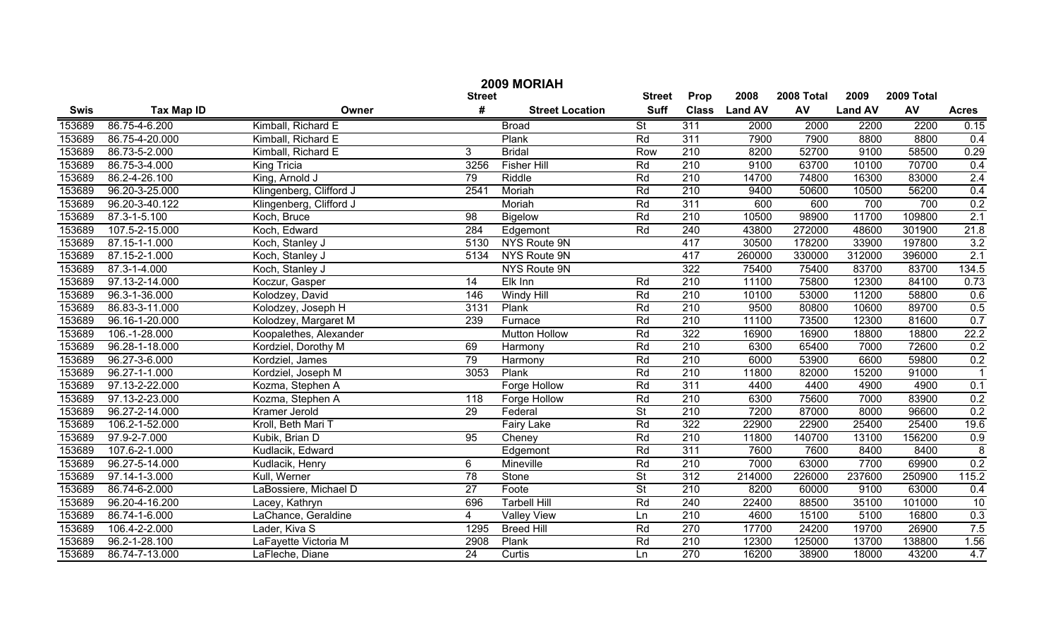|        | 2009 MORIAH       |                         |                 |                        |                          |                  |               |            |                |            |                |  |
|--------|-------------------|-------------------------|-----------------|------------------------|--------------------------|------------------|---------------|------------|----------------|------------|----------------|--|
|        |                   |                         | <b>Street</b>   |                        | <b>Street</b>            | Prop             | 2008          | 2008 Total | 2009           | 2009 Total |                |  |
| Swis   | <b>Tax Map ID</b> | Owner                   | #               | <b>Street Location</b> | <b>Suff</b>              |                  | Class Land AV | AV         | <b>Land AV</b> | AV         | <b>Acres</b>   |  |
| 153689 | 86.75-4-6.200     | Kimball, Richard E      |                 | <b>Broad</b>           | $\overline{\mathsf{St}}$ | 311              | 2000          | 2000       | 2200           | 2200       | 0.15           |  |
| 153689 | 86.75-4-20.000    | Kimball, Richard E      |                 | Plank                  | Rd                       | 311              | 7900          | 7900       | 8800           | 8800       | 0.4            |  |
| 153689 | 86.73-5-2.000     | Kimball, Richard E      | 3               | <b>Bridal</b>          | Row                      | $\overline{210}$ | 8200          | 52700      | 9100           | 58500      | 0.29           |  |
| 153689 | 86.75-3-4.000     | King Tricia             | 3256            | <b>Fisher Hill</b>     | Rd                       | 210              | 9100          | 63700      | 10100          | 70700      | 0.4            |  |
| 153689 | 86.2-4-26.100     | King, Arnold J          | 79              | Riddle                 | Rd                       | 210              | 14700         | 74800      | 16300          | 83000      | 2.4            |  |
| 153689 | 96.20-3-25.000    | Klingenberg, Clifford J | 2541            | Moriah                 | Rd                       | 210              | 9400          | 50600      | 10500          | 56200      | 0.4            |  |
| 153689 | 96.20-3-40.122    | Klingenberg, Clifford J |                 | Moriah                 | Rd                       | 311              | 600           | 600        | 700            | 700        | 0.2            |  |
| 153689 | 87.3-1-5.100      | Koch, Bruce             | 98              | <b>Bigelow</b>         | Rd                       | 210              | 10500         | 98900      | 11700          | 109800     | 2.1            |  |
| 153689 | 107.5-2-15.000    | Koch, Edward            | 284             | Edgemont               | Rd                       | 240              | 43800         | 272000     | 48600          | 301900     | 21.8           |  |
| 153689 | 87.15-1-1.000     | Koch, Stanley J         | 5130            | NYS Route 9N           |                          | 417              | 30500         | 178200     | 33900          | 197800     | 3.2            |  |
| 153689 | 87.15-2-1.000     | Koch, Stanley J         | 5134            | NYS Route 9N           |                          | 417              | 260000        | 330000     | 312000         | 396000     | 2.1            |  |
| 153689 | 87.3-1-4.000      | Koch, Stanley J         |                 | NYS Route 9N           |                          | 322              | 75400         | 75400      | 83700          | 83700      | 134.5          |  |
| 153689 | 97.13-2-14.000    | Koczur, Gasper          | 14              | Elk Inn                | Rd                       | 210              | 11100         | 75800      | 12300          | 84100      | 0.73           |  |
| 153689 | 96.3-1-36.000     | Kolodzey, David         | 146             | <b>Windy Hill</b>      | Rd                       | $\overline{210}$ | 10100         | 53000      | 11200          | 58800      | 0.6            |  |
| 153689 | 86.83-3-11.000    | Kolodzey, Joseph H      | 3131            | Plank                  | Rd                       | $\overline{210}$ | 9500          | 80800      | 10600          | 89700      | 0.5            |  |
| 153689 | 96.16-1-20.000    | Kolodzey, Margaret M    | 239             | Furnace                | Rd                       | $\overline{210}$ | 11100         | 73500      | 12300          | 81600      | 0.7            |  |
| 153689 | 106.-1-28.000     | Koopalethes, Alexander  |                 | <b>Mutton Hollow</b>   | Rd                       | 322              | 16900         | 16900      | 18800          | 18800      | 22.2           |  |
| 153689 | 96.28-1-18.000    | Kordziel, Dorothy M     | 69              | Harmony                | Rd                       | 210              | 6300          | 65400      | 7000           | 72600      | 0.2            |  |
| 153689 | 96.27-3-6.000     | Kordziel, James         | 79              | Harmony                | Rd                       | $\overline{210}$ | 6000          | 53900      | 6600           | 59800      | 0.2            |  |
| 153689 | 96.27-1-1.000     | Kordziel, Joseph M      | 3053            | Plank                  | Rd                       | $\overline{210}$ | 11800         | 82000      | 15200          | 91000      |                |  |
| 153689 | 97.13-2-22.000    | Kozma, Stephen A        |                 | Forge Hollow           | Rd                       | 311              | 4400          | 4400       | 4900           | 4900       | 0.1            |  |
| 153689 | 97.13-2-23.000    | Kozma, Stephen A        | 118             | Forge Hollow           | Rd                       | $\overline{210}$ | 6300          | 75600      | 7000           | 83900      | 0.2            |  |
| 153689 | 96.27-2-14.000    | Kramer Jerold           | 29              | Federal                | $\overline{St}$          | $\overline{210}$ | 7200          | 87000      | 8000           | 96600      | 0.2            |  |
| 153689 | 106.2-1-52.000    | Kroll, Beth Mari T      |                 | <b>Fairy Lake</b>      | Rd                       | 322              | 22900         | 22900      | 25400          | 25400      | 19.6           |  |
| 153689 | 97.9-2-7.000      | Kubik, Brian D          | 95              | Cheney                 | Rd                       | $\overline{210}$ | 11800         | 140700     | 13100          | 156200     | 0.9            |  |
| 153689 | 107.6-2-1.000     | Kudlacik, Edward        |                 | Edgemont               | Rd                       | 311              | 7600          | 7600       | 8400           | 8400       | $\overline{8}$ |  |
| 153689 | 96.27-5-14.000    | Kudlacik, Henry         | 6               | Mineville              | Rd                       | $\overline{210}$ | 7000          | 63000      | 7700           | 69900      | 0.2            |  |
| 153689 | 97.14-1-3.000     | Kull, Werner            | 78              | Stone                  | $\overline{St}$          | 312              | 214000        | 226000     | 237600         | 250900     | 115.2          |  |
| 153689 | 86.74-6-2.000     | LaBossiere, Michael D   | $\overline{27}$ | Foote                  | $\overline{\mathsf{St}}$ | $\overline{210}$ | 8200          | 60000      | 9100           | 63000      | 0.4            |  |
| 153689 | 96.20-4-16.200    | Lacey, Kathryn          | 696             | <b>Tarbell Hill</b>    | Rd                       | 240              | 22400         | 88500      | 35100          | 101000     | 10             |  |
| 153689 | 86.74-1-6.000     | LaChance, Geraldine     | 4               | <b>Valley View</b>     | Ln                       | $\overline{210}$ | 4600          | 15100      | 5100           | 16800      | 0.3            |  |
| 153689 | 106.4-2-2.000     | Lader, Kiva S           | 1295            | <b>Breed Hill</b>      | Rd                       | 270              | 17700         | 24200      | 19700          | 26900      | 7.5            |  |
| 153689 | 96.2-1-28.100     | LaFayette Victoria M    | 2908            | Plank                  | Rd                       | 210              | 12300         | 125000     | 13700          | 138800     | 1.56           |  |
| 153689 | 86.74-7-13.000    | LaFleche, Diane         | $\overline{24}$ | Curtis                 | Ln                       | 270              | 16200         | 38900      | 18000          | 43200      | 4.7            |  |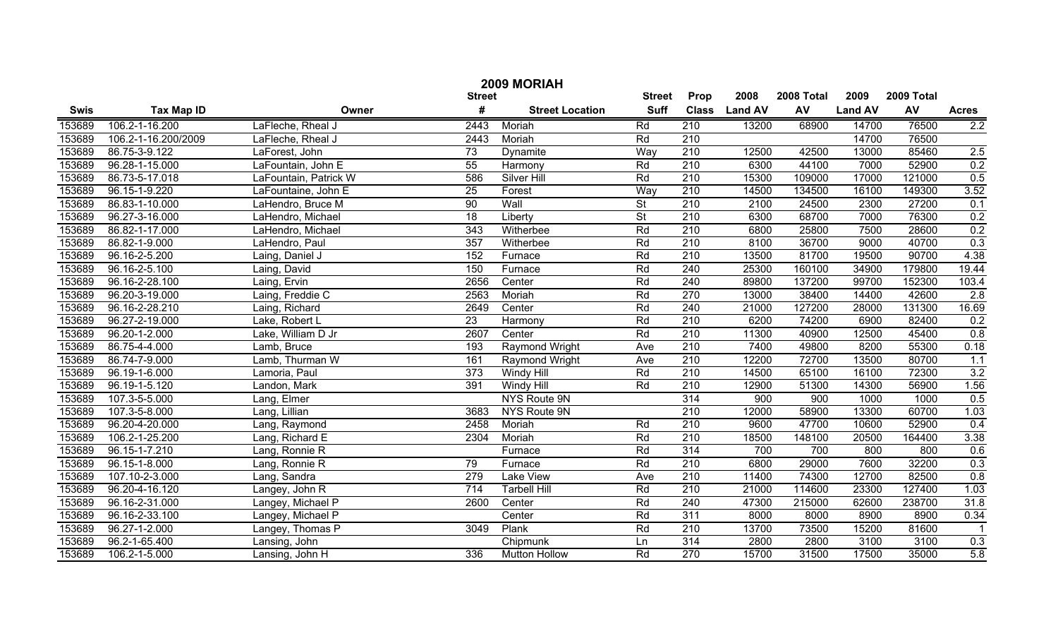| 2009 MORIAH |                     |                       |                  |                        |                          |                  |                |            |                |            |              |
|-------------|---------------------|-----------------------|------------------|------------------------|--------------------------|------------------|----------------|------------|----------------|------------|--------------|
|             |                     |                       | <b>Street</b>    |                        | <b>Street</b>            | Prop             | 2008           | 2008 Total | 2009           | 2009 Total |              |
| <b>Swis</b> | <b>Tax Map ID</b>   | Owner                 | #                | <b>Street Location</b> | <b>Suff</b>              | <b>Class</b>     | <b>Land AV</b> | AV         | <b>Land AV</b> | AV         | <b>Acres</b> |
| 153689      | 106.2-1-16.200      | LaFleche, Rheal J     | 2443             | Moriah                 | Rd                       | 210              | 13200          | 68900      | 14700          | 76500      | 2.2          |
| 153689      | 106.2-1-16.200/2009 | LaFleche, Rheal J     | 2443             | Moriah                 | Rd                       | $\overline{210}$ |                |            | 14700          | 76500      |              |
| 153689      | 86.75-3-9.122       | LaForest, John        | $\overline{73}$  | Dynamite               | Wav                      | $\overline{210}$ | 12500          | 42500      | 13000          | 85460      | 2.5          |
| 153689      | 96.28-1-15.000      | LaFountain, John E    | 55               | Harmony                | Rd                       | 210              | 6300           | 44100      | 7000           | 52900      | 0.2          |
| 153689      | 86.73-5-17.018      | LaFountain, Patrick W | 586              | <b>Silver Hill</b>     | Rd                       | 210              | 15300          | 109000     | 17000          | 121000     | 0.5          |
| 153689      | 96.15-1-9.220       | LaFountaine, John E   | 25               | Forest                 | Way                      | $\overline{210}$ | 14500          | 134500     | 16100          | 149300     | 3.52         |
| 153689      | 86.83-1-10.000      | LaHendro, Bruce M     | 90               | Wall                   | $\overline{\mathsf{St}}$ | 210              | 2100           | 24500      | 2300           | 27200      | 0.1          |
| 153689      | 96.27-3-16.000      | LaHendro, Michael     | $\overline{18}$  | Liberty                | <b>St</b>                | 210              | 6300           | 68700      | 7000           | 76300      | 0.2          |
| 153689      | 86.82-1-17.000      | LaHendro, Michael     | $\overline{343}$ | Witherbee              | Rd                       | 210              | 6800           | 25800      | 7500           | 28600      | 0.2          |
| 153689      | 86.82-1-9.000       | LaHendro, Paul        | 357              | Witherbee              | Rd                       | 210              | 8100           | 36700      | 9000           | 40700      | 0.3          |
| 153689      | 96.16-2-5.200       | Laing, Daniel J       | 152              | Furnace                | Rd                       | 210              | 13500          | 81700      | 19500          | 90700      | 4.38         |
| 153689      | 96.16-2-5.100       | Laing, David          | 150              | Furnace                | Rd                       | 240              | 25300          | 160100     | 34900          | 179800     | 19.44        |
| 153689      | 96.16-2-28.100      | Laing, Ervin          | 2656             | Center                 | Rd                       | 240              | 89800          | 137200     | 99700          | 152300     | 103.4        |
| 153689      | 96.20-3-19.000      | Laing, Freddie C      | 2563             | Moriah                 | Rd                       | 270              | 13000          | 38400      | 14400          | 42600      | 2.8          |
| 153689      | 96.16-2-28.210      | Laing, Richard        | 2649             | Center                 | Rd                       | 240              | 21000          | 127200     | 28000          | 131300     | 16.69        |
| 153689      | 96.27-2-19.000      | Lake, Robert L        | 23               | Harmony                | Rd                       | 210              | 6200           | 74200      | 6900           | 82400      | 0.2          |
| 153689      | 96.20-1-2.000       | Lake, William D Jr    | 2607             | Center                 | Rd                       | 210              | 11300          | 40900      | 12500          | 45400      | 0.8          |
| 153689      | 86.75-4-4.000       | Lamb, Bruce           | 193              | Raymond Wright         | Ave                      | 210              | 7400           | 49800      | 8200           | 55300      | 0.18         |
| 153689      | 86.74-7-9.000       | Lamb, Thurman W       | 161              | Raymond Wright         | Ave                      | 210              | 12200          | 72700      | 13500          | 80700      | 1.1          |
| 153689      | 96.19-1-6.000       | Lamoria, Paul         | 373              | Windy Hill             | Rd                       | 210              | 14500          | 65100      | 16100          | 72300      | 3.2          |
| 153689      | 96.19-1-5.120       | Landon, Mark          | 391              | Windy Hill             | Rd                       | 210              | 12900          | 51300      | 14300          | 56900      | 1.56         |
| 153689      | 107.3-5-5.000       | Lang, Elmer           |                  | NYS Route 9N           |                          | 314              | 900            | 900        | 1000           | 1000       | 0.5          |
| 153689      | 107.3-5-8.000       | Lang, Lillian         | 3683             | NYS Route 9N           |                          | 210              | 12000          | 58900      | 13300          | 60700      | 1.03         |
| 153689      | 96.20-4-20.000      | Lang, Raymond         | 2458             | Moriah                 | Rd                       | 210              | 9600           | 47700      | 10600          | 52900      | 0.4          |
| 153689      | 106.2-1-25.200      | Lang, Richard E       | 2304             | Moriah                 | Rd                       | 210              | 18500          | 148100     | 20500          | 164400     | 3.38         |
| 153689      | 96.15-1-7.210       | Lang, Ronnie R        |                  | Furnace                | Rd                       | 314              | 700            | 700        | 800            | 800        | 0.6          |
| 153689      | 96.15-1-8.000       | Lang, Ronnie R        | 79               | Furnace                | Rd                       | 210              | 6800           | 29000      | 7600           | 32200      | 0.3          |
| 153689      | 107.10-2-3.000      | Lang, Sandra          | 279              | Lake View              | Ave                      | 210              | 11400          | 74300      | 12700          | 82500      | 0.8          |
| 153689      | 96.20-4-16.120      | Langey, John R        | 714              | <b>Tarbell Hill</b>    | Rd                       | 210              | 21000          | 114600     | 23300          | 127400     | 1.03         |
| 153689      | 96.16-2-31.000      | Langey, Michael P     | 2600             | Center                 | Rd                       | 240              | 47300          | 215000     | 62600          | 238700     | 31.8         |
| 153689      | 96.16-2-33.100      | Langey, Michael P     |                  | Center                 | Rd                       | $\overline{311}$ | 8000           | 8000       | 8900           | 8900       | 0.34         |
| 153689      | 96.27-1-2.000       | Langey, Thomas P      | 3049             | Plank                  | Rd                       | 210              | 13700          | 73500      | 15200          | 81600      | $\mathbf 1$  |
| 153689      | 96.2-1-65.400       | Lansing, John         |                  | Chipmunk               | Ln                       | 314              | 2800           | 2800       | 3100           | 3100       | 0.3          |
| 153689      | 106.2-1-5.000       | Lansing, John H       | 336              | <b>Mutton Hollow</b>   | Rd                       | $\overline{270}$ | 15700          | 31500      | 17500          | 35000      | 5.8          |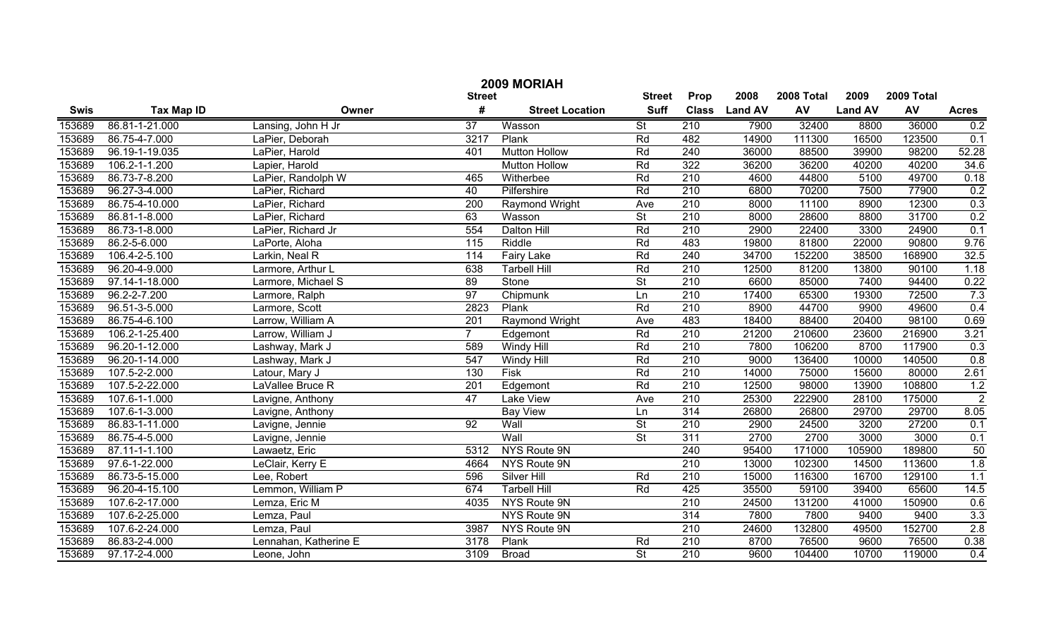|        | 2009 MORIAH       |                       |                  |                        |                          |                  |               |            |                |            |                |  |
|--------|-------------------|-----------------------|------------------|------------------------|--------------------------|------------------|---------------|------------|----------------|------------|----------------|--|
|        |                   |                       | <b>Street</b>    |                        | <b>Street</b>            | Prop             | 2008          | 2008 Total | 2009           | 2009 Total |                |  |
| Swis   | <b>Tax Map ID</b> | Owner                 | #                | <b>Street Location</b> | <b>Suff</b>              |                  | Class Land AV | AV         | <b>Land AV</b> | AV         | <b>Acres</b>   |  |
| 153689 | 86.81-1-21.000    | Lansing, John H Jr    | $\overline{37}$  | Wasson                 | $\overline{St}$          | 210              | 7900          | 32400      | 8800           | 36000      | 0.2            |  |
| 153689 | 86.75-4-7.000     | LaPier, Deborah       | 3217             | Plank                  | Rd                       | 482              | 14900         | 111300     | 16500          | 123500     | 0.1            |  |
| 153689 | 96.19-1-19.035    | LaPier, Harold        | 401              | <b>Mutton Hollow</b>   | Rd                       | 240              | 36000         | 88500      | 39900          | 98200      | 52.28          |  |
| 153689 | 106.2-1-1.200     | Lapier, Harold        |                  | <b>Mutton Hollow</b>   | Rd                       | 322              | 36200         | 36200      | 40200          | 40200      | 34.6           |  |
| 153689 | 86.73-7-8.200     | LaPier, Randolph W    | 465              | Witherbee              | Rd                       | 210              | 4600          | 44800      | 5100           | 49700      | 0.18           |  |
| 153689 | 96.27-3-4.000     | LaPier, Richard       | 40               | Pilfershire            | Rd                       | 210              | 6800          | 70200      | 7500           | 77900      | 0.2            |  |
| 153689 | 86.75-4-10.000    | LaPier, Richard       | 200              | <b>Raymond Wright</b>  | Ave                      | 210              | 8000          | 11100      | 8900           | 12300      | 0.3            |  |
| 153689 | 86.81-1-8.000     | LaPier, Richard       | 63               | Wasson                 | $\overline{\mathsf{St}}$ | 210              | 8000          | 28600      | 8800           | 31700      | 0.2            |  |
| 153689 | 86.73-1-8.000     | LaPier, Richard Jr    | 554              | <b>Dalton Hill</b>     | Rd                       | 210              | 2900          | 22400      | 3300           | 24900      | 0.1            |  |
| 153689 | 86.2-5-6.000      | LaPorte, Aloha        | 115              | Riddle                 | Rd                       | 483              | 19800         | 81800      | 22000          | 90800      | 9.76           |  |
| 153689 | 106.4-2-5.100     | Larkin, Neal R        | 114              | <b>Fairy Lake</b>      | Rd                       | 240              | 34700         | 152200     | 38500          | 168900     | 32.5           |  |
| 153689 | 96.20-4-9.000     | Larmore, Arthur L     | 638              | <b>Tarbell Hill</b>    | Rd                       | $\overline{210}$ | 12500         | 81200      | 13800          | 90100      | 1.18           |  |
| 153689 | 97.14-1-18.000    | Larmore, Michael S    | 89               | Stone                  | $\overline{\mathsf{St}}$ | $\overline{210}$ | 6600          | 85000      | 7400           | 94400      | 0.22           |  |
| 153689 | 96.2-2-7.200      | Larmore, Ralph        | $\overline{97}$  | Chipmunk               | Ln                       | $\overline{210}$ | 17400         | 65300      | 19300          | 72500      | 7.3            |  |
| 153689 | 96.51-3-5.000     | Larmore, Scott        | 2823             | Plank                  | Rd                       | $\overline{210}$ | 8900          | 44700      | 9900           | 49600      | 0.4            |  |
| 153689 | 86.75-4-6.100     | Larrow, William A     | $\overline{201}$ | Raymond Wright         | Ave                      | 483              | 18400         | 88400      | 20400          | 98100      | 0.69           |  |
| 153689 | 106.2-1-25.400    | Larrow, William J     | $\overline{7}$   | Edgemont               | Rd                       | 210              | 21200         | 210600     | 23600          | 216900     | 3.21           |  |
| 153689 | 96.20-1-12.000    | Lashway, Mark J       | 589              | <b>Windy Hill</b>      | Rd                       | $\overline{210}$ | 7800          | 106200     | 8700           | 117900     | 0.3            |  |
| 153689 | 96.20-1-14.000    | Lashway, Mark J       | 547              | Windy Hill             | Rd                       | $\overline{210}$ | 9000          | 136400     | 10000          | 140500     | 0.8            |  |
| 153689 | 107.5-2-2.000     | Latour, Mary J        | 130              | <b>Fisk</b>            | Rd                       | $\overline{210}$ | 14000         | 75000      | 15600          | 80000      | 2.61           |  |
| 153689 | 107.5-2-22.000    | LaVallee Bruce R      | 201              | Edgemont               | Rd                       | $\overline{210}$ | 12500         | 98000      | 13900          | 108800     | 1.2            |  |
| 153689 | 107.6-1-1.000     | Lavigne, Anthony      | 47               | <b>Lake View</b>       | Ave                      | 210              | 25300         | 222900     | 28100          | 175000     | $\overline{2}$ |  |
| 153689 | 107.6-1-3.000     | Lavigne, Anthony      |                  | <b>Bay View</b>        | Ln                       | 314              | 26800         | 26800      | 29700          | 29700      | 8.05           |  |
| 153689 | 86.83-1-11.000    | Lavigne, Jennie       | $\overline{92}$  | Wall                   | $\overline{St}$          | 210              | 2900          | 24500      | 3200           | 27200      | 0.1            |  |
| 153689 | 86.75-4-5.000     | Lavigne, Jennie       |                  | Wall                   | $\overline{\mathsf{St}}$ | 311              | 2700          | 2700       | 3000           | 3000       | 0.1            |  |
| 153689 | 87.11-1-1.100     | Lawaetz, Eric         | 5312             | NYS Route 9N           |                          | 240              | 95400         | 171000     | 105900         | 189800     | 50             |  |
| 153689 | 97.6-1-22.000     | LeClair, Kerry E      | 4664             | NYS Route 9N           |                          | $\overline{210}$ | 13000         | 102300     | 14500          | 113600     | 1.8            |  |
| 153689 | 86.73-5-15.000    | Lee, Robert           | 596              | Silver Hill            | Rd                       | $\overline{210}$ | 15000         | 116300     | 16700          | 129100     | 1.1            |  |
| 153689 | 96.20-4-15.100    | Lemmon, William P     | 674              | <b>Tarbell Hill</b>    | Rd                       | 425              | 35500         | 59100      | 39400          | 65600      | 14.5           |  |
| 153689 | 107.6-2-17.000    | Lemza, Eric M         | 4035             | NYS Route 9N           |                          | 210              | 24500         | 131200     | 41000          | 150900     | 0.6            |  |
| 153689 | 107.6-2-25.000    | Lemza, Paul           |                  | NYS Route 9N           |                          | 314              | 7800          | 7800       | 9400           | 9400       | 3.3            |  |
| 153689 | 107.6-2-24.000    | Lemza, Paul           | 3987             | NYS Route 9N           |                          | $\overline{210}$ | 24600         | 132800     | 49500          | 152700     | 2.8            |  |
| 153689 | 86.83-2-4.000     | Lennahan, Katherine E | 3178             | Plank                  | Rd                       | $\overline{210}$ | 8700          | 76500      | 9600           | 76500      | 0.38           |  |
| 153689 | 97.17-2-4.000     | Leone, John           | 3109             | <b>Broad</b>           | $\overline{\mathsf{St}}$ | 210              | 9600          | 104400     | 10700          | 119000     | 0.4            |  |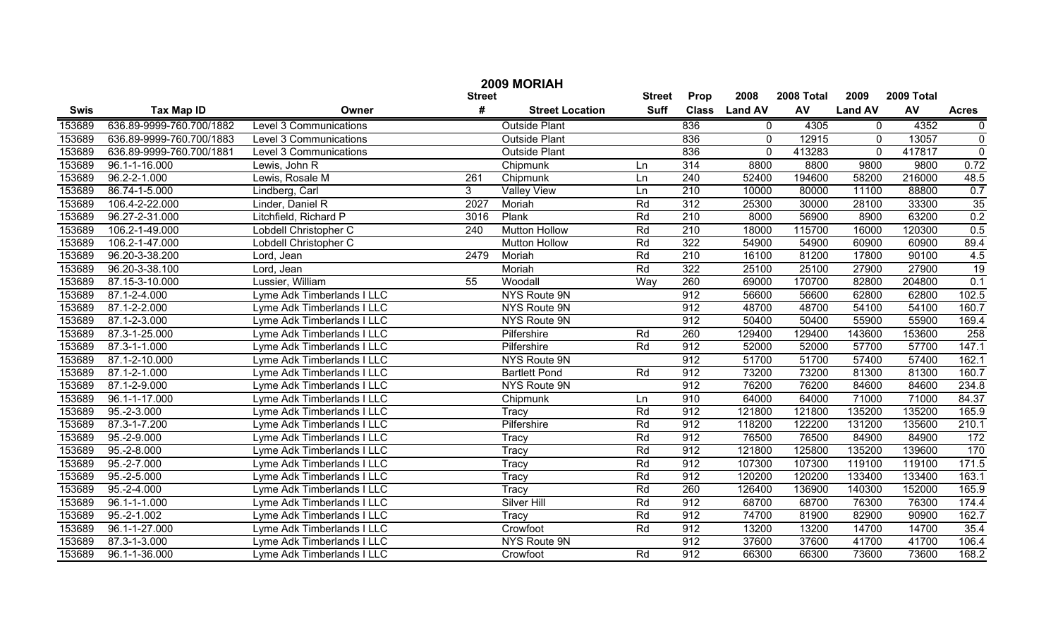|        |                          |                            |               | 2009 MORIAH            |               |                  |                |            |                |            |                 |
|--------|--------------------------|----------------------------|---------------|------------------------|---------------|------------------|----------------|------------|----------------|------------|-----------------|
|        |                          |                            | <b>Street</b> |                        | <b>Street</b> | Prop             | 2008           | 2008 Total | 2009           | 2009 Total |                 |
| Swis   | <b>Tax Map ID</b>        | Owner                      | #             | <b>Street Location</b> | <b>Suff</b>   | <b>Class</b>     | <b>Land AV</b> | AV         | <b>Land AV</b> | AV         | <b>Acres</b>    |
| 153689 | 636.89-9999-760.700/1882 | Level 3 Communications     |               | <b>Outside Plant</b>   |               | 836              | 0              | 4305       | $\Omega$       | 4352       | $\pmb{0}$       |
| 153689 | 636.89-9999-760.700/1883 | Level 3 Communications     |               | <b>Outside Plant</b>   |               | 836              | $\mathbf 0$    | 12915      | $\Omega$       | 13057      | $\overline{0}$  |
| 153689 | 636.89-9999-760.700/1881 | Level 3 Communications     |               | <b>Outside Plant</b>   |               | 836              | $\mathbf 0$    | 413283     | $\Omega$       | 417817     | $\overline{0}$  |
| 153689 | 96.1-1-16.000            | Lewis, John R              |               | Chipmunk               | Ln            | 314              | 8800           | 8800       | 9800           | 9800       | 0.72            |
| 153689 | $96.2 - 2 - 1.000$       | Lewis, Rosale M            | 261           | Chipmunk               | Ln            | 240              | 52400          | 194600     | 58200          | 216000     | 48.5            |
| 153689 | 86.74-1-5.000            | Lindberg, Carl             | 3             | <b>Valley View</b>     | Ln            | $\overline{210}$ | 10000          | 80000      | 11100          | 88800      | 0.7             |
| 153689 | 106.4-2-22.000           | Linder, Daniel R           | 2027          | Moriah                 | Rd            | 312              | 25300          | 30000      | 28100          | 33300      | $\overline{35}$ |
| 153689 | 96.27-2-31.000           | Litchfield, Richard P      | 3016          | Plank                  | Rd            | 210              | 8000           | 56900      | 8900           | 63200      | 0.2             |
| 153689 | 106.2-1-49.000           | Lobdell Christopher C      | 240           | <b>Mutton Hollow</b>   | Rd            | 210              | 18000          | 115700     | 16000          | 120300     | 0.5             |
| 153689 | 106.2-1-47.000           | Lobdell Christopher C      |               | <b>Mutton Hollow</b>   | Rd            | 322              | 54900          | 54900      | 60900          | 60900      | 89.4            |
| 153689 | 96.20-3-38.200           | Lord, Jean                 | 2479          | Moriah                 | Rd            | $\overline{210}$ | 16100          | 81200      | 17800          | 90100      | 4.5             |
| 153689 | 96.20-3-38.100           | Lord, Jean                 |               | Moriah                 | Rd            | 322              | 25100          | 25100      | 27900          | 27900      | 19              |
| 153689 | 87.15-3-10.000           | Lussier, William           | 55            | Woodall                | Wav           | 260              | 69000          | 170700     | 82800          | 204800     | 0.1             |
| 153689 | 87.1-2-4.000             | Lyme Adk Timberlands I LLC |               | NYS Route 9N           |               | 912              | 56600          | 56600      | 62800          | 62800      | 102.5           |
| 153689 | 87.1-2-2.000             | Lyme Adk Timberlands I LLC |               | NYS Route 9N           |               | 912              | 48700          | 48700      | 54100          | 54100      | 160.7           |
| 153689 | 87.1-2-3.000             | Lyme Adk Timberlands I LLC |               | NYS Route 9N           |               | 912              | 50400          | 50400      | 55900          | 55900      | 169.4           |
| 153689 | 87.3-1-25.000            | Lyme Adk Timberlands I LLC |               | Pilfershire            | Rd            | 260              | 129400         | 129400     | 143600         | 153600     | 258             |
| 153689 | 87.3-1-1.000             | Lyme Adk Timberlands I LLC |               | Pilfershire            | Rd            | 912              | 52000          | 52000      | 57700          | 57700      | 147.1           |
| 153689 | 87.1-2-10.000            | Lyme Adk Timberlands I LLC |               | NYS Route 9N           |               | 912              | 51700          | 51700      | 57400          | 57400      | 162.1           |
| 153689 | 87.1-2-1.000             | Lyme Adk Timberlands I LLC |               | <b>Bartlett Pond</b>   | Rd            | 912              | 73200          | 73200      | 81300          | 81300      | 160.7           |
| 153689 | 87.1-2-9.000             | Lyme Adk Timberlands I LLC |               | NYS Route 9N           |               | 912              | 76200          | 76200      | 84600          | 84600      | 234.8           |
| 153689 | 96.1-1-17.000            | Lyme Adk Timberlands I LLC |               | Chipmunk               | Ln            | 910              | 64000          | 64000      | 71000          | 71000      | 84.37           |
| 153689 | $95.-2-3.000$            | Lyme Adk Timberlands I LLC |               | <b>Tracy</b>           | Rd            | 912              | 121800         | 121800     | 135200         | 135200     | 165.9           |
| 153689 | 87.3-1-7.200             | Lyme Adk Timberlands I LLC |               | Pilfershire            | Rd            | 912              | 118200         | 122200     | 131200         | 135600     | 210.1           |
| 153689 | 95.-2-9.000              | Lyme Adk Timberlands I LLC |               | <b>Tracy</b>           | Rd            | 912              | 76500          | 76500      | 84900          | 84900      | 172             |
| 153689 | $95.-2-8.000$            | Lyme Adk Timberlands I LLC |               | Tracy                  | Rd            | 912              | 121800         | 125800     | 135200         | 139600     | 170             |
| 153689 | $95.-2-7.000$            | Lyme Adk Timberlands I LLC |               | <b>Tracy</b>           | Rd            | 912              | 107300         | 107300     | 119100         | 119100     | 171.5           |
| 153689 | 95.-2-5.000              | Lyme Adk Timberlands I LLC |               | <b>Tracy</b>           | Rd            | 912              | 120200         | 120200     | 133400         | 133400     | 163.1           |
| 153689 | $95.-2-4.000$            | Lyme Adk Timberlands I LLC |               | <b>Tracy</b>           | Rd            | 260              | 126400         | 136900     | 140300         | 152000     | 165.9           |
| 153689 | $96.1 - 1 - 1.000$       | Lyme Adk Timberlands I LLC |               | Silver Hill            | Rd            | 912              | 68700          | 68700      | 76300          | 76300      | 174.4           |
| 153689 | $95.-2-1.002$            | Lyme Adk Timberlands I LLC |               | Tracy                  | Rd            | 912              | 74700          | 81900      | 82900          | 90900      | 162.7           |
| 153689 | 96.1-1-27.000            | Lyme Adk Timberlands I LLC |               | Crowfoot               | Rd            | 912              | 13200          | 13200      | 14700          | 14700      | 35.4            |
| 153689 | 87.3-1-3.000             | Lyme Adk Timberlands I LLC |               | NYS Route 9N           |               | 912              | 37600          | 37600      | 41700          | 41700      | 106.4           |
| 153689 | 96.1-1-36.000            | Lyme Adk Timberlands I LLC |               | Crowfoot               | Rd            | 912              | 66300          | 66300      | 73600          | 73600      | 168.2           |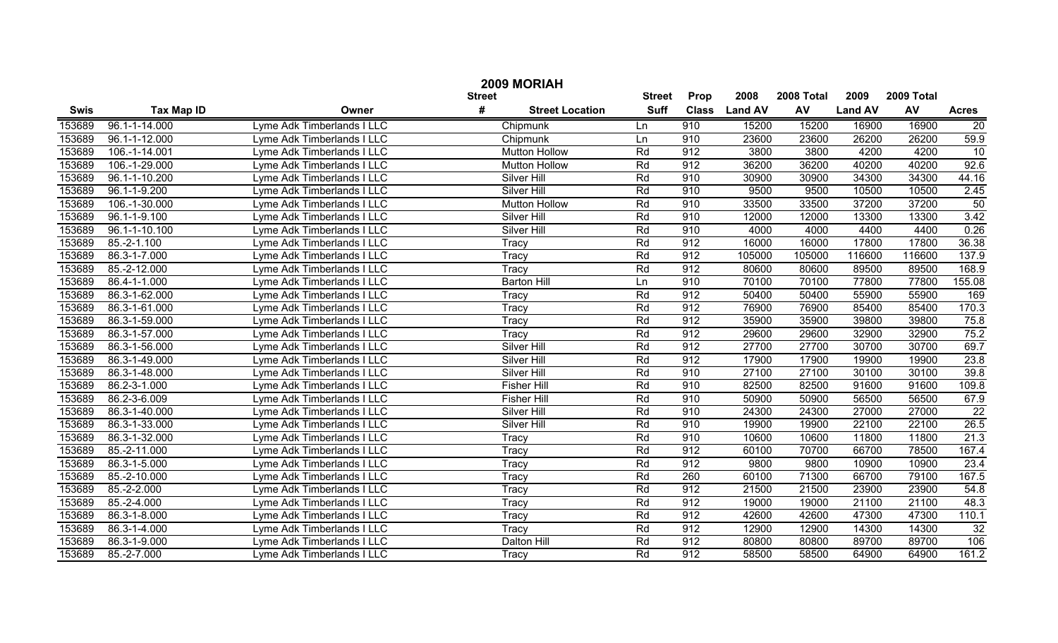|             |                    |                            | <b>Street</b>               | Street      | Prop         | 2008           | 2008 Total | 2009           | 2009 Total |                    |
|-------------|--------------------|----------------------------|-----------------------------|-------------|--------------|----------------|------------|----------------|------------|--------------------|
| <b>Swis</b> | <b>Tax Map ID</b>  | Owner                      | #<br><b>Street Location</b> | <b>Suff</b> | <b>Class</b> | <b>Land AV</b> | AV         | <b>Land AV</b> | AV         | <b>Acres</b>       |
| 153689      | 96.1-1-14.000      | Lyme Adk Timberlands I LLC | Chipmunk                    | Ln          | 910          | 15200          | 15200      | 16900          | 16900      | $\overline{20}$    |
| 153689      | 96.1-1-12.000      | Lyme Adk Timberlands I LLC | Chipmunk                    | Ln          | 910          | 23600          | 23600      | 26200          | 26200      | 59.9               |
| 153689      | 106.-1-14.001      | Lyme Adk Timberlands I LLC | <b>Mutton Hollow</b>        | Rd          | 912          | 3800           | 3800       | 4200           | 4200       | 10                 |
| 153689      | 106.-1-29.000      | Lyme Adk Timberlands I LLC | <b>Mutton Hollow</b>        | Rd          | 912          | 36200          | 36200      | 40200          | 40200      | 92.6               |
| 153689      | 96.1-1-10.200      | Lyme Adk Timberlands I LLC | <b>Silver Hill</b>          | Rd          | 910          | 30900          | 30900      | 34300          | 34300      | 44.16              |
| 153689      | 96.1-1-9.200       | Lyme Adk Timberlands I LLC | <b>Silver Hill</b>          | Rd          | 910          | 9500           | 9500       | 10500          | 10500      | 2.45               |
| 153689      | 106.-1-30.000      | Lyme Adk Timberlands I LLC | <b>Mutton Hollow</b>        | Rd          | 910          | 33500          | 33500      | 37200          | 37200      | 50                 |
| 153689      | $96.1 - 1 - 9.100$ | Lyme Adk Timberlands I LLC | <b>Silver Hill</b>          | Rd          | 910          | 12000          | 12000      | 13300          | 13300      | 3.42               |
| 153689      | 96.1-1-10.100      | Lyme Adk Timberlands I LLC | <b>Silver Hill</b>          | Rd          | 910          | 4000           | 4000       | 4400           | 4400       | 0.26               |
| 153689      | 85.-2-1.100        | Lyme Adk Timberlands I LLC | Tracy                       | Rd          | 912          | 16000          | 16000      | 17800          | 17800      | 36.38              |
| 153689      | 86.3-1-7.000       | Lyme Adk Timberlands I LLC | Tracy                       | Rd          | 912          | 105000         | 105000     | 116600         | 116600     | 137.9              |
| 153689      | 85.-2-12.000       | Lyme Adk Timberlands I LLC | Tracy                       | Rd          | 912          | 80600          | 80600      | 89500          | 89500      | 168.9              |
| 153689      | 86.4-1-1.000       | Lyme Adk Timberlands I LLC | <b>Barton Hill</b>          | Ln          | 910          | 70100          | 70100      | 77800          | 77800      | 155.08             |
| 153689      | 86.3-1-62.000      | Lyme Adk Timberlands I LLC | Tracy                       | Rd          | 912          | 50400          | 50400      | 55900          | 55900      | 169                |
| 153689      | 86.3-1-61.000      | Lyme Adk Timberlands I LLC | Tracy                       | Rd          | 912          | 76900          | 76900      | 85400          | 85400      | 170.3              |
| 153689      | 86.3-1-59.000      | Lyme Adk Timberlands I LLC | Tracy                       | Rd          | 912          | 35900          | 35900      | 39800          | 39800      | 75.8               |
| 153689      | 86.3-1-57.000      | Lyme Adk Timberlands I LLC | Tracy                       | Rd          | 912          | 29600          | 29600      | 32900          | 32900      | 75.2               |
| 153689      | 86.3-1-56.000      | Lyme Adk Timberlands I LLC | Silver Hill                 | Rd          | 912          | 27700          | 27700      | 30700          | 30700      | 69.7               |
| 153689      | 86.3-1-49.000      | Lyme Adk Timberlands I LLC | Silver Hill                 | Rd          | 912          | 17900          | 17900      | 19900          | 19900      | 23.8               |
| 153689      | 86.3-1-48.000      | Lyme Adk Timberlands I LLC | Silver Hill                 | Rd          | 910          | 27100          | 27100      | 30100          | 30100      | 39.8               |
| 153689      | 86.2-3-1.000       | Lyme Adk Timberlands I LLC | <b>Fisher Hill</b>          | Rd          | 910          | 82500          | 82500      | 91600          | 91600      | 109.8              |
| 153689      | 86.2-3-6.009       | Lyme Adk Timberlands I LLC | <b>Fisher Hill</b>          | Rd          | 910          | 50900          | 50900      | 56500          | 56500      | $\overline{67}$ .9 |
| 153689      | 86.3-1-40.000      | Lyme Adk Timberlands I LLC | Silver Hill                 | Rd          | 910          | 24300          | 24300      | 27000          | 27000      | $\overline{22}$    |
| 153689      | 86.3-1-33.000      | Lyme Adk Timberlands I LLC | Silver Hill                 | Rd          | 910          | 19900          | 19900      | 22100          | 22100      | 26.5               |
| 153689      | 86.3-1-32.000      | Lyme Adk Timberlands I LLC | Tracy                       | Rd          | 910          | 10600          | 10600      | 11800          | 11800      | 21.3               |
| 153689      | 85.-2-11.000       | Lyme Adk Timberlands I LLC | Tracy                       | Rd          | 912          | 60100          | 70700      | 66700          | 78500      | 167.4              |
| 153689      | 86.3-1-5.000       | Lyme Adk Timberlands I LLC | Tracy                       | Rd          | 912          | 9800           | 9800       | 10900          | 10900      | 23.4               |
| 153689      | 85.-2-10.000       | Lyme Adk Timberlands I LLC | Tracy                       | Rd          | 260          | 60100          | 71300      | 66700          | 79100      | 167.5              |
| 153689      | 85.-2-2.000        | Lyme Adk Timberlands I LLC | Tracy                       | Rd          | 912          | 21500          | 21500      | 23900          | 23900      | 54.8               |
| 153689      | 85.-2-4.000        | Lyme Adk Timberlands I LLC | Tracy                       | Rd          | 912          | 19000          | 19000      | 21100          | 21100      | 48.3               |
| 153689      | 86.3-1-8.000       | Lyme Adk Timberlands I LLC | Tracy                       | Rd          | 912          | 42600          | 42600      | 47300          | 47300      | 110.1              |
| 153689      | 86.3-1-4.000       | Lyme Adk Timberlands I LLC | Tracy                       | Rd          | 912          | 12900          | 12900      | 14300          | 14300      | 32                 |
| 153689      | 86.3-1-9.000       | Lyme Adk Timberlands I LLC | Dalton Hill                 | Rd          | 912          | 80800          | 80800      | 89700          | 89700      | 106                |
| 153689      | 85.-2-7.000        | Lyme Adk Timberlands I LLC | Tracy                       | Rd          | 912          | 58500          | 58500      | 64900          | 64900      | 161.2              |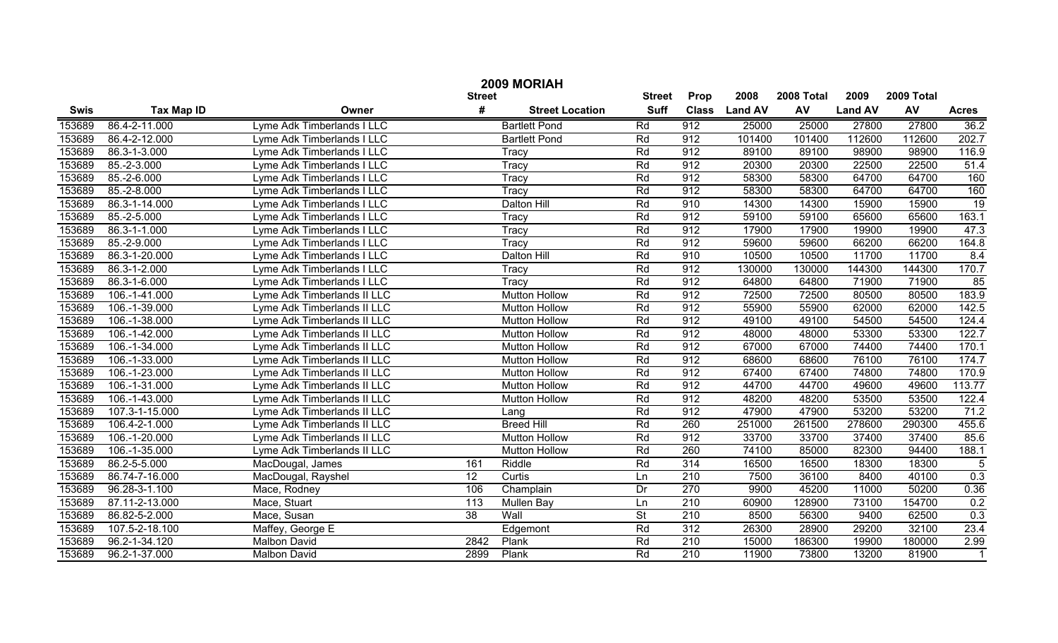| 2009 MORIAH |                   |                             |                 |                        |             |                  |                |        |                |        |              |
|-------------|-------------------|-----------------------------|-----------------|------------------------|-------------|------------------|----------------|--------|----------------|--------|--------------|
|             |                   |                             | <b>Street</b>   | <b>Street</b>          | Prop        | 2008             | 2008 Total     | 2009   | 2009 Total     |        |              |
| <b>Swis</b> | <b>Tax Map ID</b> | Owner                       | #               | <b>Street Location</b> | <b>Suff</b> | <b>Class</b>     | <b>Land AV</b> | AV     | <b>Land AV</b> | AV     | <b>Acres</b> |
| 153689      | 86.4-2-11.000     | Lyme Adk Timberlands I LLC  |                 | <b>Bartlett Pond</b>   | Rd          | 912              | 25000          | 25000  | 27800          | 27800  | 36.2         |
| 153689      | 86.4-2-12.000     | Lyme Adk Timberlands I LLC  |                 | <b>Bartlett Pond</b>   | Rd          | 912              | 101400         | 101400 | 112600         | 112600 | 202.7        |
| 153689      | 86.3-1-3.000      | Lyme Adk Timberlands I LLC  |                 | Tracy                  | Rd          | 912              | 89100          | 89100  | 98900          | 98900  | 116.9        |
| 153689      | 85.-2-3.000       | Lyme Adk Timberlands I LLC  |                 | Tracy                  | Rd          | 912              | 20300          | 20300  | 22500          | 22500  | 51.4         |
| 153689      | 85.-2-6.000       | Lyme Adk Timberlands I LLC  |                 | Tracy                  | Rd          | 912              | 58300          | 58300  | 64700          | 64700  | 160          |
| 153689      | 85.-2-8.000       | Lyme Adk Timberlands I LLC  |                 | Tracy                  | Rd          | 912              | 58300          | 58300  | 64700          | 64700  | 160          |
| 153689      | 86.3-1-14.000     | Lyme Adk Timberlands I LLC  |                 | Dalton Hill            | Rd          | 910              | 14300          | 14300  | 15900          | 15900  | 19           |
| 153689      | 85.-2-5.000       | Lyme Adk Timberlands I LLC  |                 | Tracy                  | Rd          | 912              | 59100          | 59100  | 65600          | 65600  | 163.1        |
| 153689      | 86.3-1-1.000      | Lyme Adk Timberlands I LLC  |                 | Tracy                  | Rd          | 912              | 17900          | 17900  | 19900          | 19900  | 47.3         |
| 153689      | 85.-2-9.000       | Lyme Adk Timberlands I LLC  |                 | Tracy                  | Rd          | 912              | 59600          | 59600  | 66200          | 66200  | 164.8        |
| 153689      | 86.3-1-20.000     | Lyme Adk Timberlands I LLC  |                 | Dalton Hill            | Rd          | 910              | 10500          | 10500  | 11700          | 11700  | 8.4          |
| 153689      | 86.3-1-2.000      | Lyme Adk Timberlands I LLC  |                 | Tracy                  | Rd          | 912              | 130000         | 130000 | 144300         | 144300 | 170.7        |
| 153689      | 86.3-1-6.000      | Lyme Adk Timberlands I LLC  |                 | Tracy                  | Rd          | 912              | 64800          | 64800  | 71900          | 71900  | 85           |
| 153689      | 106.-1-41.000     | Lyme Adk Timberlands II LLC |                 | <b>Mutton Hollow</b>   | Rd          | 912              | 72500          | 72500  | 80500          | 80500  | 183.9        |
| 153689      | 106.-1-39.000     | Lyme Adk Timberlands II LLC |                 | <b>Mutton Hollow</b>   | Rd          | 912              | 55900          | 55900  | 62000          | 62000  | 142.5        |
| 153689      | 106.-1-38.000     | Lyme Adk Timberlands II LLC |                 | <b>Mutton Hollow</b>   | Rd          | 912              | 49100          | 49100  | 54500          | 54500  | 124.4        |
| 153689      | 106.-1-42.000     | Lyme Adk Timberlands II LLC |                 | <b>Mutton Hollow</b>   | Rd          | 912              | 48000          | 48000  | 53300          | 53300  | 122.7        |
| 153689      | 106.-1-34.000     | Lyme Adk Timberlands II LLC |                 | <b>Mutton Hollow</b>   | Rd          | 912              | 67000          | 67000  | 74400          | 74400  | 170.1        |
| 153689      | 106.-1-33.000     | Lyme Adk Timberlands II LLC |                 | <b>Mutton Hollow</b>   | Rd          | 912              | 68600          | 68600  | 76100          | 76100  | 174.7        |
| 153689      | 106.-1-23.000     | Lyme Adk Timberlands II LLC |                 | <b>Mutton Hollow</b>   | Rd          | 912              | 67400          | 67400  | 74800          | 74800  | 170.9        |
| 153689      | 106.-1-31.000     | Lyme Adk Timberlands II LLC |                 | <b>Mutton Hollow</b>   | Rd          | 912              | 44700          | 44700  | 49600          | 49600  | 113.77       |
| 153689      | 106.-1-43.000     | Lyme Adk Timberlands II LLC |                 | <b>Mutton Hollow</b>   | Rd          | 912              | 48200          | 48200  | 53500          | 53500  | 122.4        |
| 153689      | 107.3-1-15.000    | Lyme Adk Timberlands II LLC |                 | Lang                   | Rd          | 912              | 47900          | 47900  | 53200          | 53200  | 71.2         |
| 153689      | 106.4-2-1.000     | Lyme Adk Timberlands II LLC |                 | <b>Breed Hill</b>      | Rd          | 260              | 251000         | 261500 | 278600         | 290300 | 455.6        |
| 153689      | 106.-1-20.000     | Lyme Adk Timberlands II LLC |                 | <b>Mutton Hollow</b>   | Rd          | 912              | 33700          | 33700  | 37400          | 37400  | 85.6         |
| 153689      | 106.-1-35.000     | Lyme Adk Timberlands II LLC |                 | <b>Mutton Hollow</b>   | Rd          | 260              | 74100          | 85000  | 82300          | 94400  | 188.1        |
| 153689      | 86.2-5-5.000      | MacDougal, James            | 161             | Riddle                 | Rd          | 314              | 16500          | 16500  | 18300          | 18300  | 5            |
| 153689      | 86.74-7-16.000    | MacDougal, Rayshel          | 12              | Curtis                 | Ln          | 210              | 7500           | 36100  | 8400           | 40100  | 0.3          |
| 153689      | 96.28-3-1.100     | Mace, Rodney                | 106             | Champlain              | Dr          | 270              | 9900           | 45200  | 11000          | 50200  | 0.36         |
| 153689      | 87.11-2-13.000    | Mace, Stuart                | 113             | Mullen Bay             | Ln          | $\overline{210}$ | 60900          | 128900 | 73100          | 154700 | 0.2          |
| 153689      | 86.82-5-2.000     | Mace, Susan                 | $\overline{38}$ | Wall                   | <b>St</b>   | $\overline{210}$ | 8500           | 56300  | 9400           | 62500  | 0.3          |
| 153689      | 107.5-2-18.100    | Maffey, George E            |                 | Edgemont               | Rd          | 312              | 26300          | 28900  | 29200          | 32100  | 23.4         |
| 153689      | 96.2-1-34.120     | <b>Malbon David</b>         | 2842            | Plank                  | Rd          | $\overline{210}$ | 15000          | 186300 | 19900          | 180000 | 2.99         |
| 153689      | 96.2-1-37.000     | <b>Malbon David</b>         | 2899            | Plank                  | Rd          | 210              | 11900          | 73800  | 13200          | 81900  | $\mathbf{1}$ |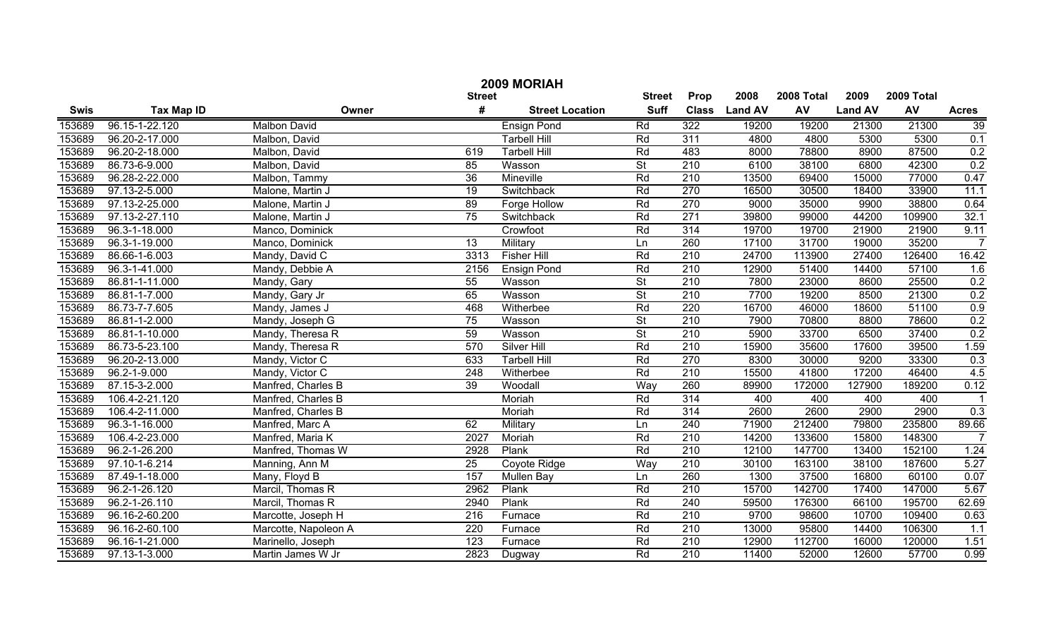|             | 2009 MORIAH       |                      |                  |                        |                          |                  |                |            |                |            |                   |
|-------------|-------------------|----------------------|------------------|------------------------|--------------------------|------------------|----------------|------------|----------------|------------|-------------------|
|             |                   |                      | <b>Street</b>    |                        | <b>Street</b>            | Prop             | 2008           | 2008 Total | 2009           | 2009 Total |                   |
| <b>Swis</b> | <b>Tax Map ID</b> | Owner                | #                | <b>Street Location</b> | <b>Suff</b>              | <b>Class</b>     | <b>Land AV</b> | AV         | <b>Land AV</b> | AV         | <b>Acres</b>      |
| 153689      | 96.15-1-22.120    | <b>Malbon David</b>  |                  | <b>Ensign Pond</b>     | Rd                       | 322              | 19200          | 19200      | 21300          | 21300      | 39                |
| 153689      | 96.20-2-17.000    | Malbon, David        |                  | <b>Tarbell Hill</b>    | Rd                       | 311              | 4800           | 4800       | 5300           | 5300       | 0.1               |
| 153689      | 96.20-2-18.000    | Malbon, David        | 619              | <b>Tarbell Hill</b>    | Rd                       | 483              | 8000           | 78800      | 8900           | 87500      | 0.2               |
| 153689      | 86.73-6-9.000     | Malbon, David        | 85               | Wasson                 | $\overline{\mathsf{St}}$ | 210              | 6100           | 38100      | 6800           | 42300      | 0.2               |
| 153689      | 96.28-2-22.000    | Malbon, Tammy        | 36               | <b>Mineville</b>       | Rd                       | 210              | 13500          | 69400      | 15000          | 77000      | 0.47              |
| 153689      | 97.13-2-5.000     | Malone, Martin J     | $\overline{19}$  | Switchback             | Rd                       | 270              | 16500          | 30500      | 18400          | 33900      | 11.1              |
| 153689      | 97.13-2-25.000    | Malone, Martin J     | 89               | Forge Hollow           | Rd                       | 270              | 9000           | 35000      | 9900           | 38800      | 0.64              |
| 153689      | 97.13-2-27.110    | Malone, Martin J     | 75               | Switchback             | Rd                       | 271              | 39800          | 99000      | 44200          | 109900     | 32.1              |
| 153689      | 96.3-1-18.000     | Manco, Dominick      |                  | Crowfoot               | Rd                       | 314              | 19700          | 19700      | 21900          | 21900      | 9.11              |
| 153689      | 96.3-1-19.000     | Manco, Dominick      | 13               | Military               | Ln                       | 260              | 17100          | 31700      | 19000          | 35200      | 7                 |
| 153689      | 86.66-1-6.003     | Mandy, David C       | 3313             | <b>Fisher Hill</b>     | Rd                       | 210              | 24700          | 113900     | 27400          | 126400     | 16.42             |
| 153689      | 96.3-1-41.000     | Mandy, Debbie A      | 2156             | <b>Ensign Pond</b>     | Rd                       | 210              | 12900          | 51400      | 14400          | 57100      | 1.6               |
| 153689      | 86.81-1-11.000    | Mandy, Gary          | 55               | Wasson                 | $\overline{\mathsf{St}}$ | 210              | 7800           | 23000      | 8600           | 25500      | 0.2               |
| 153689      | 86.81-1-7.000     | Mandy, Gary Jr       | 65               | Wasson                 | $\overline{\mathsf{St}}$ | 210              | 7700           | 19200      | 8500           | 21300      | 0.2               |
| 153689      | 86.73-7-7.605     | Mandy, James J       | 468              | Witherbee              | Rd                       | 220              | 16700          | 46000      | 18600          | 51100      | 0.9               |
| 153689      | 86.81-1-2.000     | Mandy, Joseph G      | 75               | Wasson                 | $\overline{\mathsf{St}}$ | 210              | 7900           | 70800      | 8800           | 78600      | 0.2               |
| 153689      | 86.81-1-10.000    | Mandy, Theresa R     | 59               | Wasson                 | $\overline{\mathsf{St}}$ | 210              | 5900           | 33700      | 6500           | 37400      | 0.2               |
| 153689      | 86.73-5-23.100    | Mandy, Theresa R     | 570              | <b>Silver Hill</b>     | Rd                       | 210              | 15900          | 35600      | 17600          | 39500      | 1.59              |
| 153689      | 96.20-2-13.000    | Mandy, Victor C      | 633              | <b>Tarbell Hill</b>    | Rd                       | 270              | 8300           | 30000      | 9200           | 33300      | 0.3               |
| 153689      | 96.2-1-9.000      | Mandy, Victor C      | 248              | Witherbee              | Rd                       | 210              | 15500          | 41800      | 17200          | 46400      | 4.5               |
| 153689      | 87.15-3-2.000     | Manfred, Charles B   | 39               | Woodall                | Way                      | 260              | 89900          | 172000     | 127900         | 189200     | 0.12              |
| 153689      | 106.4-2-21.120    | Manfred, Charles B   |                  | Moriah                 | Rd                       | 314              | 400            | 400        | 400            | 400        |                   |
| 153689      | 106.4-2-11.000    | Manfred, Charles B   |                  | Moriah                 | Rd                       | 314              | 2600           | 2600       | 2900           | 2900       | $\overline{0.3}$  |
| 153689      | 96.3-1-16.000     | Manfred, Marc A      | 62               | Military               | Ln                       | 240              | 71900          | 212400     | 79800          | 235800     | 89.66             |
| 153689      | 106.4-2-23.000    | Manfred, Maria K     | 2027             | Moriah                 | Rd                       | 210              | 14200          | 133600     | 15800          | 148300     | $\overline{7}$    |
| 153689      | 96.2-1-26.200     | Manfred, Thomas W    | 2928             | Plank                  | Rd                       | 210              | 12100          | 147700     | 13400          | 152100     | $\overline{1.24}$ |
| 153689      | 97.10-1-6.214     | Manning, Ann M       | 25               | Coyote Ridge           | Way                      | 210              | 30100          | 163100     | 38100          | 187600     | 5.27              |
| 153689      | 87.49-1-18.000    | Many, Floyd B        | 157              | <b>Mullen Bay</b>      | Ln                       | 260              | 1300           | 37500      | 16800          | 60100      | 0.07              |
| 153689      | 96.2-1-26.120     | Marcil, Thomas R     | 2962             | Plank                  | Rd                       | 210              | 15700          | 142700     | 17400          | 147000     | 5.67              |
| 153689      | 96.2-1-26.110     | Marcil, Thomas R     | 2940             | Plank                  | Rd                       | 240              | 59500          | 176300     | 66100          | 195700     | 62.69             |
| 153689      | 96.16-2-60.200    | Marcotte, Joseph H   | $\overline{216}$ | Furnace                | Rd                       | $\overline{210}$ | 9700           | 98600      | 10700          | 109400     | 0.63              |
| 153689      | 96.16-2-60.100    | Marcotte, Napoleon A | 220              | Furnace                | Rd                       | 210              | 13000          | 95800      | 14400          | 106300     | 1.1               |
| 153689      | 96.16-1-21.000    | Marinello, Joseph    | 123              | Furnace                | Rd                       | 210              | 12900          | 112700     | 16000          | 120000     | 1.51              |
| 153689      | 97.13-1-3.000     | Martin James W Jr    | 2823             | Dugway                 | Rd                       | $\overline{210}$ | 11400          | 52000      | 12600          | 57700      | 0.99              |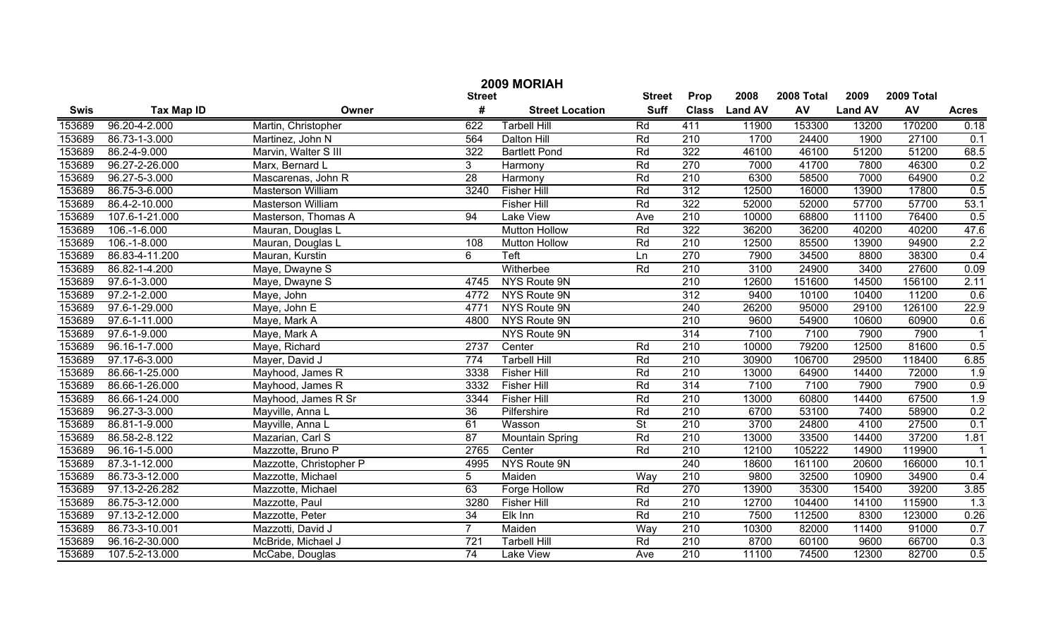|             | 2009 MORIAH        |                          |                 |                        |                          |                  |                |            |                |            |                  |  |
|-------------|--------------------|--------------------------|-----------------|------------------------|--------------------------|------------------|----------------|------------|----------------|------------|------------------|--|
|             |                    |                          | <b>Street</b>   |                        | <b>Street</b>            | Prop             | 2008           | 2008 Total | 2009           | 2009 Total |                  |  |
| <b>Swis</b> | <b>Tax Map ID</b>  | Owner                    | #               | <b>Street Location</b> | <b>Suff</b>              | <b>Class</b>     | <b>Land AV</b> | <b>AV</b>  | <b>Land AV</b> | AV         | <b>Acres</b>     |  |
| 153689      | 96.20-4-2.000      | Martin, Christopher      | 622             | <b>Tarbell Hill</b>    | Rd                       | 411              | 11900          | 153300     | 13200          | 170200     | 0.18             |  |
| 153689      | 86.73-1-3.000      | Martinez, John N         | 564             | <b>Dalton Hill</b>     | Rd                       | 210              | 1700           | 24400      | 1900           | 27100      | 0.1              |  |
| 153689      | 86.2-4-9.000       | Marvin, Walter S III     | 322             | <b>Bartlett Pond</b>   | Rd                       | 322              | 46100          | 46100      | 51200          | 51200      | 68.5             |  |
| 153689      | 96.27-2-26.000     | Marx, Bernard L          | 3               | Harmony                | Rd                       | 270              | 7000           | 41700      | 7800           | 46300      | 0.2              |  |
| 153689      | 96.27-5-3.000      | Mascarenas, John R       | 28              | Harmony                | Rd                       | 210              | 6300           | 58500      | 7000           | 64900      | 0.2              |  |
| 153689      | 86.75-3-6.000      | <b>Masterson William</b> | 3240            | <b>Fisher Hill</b>     | Rd                       | 312              | 12500          | 16000      | 13900          | 17800      | 0.5              |  |
| 153689      | 86.4-2-10.000      | Masterson William        |                 | <b>Fisher Hill</b>     | Rd                       | 322              | 52000          | 52000      | 57700          | 57700      | 53.1             |  |
| 153689      | 107.6-1-21.000     | Masterson, Thomas A      | 94              | <b>Lake View</b>       | Ave                      | 210              | 10000          | 68800      | 11100          | 76400      | 0.5              |  |
| 153689      | 106.-1-6.000       | Mauran, Douglas L        |                 | <b>Mutton Hollow</b>   | Rd                       | 322              | 36200          | 36200      | 40200          | 40200      | 47.6             |  |
| 153689      | $106.-1-8.000$     | Mauran, Douglas L        | 108             | <b>Mutton Hollow</b>   | Rd                       | 210              | 12500          | 85500      | 13900          | 94900      | 2.2              |  |
| 153689      | 86.83-4-11.200     | Mauran, Kurstin          | 6               | Teft                   | Ln                       | 270              | 7900           | 34500      | 8800           | 38300      | 0.4              |  |
| 153689      | 86.82-1-4.200      | Maye, Dwayne S           |                 | Witherbee              | Rd                       | 210              | 3100           | 24900      | 3400           | 27600      | 0.09             |  |
| 153689      | 97.6-1-3.000       | Maye, Dwayne S           | 4745            | NYS Route 9N           |                          | 210              | 12600          | 151600     | 14500          | 156100     | 2.11             |  |
| 153689      | $97.2 - 1 - 2.000$ | Maye, John               | 4772            | NYS Route 9N           |                          | $\overline{312}$ | 9400           | 10100      | 10400          | 11200      | 0.6              |  |
| 153689      | 97.6-1-29.000      | Maye, John E             | 4771            | NYS Route 9N           |                          | 240              | 26200          | 95000      | 29100          | 126100     | 22.9             |  |
| 153689      | 97.6-1-11.000      | Maye, Mark A             | 4800            | NYS Route 9N           |                          | 210              | 9600           | 54900      | 10600          | 60900      | 0.6              |  |
| 153689      | 97.6-1-9.000       | Maye, Mark A             |                 | NYS Route 9N           |                          | 314              | 7100           | 7100       | 7900           | 7900       |                  |  |
| 153689      | 96.16-1-7.000      | Maye, Richard            | 2737            | Center                 | Rd                       | 210              | 10000          | 79200      | 12500          | 81600      | 0.5              |  |
| 153689      | 97.17-6-3.000      | Mayer, David J           | 774             | <b>Tarbell Hill</b>    | Rd                       | 210              | 30900          | 106700     | 29500          | 118400     | 6.85             |  |
| 153689      | 86.66-1-25.000     | Mayhood, James R         | 3338            | <b>Fisher Hill</b>     | Rd                       | 210              | 13000          | 64900      | 14400          | 72000      | 1.9              |  |
| 153689      | 86.66-1-26.000     | Mayhood, James R         | 3332            | <b>Fisher Hill</b>     | Rd                       | 314              | 7100           | 7100       | 7900           | 7900       | 0.9              |  |
| 153689      | 86.66-1-24.000     | Mayhood, James R Sr      | 3344            | <b>Fisher Hill</b>     | Rd                       | 210              | 13000          | 60800      | 14400          | 67500      | 1.9              |  |
| 153689      | 96.27-3-3.000      | Mayville, Anna L         | 36              | Pilfershire            | Rd                       | 210              | 6700           | 53100      | 7400           | 58900      | 0.2              |  |
| 153689      | 86.81-1-9.000      | Mayville, Anna L         | 61              | Wasson                 | $\overline{\mathsf{St}}$ | 210              | 3700           | 24800      | 4100           | 27500      | 0.1              |  |
| 153689      | 86.58-2-8.122      | Mazarian, Carl S         | 87              | Mountain Spring        | Rd                       | 210              | 13000          | 33500      | 14400          | 37200      | 1.81             |  |
| 153689      | 96.16-1-5.000      | Mazzotte, Bruno P        | 2765            | Center                 | Rd                       | 210              | 12100          | 105222     | 14900          | 119900     | -1               |  |
| 153689      | 87.3-1-12.000      | Mazzotte, Christopher P  | 4995            | NYS Route 9N           |                          | 240              | 18600          | 161100     | 20600          | 166000     | 10.1             |  |
| 153689      | 86.73-3-12.000     | Mazzotte, Michael        | 5               | Maiden                 | Way                      | 210              | 9800           | 32500      | 10900          | 34900      | 0.4              |  |
| 153689      | 97.13-2-26.282     | Mazzotte, Michael        | 63              | Forge Hollow           | Rd                       | 270              | 13900          | 35300      | 15400          | 39200      | 3.85             |  |
| 153689      | 86.75-3-12.000     | Mazzotte, Paul           | 3280            | <b>Fisher Hill</b>     | Rd                       | $\overline{210}$ | 12700          | 104400     | 14100          | 115900     | $\overline{1.3}$ |  |
| 153689      | 97.13-2-12.000     | Mazzotte, Peter          | $\overline{34}$ | Elk Inn                | Rd                       | $\overline{210}$ | 7500           | 112500     | 8300           | 123000     | 0.26             |  |
| 153689      | 86.73-3-10.001     | Mazzotti, David J        | 7               | Maiden                 | Way                      | 210              | 10300          | 82000      | 11400          | 91000      | 0.7              |  |
| 153689      | 96.16-2-30.000     | McBride, Michael J       | 721             | <b>Tarbell Hill</b>    | Rd                       | $\overline{210}$ | 8700           | 60100      | 9600           | 66700      | 0.3              |  |
| 153689      | 107.5-2-13.000     | McCabe, Douglas          | $\overline{74}$ | Lake View              | Ave                      | $\overline{210}$ | 11100          | 74500      | 12300          | 82700      | 0.5              |  |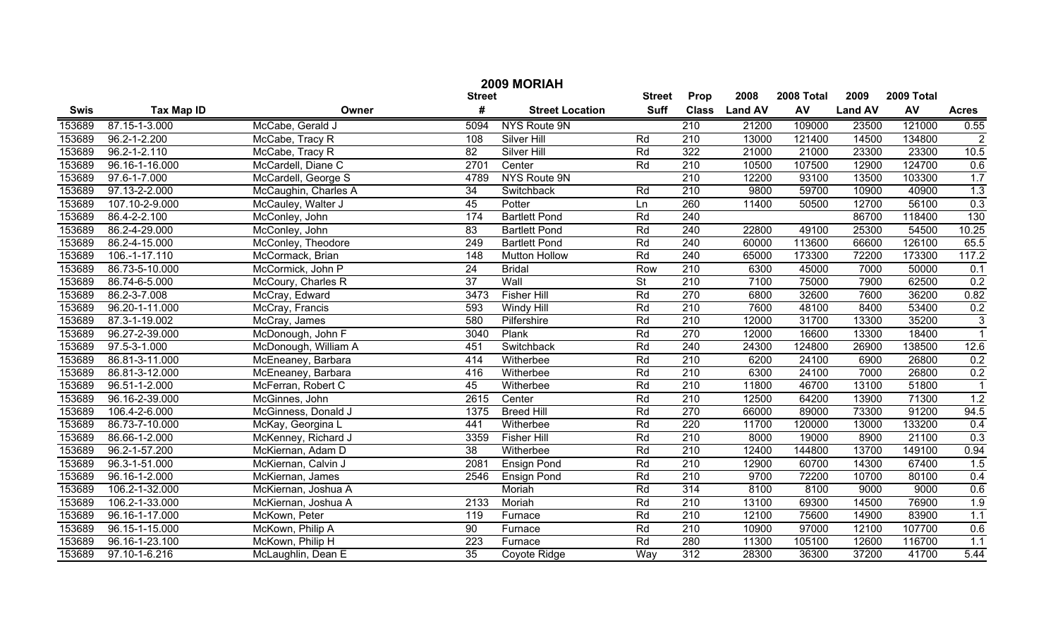|             | 2009 MORIAH        |                      |                  |                        |                          |                  |                |            |                |            |                |
|-------------|--------------------|----------------------|------------------|------------------------|--------------------------|------------------|----------------|------------|----------------|------------|----------------|
|             |                    |                      | <b>Street</b>    |                        | <b>Street</b>            | Prop             | 2008           | 2008 Total | 2009           | 2009 Total |                |
| <b>Swis</b> | <b>Tax Map ID</b>  | Owner                | #                | <b>Street Location</b> | <b>Suff</b>              | <b>Class</b>     | <b>Land AV</b> | <b>AV</b>  | <b>Land AV</b> | AV         | <b>Acres</b>   |
| 153689      | 87.15-1-3.000      | McCabe, Gerald J     | 5094             | NYS Route 9N           |                          | 210              | 21200          | 109000     | 23500          | 121000     | 0.55           |
| 153689      | 96.2-1-2.200       | McCabe, Tracy R      | 108              | Silver Hill            | Rd                       | $\overline{210}$ | 13000          | 121400     | 14500          | 134800     | $\overline{2}$ |
| 153689      | $96.2 - 1 - 2.110$ | McCabe, Tracy R      | $\overline{82}$  | Silver Hill            | Rd                       | 322              | 21000          | 21000      | 23300          | 23300      | 10.5           |
| 153689      | 96.16-1-16.000     | McCardell, Diane C   | 2701             | Center                 | Rd                       | 210              | 10500          | 107500     | 12900          | 124700     | 0.6            |
| 153689      | 97.6-1-7.000       | McCardell, George S  | 4789             | NYS Route 9N           |                          | 210              | 12200          | 93100      | 13500          | 103300     | 1.7            |
| 153689      | 97.13-2-2.000      | McCaughin, Charles A | 34               | Switchback             | Rd                       | $\overline{210}$ | 9800           | 59700      | 10900          | 40900      | 1.3            |
| 153689      | 107.10-2-9.000     | McCauley, Walter J   | 45               | Potter                 | Ln                       | 260              | 11400          | 50500      | 12700          | 56100      | 0.3            |
| 153689      | 86.4-2-2.100       | McConley, John       | 174              | <b>Bartlett Pond</b>   | Rd                       | 240              |                |            | 86700          | 118400     | 130            |
| 153689      | 86.2-4-29.000      | McConley, John       | 83               | <b>Bartlett Pond</b>   | Rd                       | 240              | 22800          | 49100      | 25300          | 54500      | 10.25          |
| 153689      | 86.2-4-15.000      | McConley, Theodore   | 249              | <b>Bartlett Pond</b>   | Rd                       | 240              | 60000          | 113600     | 66600          | 126100     | 65.5           |
| 153689      | 106.-1-17.110      | McCormack, Brian     | 148              | <b>Mutton Hollow</b>   | Rd                       | 240              | 65000          | 173300     | 72200          | 173300     | 117.2          |
| 153689      | 86.73-5-10.000     | McCormick, John P    | 24               | <b>Bridal</b>          | Row                      | 210              | 6300           | 45000      | 7000           | 50000      | 0.1            |
| 153689      | 86.74-6-5.000      | McCoury, Charles R   | $\overline{37}$  | Wall                   | $\overline{\mathsf{St}}$ | 210              | 7100           | 75000      | 7900           | 62500      | 0.2            |
| 153689      | 86.2-3-7.008       | McCray, Edward       | 3473             | <b>Fisher Hill</b>     | Rd                       | 270              | 6800           | 32600      | 7600           | 36200      | 0.82           |
| 153689      | 96.20-1-11.000     | McCray, Francis      | 593              | Windy Hill             | Rd                       | 210              | 7600           | 48100      | 8400           | 53400      | 0.2            |
| 153689      | 87.3-1-19.002      | McCray, James        | 580              | Pilfershire            | Rd                       | 210              | 12000          | 31700      | 13300          | 35200      | $\overline{3}$ |
| 153689      | 96.27-2-39.000     | McDonough, John F    | 3040             | Plank                  | Rd                       | 270              | 12000          | 16600      | 13300          | 18400      | $\overline{1}$ |
| 153689      | 97.5-3-1.000       | McDonough, William A | 451              | Switchback             | Rd                       | 240              | 24300          | 124800     | 26900          | 138500     | 12.6           |
| 153689      | 86.81-3-11.000     | McEneaney, Barbara   | 414              | Witherbee              | Rd                       | 210              | 6200           | 24100      | 6900           | 26800      | 0.2            |
| 153689      | 86.81-3-12.000     | McEneaney, Barbara   | 416              | Witherbee              | Rd                       | 210              | 6300           | 24100      | 7000           | 26800      | 0.2            |
| 153689      | 96.51-1-2.000      | McFerran, Robert C   | 45               | Witherbee              | Rd                       | 210              | 11800          | 46700      | 13100          | 51800      |                |
| 153689      | 96.16-2-39.000     | McGinnes, John       | 2615             | Center                 | Rd                       | 210              | 12500          | 64200      | 13900          | 71300      | 1.2            |
| 153689      | 106.4-2-6.000      | McGinness, Donald J  | 1375             | <b>Breed Hill</b>      | Rd                       | 270              | 66000          | 89000      | 73300          | 91200      | 94.5           |
| 153689      | 86.73-7-10.000     | McKay, Georgina L    | 441              | Witherbee              | Rd                       | 220              | 11700          | 120000     | 13000          | 133200     | 0.4            |
| 153689      | 86.66-1-2.000      | McKenney, Richard J  | 3359             | <b>Fisher Hill</b>     | Rd                       | 210              | 8000           | 19000      | 8900           | 21100      | 0.3            |
| 153689      | 96.2-1-57.200      | McKiernan, Adam D    | 38               | Witherbee              | Rd                       | 210              | 12400          | 144800     | 13700          | 149100     | 0.94           |
| 153689      | 96.3-1-51.000      | McKiernan, Calvin J  | 2081             | Ensign Pond            | Rd                       | 210              | 12900          | 60700      | 14300          | 67400      | 1.5            |
| 153689      | 96.16-1-2.000      | McKiernan, James     | 2546             | <b>Ensign Pond</b>     | Rd                       | 210              | 9700           | 72200      | 10700          | 80100      | 0.4            |
| 153689      | 106.2-1-32.000     | McKiernan, Joshua A  |                  | Moriah                 | Rd                       | 314              | 8100           | 8100       | 9000           | 9000       | 0.6            |
| 153689      | 106.2-1-33.000     | McKiernan, Joshua A  | 2133             | Moriah                 | Rd                       | $\overline{210}$ | 13100          | 69300      | 14500          | 76900      | 1.9            |
| 153689      | 96.16-1-17.000     | McKown, Peter        | 119              | Furnace                | Rd                       | $\overline{210}$ | 12100          | 75600      | 14900          | 83900      | 1.1            |
| 153689      | 96.15-1-15.000     | McKown, Philip A     | 90               | Furnace                | Rd                       | 210              | 10900          | 97000      | 12100          | 107700     | 0.6            |
| 153689      | 96.16-1-23.100     | McKown, Philip H     | $\overline{223}$ | Furnace                | Rd                       | 280              | 11300          | 105100     | 12600          | 116700     | 1.1            |
| 153689      | 97.10-1-6.216      | McLaughlin, Dean E   | $\overline{35}$  | Coyote Ridge           | Way                      | $\overline{312}$ | 28300          | 36300      | 37200          | 41700      | 5.44           |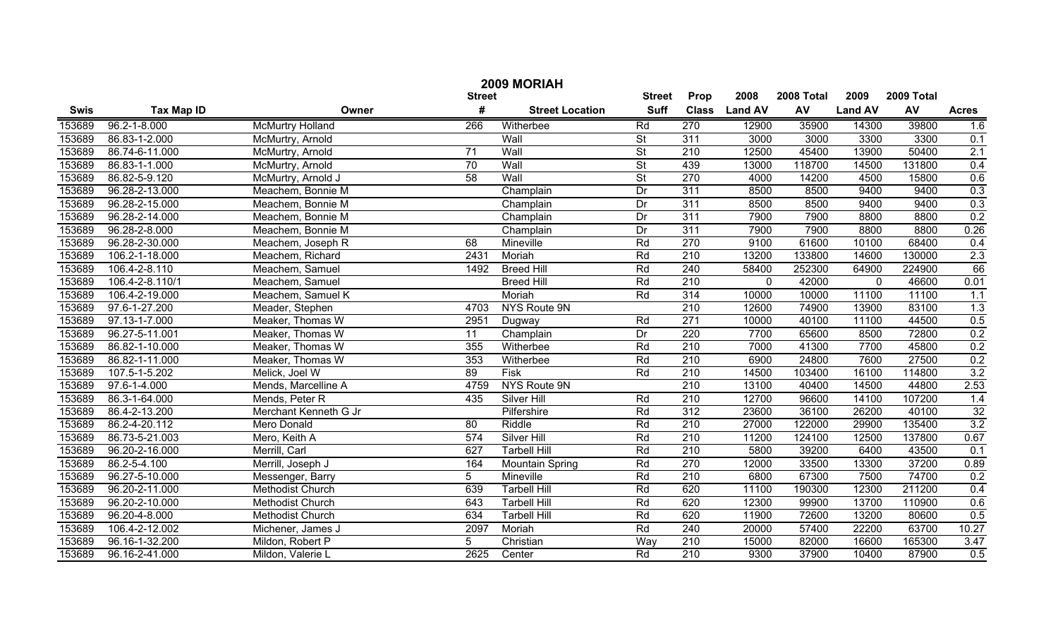| 2009 MORIAH                    |                    |                         |                 |                        |                          |                  |                |            |                |            |              |
|--------------------------------|--------------------|-------------------------|-----------------|------------------------|--------------------------|------------------|----------------|------------|----------------|------------|--------------|
| <b>Street</b><br><b>Street</b> |                    |                         |                 |                        |                          |                  | 2008           | 2008 Total | 2009           | 2009 Total |              |
| <b>Swis</b>                    | <b>Tax Map ID</b>  | Owner                   | #               | <b>Street Location</b> | <b>Suff</b>              | <b>Class</b>     | <b>Land AV</b> | AV         | <b>Land AV</b> | AV         | <b>Acres</b> |
| 153689                         | $96.2 - 1 - 8.000$ | <b>McMurtry Holland</b> | 266             | Witherbee              | Rd                       | 270              | 12900          | 35900      | 14300          | 39800      | 1.6          |
| 153689                         | 86.83-1-2.000      | McMurtry, Arnold        |                 | Wall                   | $\overline{St}$          | 311              | 3000           | 3000       | 3300           | 3300       | 0.1          |
| 153689                         | 86.74-6-11.000     | McMurtry, Arnold        | $\overline{71}$ | Wall                   | $\overline{St}$          | $\overline{210}$ | 12500          | 45400      | 13900          | 50400      | 2.1          |
| 153689                         | 86.83-1-1.000      | McMurtry, Arnold        | 70              | Wall                   | $\overline{\mathsf{St}}$ | 439              | 13000          | 118700     | 14500          | 131800     | 0.4          |
| 153689                         | 86.82-5-9.120      | McMurtry, Arnold J      | 58              | Wall                   | $\overline{\mathsf{St}}$ | 270              | 4000           | 14200      | 4500           | 15800      | 0.6          |
| 153689                         | 96.28-2-13.000     | Meachem, Bonnie M       |                 | Champlain              | Dr                       | 311              | 8500           | 8500       | 9400           | 9400       | 0.3          |
| 153689                         | 96.28-2-15.000     | Meachem, Bonnie M       |                 | Champlain              | Dr                       | 311              | 8500           | 8500       | 9400           | 9400       | 0.3          |
| 153689                         | 96.28-2-14.000     | Meachem, Bonnie M       |                 | Champlain              | Dr                       | 311              | 7900           | 7900       | 8800           | 8800       | 0.2          |
| 153689                         | 96.28-2-8.000      | Meachem, Bonnie M       |                 | Champlain              | Dr                       | 311              | 7900           | 7900       | 8800           | 8800       | 0.26         |
| 153689                         | 96.28-2-30.000     | Meachem, Joseph R       | 68              | Mineville              | Rd                       | 270              | 9100           | 61600      | 10100          | 68400      | 0.4          |
| 153689                         | 106.2-1-18.000     | Meachem, Richard        | 2431            | Moriah                 | Rd                       | 210              | 13200          | 133800     | 14600          | 130000     | 2.3          |
| 153689                         | 106.4-2-8.110      | Meachem, Samuel         | 1492            | <b>Breed Hill</b>      | Rd                       | 240              | 58400          | 252300     | 64900          | 224900     | 66           |
| 153689                         | 106.4-2-8.110/1    | Meachem, Samuel         |                 | <b>Breed Hill</b>      | Rd                       | 210              | 0              | 42000      | $\mathbf 0$    | 46600      | 0.01         |
| 153689                         | 106.4-2-19.000     | Meachem, Samuel K       |                 | Moriah                 | Rd                       | 314              | 10000          | 10000      | 11100          | 11100      | 1.1          |
| 153689                         | 97.6-1-27.200      | Meader, Stephen         | 4703            | NYS Route 9N           |                          | 210              | 12600          | 74900      | 13900          | 83100      | 1.3          |
| 153689                         | 97.13-1-7.000      | Meaker, Thomas W        | 2951            | Dugway                 | Rd                       | 271              | 10000          | 40100      | 11100          | 44500      | 0.5          |
| 153689                         | 96.27-5-11.001     | Meaker, Thomas W        | 11              | Champlain              | Dr                       | 220              | 7700           | 65600      | 8500           | 72800      | 0.2          |
| 153689                         | 86.82-1-10.000     | Meaker, Thomas W        | 355             | Witherbee              | Rd                       | 210              | 7000           | 41300      | 7700           | 45800      | 0.2          |
| 153689                         | 86.82-1-11.000     | Meaker, Thomas W        | 353             | Witherbee              | Rd                       | 210              | 6900           | 24800      | 7600           | 27500      | 0.2          |
| 153689                         | 107.5-1-5.202      | Melick, Joel W          | 89              | Fisk                   | Rd                       | 210              | 14500          | 103400     | 16100          | 114800     | 3.2          |
| 153689                         | 97.6-1-4.000       | Mends, Marcelline A     | 4759            | NYS Route 9N           |                          | 210              | 13100          | 40400      | 14500          | 44800      | 2.53         |
| 153689                         | 86.3-1-64.000      | Mends, Peter R          | 435             | Silver Hill            | Rd                       | 210              | 12700          | 96600      | 14100          | 107200     | 1.4          |
| 153689                         | 86.4-2-13.200      | Merchant Kenneth G Jr   |                 | Pilfershire            | Rd                       | 312              | 23600          | 36100      | 26200          | 40100      | 32           |
| 153689                         | 86.2-4-20.112      | Mero Donald             | 80              | Riddle                 | Rd                       | 210              | 27000          | 122000     | 29900          | 135400     | 3.2          |
| 153689                         | 86.73-5-21.003     | Mero, Keith A           | 574             | Silver Hill            | Rd                       | 210              | 11200          | 124100     | 12500          | 137800     | 0.67         |
| 153689                         | 96.20-2-16.000     | Merrill, Carl           | 627             | <b>Tarbell Hill</b>    | Rd                       | 210              | 5800           | 39200      | 6400           | 43500      | 0.1          |
| 153689                         | 86.2-5-4.100       | Merrill, Joseph J       | 164             | <b>Mountain Spring</b> | Rd                       | 270              | 12000          | 33500      | 13300          | 37200      | 0.89         |
| 153689                         | 96.27-5-10.000     | Messenger, Barry        | 5               | Mineville              | Rd                       | 210              | 6800           | 67300      | 7500           | 74700      | 0.2          |
| 153689                         | 96.20-2-11.000     | <b>Methodist Church</b> | 639             | <b>Tarbell Hill</b>    | Rd                       | 620              | 11100          | 190300     | 12300          | 211200     | 0.4          |
| 153689                         | 96.20-2-10.000     | <b>Methodist Church</b> | 643             | <b>Tarbell Hill</b>    | Rd                       | 620              | 12300          | 99900      | 13700          | 110900     | 0.6          |
| 153689                         | 96.20-4-8.000      | Methodist Church        | 634             | <b>Tarbell Hill</b>    | Rd                       | 620              | 11900          | 72600      | 13200          | 80600      | 0.5          |
| 153689                         | 106.4-2-12.002     | Michener, James J       | 2097            | Moriah                 | Rd                       | 240              | 20000          | 57400      | 22200          | 63700      | 10.27        |
| 153689                         | 96.16-1-32.200     | Mildon, Robert P        | 5               | Christian              | Way                      | 210              | 15000          | 82000      | 16600          | 165300     | 3.47         |
| 153689                         | 96.16-2-41.000     | Mildon, Valerie L       | 2625            | Center                 | Rd                       | $\overline{210}$ | 9300           | 37900      | 10400          | 87900      | 0.5          |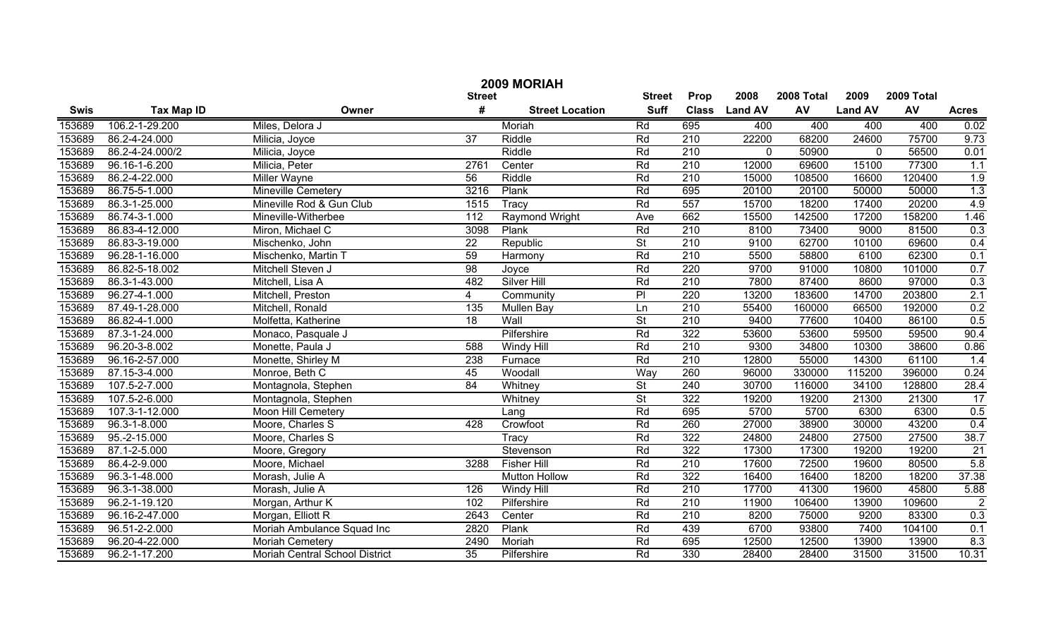| 2009 MORIAH |                   |                                |               |                        |                          |                  |                |            |                |        |                |
|-------------|-------------------|--------------------------------|---------------|------------------------|--------------------------|------------------|----------------|------------|----------------|--------|----------------|
|             |                   | <b>Street</b>                  | <b>Street</b> | Prop                   | 2008                     | 2008 Total       | 2009           | 2009 Total |                |        |                |
| <b>Swis</b> | <b>Tax Map ID</b> | Owner                          | #             | <b>Street Location</b> | <b>Suff</b>              | <b>Class</b>     | <b>Land AV</b> | AV         | <b>Land AV</b> | AV     | <b>Acres</b>   |
| 153689      | 106.2-1-29.200    | Miles, Delora J                |               | Moriah                 | Rd                       | 695              | 400            | 400        | 400            | 400    | 0.02           |
| 153689      | 86.2-4-24.000     | Milicia, Joyce                 | 37            | Riddle                 | Rd                       | 210              | 22200          | 68200      | 24600          | 75700  | 9.73           |
| 153689      | 86.2-4-24.000/2   | Milicia, Joyce                 |               | Riddle                 | Rd                       | 210              | $\mathbf 0$    | 50900      | $\mathbf 0$    | 56500  | 0.01           |
| 153689      | 96.16-1-6.200     | Milicia, Peter                 | 2761          | Center                 | Rd                       | 210              | 12000          | 69600      | 15100          | 77300  | 1.1            |
| 153689      | 86.2-4-22.000     | <b>Miller Wayne</b>            | 56            | Riddle                 | Rd                       | 210              | 15000          | 108500     | 16600          | 120400 | 1.9            |
| 153689      | 86.75-5-1.000     | <b>Mineville Cemetery</b>      | 3216          | Plank                  | Rd                       | 695              | 20100          | 20100      | 50000          | 50000  | 1.3            |
| 153689      | 86.3-1-25.000     | Mineville Rod & Gun Club       | 1515          | Tracy                  | Rd                       | 557              | 15700          | 18200      | 17400          | 20200  | 4.9            |
| 153689      | 86.74-3-1.000     | Mineville-Witherbee            | 112           | <b>Raymond Wright</b>  | Ave                      | 662              | 15500          | 142500     | 17200          | 158200 | 1.46           |
| 153689      | 86.83-4-12.000    | Miron, Michael C               | 3098          | Plank                  | Rd                       | 210              | 8100           | 73400      | 9000           | 81500  | 0.3            |
| 153689      | 86.83-3-19.000    | Mischenko, John                | 22            | Republic               | $\overline{\mathsf{St}}$ | $\overline{210}$ | 9100           | 62700      | 10100          | 69600  | 0.4            |
| 153689      | 96.28-1-16.000    | Mischenko, Martin T            | 59            | Harmony                | Rd                       | $\overline{210}$ | 5500           | 58800      | 6100           | 62300  | 0.1            |
| 153689      | 86.82-5-18.002    | Mitchell Steven J              | 98            | Joyce                  | Rd                       | 220              | 9700           | 91000      | 10800          | 101000 | 0.7            |
| 153689      | 86.3-1-43.000     | Mitchell, Lisa A               | 482           | <b>Silver Hill</b>     | Rd                       | 210              | 7800           | 87400      | 8600           | 97000  | 0.3            |
| 153689      | 96.27-4-1.000     | Mitchell, Preston              | 4             | Community              | PI                       | 220              | 13200          | 183600     | 14700          | 203800 | 2.1            |
| 153689      | 87.49-1-28.000    | Mitchell, Ronald               | 135           | Mullen Bay             | Ln                       | 210              | 55400          | 160000     | 66500          | 192000 | 0.2            |
| 153689      | 86.82-4-1.000     | Molfetta, Katherine            | 18            | Wall                   | $\overline{\mathsf{St}}$ | $\overline{210}$ | 9400           | 77600      | 10400          | 86100  | 0.5            |
| 153689      | 87.3-1-24.000     | Monaco, Pasquale J             |               | Pilfershire            | Rd                       | 322              | 53600          | 53600      | 59500          | 59500  | 90.4           |
| 153689      | 96.20-3-8.002     | Monette, Paula J               | 588           | Windy Hill             | Rd                       | $\overline{210}$ | 9300           | 34800      | 10300          | 38600  | 0.86           |
| 153689      | 96.16-2-57.000    | Monette, Shirley M             | 238           | Furnace                | Rd                       | $\overline{210}$ | 12800          | 55000      | 14300          | 61100  | 1.4            |
| 153689      | 87.15-3-4.000     | Monroe, Beth C                 | 45            | Woodall                | Way                      | 260              | 96000          | 330000     | 115200         | 396000 | 0.24           |
| 153689      | 107.5-2-7.000     | Montagnola, Stephen            | 84            | Whitney                | $\overline{\mathsf{St}}$ | 240              | 30700          | 116000     | 34100          | 128800 | 28.4           |
| 153689      | 107.5-2-6.000     | Montagnola, Stephen            |               | Whitney                | $\overline{\mathsf{St}}$ | 322              | 19200          | 19200      | 21300          | 21300  | 17             |
| 153689      | 107.3-1-12.000    | <b>Moon Hill Cemetery</b>      |               | Lang                   | Rd                       | 695              | 5700           | 5700       | 6300           | 6300   | 0.5            |
| 153689      | 96.3-1-8.000      | Moore, Charles S               | 428           | Crowfoot               | Rd                       | 260              | 27000          | 38900      | 30000          | 43200  | 0.4            |
| 153689      | 95.-2-15.000      | Moore, Charles S               |               | Tracy                  | Rd                       | 322              | 24800          | 24800      | 27500          | 27500  | 38.7           |
| 153689      | 87.1-2-5.000      | Moore, Gregory                 |               | Stevenson              | Rd                       | 322              | 17300          | 17300      | 19200          | 19200  | 21             |
| 153689      | 86.4-2-9.000      | Moore, Michael                 | 3288          | <b>Fisher Hill</b>     | Rd                       | 210              | 17600          | 72500      | 19600          | 80500  | 5.8            |
| 153689      | 96.3-1-48.000     | Morash, Julie A                |               | <b>Mutton Hollow</b>   | Rd                       | 322              | 16400          | 16400      | 18200          | 18200  | 37.38          |
| 153689      | 96.3-1-38.000     | Morash, Julie A                | 126           | Windy Hill             | Rd                       | 210              | 17700          | 41300      | 19600          | 45800  | 5.88           |
| 153689      | 96.2-1-19.120     | Morgan, Arthur K               | 102           | Pilfershire            | Rd                       | $\overline{210}$ | 11900          | 106400     | 13900          | 109600 | $\overline{2}$ |
| 153689      | 96.16-2-47.000    | Morgan, Elliott R              | 2643          | Center                 | Rd                       | $\overline{210}$ | 8200           | 75000      | 9200           | 83300  | 0.3            |
| 153689      | 96.51-2-2.000     | Moriah Ambulance Squad Inc     | 2820          | Plank                  | Rd                       | 439              | 6700           | 93800      | 7400           | 104100 | 0.1            |
| 153689      | 96.20-4-22.000    | <b>Moriah Cemetery</b>         | 2490          | Moriah                 | Rd                       | 695              | 12500          | 12500      | 13900          | 13900  | 8.3            |
| 153689      | 96.2-1-17.200     | Moriah Central School District | 35            | Pilfershire            | Rd                       | 330              | 28400          | 28400      | 31500          | 31500  | 10.31          |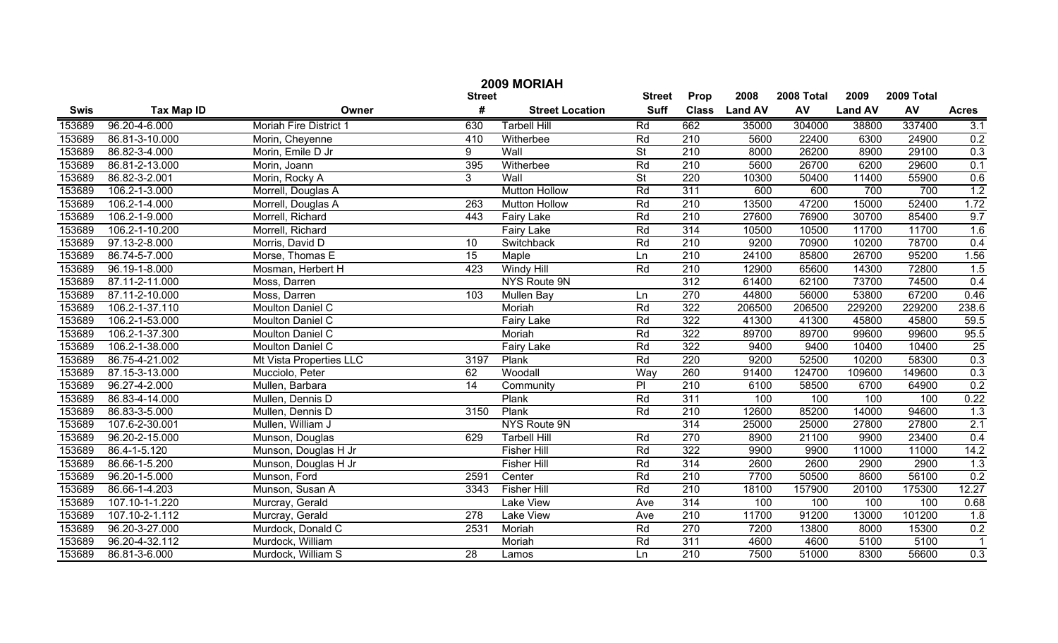| 2009 MORIAH   |                   |                         |                 |                        |                          |                  |                |            |                |            |              |
|---------------|-------------------|-------------------------|-----------------|------------------------|--------------------------|------------------|----------------|------------|----------------|------------|--------------|
| <b>Street</b> |                   |                         |                 |                        |                          | Prop             | 2008           | 2008 Total | 2009           | 2009 Total |              |
| <b>Swis</b>   | <b>Tax Map ID</b> | Owner                   | #               | <b>Street Location</b> | <b>Suff</b>              | <b>Class</b>     | <b>Land AV</b> | AV         | <b>Land AV</b> | AV         | <b>Acres</b> |
| 153689        | 96.20-4-6.000     | Moriah Fire District 1  | 630             | <b>Tarbell Hill</b>    | Rd                       | 662              | 35000          | 304000     | 38800          | 337400     | 3.1          |
| 153689        | 86.81-3-10.000    | Morin, Cheyenne         | 410             | Witherbee              | Rd                       | 210              | 5600           | 22400      | 6300           | 24900      | 0.2          |
| 153689        | 86.82-3-4.000     | Morin, Emile D Jr       | 9               | Wall                   | $\overline{\mathsf{St}}$ | $\overline{210}$ | 8000           | 26200      | 8900           | 29100      | 0.3          |
| 153689        | 86.81-2-13.000    | Morin, Joann            | 395             | Witherbee              | Rd                       | 210              | 5600           | 26700      | 6200           | 29600      | 0.1          |
| 153689        | 86.82-3-2.001     | Morin, Rocky A          | $\overline{3}$  | Wall                   | $\overline{\mathsf{St}}$ | 220              | 10300          | 50400      | 11400          | 55900      | 0.6          |
| 153689        | 106.2-1-3.000     | Morrell, Douglas A      |                 | <b>Mutton Hollow</b>   | Rd                       | 311              | 600            | 600        | 700            | 700        | 1.2          |
| 153689        | 106.2-1-4.000     | Morrell, Douglas A      | 263             | <b>Mutton Hollow</b>   | Rd                       | $\overline{210}$ | 13500          | 47200      | 15000          | 52400      | 1.72         |
| 153689        | 106.2-1-9.000     | Morrell, Richard        | 443             | <b>Fairy Lake</b>      | Rd                       | 210              | 27600          | 76900      | 30700          | 85400      | 9.7          |
| 153689        | 106.2-1-10.200    | Morrell, Richard        |                 | <b>Fairy Lake</b>      | Rd                       | 314              | 10500          | 10500      | 11700          | 11700      | 1.6          |
| 153689        | 97.13-2-8.000     | Morris, David D         | 10              | Switchback             | Rd                       | 210              | 9200           | 70900      | 10200          | 78700      | 0.4          |
| 153689        | 86.74-5-7.000     | Morse, Thomas E         | 15              | Maple                  | Ln                       | 210              | 24100          | 85800      | 26700          | 95200      | 1.56         |
| 153689        | 96.19-1-8.000     | Mosman, Herbert H       | 423             | <b>Windy Hill</b>      | Rd                       | 210              | 12900          | 65600      | 14300          | 72800      | 1.5          |
| 153689        | 87.11-2-11.000    | Moss, Darren            |                 | NYS Route 9N           |                          | 312              | 61400          | 62100      | 73700          | 74500      | 0.4          |
| 153689        | 87.11-2-10.000    | Moss, Darren            | 103             | Mullen Bay             | Ln                       | 270              | 44800          | 56000      | 53800          | 67200      | 0.46         |
| 153689        | 106.2-1-37.110    | Moulton Daniel C        |                 | Moriah                 | Rd                       | 322              | 206500         | 206500     | 229200         | 229200     | 238.6        |
| 153689        | 106.2-1-53.000    | Moulton Daniel C        |                 | Fairy Lake             | Rd                       | 322              | 41300          | 41300      | 45800          | 45800      | 59.5         |
| 153689        | 106.2-1-37.300    | Moulton Daniel C        |                 | Moriah                 | Rd                       | 322              | 89700          | 89700      | 99600          | 99600      | 95.5         |
| 153689        | 106.2-1-38.000    | Moulton Daniel C        |                 | <b>Fairy Lake</b>      | Rd                       | 322              | 9400           | 9400       | 10400          | 10400      | 25           |
| 153689        | 86.75-4-21.002    | Mt Vista Properties LLC | 3197            | Plank                  | Rd                       | 220              | 9200           | 52500      | 10200          | 58300      | 0.3          |
| 153689        | 87.15-3-13.000    | Mucciolo, Peter         | 62              | Woodall                | Way                      | 260              | 91400          | 124700     | 109600         | 149600     | 0.3          |
| 153689        | 96.27-4-2.000     | Mullen, Barbara         | 14              | Community              | $\overline{P}$           | 210              | 6100           | 58500      | 6700           | 64900      | 0.2          |
| 153689        | 86.83-4-14.000    | Mullen, Dennis D        |                 | Plank                  | Rd                       | $\overline{311}$ | 100            | 100        | 100            | 100        | 0.22         |
| 153689        | 86.83-3-5.000     | Mullen, Dennis D        | 3150            | Plank                  | Rd                       | 210              | 12600          | 85200      | 14000          | 94600      | 1.3          |
| 153689        | 107.6-2-30.001    | Mullen, William J       |                 | NYS Route 9N           |                          | 314              | 25000          | 25000      | 27800          | 27800      | 2.1          |
| 153689        | 96.20-2-15.000    | Munson, Douglas         | 629             | <b>Tarbell Hill</b>    | Rd                       | 270              | 8900           | 21100      | 9900           | 23400      | 0.4          |
| 153689        | 86.4-1-5.120      | Munson, Douglas H Jr    |                 | <b>Fisher Hill</b>     | Rd                       | 322              | 9900           | 9900       | 11000          | 11000      | 14.2         |
| 153689        | 86.66-1-5.200     | Munson, Douglas H Jr    |                 | <b>Fisher Hill</b>     | Rd                       | 314              | 2600           | 2600       | 2900           | 2900       | 1.3          |
| 153689        | 96.20-1-5.000     | Munson, Ford            | 2591            | Center                 | Rd                       | 210              | 7700           | 50500      | 8600           | 56100      | 0.2          |
| 153689        | 86.66-1-4.203     | Munson, Susan A         | 3343            | <b>Fisher Hill</b>     | Rd                       | 210              | 18100          | 157900     | 20100          | 175300     | 12.27        |
| 153689        | 107.10-1-1.220    | Murcray, Gerald         |                 | <b>Lake View</b>       | Ave                      | 314              | 100            | 100        | 100            | 100        | 0.68         |
| 153689        | 107.10-2-1.112    | Murcray, Gerald         | 278             | <b>Lake View</b>       | Ave                      | $\overline{210}$ | 11700          | 91200      | 13000          | 101200     | 1.8          |
| 153689        | 96.20-3-27.000    | Murdock, Donald C       | 2531            | Moriah                 | Rd                       | $\overline{270}$ | 7200           | 13800      | 8000           | 15300      | 0.2          |
| 153689        | 96.20-4-32.112    | Murdock, William        |                 | Moriah                 | Rd                       | 311              | 4600           | 4600       | 5100           | 5100       | $\mathbf{1}$ |
| 153689        | 86.81-3-6.000     | Murdock, William S      | $\overline{28}$ | Lamos                  | Ln                       | $\overline{210}$ | 7500           | 51000      | 8300           | 56600      | 0.3          |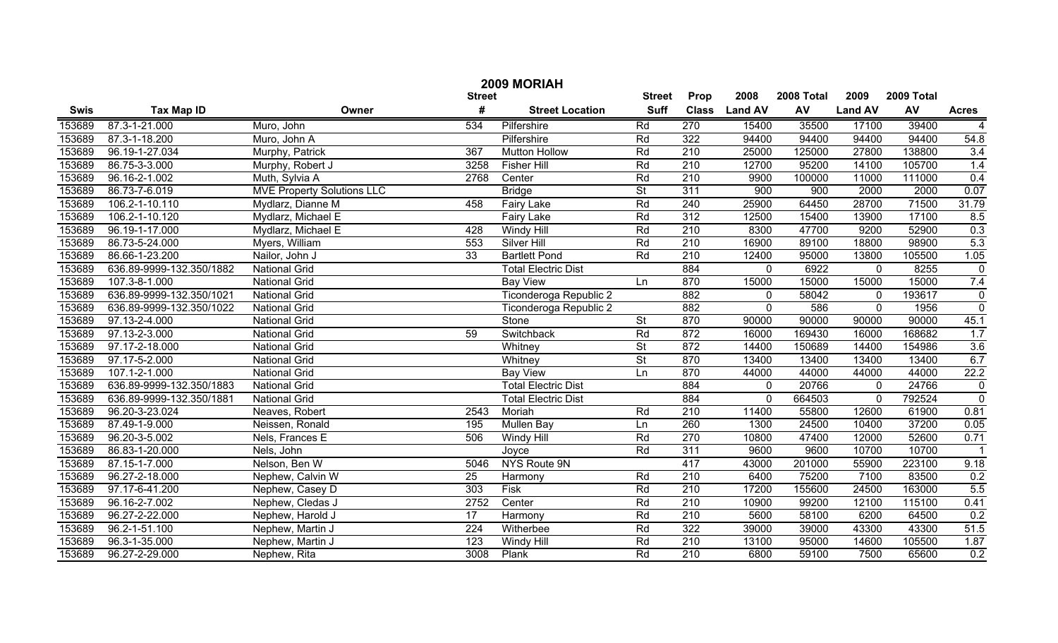| 2009 MORIAH |                          |                                   |                 |                            |                          |                  |                |            |                |            |                         |
|-------------|--------------------------|-----------------------------------|-----------------|----------------------------|--------------------------|------------------|----------------|------------|----------------|------------|-------------------------|
|             |                          |                                   | <b>Street</b>   |                            | <b>Street</b>            | Prop             | 2008           | 2008 Total | 2009           | 2009 Total |                         |
| <b>Swis</b> | <b>Tax Map ID</b>        | Owner                             | #               | <b>Street Location</b>     | <b>Suff</b>              | <b>Class</b>     | <b>Land AV</b> | <b>AV</b>  | <b>Land AV</b> | AV         | <b>Acres</b>            |
| 153689      | 87.3-1-21.000            | Muro, John                        | 534             | Pilfershire                | Rd                       | 270              | 15400          | 35500      | 17100          | 39400      |                         |
| 153689      | 87.3-1-18.200            | Muro, John A                      |                 | Pilfershire                | Rd                       | 322              | 94400          | 94400      | 94400          | 94400      | 54.8                    |
| 153689      | 96.19-1-27.034           | Murphy, Patrick                   | 367             | <b>Mutton Hollow</b>       | Rd                       | 210              | 25000          | 125000     | 27800          | 138800     | 3.4                     |
| 153689      | 86.75-3-3.000            | Murphy, Robert J                  | 3258            | <b>Fisher Hill</b>         | Rd                       | 210              | 12700          | 95200      | 14100          | 105700     | 1.4                     |
| 153689      | 96.16-2-1.002            | Muth, Sylvia A                    | 2768            | Center                     | Rd                       | 210              | 9900           | 100000     | 11000          | 111000     | 0.4                     |
| 153689      | 86.73-7-6.019            | <b>MVE Property Solutions LLC</b> |                 | <b>Bridge</b>              | $\overline{\mathsf{St}}$ | 311              | 900            | 900        | 2000           | 2000       | 0.07                    |
| 153689      | 106.2-1-10.110           | Mydlarz, Dianne M                 | 458             | <b>Fairy Lake</b>          | Rd                       | 240              | 25900          | 64450      | 28700          | 71500      | 31.79                   |
| 153689      | 106.2-1-10.120           | Mydlarz, Michael E                |                 | <b>Fairy Lake</b>          | Rd                       | 312              | 12500          | 15400      | 13900          | 17100      | 8.5                     |
| 153689      | 96.19-1-17.000           | Mydlarz, Michael E                | 428             | Windy Hill                 | Rd                       | 210              | 8300           | 47700      | 9200           | 52900      | 0.3                     |
| 153689      | 86.73-5-24.000           | Myers, William                    | 553             | Silver Hill                | Rd                       | 210              | 16900          | 89100      | 18800          | 98900      | 5.3                     |
| 153689      | 86.66-1-23.200           | Nailor, John J                    | 33              | <b>Bartlett Pond</b>       | Rd                       | 210              | 12400          | 95000      | 13800          | 105500     | 1.05                    |
| 153689      | 636.89-9999-132.350/1882 | <b>National Grid</b>              |                 | <b>Total Electric Dist</b> |                          | 884              | 0              | 6922       | $\mathbf 0$    | 8255       | $\pmb{0}$               |
| 153689      | 107.3-8-1.000            | <b>National Grid</b>              |                 | <b>Bay View</b>            | Ln                       | 870              | 15000          | 15000      | 15000          | 15000      | 7.4                     |
| 153689      | 636.89-9999-132.350/1021 | <b>National Grid</b>              |                 | Ticonderoga Republic 2     |                          | 882              | 0              | 58042      | $\mathbf 0$    | 193617     | $\pmb{0}$               |
| 153689      | 636.89-9999-132.350/1022 | <b>National Grid</b>              |                 | Ticonderoga Republic 2     |                          | 882              | $\mathbf 0$    | 586        | $\mathbf 0$    | 1956       | $\overline{0}$          |
| 153689      | 97.13-2-4.000            | <b>National Grid</b>              |                 | Stone                      | $\overline{\mathsf{St}}$ | 870              | 90000          | 90000      | 90000          | 90000      | 45.1                    |
| 153689      | 97.13-2-3.000            | <b>National Grid</b>              | 59              | Switchback                 | Rd                       | 872              | 16000          | 169430     | 16000          | 168682     | 1.7                     |
| 153689      | 97.17-2-18.000           | <b>National Grid</b>              |                 | Whitney                    | $\overline{St}$          | 872              | 14400          | 150689     | 14400          | 154986     | 3.6                     |
| 153689      | 97.17-5-2.000            | <b>National Grid</b>              |                 | Whitney                    | $\overline{St}$          | 870              | 13400          | 13400      | 13400          | 13400      | 6.7                     |
| 153689      | 107.1-2-1.000            | <b>National Grid</b>              |                 | <b>Bay View</b>            | Ln                       | 870              | 44000          | 44000      | 44000          | 44000      | 22.2                    |
| 153689      | 636.89-9999-132.350/1883 | <b>National Grid</b>              |                 | <b>Total Electric Dist</b> |                          | 884              | 0              | 20766      | $\mathbf{0}$   | 24766      | $\boldsymbol{0}$        |
| 153689      | 636.89-9999-132.350/1881 | <b>National Grid</b>              |                 | <b>Total Electric Dist</b> |                          | 884              | $\mathbf 0$    | 664503     | $\mathbf 0$    | 792524     | $\overline{0}$          |
| 153689      | 96.20-3-23.024           | Neaves, Robert                    | 2543            | Moriah                     | Rd                       | 210              | 11400          | 55800      | 12600          | 61900      | 0.81                    |
| 153689      | 87.49-1-9.000            | Neissen, Ronald                   | 195             | <b>Mullen Bay</b>          | Ln                       | 260              | 1300           | 24500      | 10400          | 37200      | 0.05                    |
| 153689      | 96.20-3-5.002            | Nels, Frances E                   | 506             | Windy Hill                 | Rd                       | 270              | 10800          | 47400      | 12000          | 52600      | 0.71                    |
| 153689      | 86.83-1-20.000           | Nels, John                        |                 | Joyce                      | Rd                       | $\overline{311}$ | 9600           | 9600       | 10700          | 10700      | $\overline{\mathbf{1}}$ |
| 153689      | 87.15-1-7.000            | Nelson, Ben W                     | 5046            | NYS Route 9N               |                          | 417              | 43000          | 201000     | 55900          | 223100     | 9.18                    |
| 153689      | 96.27-2-18.000           | Nephew, Calvin W                  | 25              | Harmony                    | Rd                       | 210              | 6400           | 75200      | 7100           | 83500      | 0.2                     |
| 153689      | 97.17-6-41.200           | Nephew, Casey D                   | 303             | <b>Fisk</b>                | Rd                       | 210              | 17200          | 155600     | 24500          | 163000     | 5.5                     |
| 153689      | 96.16-2-7.002            | Nephew, Cledas J                  | 2752            | Center                     | Rd                       | $\overline{210}$ | 10900          | 99200      | 12100          | 115100     | 0.41                    |
| 153689      | 96.27-2-22.000           | Nephew, Harold J                  | $\overline{17}$ | Harmony                    | Rd                       | $\overline{210}$ | 5600           | 58100      | 6200           | 64500      | 0.2                     |
| 153689      | 96.2-1-51.100            | Nephew, Martin J                  | 224             | Witherbee                  | Rd                       | 322              | 39000          | 39000      | 43300          | 43300      | 51.5                    |
| 153689      | 96.3-1-35.000            | Nephew, Martin J                  | 123             | Windy Hill                 | Rd                       | $\overline{210}$ | 13100          | 95000      | 14600          | 105500     | 1.87                    |
| 153689      | 96.27-2-29.000           | Nephew, Rita                      | 3008            | Plank                      | Rd                       | $\overline{210}$ | 6800           | 59100      | 7500           | 65600      | 0.2                     |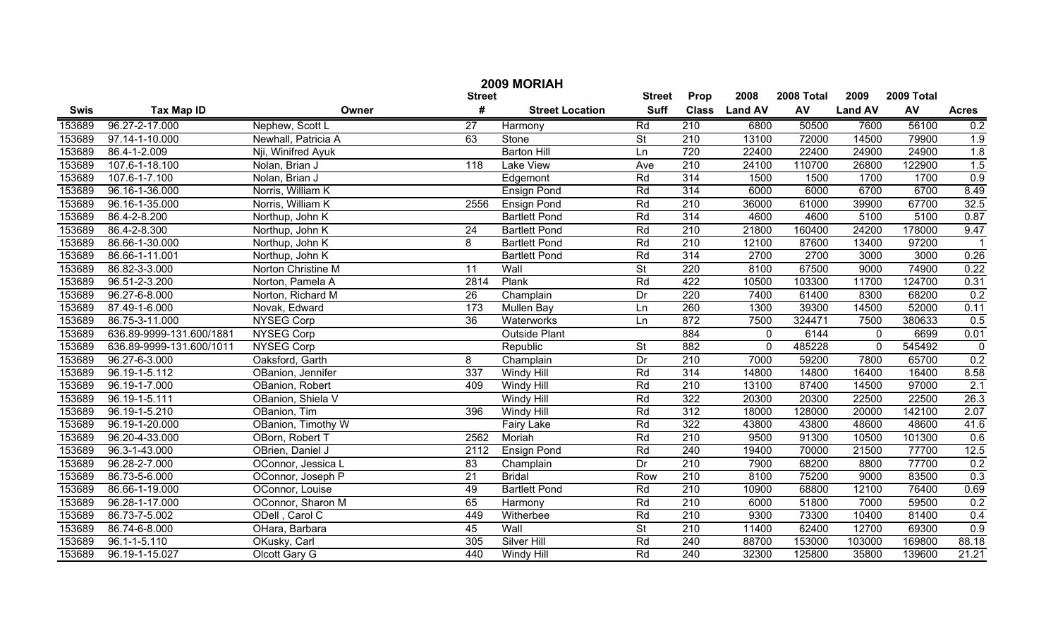|             | 2009 MORIAH              |                     |                  |                        |                          |                  |                |            |                |            |                  |  |
|-------------|--------------------------|---------------------|------------------|------------------------|--------------------------|------------------|----------------|------------|----------------|------------|------------------|--|
|             |                          |                     | <b>Street</b>    |                        | <b>Street</b>            | Prop             | 2008           | 2008 Total | 2009           | 2009 Total |                  |  |
| <b>Swis</b> | <b>Tax Map ID</b>        | Owner               | #                | <b>Street Location</b> | <b>Suff</b>              | <b>Class</b>     | <b>Land AV</b> | AV         | <b>Land AV</b> | AV         | <b>Acres</b>     |  |
| 153689      | 96.27-2-17.000           | Nephew, Scott L     | $\overline{27}$  | Harmony                | Rd                       | 210              | 6800           | 50500      | 7600           | 56100      | 0.2              |  |
| 153689      | 97.14-1-10.000           | Newhall, Patricia A | 63               | Stone                  | $\overline{St}$          | $\overline{210}$ | 13100          | 72000      | 14500          | 79900      | 1.9              |  |
| 153689      | 86.4-1-2.009             | Nji, Winifred Ayuk  |                  | <b>Barton Hill</b>     | Ln                       | 720              | 22400          | 22400      | 24900          | 24900      | 1.8              |  |
| 153689      | 107.6-1-18.100           | Nolan, Brian J      | $\overline{118}$ | <b>Lake View</b>       | Ave                      | $\overline{210}$ | 24100          | 110700     | 26800          | 122900     | 1.5              |  |
| 153689      | 107.6-1-7.100            | Nolan, Brian J      |                  | Edgemont               | Rd                       | 314              | 1500           | 1500       | 1700           | 1700       | 0.9              |  |
| 153689      | 96.16-1-36.000           | Norris, William K   |                  | <b>Ensign Pond</b>     | Rd                       | 314              | 6000           | 6000       | 6700           | 6700       | 8.49             |  |
| 153689      | 96.16-1-35.000           | Norris, William K   | 2556             | <b>Ensign Pond</b>     | Rd                       | 210              | 36000          | 61000      | 39900          | 67700      | 32.5             |  |
| 153689      | 86.4-2-8.200             | Northup, John K     |                  | <b>Bartlett Pond</b>   | Rd                       | 314              | 4600           | 4600       | 5100           | 5100       | 0.87             |  |
| 153689      | 86.4-2-8.300             | Northup, John K     | $\overline{24}$  | <b>Bartlett Pond</b>   | Rd                       | 210              | 21800          | 160400     | 24200          | 178000     | 9.47             |  |
| 153689      | 86.66-1-30.000           | Northup, John K     | 8                | <b>Bartlett Pond</b>   | Rd                       | $\overline{210}$ | 12100          | 87600      | 13400          | 97200      |                  |  |
| 153689      | 86.66-1-11.001           | Northup, John K     |                  | <b>Bartlett Pond</b>   | Rd                       | 314              | 2700           | 2700       | 3000           | 3000       | 0.26             |  |
| 153689      | 86.82-3-3.000            | Norton Christine M  | 11               | Wall                   | $\overline{St}$          | 220              | 8100           | 67500      | 9000           | 74900      | 0.22             |  |
| 153689      | 96.51-2-3.200            | Norton, Pamela A    | 2814             | Plank                  | Rd                       | 422              | 10500          | 103300     | 11700          | 124700     | 0.31             |  |
| 153689      | 96.27-6-8.000            | Norton, Richard M   | $\overline{26}$  | Champlain              | Dr                       | 220              | 7400           | 61400      | 8300           | 68200      | 0.2              |  |
| 153689      | 87.49-1-6.000            | Novak, Edward       | 173              | <b>Mullen Bay</b>      | Ln                       | 260              | 1300           | 39300      | 14500          | 52000      | 0.11             |  |
| 153689      | 86.75-3-11.000           | <b>NYSEG Corp</b>   | $\overline{36}$  | Waterworks             | Ln                       | 872              | 7500           | 324471     | 7500           | 380633     | 0.5              |  |
| 153689      | 636.89-9999-131.600/1881 | <b>NYSEG Corp</b>   |                  | <b>Outside Plant</b>   |                          | 884              | $\mathbf 0$    | 6144       | $\mathbf 0$    | 6699       | 0.01             |  |
| 153689      | 636.89-9999-131.600/1011 | <b>NYSEG Corp</b>   |                  | Republic               | $\overline{St}$          | 882              | $\mathbf 0$    | 485228     | $\mathbf 0$    | 545492     | $\pmb{0}$        |  |
| 153689      | 96.27-6-3.000            | Oaksford, Garth     | 8                | Champlain              | Dr                       | 210              | 7000           | 59200      | 7800           | 65700      | 0.2              |  |
| 153689      | 96.19-1-5.112            | OBanion, Jennifer   | 337              | <b>Windy Hill</b>      | Rd                       | 314              | 14800          | 14800      | 16400          | 16400      | 8.58             |  |
| 153689      | 96.19-1-7.000            | OBanion, Robert     | 409              | <b>Windy Hill</b>      | Rd                       | $\overline{210}$ | 13100          | 87400      | 14500          | 97000      | $\overline{2.1}$ |  |
| 153689      | 96.19-1-5.111            | OBanion, Shiela V   |                  | <b>Windy Hill</b>      | Rd                       | 322              | 20300          | 20300      | 22500          | 22500      | 26.3             |  |
| 153689      | 96.19-1-5.210            | OBanion, Tim        | 396              | <b>Windy Hill</b>      | Rd                       | 312              | 18000          | 128000     | 20000          | 142100     | 2.07             |  |
| 153689      | 96.19-1-20.000           | OBanion, Timothy W  |                  | Fairy Lake             | Rd                       | 322              | 43800          | 43800      | 48600          | 48600      | 41.6             |  |
| 153689      | 96.20-4-33.000           | OBorn, Robert T     | 2562             | Moriah                 | Rd                       | $\overline{210}$ | 9500           | 91300      | 10500          | 101300     | 0.6              |  |
| 153689      | 96.3-1-43.000            | OBrien, Daniel J    | 2112             | <b>Ensign Pond</b>     | Rd                       | 240              | 19400          | 70000      | 21500          | 77700      | 12.5             |  |
| 153689      | 96.28-2-7.000            | OConnor, Jessica L  | $\overline{83}$  | Champlain              | Dr                       | $\overline{210}$ | 7900           | 68200      | 8800           | 77700      | 0.2              |  |
| 153689      | 86.73-5-6.000            | OConnor, Joseph P   | 21               | <b>Bridal</b>          | Row                      | 210              | 8100           | 75200      | 9000           | 83500      | 0.3              |  |
| 153689      | 86.66-1-19.000           | OConnor, Louise     | 49               | <b>Bartlett Pond</b>   | Rd                       | 210              | 10900          | 68800      | 12100          | 76400      | 0.69             |  |
| 153689      | 96.28-1-17.000           | OConnor, Sharon M   | 65               | Harmony                | Rd                       | 210              | 6000           | 51800      | 7000           | 59500      | 0.2              |  |
| 153689      | 86.73-7-5.002            | ODell, Carol C      | 449              | Witherbee              | Rd                       | $\overline{210}$ | 9300           | 73300      | 10400          | 81400      | 0.4              |  |
| 153689      | 86.74-6-8.000            | OHara, Barbara      | 45               | Wall                   | $\overline{\mathsf{St}}$ | $\overline{210}$ | 11400          | 62400      | 12700          | 69300      | 0.9              |  |
| 153689      | $96.1 - 1 - 5.110$       | OKusky, Carl        | 305              | <b>Silver Hill</b>     | Rd                       | 240              | 88700          | 153000     | 103000         | 169800     | 88.18            |  |
| 153689      | 96.19-1-15.027           | Olcott Gary G       | 440              | Windy Hill             | Rd                       | $\overline{240}$ | 32300          | 125800     | 35800          | 139600     | 21.21            |  |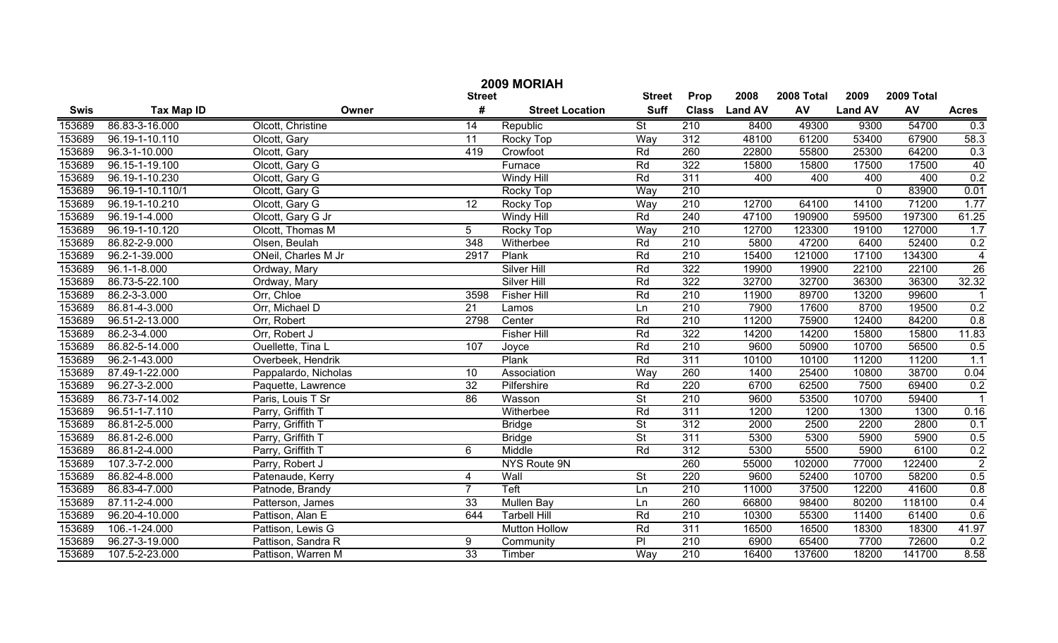|             | 2009 MORIAH       |                      |                 |                        |                          |                  |                |            |                |            |                      |  |  |
|-------------|-------------------|----------------------|-----------------|------------------------|--------------------------|------------------|----------------|------------|----------------|------------|----------------------|--|--|
|             |                   |                      | <b>Street</b>   |                        | <b>Street</b>            | Prop             | 2008           | 2008 Total | 2009           | 2009 Total |                      |  |  |
| <b>Swis</b> | <b>Tax Map ID</b> | Owner                | #               | <b>Street Location</b> | <b>Suff</b>              | <b>Class</b>     | <b>Land AV</b> | AV         | <b>Land AV</b> | AV         | <b>Acres</b>         |  |  |
| 153689      | 86.83-3-16.000    | Olcott, Christine    | 14              | Republic               | $\overline{\mathsf{St}}$ | 210              | 8400           | 49300      | 9300           | 54700      | 0.3                  |  |  |
| 153689      | 96.19-1-10.110    | Olcott, Gary         | $\overline{11}$ | Rocky Top              | Way                      | 312              | 48100          | 61200      | 53400          | 67900      | 58.3                 |  |  |
| 153689      | 96.3-1-10.000     | Olcott, Gary         | 419             | Crowfoot               | Rd                       | 260              | 22800          | 55800      | 25300          | 64200      | 0.3                  |  |  |
| 153689      | 96.15-1-19.100    | Olcott, Gary G       |                 | Furnace                | Rd                       | 322              | 15800          | 15800      | 17500          | 17500      | 40                   |  |  |
| 153689      | 96.19-1-10.230    | Olcott, Gary G       |                 | <b>Windy Hill</b>      | Rd                       | 311              | 400            | 400        | 400            | 400        | 0.2                  |  |  |
| 153689      | 96.19-1-10.110/1  | Olcott, Gary G       |                 | Rocky Top              | Way                      | 210              |                |            | $\overline{0}$ | 83900      | 0.01                 |  |  |
| 153689      | 96.19-1-10.210    | Olcott, Gary G       | 12              | Rocky Top              | Way                      | 210              | 12700          | 64100      | 14100          | 71200      | 1.77                 |  |  |
| 153689      | 96.19-1-4.000     | Olcott, Gary G Jr    |                 | <b>Windy Hill</b>      | Rd                       | 240              | 47100          | 190900     | 59500          | 197300     | 61.25                |  |  |
| 153689      | 96.19-1-10.120    | Olcott, Thomas M     | $\overline{5}$  | Rocky Top              | Way                      | 210              | 12700          | 123300     | 19100          | 127000     | 1.7                  |  |  |
| 153689      | 86.82-2-9.000     | Olsen, Beulah        | 348             | Witherbee              | Rd                       | 210              | 5800           | 47200      | 6400           | 52400      | 0.2                  |  |  |
| 153689      | 96.2-1-39.000     | ONeil, Charles M Jr  | 2917            | Plank                  | Rd                       | 210              | 15400          | 121000     | 17100          | 134300     | $\overline{4}$       |  |  |
| 153689      | 96.1-1-8.000      | Ordway, Mary         |                 | <b>Silver Hill</b>     | Rd                       | 322              | 19900          | 19900      | 22100          | 22100      | 26                   |  |  |
| 153689      | 86.73-5-22.100    | Ordway, Mary         |                 | Silver Hill            | Rd                       | 322              | 32700          | 32700      | 36300          | 36300      | 32.32                |  |  |
| 153689      | 86.2-3-3.000      | Orr, Chloe           | 3598            | <b>Fisher Hill</b>     | Rd                       | 210              | 11900          | 89700      | 13200          | 99600      |                      |  |  |
| 153689      | 86.81-4-3.000     | Orr, Michael D       | 21              | Lamos                  | Ln                       | 210              | 7900           | 17600      | 8700           | 19500      | 0.2                  |  |  |
| 153689      | 96.51-2-13.000    | Orr, Robert          | 2798            | Center                 | Rd                       | 210              | 11200          | 75900      | 12400          | 84200      | 0.8                  |  |  |
| 153689      | 86.2-3-4.000      | Orr, Robert J        |                 | <b>Fisher Hill</b>     | Rd                       | 322              | 14200          | 14200      | 15800          | 15800      | 11.83                |  |  |
| 153689      | 86.82-5-14.000    | Ouellette, Tina L    | 107             | Joyce                  | Rd                       | 210              | 9600           | 50900      | 10700          | 56500      | 0.5                  |  |  |
| 153689      | 96.2-1-43.000     | Overbeek, Hendrik    |                 | Plank                  | Rd                       | 311              | 10100          | 10100      | 11200          | 11200      | $\overline{1.1}$     |  |  |
| 153689      | 87.49-1-22.000    | Pappalardo, Nicholas | 10              | Association            | Way                      | 260              | 1400           | 25400      | 10800          | 38700      | 0.04                 |  |  |
| 153689      | 96.27-3-2.000     | Paquette, Lawrence   | 32              | Pilfershire            | Rd                       | 220              | 6700           | 62500      | 7500           | 69400      | 0.2                  |  |  |
| 153689      | 86.73-7-14.002    | Paris, Louis T Sr    | 86              | Wasson                 | $\overline{\mathsf{St}}$ | 210              | 9600           | 53500      | 10700          | 59400      | $\blacktriangleleft$ |  |  |
| 153689      | 96.51-1-7.110     | Parry, Griffith T    |                 | Witherbee              | Rd                       | 311              | 1200           | 1200       | 1300           | 1300       | 0.16                 |  |  |
| 153689      | 86.81-2-5.000     | Parry, Griffith T    |                 | <b>Bridge</b>          | $\overline{\mathsf{St}}$ | 312              | 2000           | 2500       | 2200           | 2800       | 0.1                  |  |  |
| 153689      | 86.81-2-6.000     | Parry, Griffith T    |                 | <b>Bridge</b>          | $\overline{\mathsf{St}}$ | 311              | 5300           | 5300       | 5900           | 5900       | 0.5                  |  |  |
| 153689      | 86.81-2-4.000     | Parry, Griffith T    | 6               | Middle                 | Rd                       | 312              | 5300           | 5500       | 5900           | 6100       | $\frac{0.2}{2}$      |  |  |
| 153689      | 107.3-7-2.000     | Parry, Robert J      |                 | NYS Route 9N           |                          | 260              | 55000          | 102000     | 77000          | 122400     |                      |  |  |
| 153689      | 86.82-4-8.000     | Patenaude, Kerry     | $\overline{4}$  | Wall                   | $\overline{\mathsf{St}}$ | 220              | 9600           | 52400      | 10700          | 58200      | 0.5                  |  |  |
| 153689      | 86.83-4-7.000     | Patnode, Brandy      | $\overline{7}$  | Teft                   | Ln                       | 210              | 11000          | 37500      | 12200          | 41600      | 0.8                  |  |  |
| 153689      | 87.11-2-4.000     | Patterson, James     | 33              | Mullen Bay             | Ln                       | 260              | 66800          | 98400      | 80200          | 118100     | 0.4                  |  |  |
| 153689      | 96.20-4-10.000    | Pattison, Alan E     | 644             | <b>Tarbell Hill</b>    | Rd                       | $\overline{210}$ | 10300          | 55300      | 11400          | 61400      | 0.6                  |  |  |
| 153689      | 106.-1-24.000     | Pattison, Lewis G    |                 | <b>Mutton Hollow</b>   | Rd                       | 311              | 16500          | 16500      | 18300          | 18300      | 41.97                |  |  |
| 153689      | 96.27-3-19.000    | Pattison, Sandra R   | 9               | Community              | $\overline{\mathsf{P}}$  | $\overline{210}$ | 6900           | 65400      | 7700           | 72600      | 0.2                  |  |  |
| 153689      | 107.5-2-23.000    | Pattison, Warren M   | 33              | Timber                 | Way                      | $\overline{210}$ | 16400          | 137600     | 18200          | 141700     | 8.58                 |  |  |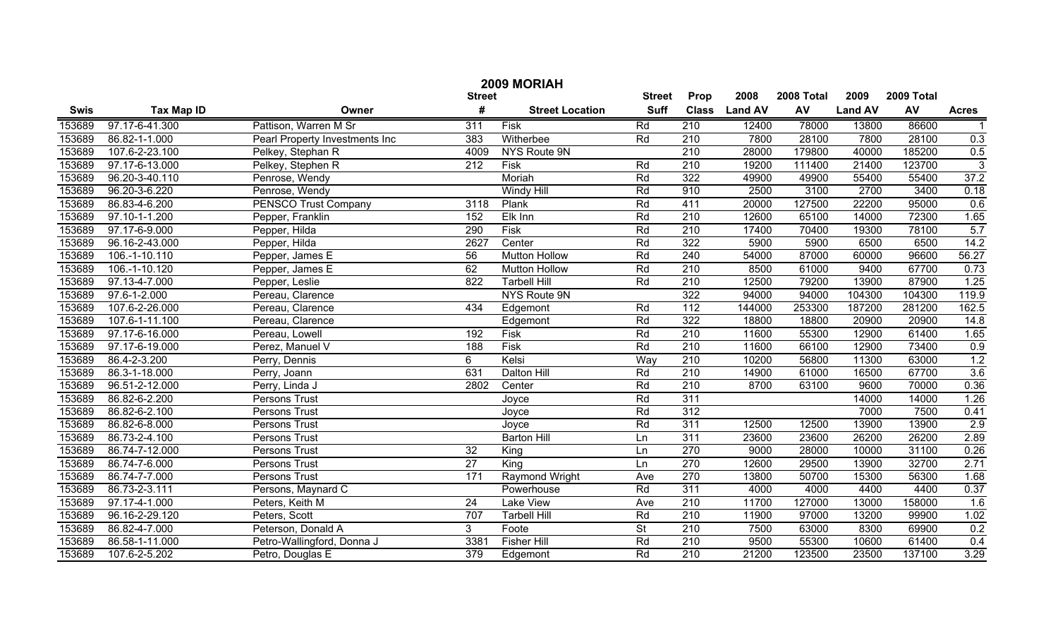|             | 2009 MORIAH       |                                |                  |                        |                          |                  |                |        |                |        |                |  |
|-------------|-------------------|--------------------------------|------------------|------------------------|--------------------------|------------------|----------------|--------|----------------|--------|----------------|--|
|             |                   |                                | <b>Street</b>    | <b>Street</b>          | Prop                     | 2008             | 2008 Total     | 2009   | 2009 Total     |        |                |  |
| <b>Swis</b> | <b>Tax Map ID</b> | Owner                          | #                | <b>Street Location</b> | <b>Suff</b>              | <b>Class</b>     | <b>Land AV</b> | AV     | <b>Land AV</b> | AV     | <b>Acres</b>   |  |
| 153689      | 97.17-6-41.300    | Pattison, Warren M Sr          | $\overline{311}$ | Fisk                   | Rd                       | 210              | 12400          | 78000  | 13800          | 86600  |                |  |
| 153689      | 86.82-1-1.000     | Pearl Property Investments Inc | 383              | Witherbee              | Rd                       | $\overline{210}$ | 7800           | 28100  | 7800           | 28100  | 0.3            |  |
| 153689      | 107.6-2-23.100    | Pelkey, Stephan R              | 4009             | NYS Route 9N           |                          | 210              | 28000          | 179800 | 40000          | 185200 | 0.5            |  |
| 153689      | 97.17-6-13.000    | Pelkey, Stephen R              | $\overline{212}$ | <b>Fisk</b>            | Rd                       | $\overline{210}$ | 19200          | 111400 | 21400          | 123700 | $\overline{3}$ |  |
| 153689      | 96.20-3-40.110    | Penrose, Wendy                 |                  | Moriah                 | Rd                       | 322              | 49900          | 49900  | 55400          | 55400  | 37.2           |  |
| 153689      | 96.20-3-6.220     | Penrose, Wendy                 |                  | <b>Windy Hill</b>      | Rd                       | 910              | 2500           | 3100   | 2700           | 3400   | 0.18           |  |
| 153689      | 86.83-4-6.200     | <b>PENSCO Trust Company</b>    | 3118             | Plank                  | Rd                       | 411              | 20000          | 127500 | 22200          | 95000  | 0.6            |  |
| 153689      | 97.10-1-1.200     | Pepper, Franklin               | 152              | Elk Inn                | Rd                       | 210              | 12600          | 65100  | 14000          | 72300  | 1.65           |  |
| 153689      | 97.17-6-9.000     | Pepper, Hilda                  | 290              | Fisk                   | Rd                       | 210              | 17400          | 70400  | 19300          | 78100  | 5.7            |  |
| 153689      | 96.16-2-43.000    | Pepper, Hilda                  | 2627             | Center                 | Rd                       | 322              | 5900           | 5900   | 6500           | 6500   | 14.2           |  |
| 153689      | 106.-1-10.110     | Pepper, James E                | 56               | <b>Mutton Hollow</b>   | Rd                       | 240              | 54000          | 87000  | 60000          | 96600  | 56.27          |  |
| 153689      | 106.-1-10.120     | Pepper, James E                | 62               | <b>Mutton Hollow</b>   | Rd                       | 210              | 8500           | 61000  | 9400           | 67700  | 0.73           |  |
| 153689      | 97.13-4-7.000     | Pepper, Leslie                 | 822              | <b>Tarbell Hill</b>    | Rd                       | 210              | 12500          | 79200  | 13900          | 87900  | 1.25           |  |
| 153689      | 97.6-1-2.000      | Pereau, Clarence               |                  | NYS Route 9N           |                          | 322              | 94000          | 94000  | 104300         | 104300 | 119.9          |  |
| 153689      | 107.6-2-26.000    | Pereau, Clarence               | 434              | Edgemont               | Rd                       | $\frac{11}{2}$   | 144000         | 253300 | 187200         | 281200 | 162.5          |  |
| 153689      | 107.6-1-11.100    | Pereau, Clarence               |                  | Edgemont               | Rd                       | 322              | 18800          | 18800  | 20900          | 20900  | 14.8           |  |
| 153689      | 97.17-6-16.000    | Pereau, Lowell                 | 192              | Fisk                   | Rd                       | 210              | 11600          | 55300  | 12900          | 61400  | 1.65           |  |
| 153689      | 97.17-6-19.000    | Perez, Manuel V                | 188              | Fisk                   | Rd                       | 210              | 11600          | 66100  | 12900          | 73400  | 0.9            |  |
| 153689      | 86.4-2-3.200      | Perry, Dennis                  | 6                | Kelsi                  | Way                      | 210              | 10200          | 56800  | 11300          | 63000  | 1.2            |  |
| 153689      | 86.3-1-18.000     | Perry, Joann                   | 631              | Dalton Hill            | Rd                       | 210              | 14900          | 61000  | 16500          | 67700  | 3.6            |  |
| 153689      | 96.51-2-12.000    | Perry, Linda J                 | 2802             | Center                 | Rd                       | 210              | 8700           | 63100  | 9600           | 70000  | 0.36           |  |
| 153689      | 86.82-6-2.200     | Persons Trust                  |                  | Joyce                  | Rd                       | $\overline{311}$ |                |        | 14000          | 14000  | 1.26           |  |
| 153689      | 86.82-6-2.100     | Persons Trust                  |                  | Joyce                  | Rd                       | $\overline{312}$ |                |        | 7000           | 7500   | 0.41           |  |
| 153689      | 86.82-6-8.000     | Persons Trust                  |                  | Joyce                  | Rd                       | 311              | 12500          | 12500  | 13900          | 13900  | 2.9            |  |
| 153689      | 86.73-2-4.100     | Persons Trust                  |                  | <b>Barton Hill</b>     | Ln                       | 311              | 23600          | 23600  | 26200          | 26200  | 2.89           |  |
| 153689      | 86.74-7-12.000    | Persons Trust                  | 32               | King                   | Ln                       | 270              | 9000           | 28000  | 10000          | 31100  | 0.26           |  |
| 153689      | 86.74-7-6.000     | Persons Trust                  | 27               | King                   | Ln                       | 270              | 12600          | 29500  | 13900          | 32700  | 2.71           |  |
| 153689      | 86.74-7-7.000     | Persons Trust                  | 171              | <b>Raymond Wright</b>  | Ave                      | 270              | 13800          | 50700  | 15300          | 56300  | 1.68           |  |
| 153689      | 86.73-2-3.111     | Persons, Maynard C             |                  | Powerhouse             | Rd                       | $\overline{311}$ | 4000           | 4000   | 4400           | 4400   | 0.37           |  |
| 153689      | 97.17-4-1.000     | Peters, Keith M                | $\overline{24}$  | <b>Lake View</b>       | Ave                      | $\overline{210}$ | 11700          | 127000 | 13000          | 158000 | 1.6            |  |
| 153689      | 96.16-2-29.120    | Peters, Scott                  | 707              | <b>Tarbell Hill</b>    | Rd                       | $\overline{210}$ | 11900          | 97000  | 13200          | 99900  | 1.02           |  |
| 153689      | 86.82-4-7.000     | Peterson, Donald A             | 3 <sup>1</sup>   | Foote                  | $\overline{\mathsf{St}}$ | 210              | 7500           | 63000  | 8300           | 69900  | 0.2            |  |
| 153689      | 86.58-1-11.000    | Petro-Wallingford, Donna J     | 3381             | <b>Fisher Hill</b>     | Rd                       | $\overline{210}$ | 9500           | 55300  | 10600          | 61400  | 0.4            |  |
| 153689      | 107.6-2-5.202     | Petro, Douglas E               | 379              | Edgemont               | Rd                       | $\overline{210}$ | 21200          | 123500 | 23500          | 137100 | 3.29           |  |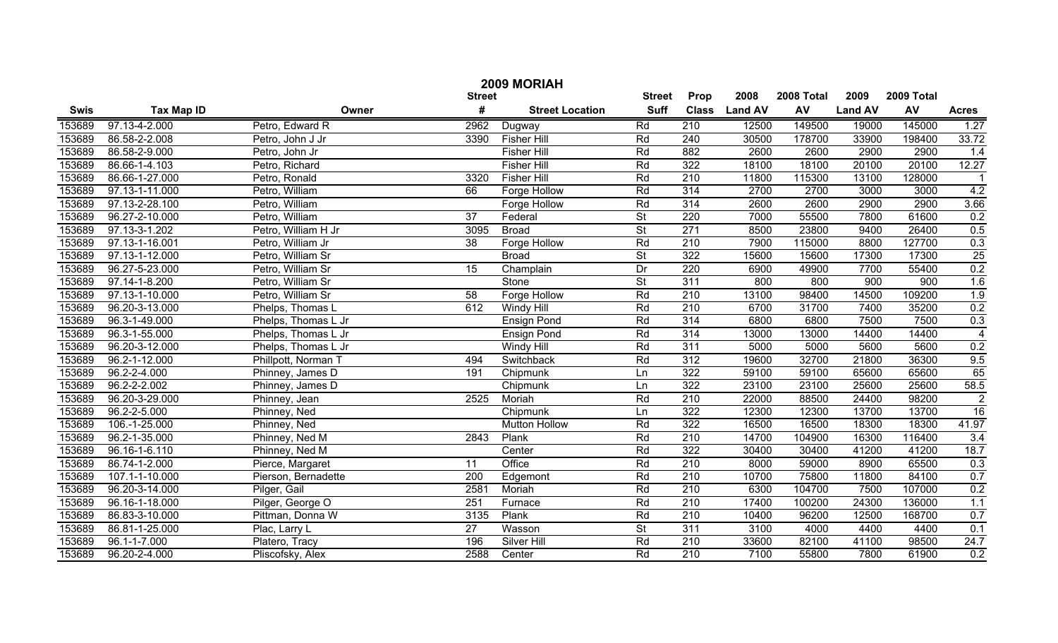|             | 2009 MORIAH        |                     |                 |                        |                          |                  |                |            |                |        |                 |  |
|-------------|--------------------|---------------------|-----------------|------------------------|--------------------------|------------------|----------------|------------|----------------|--------|-----------------|--|
|             |                    | <b>Street</b>       | <b>Street</b>   | Prop                   | 2008                     | 2008 Total       | 2009           | 2009 Total |                |        |                 |  |
| <b>Swis</b> | <b>Tax Map ID</b>  | Owner               | #               | <b>Street Location</b> | <b>Suff</b>              | <b>Class</b>     | <b>Land AV</b> | AV         | <b>Land AV</b> | AV     | <b>Acres</b>    |  |
| 153689      | 97.13-4-2.000      | Petro, Edward R     | 2962            | Dugway                 | Rd                       | 210              | 12500          | 149500     | 19000          | 145000 | 1.27            |  |
| 153689      | 86.58-2-2.008      | Petro, John J Jr    | 3390            | <b>Fisher Hill</b>     | Rd                       | 240              | 30500          | 178700     | 33900          | 198400 | 33.72           |  |
| 153689      | 86.58-2-9.000      | Petro, John Jr      |                 | <b>Fisher Hill</b>     | Rd                       | 882              | 2600           | 2600       | 2900           | 2900   | 1.4             |  |
| 153689      | 86.66-1-4.103      | Petro, Richard      |                 | <b>Fisher Hill</b>     | Rd                       | 322              | 18100          | 18100      | 20100          | 20100  | 12.27           |  |
| 153689      | 86.66-1-27.000     | Petro, Ronald       | 3320            | <b>Fisher Hill</b>     | Rd                       | 210              | 11800          | 115300     | 13100          | 128000 |                 |  |
| 153689      | 97.13-1-11.000     | Petro, William      | 66              | <b>Forge Hollow</b>    | Rd                       | 314              | 2700           | 2700       | 3000           | 3000   | 4.2             |  |
| 153689      | 97.13-2-28.100     | Petro, William      |                 | <b>Forge Hollow</b>    | Rd                       | 314              | 2600           | 2600       | 2900           | 2900   | 3.66            |  |
| 153689      | 96.27-2-10.000     | Petro, William      | 37              | Federal                | <b>St</b>                | 220              | 7000           | 55500      | 7800           | 61600  | 0.2             |  |
| 153689      | 97.13-3-1.202      | Petro, William H Jr | 3095            | <b>Broad</b>           | $\overline{\mathsf{St}}$ | 271              | 8500           | 23800      | 9400           | 26400  | 0.5             |  |
| 153689      | 97.13-1-16.001     | Petro, William Jr   | 38              | Forge Hollow           | Rd                       | 210              | 7900           | 115000     | 8800           | 127700 | 0.3             |  |
| 153689      | 97.13-1-12.000     | Petro, William Sr   |                 | <b>Broad</b>           | $\overline{St}$          | 322              | 15600          | 15600      | 17300          | 17300  | $\overline{25}$ |  |
| 153689      | 96.27-5-23.000     | Petro, William Sr   | 15              | Champlain              | Dr                       | 220              | 6900           | 49900      | 7700           | 55400  | 0.2             |  |
| 153689      | 97.14-1-8.200      | Petro, William Sr   |                 | Stone                  | $\overline{\mathsf{St}}$ | 311              | 800            | 800        | 900            | 900    | 1.6             |  |
| 153689      | 97.13-1-10.000     | Petro, William Sr   | 58              | Forge Hollow           | Rd                       | 210              | 13100          | 98400      | 14500          | 109200 | 1.9             |  |
| 153689      | 96.20-3-13.000     | Phelps, Thomas L    | 612             | Windy Hill             | Rd                       | 210              | 6700           | 31700      | 7400           | 35200  | 0.2             |  |
| 153689      | 96.3-1-49.000      | Phelps, Thomas L Jr |                 | <b>Ensign Pond</b>     | Rd                       | 314              | 6800           | 6800       | 7500           | 7500   | 0.3             |  |
| 153689      | 96.3-1-55.000      | Phelps, Thomas L Jr |                 | <b>Ensign Pond</b>     | Rd                       | 314              | 13000          | 13000      | 14400          | 14400  | $\overline{4}$  |  |
| 153689      | 96.20-3-12.000     | Phelps, Thomas L Jr |                 | Windy Hill             | Rd                       | 311              | 5000           | 5000       | 5600           | 5600   | 0.2             |  |
| 153689      | 96.2-1-12.000      | Phillpott, Norman T | 494             | Switchback             | Rd                       | 312              | 19600          | 32700      | 21800          | 36300  | 9.5             |  |
| 153689      | 96.2-2-4.000       | Phinney, James D    | 191             | Chipmunk               | Ln                       | 322              | 59100          | 59100      | 65600          | 65600  | 65              |  |
| 153689      | 96.2-2-2.002       | Phinney, James D    |                 | Chipmunk               | Ln                       | 322              | 23100          | 23100      | 25600          | 25600  | 58.5            |  |
| 153689      | 96.20-3-29.000     | Phinney, Jean       | 2525            | Moriah                 | Rd                       | 210              | 22000          | 88500      | 24400          | 98200  | $\overline{2}$  |  |
| 153689      | 96.2-2-5.000       | Phinney, Ned        |                 | Chipmunk               | Ln                       | 322              | 12300          | 12300      | 13700          | 13700  | 16              |  |
| 153689      | 106.-1-25.000      | Phinney, Ned        |                 | <b>Mutton Hollow</b>   | Rd                       | 322              | 16500          | 16500      | 18300          | 18300  | 41.97           |  |
| 153689      | 96.2-1-35.000      | Phinney, Ned M      | 2843            | Plank                  | Rd                       | 210              | 14700          | 104900     | 16300          | 116400 | 3.4             |  |
| 153689      | 96.16-1-6.110      | Phinney, Ned M      |                 | Center                 | Rd                       | 322              | 30400          | 30400      | 41200          | 41200  | 18.7            |  |
| 153689      | 86.74-1-2.000      | Pierce, Margaret    | 11              | Office                 | Rd                       | 210              | 8000           | 59000      | 8900           | 65500  | 0.3             |  |
| 153689      | 107.1-1-10.000     | Pierson, Bernadette | 200             | Edgemont               | Rd                       | 210              | 10700          | 75800      | 11800          | 84100  | 0.7             |  |
| 153689      | 96.20-3-14.000     | Pilger, Gail        | 2581            | Moriah                 | Rd                       | 210              | 6300           | 104700     | 7500           | 107000 | 0.2             |  |
| 153689      | 96.16-1-18.000     | Pilger, George O    | 251             | Furnace                | Rd                       | $\overline{210}$ | 17400          | 100200     | 24300          | 136000 | 1.1             |  |
| 153689      | 86.83-3-10.000     | Pittman, Donna W    | 3135            | Plank                  | Rd                       | $\overline{210}$ | 10400          | 96200      | 12500          | 168700 | 0.7             |  |
| 153689      | 86.81-1-25.000     | Plac, Larry L       | $\overline{27}$ | Wasson                 | $\overline{\mathsf{St}}$ | 311              | 3100           | 4000       | 4400           | 4400   | 0.1             |  |
| 153689      | $96.1 - 1 - 7.000$ | Platero, Tracy      | 196             | <b>Silver Hill</b>     | Rd                       | $\overline{210}$ | 33600          | 82100      | 41100          | 98500  | 24.7            |  |
| 153689      | 96.20-2-4.000      | Pliscofsky, Alex    | 2588            | Center                 | Rd                       | $\overline{210}$ | 7100           | 55800      | 7800           | 61900  | 0.2             |  |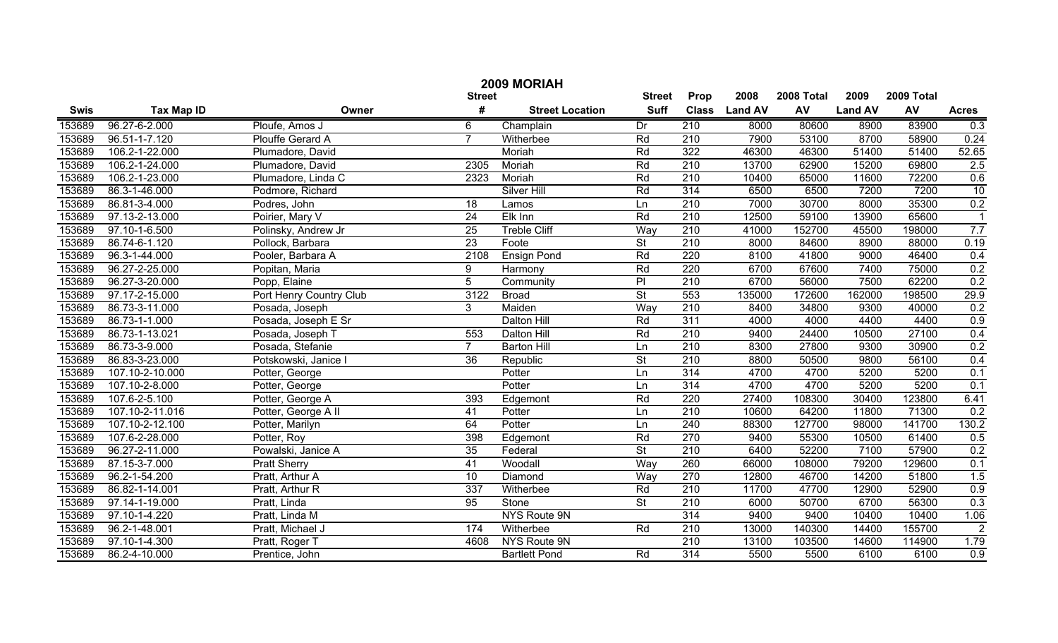|             | 2009 MORIAH       |                         |                 |                        |                          |                  |                |            |                |            |                |  |
|-------------|-------------------|-------------------------|-----------------|------------------------|--------------------------|------------------|----------------|------------|----------------|------------|----------------|--|
|             |                   |                         | <b>Street</b>   |                        | <b>Street</b>            | Prop             | 2008           | 2008 Total | 2009           | 2009 Total |                |  |
| <b>Swis</b> | <b>Tax Map ID</b> | Owner                   | #               | <b>Street Location</b> | <b>Suff</b>              | <b>Class</b>     | <b>Land AV</b> | AV         | <b>Land AV</b> | AV         | <b>Acres</b>   |  |
| 153689      | 96.27-6-2.000     | Ploufe, Amos J          | 6               | Champlain              | Dr                       | 210              | 8000           | 80600      | 8900           | 83900      | 0.3            |  |
| 153689      | 96.51-1-7.120     | Plouffe Gerard A        | $\overline{7}$  | Witherbee              | Rd                       | $\overline{210}$ | 7900           | 53100      | 8700           | 58900      | 0.24           |  |
| 153689      | 106.2-1-22.000    | Plumadore, David        |                 | Moriah                 | Rd                       | 322              | 46300          | 46300      | 51400          | 51400      | 52.65          |  |
| 153689      | 106.2-1-24.000    | Plumadore, David        | 2305            | Moriah                 | Rd                       | 210              | 13700          | 62900      | 15200          | 69800      | 2.5            |  |
| 153689      | 106.2-1-23.000    | Plumadore, Linda C      | 2323            | Moriah                 | Rd                       | 210              | 10400          | 65000      | 11600          | 72200      | 0.6            |  |
| 153689      | 86.3-1-46.000     | Podmore, Richard        |                 | <b>Silver Hill</b>     | Rd                       | 314              | 6500           | 6500       | 7200           | 7200       | 10             |  |
| 153689      | 86.81-3-4.000     | Podres, John            | $\overline{18}$ | Lamos                  | Ln                       | 210              | 7000           | 30700      | 8000           | 35300      | 0.2            |  |
| 153689      | 97.13-2-13.000    | Poirier, Mary V         | 24              | Elk Inn                | Rd                       | 210              | 12500          | 59100      | 13900          | 65600      | $\overline{1}$ |  |
| 153689      | 97.10-1-6.500     | Polinsky, Andrew Jr     | 25              | <b>Treble Cliff</b>    | Way                      | 210              | 41000          | 152700     | 45500          | 198000     | 7.7            |  |
| 153689      | 86.74-6-1.120     | Pollock, Barbara        | $\overline{23}$ | Foote                  | $\overline{\mathsf{St}}$ | $\overline{210}$ | 8000           | 84600      | 8900           | 88000      | 0.19           |  |
| 153689      | 96.3-1-44.000     | Pooler, Barbara A       | 2108            | <b>Ensign Pond</b>     | Rd                       | 220              | 8100           | 41800      | 9000           | 46400      | 0.4            |  |
| 153689      | 96.27-2-25.000    | Popitan, Maria          | 9               | Harmony                | Rd                       | 220              | 6700           | 67600      | 7400           | 75000      | 0.2            |  |
| 153689      | 96.27-3-20.000    | Popp, Elaine            | 5               | Community              | PI                       | $\overline{210}$ | 6700           | 56000      | 7500           | 62200      | 0.2            |  |
| 153689      | 97.17-2-15.000    | Port Henry Country Club | 3122            | <b>Broad</b>           | $\overline{\mathsf{St}}$ | 553              | 135000         | 172600     | 162000         | 198500     | 29.9           |  |
| 153689      | 86.73-3-11.000    | Posada, Joseph          | 3               | Maiden                 | Way                      | 210              | 8400           | 34800      | 9300           | 40000      | 0.2            |  |
| 153689      | 86.73-1-1.000     | Posada, Joseph E Sr     |                 | Dalton Hill            | Rd                       | 311              | 4000           | 4000       | 4400           | 4400       | 0.9            |  |
| 153689      | 86.73-1-13.021    | Posada, Joseph T        | 553             | Dalton Hill            | Rd                       | 210              | 9400           | 24400      | 10500          | 27100      | 0.4            |  |
| 153689      | 86.73-3-9.000     | Posada, Stefanie        | $\overline{7}$  | <b>Barton Hill</b>     | Ln                       | $\overline{210}$ | 8300           | 27800      | 9300           | 30900      | 0.2            |  |
| 153689      | 86.83-3-23.000    | Potskowski, Janice I    | 36              | Republic               | $\overline{\mathsf{St}}$ | $\overline{210}$ | 8800           | 50500      | 9800           | 56100      | 0.4            |  |
| 153689      | 107.10-2-10.000   | Potter, George          |                 | Potter                 | Ln                       | 314              | 4700           | 4700       | 5200           | 5200       | 0.1            |  |
| 153689      | 107.10-2-8.000    | Potter, George          |                 | Potter                 | Ln                       | 314              | 4700           | 4700       | 5200           | 5200       | 0.1            |  |
| 153689      | 107.6-2-5.100     | Potter, George A        | 393             | Edgemont               | Rd                       | 220              | 27400          | 108300     | 30400          | 123800     | 6.41           |  |
| 153689      | 107.10-2-11.016   | Potter, George A II     | 41              | Potter                 | Ln                       | 210              | 10600          | 64200      | 11800          | 71300      | 0.2            |  |
| 153689      | 107.10-2-12.100   | Potter, Marilyn         | 64              | Potter                 | Ln                       | 240              | 88300          | 127700     | 98000          | 141700     | 130.2          |  |
| 153689      | 107.6-2-28.000    | Potter, Roy             | 398             | Edgemont               | Rd                       | 270              | 9400           | 55300      | 10500          | 61400      | 0.5            |  |
| 153689      | 96.27-2-11.000    | Powalski, Janice A      | 35              | Federal                | $\overline{\mathsf{St}}$ | $\overline{210}$ | 6400           | 52200      | 7100           | 57900      | 0.2            |  |
| 153689      | 87.15-3-7.000     | <b>Pratt Sherry</b>     | 41              | Woodall                | Way                      | 260              | 66000          | 108000     | 79200          | 129600     | 0.1            |  |
| 153689      | 96.2-1-54.200     | Pratt, Arthur A         | 10              | Diamond                | Wav                      | 270              | 12800          | 46700      | 14200          | 51800      | 1.5            |  |
| 153689      | 86.82-1-14.001    | Pratt, Arthur R         | 337             | Witherbee              | Rd                       | $\overline{210}$ | 11700          | 47700      | 12900          | 52900      | 0.9            |  |
| 153689      | 97.14-1-19.000    | Pratt, Linda            | 95              | Stone                  | $\overline{\mathsf{St}}$ | $\overline{210}$ | 6000           | 50700      | 6700           | 56300      | 0.3            |  |
| 153689      | 97.10-1-4.220     | Pratt, Linda M          |                 | <b>NYS Route 9N</b>    |                          | 314              | 9400           | 9400       | 10400          | 10400      | 1.06           |  |
| 153689      | 96.2-1-48.001     | Pratt, Michael J        | 174             | Witherbee              | Rd                       | 210              | 13000          | 140300     | 14400          | 155700     | $\overline{2}$ |  |
| 153689      | 97.10-1-4.300     | Pratt, Roger T          | 4608            | <b>NYS Route 9N</b>    |                          | $\overline{210}$ | 13100          | 103500     | 14600          | 114900     | 1.79           |  |
| 153689      | 86.2-4-10.000     | Prentice, John          |                 | <b>Bartlett Pond</b>   | Rd                       | 314              | 5500           | 5500       | 6100           | 6100       | 0.9            |  |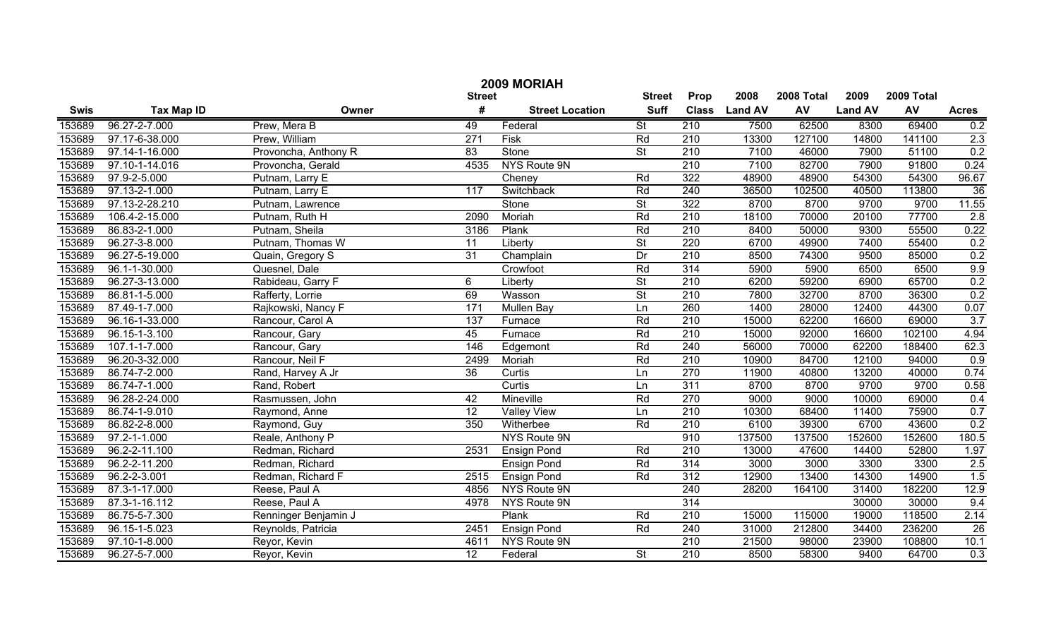|                                                | 2009 MORIAH                |                      |                  |                        |                          |                  |                |            |                |            |              |  |
|------------------------------------------------|----------------------------|----------------------|------------------|------------------------|--------------------------|------------------|----------------|------------|----------------|------------|--------------|--|
| 2008<br><b>Street</b><br><b>Street</b><br>Prop |                            |                      |                  |                        |                          |                  |                | 2008 Total | 2009           | 2009 Total |              |  |
| <b>Swis</b>                                    | <b>Tax Map ID</b>          | Owner                | #                | <b>Street Location</b> | <b>Suff</b>              | <b>Class</b>     | <b>Land AV</b> | AV         | <b>Land AV</b> | AV         | <b>Acres</b> |  |
| 153689                                         | 96.27-2-7.000              | Prew, Mera B         | 49               | Federal                | $\overline{\mathsf{St}}$ | 210              | 7500           | 62500      | 8300           | 69400      | 0.2          |  |
| 153689                                         | 97.17-6-38.000             | Prew, William        | $\overline{271}$ | Fisk                   | Rd                       | 210              | 13300          | 127100     | 14800          | 141100     | 2.3          |  |
| 153689                                         | 97.14-1-16.000             | Provoncha, Anthony R | $\overline{83}$  | Stone                  | $\overline{\mathsf{St}}$ | 210              | 7100           | 46000      | 7900           | 51100      | 0.2          |  |
| 153689                                         | 97.10-1-14.016             | Provoncha, Gerald    | 4535             | <b>NYS Route 9N</b>    |                          | 210              | 7100           | 82700      | 7900           | 91800      | 0.24         |  |
| 153689                                         | 97.9-2-5.000               | Putnam, Larry E      |                  | Cheney                 | Rd                       | 322              | 48900          | 48900      | 54300          | 54300      | 96.67        |  |
| 153689                                         | 97.13-2-1.000              | Putnam, Larry E      | $\overline{117}$ | Switchback             | Rd                       | 240              | 36500          | 102500     | 40500          | 113800     | 36           |  |
| 153689                                         | 97.13-2-28.210             | Putnam, Lawrence     |                  | Stone                  | $\overline{\mathsf{St}}$ | 322              | 8700           | 8700       | 9700           | 9700       | 11.55        |  |
| 153689                                         | 106.4-2-15.000             | Putnam, Ruth H       | 2090             | Moriah                 | Rd                       | 210              | 18100          | 70000      | 20100          | 77700      | 2.8          |  |
| 153689                                         | 86.83-2-1.000              | Putnam, Sheila       | 3186             | Plank                  | Rd                       | 210              | 8400           | 50000      | 9300           | 55500      | 0.22         |  |
| 153689                                         | 96.27-3-8.000              | Putnam, Thomas W     | $\overline{11}$  | Liberty                | $\overline{St}$          | 220              | 6700           | 49900      | 7400           | 55400      | 0.2          |  |
| 153689                                         | 96.27-5-19.000             | Quain, Gregory S     | 31               | Champlain              | Dr                       | 210              | 8500           | 74300      | 9500           | 85000      | 0.2          |  |
| 153689                                         | 96.1-1-30.000              | Quesnel, Dale        |                  | Crowfoot               | Rd                       | 314              | 5900           | 5900       | 6500           | 6500       | 9.9          |  |
| 153689                                         | 96.27-3-13.000             | Rabideau, Garry F    | 6                | Liberty                | $\overline{\mathsf{St}}$ | 210              | 6200           | 59200      | 6900           | 65700      | 0.2          |  |
| 153689                                         | 86.81-1-5.000              | Rafferty, Lorrie     | 69               | Wasson                 | $\overline{St}$          | $\overline{210}$ | 7800           | 32700      | 8700           | 36300      | 0.2          |  |
| 153689                                         | 87.49-1-7.000              | Rajkowski, Nancy F   | $\overline{171}$ | <b>Mullen Bay</b>      | Ln                       | 260              | 1400           | 28000      | 12400          | 44300      | 0.07         |  |
| 153689                                         | 96.16-1-33.000             | Rancour, Carol A     | $\overline{137}$ | Furnace                | Rd                       | $\overline{210}$ | 15000          | 62200      | 16600          | 69000      | 3.7          |  |
| 153689                                         | $96.\overline{15-1-3.100}$ | Rancour, Gary        | 45               | Furnace                | Rd                       | $\overline{210}$ | 15000          | 92000      | 16600          | 102100     | 4.94         |  |
| 153689                                         | 107.1-1-7.000              | Rancour, Gary        | 146              | Edgemont               | Rd                       | 240              | 56000          | 70000      | 62200          | 188400     | 62.3         |  |
| 153689                                         | 96.20-3-32.000             | Rancour, Neil F      | 2499             | Moriah                 | Rd                       | $\overline{210}$ | 10900          | 84700      | 12100          | 94000      | 0.9          |  |
| 153689                                         | 86.74-7-2.000              | Rand, Harvey A Jr    | $\overline{36}$  | Curtis                 | Ln                       | 270              | 11900          | 40800      | 13200          | 40000      | 0.74         |  |
| 153689                                         | 86.74-7-1.000              | Rand, Robert         |                  | Curtis                 | Ln                       | 311              | 8700           | 8700       | 9700           | 9700       | 0.58         |  |
| 153689                                         | 96.28-2-24.000             | Rasmussen, John      | 42               | Mineville              | Rd                       | 270              | 9000           | 9000       | 10000          | 69000      | 0.4          |  |
| 153689                                         | 86.74-1-9.010              | Raymond, Anne        | $\overline{12}$  | <b>Valley View</b>     | Ln                       | 210              | 10300          | 68400      | 11400          | 75900      | 0.7          |  |
| 153689                                         | 86.82-2-8.000              | Raymond, Guy         | 350              | Witherbee              | Rd                       | $\overline{210}$ | 6100           | 39300      | 6700           | 43600      | 0.2          |  |
| 153689                                         | $97.2 - 1 - 1.000$         | Reale, Anthony P     |                  | NYS Route 9N           |                          | 910              | 137500         | 137500     | 152600         | 152600     | 180.5        |  |
| 153689                                         | 96.2-2-11.100              | Redman, Richard      | 2531             | <b>Ensign Pond</b>     | Rd                       | $\overline{210}$ | 13000          | 47600      | 14400          | 52800      | 1.97         |  |
| 153689                                         | 96.2-2-11.200              | Redman, Richard      |                  | <b>Ensign Pond</b>     | Rd                       | 314              | 3000           | 3000       | 3300           | 3300       | 2.5          |  |
| 153689                                         | $96.2 - 2 - 3.001$         | Redman, Richard F    | 2515             | <b>Ensign Pond</b>     | Rd                       | 312              | 12900          | 13400      | 14300          | 14900      | 1.5          |  |
| 153689                                         | 87.3-1-17.000              | Reese, Paul A        | 4856             | NYS Route 9N           |                          | 240              | 28200          | 164100     | 31400          | 182200     | 12.9         |  |
| 153689                                         | 87.3-1-16.112              | Reese, Paul A        | 4978             | NYS Route 9N           |                          | 314              |                |            | 30000          | 30000      | 9.4          |  |
| 153689                                         | 86.75-5-7.300              | Renninger Benjamin J |                  | <b>Plank</b>           | Rd                       | $\overline{210}$ | 15000          | 115000     | 19000          | 118500     | 2.14         |  |
| 153689                                         | 96.15-1-5.023              | Reynolds, Patricia   | 2451             | <b>Ensign Pond</b>     | Rd                       | 240              | 31000          | 212800     | 34400          | 236200     | 26           |  |
| 153689                                         | 97.10-1-8.000              | Reyor, Kevin         | 4611             | NYS Route 9N           |                          | 210              | 21500          | 98000      | 23900          | 108800     | 10.1         |  |
| 153689                                         | 96.27-5-7.000              | Reyor, Kevin         | 12               | Federal                | $\overline{\mathsf{St}}$ | 210              | 8500           | 58300      | 9400           | 64700      | 0.3          |  |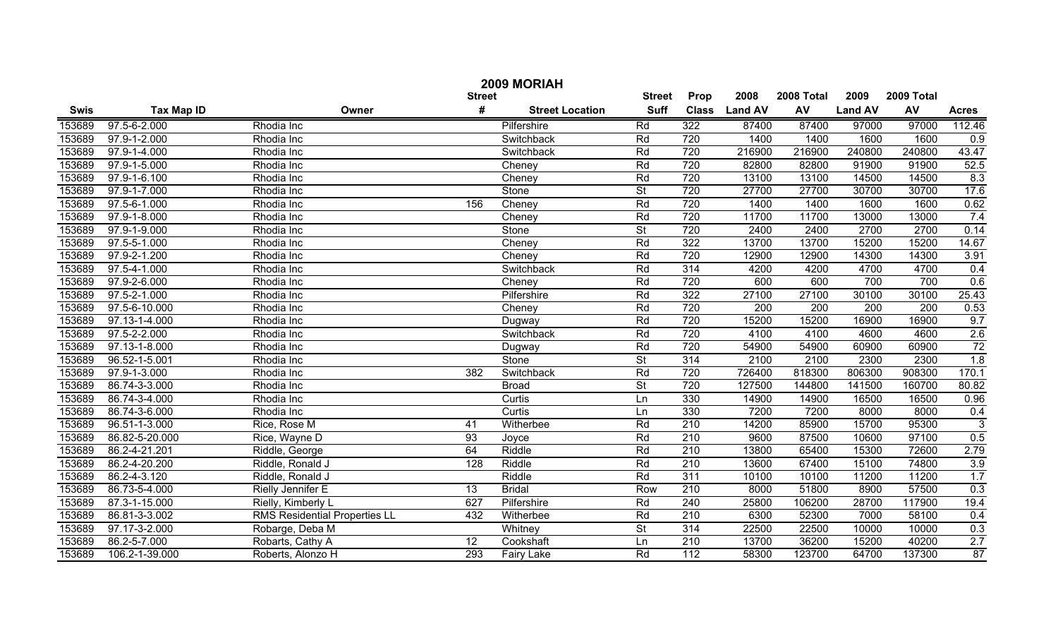|             |                   |                                      |               | 2009 MORIAH            |                          |                  |                |            |                |            |              |
|-------------|-------------------|--------------------------------------|---------------|------------------------|--------------------------|------------------|----------------|------------|----------------|------------|--------------|
|             |                   |                                      | <b>Street</b> |                        | <b>Street</b>            | Prop             | 2008           | 2008 Total | 2009           | 2009 Total |              |
| <b>Swis</b> | <b>Tax Map ID</b> | Owner                                | #             | <b>Street Location</b> | <b>Suff</b>              | <b>Class</b>     | <b>Land AV</b> | AV         | <b>Land AV</b> | AV         | <b>Acres</b> |
| 153689      | 97.5-6-2.000      | Rhodia Inc                           |               | Pilfershire            | Rd                       | 322              | 87400          | 87400      | 97000          | 97000      | 112.46       |
| 153689      | 97.9-1-2.000      | Rhodia Inc                           |               | Switchback             | Rd                       | 720              | 1400           | 1400       | 1600           | 1600       | 0.9          |
| 153689      | 97.9-1-4.000      | Rhodia Inc                           |               | Switchback             | Rd                       | 720              | 216900         | 216900     | 240800         | 240800     | 43.47        |
| 153689      | 97.9-1-5.000      | Rhodia Inc                           |               | Cheney                 | Rd                       | 720              | 82800          | 82800      | 91900          | 91900      | 52.5         |
| 153689      | 97.9-1-6.100      | Rhodia Inc                           |               | Cheney                 | Rd                       | 720              | 13100          | 13100      | 14500          | 14500      | 8.3          |
| 153689      | 97.9-1-7.000      | Rhodia Inc                           |               | Stone                  | $\overline{\mathsf{St}}$ | 720              | 27700          | 27700      | 30700          | 30700      | 17.6         |
| 153689      | 97.5-6-1.000      | Rhodia Inc                           | 156           | Cheney                 | Rd                       | 720              | 1400           | 1400       | 1600           | 1600       | 0.62         |
| 153689      | 97.9-1-8.000      | Rhodia Inc                           |               | Cheney                 | Rd                       | 720              | 11700          | 11700      | 13000          | 13000      | 7.4          |
| 153689      | 97.9-1-9.000      | Rhodia Inc                           |               | Stone                  | $\overline{\mathsf{St}}$ | 720              | 2400           | 2400       | 2700           | 2700       | 0.14         |
| 153689      | 97.5-5-1.000      | Rhodia Inc                           |               | Cheney                 | Rd                       | 322              | 13700          | 13700      | 15200          | 15200      | 14.67        |
| 153689      | 97.9-2-1.200      | Rhodia Inc                           |               | Cheney                 | Rd                       | 720              | 12900          | 12900      | 14300          | 14300      | 3.91         |
| 153689      | 97.5-4-1.000      | Rhodia Inc                           |               | Switchback             | Rd                       | 314              | 4200           | 4200       | 4700           | 4700       | 0.4          |
| 153689      | 97.9-2-6.000      | Rhodia Inc                           |               | Cheney                 | Rd                       | 720              | 600            | 600        | 700            | 700        | 0.6          |
| 153689      | 97.5-2-1.000      | Rhodia Inc                           |               | Pilfershire            | Rd                       | 322              | 27100          | 27100      | 30100          | 30100      | 25.43        |
| 153689      | 97.5-6-10.000     | Rhodia Inc                           |               | Cheney                 | Rd                       | 720              | 200            | 200        | 200            | 200        | 0.53         |
| 153689      | 97.13-1-4.000     | Rhodia Inc                           |               | Dugway                 | Rd                       | 720              | 15200          | 15200      | 16900          | 16900      | 9.7          |
| 153689      | 97.5-2-2.000      | Rhodia Inc                           |               | Switchback             | Rd                       | 720              | 4100           | 4100       | 4600           | 4600       | 2.6          |
| 153689      | 97.13-1-8.000     | Rhodia Inc                           |               | Dugway                 | Rd                       | 720              | 54900          | 54900      | 60900          | 60900      | 72           |
| 153689      | 96.52-1-5.001     | Rhodia Inc                           |               | Stone                  | $\overline{\mathsf{St}}$ | 314              | 2100           | 2100       | 2300           | 2300       | 1.8          |
| 153689      | 97.9-1-3.000      | Rhodia Inc                           | 382           | Switchback             | Rd                       | 720              | 726400         | 818300     | 806300         | 908300     | 170.1        |
| 153689      | 86.74-3-3.000     | Rhodia Inc                           |               | <b>Broad</b>           | St                       | 720              | 127500         | 144800     | 141500         | 160700     | 80.82        |
| 153689      | 86.74-3-4.000     | Rhodia Inc                           |               | Curtis                 | Ln                       | 330              | 14900          | 14900      | 16500          | 16500      | 0.96         |
| 153689      | 86.74-3-6.000     | Rhodia Inc                           |               | Curtis                 | Ln                       | 330              | 7200           | 7200       | 8000           | 8000       | 0.4          |
| 153689      | 96.51-1-3.000     | Rice, Rose M                         | 41            | Witherbee              | Rd                       | 210              | 14200          | 85900      | 15700          | 95300      | 3            |
| 153689      | 86.82-5-20.000    | Rice, Wayne D                        | 93            | Joyce                  | Rd                       | 210              | 9600           | 87500      | 10600          | 97100      | 0.5          |
| 153689      | 86.2-4-21.201     | Riddle, George                       | 64            | Riddle                 | Rd                       | 210              | 13800          | 65400      | 15300          | 72600      | 2.79         |
| 153689      | 86.2-4-20.200     | Riddle, Ronald J                     | 128           | Riddle                 | Rd                       | 210              | 13600          | 67400      | 15100          | 74800      | 3.9          |
| 153689      | 86.2-4-3.120      | Riddle, Ronald J                     |               | Riddle                 | Rd                       | 311              | 10100          | 10100      | 11200          | 11200      | 1.7          |
| 153689      | 86.73-5-4.000     | Rielly Jennifer E                    | 13            | <b>Bridal</b>          | Row                      | 210              | 8000           | 51800      | 8900           | 57500      | 0.3          |
| 153689      | 87.3-1-15.000     | Rielly, Kimberly L                   | 627           | Pilfershire            | Rd                       | $\overline{240}$ | 25800          | 106200     | 28700          | 117900     | 19.4         |
| 153689      | 86.81-3-3.002     | <b>RMS Residential Properties LL</b> | 432           | Witherbee              | Rd                       | $\overline{210}$ | 6300           | 52300      | 7000           | 58100      | 0.4          |
| 153689      | 97.17-3-2.000     | Robarge, Deba M                      |               | Whitney                | <b>St</b>                | 314              | 22500          | 22500      | 10000          | 10000      | 0.3          |
| 153689      | 86.2-5-7.000      | Robarts, Cathy A                     | 12            | Cookshaft              | Ln                       | $\overline{210}$ | 13700          | 36200      | 15200          | 40200      | 2.7          |
| 153689      | 106.2-1-39.000    | Roberts, Alonzo H                    | 293           | Fairy Lake             | Rd                       | 112              | 58300          | 123700     | 64700          | 137300     | 87           |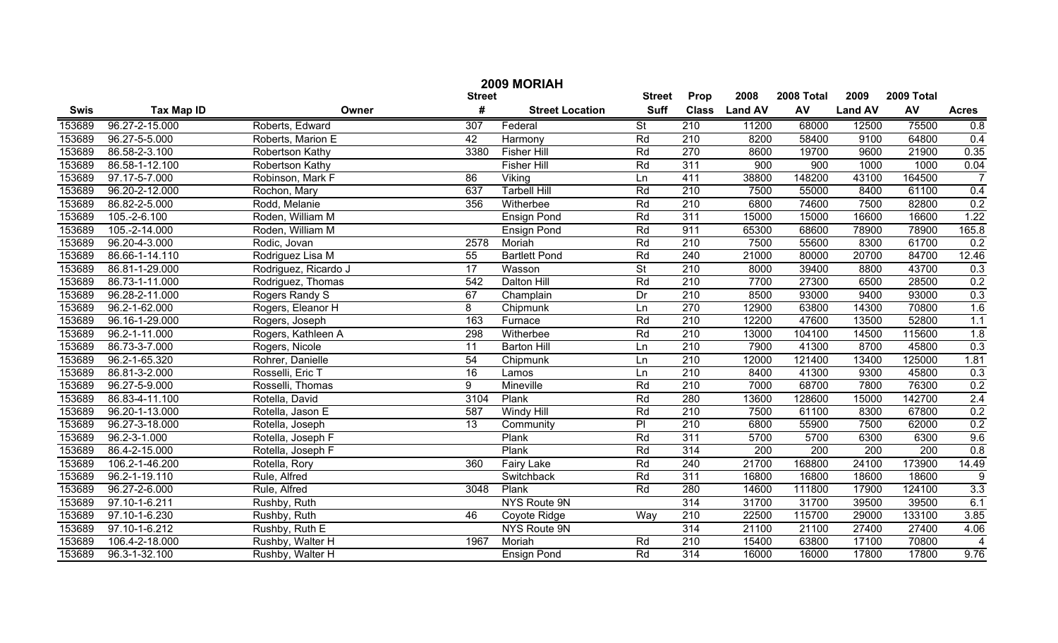|             | 2009 MORIAH       |                      |               |                        |                          |                  |                |        |                |                  |                  |  |
|-------------|-------------------|----------------------|---------------|------------------------|--------------------------|------------------|----------------|--------|----------------|------------------|------------------|--|
|             |                   |                      | <b>Street</b> | <b>Street</b>          | Prop                     | 2008             | 2008 Total     | 2009   | 2009 Total     |                  |                  |  |
| <b>Swis</b> | <b>Tax Map ID</b> | Owner                | #             | <b>Street Location</b> | <b>Suff</b>              | <b>Class</b>     | <b>Land AV</b> | AV     | <b>Land AV</b> | AV               | <b>Acres</b>     |  |
| 153689      | 96.27-2-15.000    | Roberts, Edward      | 307           | Federal                | $\overline{\mathsf{St}}$ | 210              | 11200          | 68000  | 12500          | 75500            | 0.8              |  |
| 153689      | 96.27-5-5.000     | Roberts, Marion E    | 42            | Harmony                | Rd                       | $\overline{210}$ | 8200           | 58400  | 9100           | 64800            | 0.4              |  |
| 153689      | 86.58-2-3.100     | Robertson Kathy      | 3380          | <b>Fisher Hill</b>     | Rd                       | 270              | 8600           | 19700  | 9600           | 21900            | 0.35             |  |
| 153689      | 86.58-1-12.100    | Robertson Kathy      |               | <b>Fisher Hill</b>     | Rd                       | 311              | 900            | 900    | 1000           | 1000             | 0.04             |  |
| 153689      | 97.17-5-7.000     | Robinson, Mark F     | 86            | Viking                 | Ln                       | 411              | 38800          | 148200 | 43100          | 164500           | $\overline{7}$   |  |
| 153689      | 96.20-2-12.000    | Rochon, Mary         | 637           | <b>Tarbell Hill</b>    | Rd                       | 210              | 7500           | 55000  | 8400           | 61100            | 0.4              |  |
| 153689      | 86.82-2-5.000     | Rodd, Melanie        | 356           | Witherbee              | Rd                       | 210              | 6800           | 74600  | 7500           | 82800            | 0.2              |  |
| 153689      | $105.-2-6.100$    | Roden, William M     |               | <b>Ensign Pond</b>     | Rd                       | 311              | 15000          | 15000  | 16600          | 16600            | 1.22             |  |
| 153689      | 105.-2-14.000     | Roden, William M     |               | <b>Ensign Pond</b>     | Rd                       | 911              | 65300          | 68600  | 78900          | 78900            | 165.8            |  |
| 153689      | 96.20-4-3.000     | Rodic, Jovan         | 2578          | Moriah                 | Rd                       | 210              | 7500           | 55600  | 8300           | 61700            | 0.2              |  |
| 153689      | 86.66-1-14.110    | Rodriguez Lisa M     | 55            | <b>Bartlett Pond</b>   | Rd                       | 240              | 21000          | 80000  | 20700          | 84700            | 12.46            |  |
| 153689      | 86.81-1-29.000    | Rodriguez, Ricardo J | 17            | Wasson                 | $\overline{St}$          | 210              | 8000           | 39400  | 8800           | 43700            | 0.3              |  |
| 153689      | 86.73-1-11.000    | Rodriguez, Thomas    | 542           | <b>Dalton Hill</b>     | Rd                       | 210              | 7700           | 27300  | 6500           | 28500            | 0.2              |  |
| 153689      | 96.28-2-11.000    | Rogers Randy S       | 67            | Champlain              | Dr                       | 210              | 8500           | 93000  | 9400           | 93000            | 0.3              |  |
| 153689      | 96.2-1-62.000     | Rogers, Eleanor H    | 8             | Chipmunk               | Ln                       | 270              | 12900          | 63800  | 14300          | 70800            | 1.6              |  |
| 153689      | 96.16-1-29.000    | Rogers, Joseph       | 163           | Furnace                | Rd                       | 210              | 12200          | 47600  | 13500          | 52800            | 1.1              |  |
| 153689      | 96.2-1-11.000     | Rogers, Kathleen A   | 298           | Witherbee              | Rd                       | 210              | 13000          | 104100 | 14500          | 115600           | 1.8              |  |
| 153689      | 86.73-3-7.000     | Rogers, Nicole       | 11            | <b>Barton Hill</b>     | Ln                       | 210              | 7900           | 41300  | 8700           | 45800            | 0.3              |  |
| 153689      | 96.2-1-65.320     | Rohrer, Danielle     | 54            | Chipmunk               | Ln                       | 210              | 12000          | 121400 | 13400          | 125000           | 1.81             |  |
| 153689      | 86.81-3-2.000     | Rosselli, Eric T     | 16            | Lamos                  | Ln                       | 210              | 8400           | 41300  | 9300           | 45800            | 0.3              |  |
| 153689      | 96.27-5-9.000     | Rosselli, Thomas     | 9             | Mineville              | Rd                       | 210              | 7000           | 68700  | 7800           | 76300            | 0.2              |  |
| 153689      | 86.83-4-11.100    | Rotella, David       | 3104          | Plank                  | Rd                       | 280              | 13600          | 128600 | 15000          | 142700           | 2.4              |  |
| 153689      | 96.20-1-13.000    | Rotella, Jason E     | 587           | Windy Hill             | Rd                       | 210              | 7500           | 61100  | 8300           | 67800            | 0.2              |  |
| 153689      | 96.27-3-18.000    | Rotella, Joseph      | 13            | Community              | PI                       | 210              | 6800           | 55900  | 7500           | 62000            | 0.2              |  |
| 153689      | 96.2-3-1.000      | Rotella, Joseph F    |               | Plank                  | Rd                       | $\overline{311}$ | 5700           | 5700   | 6300           | 6300             | 9.6              |  |
| 153689      | 86.4-2-15.000     | Rotella, Joseph F    |               | Plank                  | Rd                       | 314              | 200            | 200    | 200            | $\overline{200}$ | 0.8              |  |
| 153689      | 106.2-1-46.200    | Rotella, Rory        | 360           | <b>Fairy Lake</b>      | Rd                       | 240              | 21700          | 168800 | 24100          | 173900           | 14.49            |  |
| 153689      | 96.2-1-19.110     | Rule, Alfred         |               | Switchback             | Rd                       | $\overline{311}$ | 16800          | 16800  | 18600          | 18600            | 9                |  |
| 153689      | 96.27-2-6.000     | Rule, Alfred         | 3048          | Plank                  | Rd                       | 280              | 14600          | 111800 | 17900          | 124100           | $\overline{3.3}$ |  |
| 153689      | 97.10-1-6.211     | Rushby, Ruth         |               | NYS Route 9N           |                          | 314              | 31700          | 31700  | 39500          | 39500            | 6.1              |  |
| 153689      | 97.10-1-6.230     | Rushby, Ruth         | 46            | Coyote Ridge           | Way                      | 210              | 22500          | 115700 | 29000          | 133100           | 3.85             |  |
| 153689      | 97.10-1-6.212     | Rushby, Ruth E       |               | NYS Route 9N           |                          | 314              | 21100          | 21100  | 27400          | 27400            | 4.06             |  |
| 153689      | 106.4-2-18.000    | Rushby, Walter H     | 1967          | Moriah                 | Rd                       | $\overline{210}$ | 15400          | 63800  | 17100          | 70800            | $\overline{4}$   |  |
| 153689      | 96.3-1-32.100     | Rushby, Walter H     |               | <b>Ensign Pond</b>     | Rd                       | $\overline{314}$ | 16000          | 16000  | 17800          | 17800            | 9.76             |  |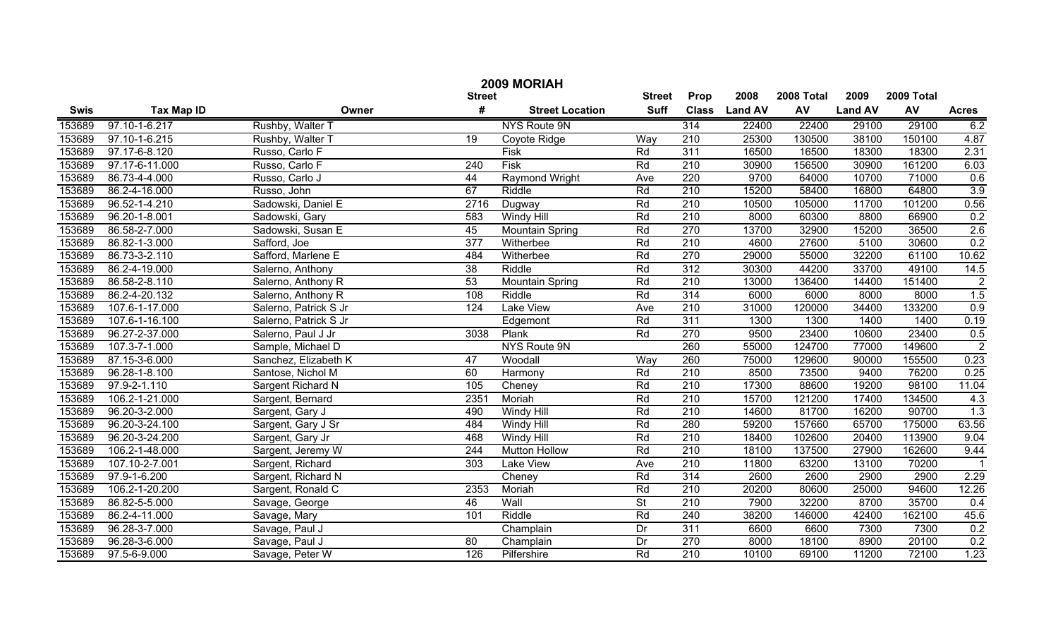|             | 2009 MORIAH       |                       |               |                        |                          |                  |                |            |                |            |                  |
|-------------|-------------------|-----------------------|---------------|------------------------|--------------------------|------------------|----------------|------------|----------------|------------|------------------|
|             |                   |                       | <b>Street</b> |                        | <b>Street</b>            | Prop             | 2008           | 2008 Total | 2009           | 2009 Total |                  |
| <b>Swis</b> | <b>Tax Map ID</b> | Owner                 | #             | <b>Street Location</b> | <b>Suff</b>              | <b>Class</b>     | <b>Land AV</b> | AV         | <b>Land AV</b> | AV         | <b>Acres</b>     |
| 153689      | 97.10-1-6.217     | Rushby, Walter T      |               | <b>NYS Route 9N</b>    |                          | 314              | 22400          | 22400      | 29100          | 29100      | 6.2              |
| 153689      | 97.10-1-6.215     | Rushby, Walter T      | 19            | Coyote Ridge           | Way                      | $\overline{210}$ | 25300          | 130500     | 38100          | 150100     | 4.87             |
| 153689      | 97.17-6-8.120     | Russo, Carlo F        |               | Fisk                   | Rd                       | 311              | 16500          | 16500      | 18300          | 18300      | 2.31             |
| 153689      | 97.17-6-11.000    | Russo, Carlo F        | 240           | Fisk                   | Rd                       | 210              | 30900          | 156500     | 30900          | 161200     | 6.03             |
| 153689      | 86.73-4-4.000     | Russo, Carlo J        | 44            | <b>Raymond Wright</b>  | Ave                      | 220              | 9700           | 64000      | 10700          | 71000      | 0.6              |
| 153689      | 86.2-4-16.000     | Russo, John           | 67            | Riddle                 | Rd                       | 210              | 15200          | 58400      | 16800          | 64800      | 3.9              |
| 153689      | 96.52-1-4.210     | Sadowski, Daniel E    | 2716          | Dugway                 | Rd                       | 210              | 10500          | 105000     | 11700          | 101200     | 0.56             |
| 153689      | 96.20-1-8.001     | Sadowski, Gary        | 583           | <b>Windy Hill</b>      | Rd                       | 210              | 8000           | 60300      | 8800           | 66900      | 0.2              |
| 153689      | 86.58-2-7.000     | Sadowski, Susan E     | 45            | <b>Mountain Spring</b> | Rd                       | 270              | 13700          | 32900      | 15200          | 36500      | 2.6              |
| 153689      | 86.82-1-3.000     | Safford, Joe          | 377           | Witherbee              | Rd                       | $\overline{210}$ | 4600           | 27600      | 5100           | 30600      | 0.2              |
| 153689      | 86.73-3-2.110     | Safford, Marlene E    | 484           | Witherbee              | Rd                       | 270              | 29000          | 55000      | 32200          | 61100      | 10.62            |
| 153689      | 86.2-4-19.000     | Salerno, Anthony      | 38            | Riddle                 | Rd                       | 312              | 30300          | 44200      | 33700          | 49100      | 14.5             |
| 153689      | 86.58-2-8.110     | Salerno, Anthony R    | 53            | <b>Mountain Spring</b> | Rd                       | $\overline{210}$ | 13000          | 136400     | 14400          | 151400     | $\overline{2}$   |
| 153689      | 86.2-4-20.132     | Salerno, Anthony R    | 108           | Riddle                 | Rd                       | 314              | 6000           | 6000       | 8000           | 8000       | 1.5              |
| 153689      | 107.6-1-17.000    | Salerno, Patrick S Jr | 124           | <b>Lake View</b>       | Ave                      | $\overline{210}$ | 31000          | 120000     | 34400          | 133200     | 0.9              |
| 153689      | 107.6-1-16.100    | Salerno, Patrick S Jr |               | Edgemont               | Rd                       | 311              | 1300           | 1300       | 1400           | 1400       | 0.19             |
| 153689      | 96.27-2-37.000    | Salerno, Paul J Jr    | 3038          | Plank                  | Rd                       | 270              | 9500           | 23400      | 10600          | 23400      | 0.5              |
| 153689      | 107.3-7-1.000     | Sample, Michael D     |               | NYS Route 9N           |                          | 260              | 55000          | 124700     | 77000          | 149600     | $\overline{2}$   |
| 153689      | 87.15-3-6.000     | Sanchez, Elizabeth K  | 47            | Woodall                | Way                      | 260              | 75000          | 129600     | 90000          | 155500     | 0.23             |
| 153689      | 96.28-1-8.100     | Santose, Nichol M     | 60            | Harmony                | Rd                       | $\overline{210}$ | 8500           | 73500      | 9400           | 76200      | 0.25             |
| 153689      | 97.9-2-1.110      | Sargent Richard N     | 105           | Cheney                 | Rd                       | 210              | 17300          | 88600      | 19200          | 98100      | 11.04            |
| 153689      | 106.2-1-21.000    | Sargent, Bernard      | 2351          | Moriah                 | Rd                       | 210              | 15700          | 121200     | 17400          | 134500     | 4.3              |
| 153689      | 96.20-3-2.000     | Sargent, Gary J       | 490           | Windy Hill             | Rd                       | 210              | 14600          | 81700      | 16200          | 90700      | $\overline{1.3}$ |
| 153689      | 96.20-3-24.100    | Sargent, Gary J Sr    | 484           | Windy Hill             | Rd                       | 280              | 59200          | 157660     | 65700          | 175000     | 63.56            |
| 153689      | 96.20-3-24.200    | Sargent, Gary Jr      | 468           | Windy Hill             | Rd                       | 210              | 18400          | 102600     | 20400          | 113900     | 9.04             |
| 153689      | 106.2-1-48.000    | Sargent, Jeremy W     | 244           | <b>Mutton Hollow</b>   | Rd                       | 210              | 18100          | 137500     | 27900          | 162600     | 9.44             |
| 153689      | 107.10-2-7.001    | Sargent, Richard      | 303           | Lake View              | Ave                      | 210              | 11800          | 63200      | 13100          | 70200      | $\mathbf{1}$     |
| 153689      | 97.9-1-6.200      | Sargent, Richard N    |               | Cheney                 | Rd                       | 314              | 2600           | 2600       | 2900           | 2900       | 2.29             |
| 153689      | 106.2-1-20.200    | Sargent, Ronald C     | 2353          | Moriah                 | Rd                       | 210              | 20200          | 80600      | 25000          | 94600      | 12.26            |
| 153689      | 86.82-5-5.000     | Savage, George        | 46            | Wall                   | $\overline{\mathsf{St}}$ | $\overline{210}$ | 7900           | 32200      | 8700           | 35700      | 0.4              |
| 153689      | 86.2-4-11.000     | Savage, Mary          | 101           | Riddle                 | Rd                       | $\overline{240}$ | 38200          | 146000     | 42400          | 162100     | 45.6             |
| 153689      | 96.28-3-7.000     | Savage, Paul J        |               | Champlain              | Dr                       | $\overline{311}$ | 6600           | 6600       | 7300           | 7300       | 0.2              |
| 153689      | 96.28-3-6.000     | Savage, Paul J        | 80            | Champlain              | Dr                       | 270              | 8000           | 18100      | 8900           | 20100      | 0.2              |
| 153689      | 97.5-6-9.000      | Savage, Peter W       | 126           | Pilfershire            | Rd                       | 210              | 10100          | 69100      | 11200          | 72100      | 1.23             |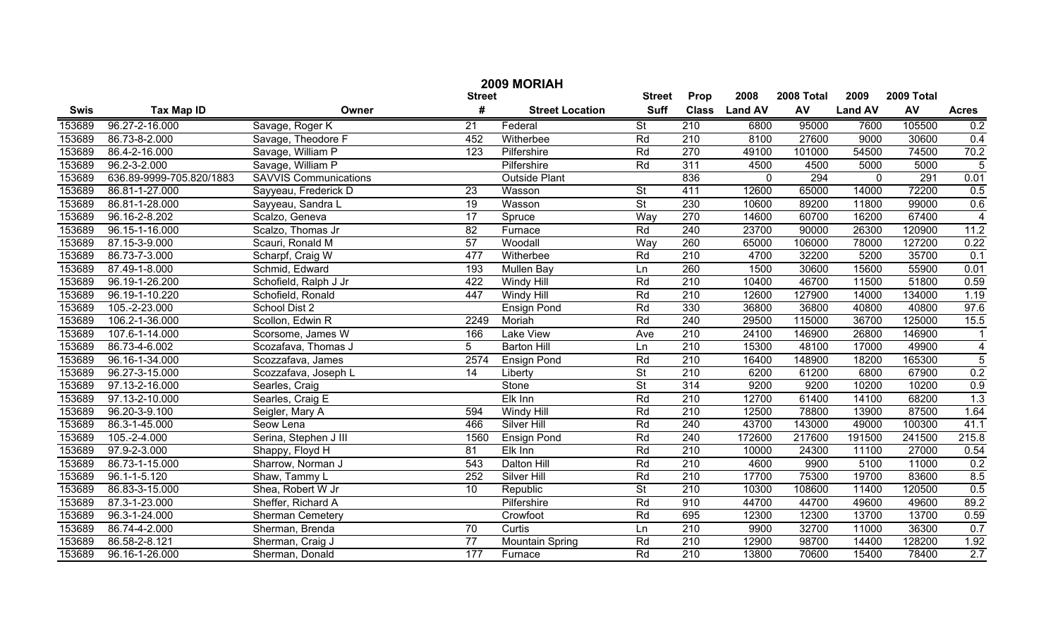|             | 2009 MORIAH              |                              |                 |                        |                          |                  |                |        |                |        |                         |  |
|-------------|--------------------------|------------------------------|-----------------|------------------------|--------------------------|------------------|----------------|--------|----------------|--------|-------------------------|--|
|             |                          |                              | <b>Street</b>   | <b>Street</b>          | Prop                     | 2008             | 2008 Total     | 2009   | 2009 Total     |        |                         |  |
| <b>Swis</b> | <b>Tax Map ID</b>        | Owner                        | #               | <b>Street Location</b> | <b>Suff</b>              | <b>Class</b>     | <b>Land AV</b> | AV     | <b>Land AV</b> | AV     | <b>Acres</b>            |  |
| 153689      | 96.27-2-16.000           | Savage, Roger K              | 21              | Federal                | $\overline{\mathsf{St}}$ | 210              | 6800           | 95000  | 7600           | 105500 | 0.2                     |  |
| 153689      | 86.73-8-2.000            | Savage, Theodore F           | 452             | Witherbee              | Rd                       | 210              | 8100           | 27600  | 9000           | 30600  | 0.4                     |  |
| 153689      | 86.4-2-16.000            | Savage, William P            | 123             | Pilfershire            | Rd                       | 270              | 49100          | 101000 | 54500          | 74500  | 70.2                    |  |
| 153689      | 96.2-3-2.000             | Savage, William P            |                 | Pilfershire            | Rd                       | 311              | 4500           | 4500   | 5000           | 5000   | $\overline{5}$          |  |
| 153689      | 636.89-9999-705.820/1883 | <b>SAVVIS Communications</b> |                 | <b>Outside Plant</b>   |                          | 836              | 0              | 294    | $\mathbf 0$    | 291    | 0.01                    |  |
| 153689      | 86.81-1-27.000           | Sayyeau, Frederick D         | $\overline{23}$ | Wasson                 | $\overline{\mathsf{St}}$ | 411              | 12600          | 65000  | 14000          | 72200  | 0.5                     |  |
| 153689      | 86.81-1-28.000           | Sayyeau, Sandra L            | $\overline{19}$ | Wasson                 | $\overline{\mathsf{St}}$ | 230              | 10600          | 89200  | 11800          | 99000  | 0.6                     |  |
| 153689      | 96.16-2-8.202            | Scalzo, Geneva               | $\overline{17}$ | Spruce                 | Way                      | 270              | 14600          | 60700  | 16200          | 67400  | $\overline{4}$          |  |
| 153689      | 96.15-1-16.000           | Scalzo, Thomas Jr            | 82              | Furnace                | Rd                       | 240              | 23700          | 90000  | 26300          | 120900 | 11.2                    |  |
| 153689      | 87.15-3-9.000            | Scauri, Ronald M             | 57              | Woodall                | Way                      | 260              | 65000          | 106000 | 78000          | 127200 | 0.22                    |  |
| 153689      | 86.73-7-3.000            | Scharpf, Craig W             | 477             | Witherbee              | Rd                       | 210              | 4700           | 32200  | 5200           | 35700  | 0.1                     |  |
| 153689      | 87.49-1-8.000            | Schmid, Edward               | 193             | Mullen Bay             | Ln                       | 260              | 1500           | 30600  | 15600          | 55900  | 0.01                    |  |
| 153689      | 96.19-1-26.200           | Schofield, Ralph J Jr        | 422             | Windy Hill             | Rd                       | 210              | 10400          | 46700  | 11500          | 51800  | 0.59                    |  |
| 153689      | 96.19-1-10.220           | Schofield, Ronald            | 447             | Windy Hill             | Rd                       | 210              | 12600          | 127900 | 14000          | 134000 | 1.19                    |  |
| 153689      | 105.-2-23.000            | School Dist 2                |                 | <b>Ensign Pond</b>     | Rd                       | 330              | 36800          | 36800  | 40800          | 40800  | 97.6                    |  |
| 153689      | 106.2-1-36.000           | Scollon, Edwin R             | 2249            | Moriah                 | Rd                       | 240              | 29500          | 115000 | 36700          | 125000 | 15.5                    |  |
| 153689      | 107.6-1-14.000           | Scorsome, James W            | 166             | Lake View              | Ave                      | 210              | 24100          | 146900 | 26800          | 146900 | $\mathbf 1$             |  |
| 153689      | 86.73-4-6.002            | Scozafava, Thomas J          | 5               | <b>Barton Hill</b>     | Ln                       | 210              | 15300          | 48100  | 17000          | 49900  | $\overline{\mathbf{4}}$ |  |
| 153689      | 96.16-1-34.000           | Scozzafava, James            | 2574            | <b>Ensign Pond</b>     | Rd                       | 210              | 16400          | 148900 | 18200          | 165300 | $\overline{5}$          |  |
| 153689      | 96.27-3-15.000           | Scozzafava, Joseph L         | 14              | Liberty                | $\overline{\mathsf{St}}$ | 210              | 6200           | 61200  | 6800           | 67900  | 0.2                     |  |
| 153689      | 97.13-2-16.000           | Searles, Craig               |                 | Stone                  | $\overline{\mathsf{St}}$ | 314              | 9200           | 9200   | 10200          | 10200  | 0.9                     |  |
| 153689      | 97.13-2-10.000           | Searles, Craig E             |                 | Elk Inn                | Rd                       | 210              | 12700          | 61400  | 14100          | 68200  | 1.3                     |  |
| 153689      | 96.20-3-9.100            | Seigler, Mary A              | 594             | Windy Hill             | Rd                       | 210              | 12500          | 78800  | 13900          | 87500  | 1.64                    |  |
| 153689      | 86.3-1-45.000            | Seow Lena                    | 466             | Silver Hill            | Rd                       | 240              | 43700          | 143000 | 49000          | 100300 | 41.1                    |  |
| 153689      | 105.-2-4.000             | Serina, Stephen J III        | 1560            | <b>Ensign Pond</b>     | Rd                       | 240              | 172600         | 217600 | 191500         | 241500 | 215.8                   |  |
| 153689      | 97.9-2-3.000             | Shappy, Floyd H              | 81              | Elk Inn                | Rd                       | 210              | 10000          | 24300  | 11100          | 27000  | 0.54                    |  |
| 153689      | 86.73-1-15.000           | Sharrow, Norman J            | 543             | Dalton Hill            | Rd                       | 210              | 4600           | 9900   | 5100           | 11000  | 0.2                     |  |
| 153689      | 96.1-1-5.120             | Shaw, Tammy L                | 252             | Silver Hill            | Rd                       | 210              | 17700          | 75300  | 19700          | 83600  | 8.5                     |  |
| 153689      | 86.83-3-15.000           | Shea, Robert W Jr            | 10              | Republic               | $\overline{\mathsf{St}}$ | 210              | 10300          | 108600 | 11400          | 120500 | 0.5                     |  |
| 153689      | 87.3-1-23.000            | Sheffer, Richard A           |                 | Pilfershire            | Rd                       | 910              | 44700          | 44700  | 49600          | 49600  | 89.2                    |  |
| 153689      | 96.3-1-24.000            | Sherman Cemetery             |                 | Crowfoot               | Rd                       | 695              | 12300          | 12300  | 13700          | 13700  | 0.59                    |  |
| 153689      | 86.74-4-2.000            | Sherman, Brenda              | $\overline{70}$ | Curtis                 | Ln                       | 210              | 9900           | 32700  | 11000          | 36300  | 0.7                     |  |
| 153689      | 86.58-2-8.121            | Sherman, Craig J             | $\overline{77}$ | <b>Mountain Spring</b> | Rd                       | $\overline{210}$ | 12900          | 98700  | 14400          | 128200 | 1.92                    |  |
| 153689      | 96.16-1-26.000           | Sherman, Donald              | 177             | Furnace                | Rd                       | $\overline{210}$ | 13800          | 70600  | 15400          | 78400  | 2.7                     |  |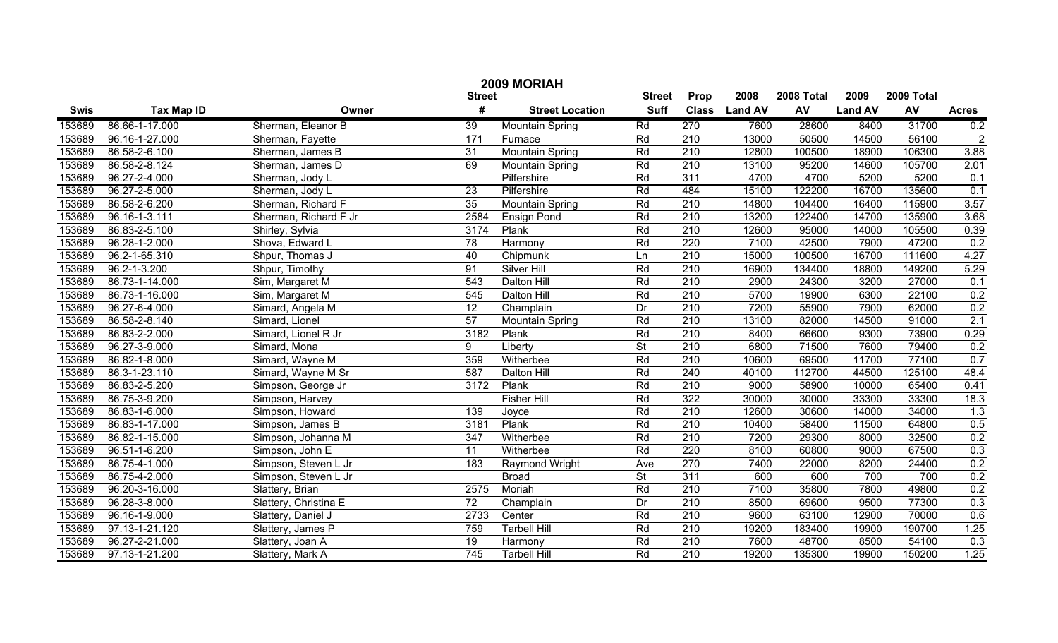|             | 2009 MORIAH       |                       |                 |                        |                          |                  |                |            |                |            |                |  |
|-------------|-------------------|-----------------------|-----------------|------------------------|--------------------------|------------------|----------------|------------|----------------|------------|----------------|--|
|             |                   |                       | <b>Street</b>   |                        | <b>Street</b>            | Prop             | 2008           | 2008 Total | 2009           | 2009 Total |                |  |
| <b>Swis</b> | <b>Tax Map ID</b> | Owner                 | #               | <b>Street Location</b> | <b>Suff</b>              | <b>Class</b>     | <b>Land AV</b> | AV         | <b>Land AV</b> | AV         | <b>Acres</b>   |  |
| 153689      | 86.66-1-17.000    | Sherman, Eleanor B    | $\overline{39}$ | <b>Mountain Spring</b> | Rd                       | 270              | 7600           | 28600      | 8400           | 31700      | 0.2            |  |
| 153689      | 96.16-1-27.000    | Sherman, Fayette      | 171             | Furnace                | Rd                       | 210              | 13000          | 50500      | 14500          | 56100      | $\overline{2}$ |  |
| 153689      | 86.58-2-6.100     | Sherman, James B      | 31              | <b>Mountain Spring</b> | Rd                       | $\overline{210}$ | 12800          | 100500     | 18900          | 106300     | 3.88           |  |
| 153689      | 86.58-2-8.124     | Sherman, James D      | 69              | <b>Mountain Spring</b> | Rd                       | 210              | 13100          | 95200      | 14600          | 105700     | 2.01           |  |
| 153689      | 96.27-2-4.000     | Sherman, Jody L       |                 | Pilfershire            | Rd                       | 311              | 4700           | 4700       | 5200           | 5200       | 0.1            |  |
| 153689      | 96.27-2-5.000     | Sherman, Jody L       | $\overline{23}$ | Pilfershire            | Rd                       | 484              | 15100          | 122200     | 16700          | 135600     | 0.1            |  |
| 153689      | 86.58-2-6.200     | Sherman, Richard F    | 35              | <b>Mountain Spring</b> | Rd                       | 210              | 14800          | 104400     | 16400          | 115900     | 3.57           |  |
| 153689      | 96.16-1-3.111     | Sherman, Richard F Jr | 2584            | <b>Ensign Pond</b>     | Rd                       | 210              | 13200          | 122400     | 14700          | 135900     | 3.68           |  |
| 153689      | 86.83-2-5.100     | Shirley, Sylvia       | 3174            | Plank                  | Rd                       | 210              | 12600          | 95000      | 14000          | 105500     | 0.39           |  |
| 153689      | 96.28-1-2.000     | Shova, Edward L       | 78              | Harmony                | Rd                       | 220              | 7100           | 42500      | 7900           | 47200      | 0.2            |  |
| 153689      | 96.2-1-65.310     | Shpur, Thomas J       | 40              | Chipmunk               | Ln                       | 210              | 15000          | 100500     | 16700          | 111600     | 4.27           |  |
| 153689      | 96.2-1-3.200      | Shpur, Timothy        | 91              | <b>Silver Hill</b>     | Rd                       | 210              | 16900          | 134400     | 18800          | 149200     | 5.29           |  |
| 153689      | 86.73-1-14.000    | Sim, Margaret M       | 543             | Dalton Hill            | Rd                       | 210              | 2900           | 24300      | 3200           | 27000      | 0.1            |  |
| 153689      | 86.73-1-16.000    | Sim, Margaret M       | 545             | Dalton Hill            | Rd                       | 210              | 5700           | 19900      | 6300           | 22100      | 0.2            |  |
| 153689      | 96.27-6-4.000     | Simard, Angela M      | 12              | Champlain              | Dr                       | 210              | 7200           | 55900      | 7900           | 62000      | 0.2            |  |
| 153689      | 86.58-2-8.140     | Simard, Lionel        | $\overline{57}$ | <b>Mountain Spring</b> | Rd                       | 210              | 13100          | 82000      | 14500          | 91000      | 2.1            |  |
| 153689      | 86.83-2-2.000     | Simard, Lionel R Jr   | 3182            | Plank                  | Rd                       | 210              | 8400           | 66600      | 9300           | 73900      | 0.29           |  |
| 153689      | 96.27-3-9.000     | Simard, Mona          | 9               | Liberty                | $\overline{\mathsf{St}}$ | $\overline{210}$ | 6800           | 71500      | 7600           | 79400      | 0.2            |  |
| 153689      | 86.82-1-8.000     | Simard, Wayne M       | 359             | Witherbee              | Rd                       | 210              | 10600          | 69500      | 11700          | 77100      | 0.7            |  |
| 153689      | 86.3-1-23.110     | Simard, Wayne M Sr    | 587             | Dalton Hill            | Rd                       | 240              | 40100          | 112700     | 44500          | 125100     | 48.4           |  |
| 153689      | 86.83-2-5.200     | Simpson, George Jr    | 3172            | Plank                  | Rd                       | 210              | 9000           | 58900      | 10000          | 65400      | 0.41           |  |
| 153689      | 86.75-3-9.200     | Simpson, Harvey       |                 | <b>Fisher Hill</b>     | Rd                       | 322              | 30000          | 30000      | 33300          | 33300      | 18.3           |  |
| 153689      | 86.83-1-6.000     | Simpson, Howard       | 139             | Joyce                  | Rd                       | 210              | 12600          | 30600      | 14000          | 34000      | 1.3            |  |
| 153689      | 86.83-1-17.000    | Simpson, James B      | 3181            | Plank                  | Rd                       | 210              | 10400          | 58400      | 11500          | 64800      | 0.5            |  |
| 153689      | 86.82-1-15.000    | Simpson, Johanna M    | 347             | Witherbee              | Rd                       | 210              | 7200           | 29300      | 8000           | 32500      | 0.2            |  |
| 153689      | 96.51-1-6.200     | Simpson, John E       | 11              | Witherbee              | Rd                       | 220              | 8100           | 60800      | 9000           | 67500      | 0.3            |  |
| 153689      | 86.75-4-1.000     | Simpson, Steven L Jr  | 183             | Raymond Wright         | Ave                      | $\overline{270}$ | 7400           | 22000      | 8200           | 24400      | 0.2            |  |
| 153689      | 86.75-4-2.000     | Simpson, Steven L Jr  |                 | <b>Broad</b>           | $\overline{\mathsf{St}}$ | $\overline{311}$ | 600            | 600        | 700            | 700        | 0.2            |  |
| 153689      | 96.20-3-16.000    | Slattery, Brian       | 2575            | Moriah                 | Rd                       | 210              | 7100           | 35800      | 7800           | 49800      | 0.2            |  |
| 153689      | 96.28-3-8.000     | Slattery, Christina E | $\overline{72}$ | Champlain              | Dr                       | $\overline{210}$ | 8500           | 69600      | 9500           | 77300      | 0.3            |  |
| 153689      | 96.16-1-9.000     | Slattery, Daniel J    | 2733            | Center                 | Rd                       | $\overline{210}$ | 9600           | 63100      | 12900          | 70000      | 0.6            |  |
| 153689      | 97.13-1-21.120    | Slattery, James P     | 759             | <b>Tarbell Hill</b>    | Rd                       | $\overline{210}$ | 19200          | 183400     | 19900          | 190700     | 1.25           |  |
| 153689      | 96.27-2-21.000    | Slattery, Joan A      | 19              | Harmony                | Rd                       | $\overline{210}$ | 7600           | 48700      | 8500           | 54100      | 0.3            |  |
| 153689      | 97.13-1-21.200    | Slattery, Mark A      | 745             | <b>Tarbell Hill</b>    | Rd                       | $\overline{210}$ | 19200          | 135300     | 19900          | 150200     | 1.25           |  |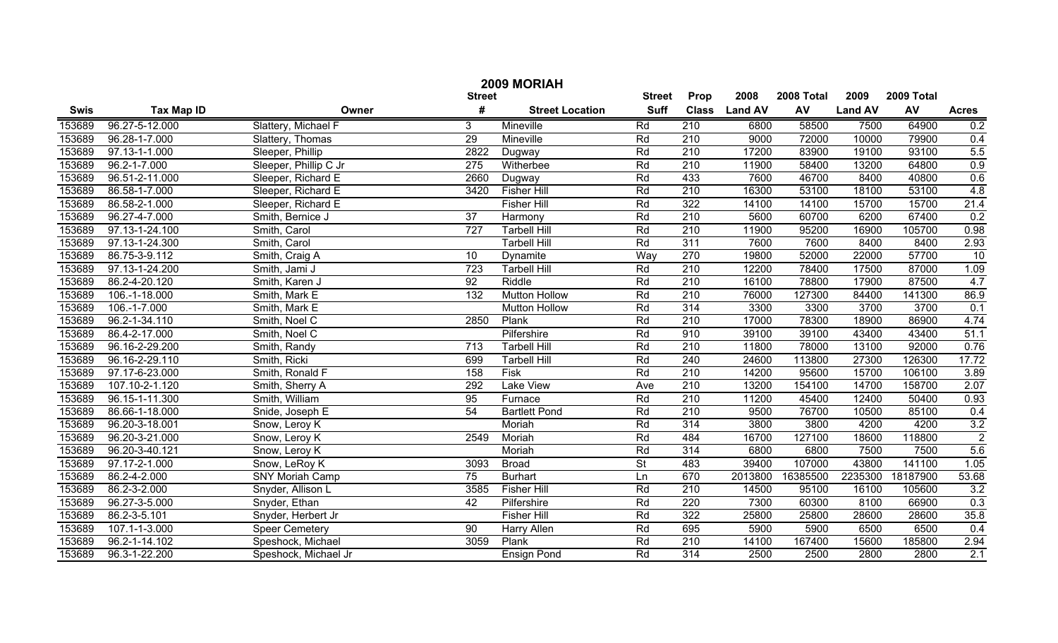|               | 2009 MORIAH       |                        |                  |                        |                          |                  |               |            |                |            |                  |  |
|---------------|-------------------|------------------------|------------------|------------------------|--------------------------|------------------|---------------|------------|----------------|------------|------------------|--|
| <b>Street</b> |                   |                        |                  |                        |                          | Prop             | 2008          | 2008 Total | 2009           | 2009 Total |                  |  |
| <b>Swis</b>   | <b>Tax Map ID</b> | Owner                  | #                | <b>Street Location</b> | <b>Suff</b>              |                  | Class Land AV | AV         | <b>Land AV</b> | AV         | <b>Acres</b>     |  |
| 153689        | 96.27-5-12.000    | Slattery, Michael F    | 3                | Mineville              | Rd                       | 210              | 6800          | 58500      | 7500           | 64900      | 0.2              |  |
| 153689        | 96.28-1-7.000     | Slattery, Thomas       | 29               | Mineville              | Rd                       | $\overline{210}$ | 9000          | 72000      | 10000          | 79900      | 0.4              |  |
| 153689        | 97.13-1-1.000     | Sleeper, Phillip       | 2822             | Dugway                 | Rd                       | $\overline{210}$ | 17200         | 83900      | 19100          | 93100      | 5.5              |  |
| 153689        | 96.2-1-7.000      | Sleeper, Phillip C Jr  | $\overline{275}$ | Witherbee              | Rd                       | $\overline{210}$ | 11900         | 58400      | 13200          | 64800      | 0.9              |  |
| 153689        | 96.51-2-11.000    | Sleeper, Richard E     | 2660             | Dugway                 | Rd                       | 433              | 7600          | 46700      | 8400           | 40800      | 0.6              |  |
| 153689        | 86.58-1-7.000     | Sleeper, Richard E     | 3420             | <b>Fisher Hill</b>     | Rd                       | 210              | 16300         | 53100      | 18100          | 53100      | 4.8              |  |
| 153689        | 86.58-2-1.000     | Sleeper, Richard E     |                  | <b>Fisher Hill</b>     | Rd                       | 322              | 14100         | 14100      | 15700          | 15700      | 21.4             |  |
| 153689        | 96.27-4-7.000     | Smith, Bernice J       | 37               | Harmony                | Rd                       | 210              | 5600          | 60700      | 6200           | 67400      | 0.2              |  |
| 153689        | 97.13-1-24.100    | Smith, Carol           | 727              | <b>Tarbell Hill</b>    | Rd                       | 210              | 11900         | 95200      | 16900          | 105700     | 0.98             |  |
| 153689        | 97.13-1-24.300    | Smith, Carol           |                  | <b>Tarbell Hill</b>    | Rd                       | 311              | 7600          | 7600       | 8400           | 8400       | 2.93             |  |
| 153689        | 86.75-3-9.112     | Smith, Craig A         | 10               | Dynamite               | Way                      | 270              | 19800         | 52000      | 22000          | 57700      | 10               |  |
| 153689        | 97.13-1-24.200    | Smith, Jami J          | 723              | <b>Tarbell Hill</b>    | Rd                       | 210              | 12200         | 78400      | 17500          | 87000      | 1.09             |  |
| 153689        | 86.2-4-20.120     | Smith, Karen J         | 92               | Riddle                 | Rd                       | 210              | 16100         | 78800      | 17900          | 87500      | 4.7              |  |
| 153689        | 106.-1-18.000     | Smith, Mark E          | 132              | <b>Mutton Hollow</b>   | Rd                       | 210              | 76000         | 127300     | 84400          | 141300     | 86.9             |  |
| 153689        | 106.-1-7.000      | Smith, Mark E          |                  | <b>Mutton Hollow</b>   | Rd                       | 314              | 3300          | 3300       | 3700           | 3700       | 0.1              |  |
| 153689        | 96.2-1-34.110     | Smith, Noel C          | 2850             | Plank                  | Rd                       | 210              | 17000         | 78300      | 18900          | 86900      | 4.74             |  |
| 153689        | 86.4-2-17.000     | Smith, Noel C          |                  | Pilfershire            | Rd                       | 910              | 39100         | 39100      | 43400          | 43400      | 51.1             |  |
| 153689        | 96.16-2-29.200    | Smith, Randy           | 713              | <b>Tarbell Hill</b>    | Rd                       | 210              | 11800         | 78000      | 13100          | 92000      | 0.76             |  |
| 153689        | 96.16-2-29.110    | Smith, Ricki           | 699              | <b>Tarbell Hill</b>    | Rd                       | 240              | 24600         | 113800     | 27300          | 126300     | 17.72            |  |
| 153689        | 97.17-6-23.000    | Smith, Ronald F        | 158              | Fisk                   | Rd                       | 210              | 14200         | 95600      | 15700          | 106100     | 3.89             |  |
| 153689        | 107.10-2-1.120    | Smith, Sherry A        | 292              | Lake View              | Ave                      | 210              | 13200         | 154100     | 14700          | 158700     | 2.07             |  |
| 153689        | 96.15-1-11.300    | Smith, William         | 95               | Furnace                | Rd                       | 210              | 11200         | 45400      | 12400          | 50400      | 0.93             |  |
| 153689        | 86.66-1-18.000    | Snide, Joseph E        | 54               | <b>Bartlett Pond</b>   | Rd                       | 210              | 9500          | 76700      | 10500          | 85100      | 0.4              |  |
| 153689        | 96.20-3-18.001    | Snow, Leroy K          |                  | Moriah                 | Rd                       | 314              | 3800          | 3800       | 4200           | 4200       | $\overline{3.2}$ |  |
| 153689        | 96.20-3-21.000    | Snow, Leroy K          | 2549             | Moriah                 | Rd                       | 484              | 16700         | 127100     | 18600          | 118800     | $\overline{2}$   |  |
| 153689        | 96.20-3-40.121    | Snow, Leroy K          |                  | Moriah                 | Rd                       | 314              | 6800          | 6800       | 7500           | 7500       | 5.6              |  |
| 153689        | 97.17-2-1.000     | Snow, LeRoy K          | 3093             | <b>Broad</b>           | $\overline{\mathsf{St}}$ | 483              | 39400         | 107000     | 43800          | 141100     | 1.05             |  |
| 153689        | 86.2-4-2.000      | <b>SNY Moriah Camp</b> | 75               | <b>Burhart</b>         | Ln                       | 670              | 2013800       | 16385500   | 2235300        | 18187900   | 53.68            |  |
| 153689        | 86.2-3-2.000      | Snyder, Allison L      | 3585             | <b>Fisher Hill</b>     | Rd                       | 210              | 14500         | 95100      | 16100          | 105600     | 3.2              |  |
| 153689        | 96.27-3-5.000     | Snyder, Ethan          | 42               | Pilfershire            | Rd                       | 220              | 7300          | 60300      | 8100           | 66900      | 0.3              |  |
| 153689        | 86.2-3-5.101      | Snyder, Herbert Jr     |                  | <b>Fisher Hill</b>     | Rd                       | 322              | 25800         | 25800      | 28600          | 28600      | 35.8             |  |
| 153689        | 107.1-1-3.000     | <b>Speer Cemetery</b>  | 90               | Harry Allen            | Rd                       | 695              | 5900          | 5900       | 6500           | 6500       | 0.4              |  |
| 153689        | 96.2-1-14.102     | Speshock, Michael      | 3059             | Plank                  | Rd                       | $\overline{210}$ | 14100         | 167400     | 15600          | 185800     | 2.94             |  |
| 153689        | 96.3-1-22.200     | Speshock, Michael Jr   |                  | <b>Ensign Pond</b>     | Rd                       | 314              | 2500          | 2500       | 2800           | 2800       | $\overline{2.1}$ |  |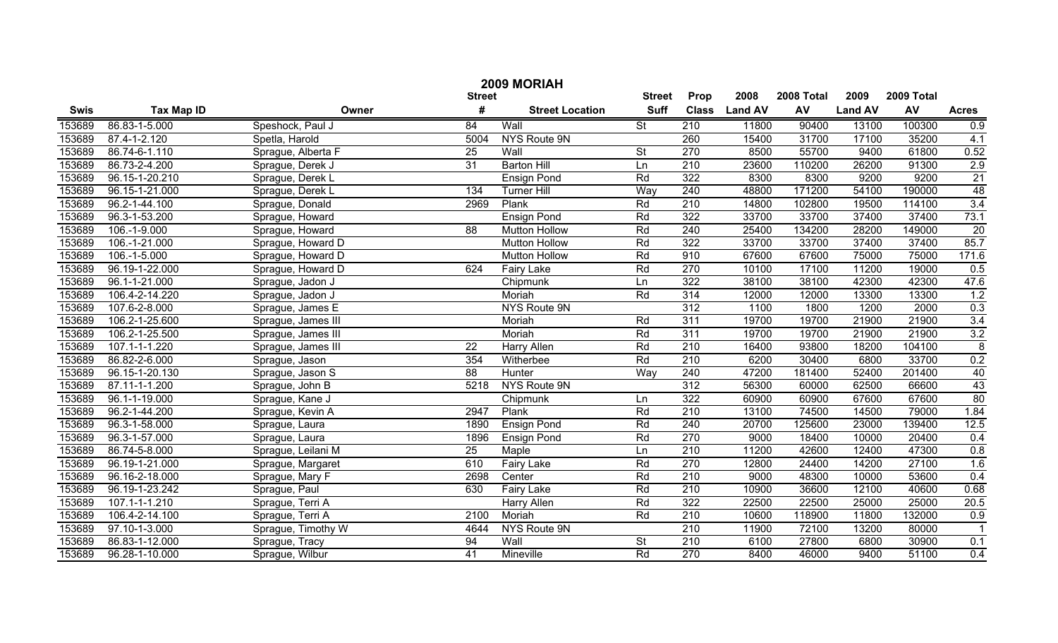| 2009 MORIAH |                     |                    |                 |                        |                          |                  |                |            |                |            |                 |
|-------------|---------------------|--------------------|-----------------|------------------------|--------------------------|------------------|----------------|------------|----------------|------------|-----------------|
|             |                     |                    | <b>Street</b>   |                        | <b>Street</b>            | Prop             | 2008           | 2008 Total | 2009           | 2009 Total |                 |
| <b>Swis</b> | <b>Tax Map ID</b>   | Owner              | #               | <b>Street Location</b> | <b>Suff</b>              | <b>Class</b>     | <b>Land AV</b> | AV         | <b>Land AV</b> | AV         | <b>Acres</b>    |
| 153689      | 86.83-1-5.000       | Speshock, Paul J   | 84              | Wall                   | St                       | 210              | 11800          | 90400      | 13100          | 100300     | 0.9             |
| 153689      | 87.4-1-2.120        | Spetla, Harold     | 5004            | NYS Route 9N           |                          | 260              | 15400          | 31700      | 17100          | 35200      | 4.1             |
| 153689      | 86.74-6-1.110       | Sprague, Alberta F | $\overline{25}$ | Wall                   | $\overline{\mathsf{St}}$ | 270              | 8500           | 55700      | 9400           | 61800      | 0.52            |
| 153689      | 86.73-2-4.200       | Sprague, Derek J   | $\overline{31}$ | <b>Barton Hill</b>     | Ln                       | 210              | 23600          | 110200     | 26200          | 91300      | 2.9             |
| 153689      | 96.15-1-20.210      | Sprague, Derek L   |                 | <b>Ensign Pond</b>     | Rd                       | 322              | 8300           | 8300       | 9200           | 9200       | $\overline{21}$ |
| 153689      | 96.15-1-21.000      | Sprague, Derek L   | 134             | <b>Turner Hill</b>     | Way                      | 240              | 48800          | 171200     | 54100          | 190000     | 48              |
| 153689      | 96.2-1-44.100       | Sprague, Donald    | 2969            | Plank                  | Rd                       | 210              | 14800          | 102800     | 19500          | 114100     | 3.4             |
| 153689      | 96.3-1-53.200       | Sprague, Howard    |                 | <b>Ensign Pond</b>     | Rd                       | 322              | 33700          | 33700      | 37400          | 37400      | 73.1            |
| 153689      | 106.-1-9.000        | Sprague, Howard    | $\overline{88}$ | <b>Mutton Hollow</b>   | Rd                       | 240              | 25400          | 134200     | 28200          | 149000     | 20              |
| 153689      | $106.-1-21.000$     | Sprague, Howard D  |                 | <b>Mutton Hollow</b>   | Rd                       | 322              | 33700          | 33700      | 37400          | 37400      | 85.7            |
| 153689      | 106.-1-5.000        | Sprague, Howard D  |                 | <b>Mutton Hollow</b>   | Rd                       | 910              | 67600          | 67600      | 75000          | 75000      | 171.6           |
| 153689      | 96.19-1-22.000      | Sprague, Howard D  | 624             | <b>Fairy Lake</b>      | Rd                       | 270              | 10100          | 17100      | 11200          | 19000      | 0.5             |
| 153689      | 96.1-1-21.000       | Sprague, Jadon J   |                 | Chipmunk               | Ln                       | 322              | 38100          | 38100      | 42300          | 42300      | 47.6            |
| 153689      | 106.4-2-14.220      | Sprague, Jadon J   |                 | Moriah                 | Rd                       | 314              | 12000          | 12000      | 13300          | 13300      | 1.2             |
| 153689      | 107.6-2-8.000       | Sprague, James E   |                 | NYS Route 9N           |                          | 312              | 1100           | 1800       | 1200           | 2000       | 0.3             |
| 153689      | 106.2-1-25.600      | Sprague, James III |                 | Moriah                 | Rd                       | 311              | 19700          | 19700      | 21900          | 21900      | 3.4             |
| 153689      | 106.2-1-25.500      | Sprague, James III |                 | Moriah                 | Rd                       | 311              | 19700          | 19700      | 21900          | 21900      | 3.2             |
| 153689      | 107.1-1-1.220       | Sprague, James III | 22              | Harry Allen            | Rd                       | 210              | 16400          | 93800      | 18200          | 104100     | $\bf 8$         |
| 153689      | 86.82-2-6.000       | Sprague, Jason     | 354             | Witherbee              | Rd                       | $\overline{210}$ | 6200           | 30400      | 6800           | 33700      | 0.2             |
| 153689      | 96.15-1-20.130      | Sprague, Jason S   | 88              | Hunter                 | Way                      | 240              | 47200          | 181400     | 52400          | 201400     | 40              |
| 153689      | 87.11-1-1.200       | Sprague, John B    | 5218            | NYS Route 9N           |                          | $\overline{312}$ | 56300          | 60000      | 62500          | 66600      | 43              |
| 153689      | 96.1-1-19.000       | Sprague, Kane J    |                 | Chipmunk               | Ln                       | 322              | 60900          | 60900      | 67600          | 67600      | $\overline{80}$ |
| 153689      | 96.2-1-44.200       | Sprague, Kevin A   | 2947            | Plank                  | Rd                       | 210              | 13100          | 74500      | 14500          | 79000      | 1.84            |
| 153689      | 96.3-1-58.000       | Sprague, Laura     | 1890            | <b>Ensign Pond</b>     | Rd                       | 240              | 20700          | 125600     | 23000          | 139400     | 12.5            |
| 153689      | $96.3 - 1 - 57.000$ | Sprague, Laura     | 1896            | <b>Ensign Pond</b>     | Rd                       | 270              | 9000           | 18400      | 10000          | 20400      | 0.4             |
| 153689      | 86.74-5-8.000       | Sprague, Leilani M | 25              | Maple                  | Ln                       | 210              | 11200          | 42600      | 12400          | 47300      | 0.8             |
| 153689      | 96.19-1-21.000      | Sprague, Margaret  | 610             | <b>Fairy Lake</b>      | Rd                       | 270              | 12800          | 24400      | 14200          | 27100      | 1.6             |
| 153689      | 96.16-2-18.000      | Sprague, Mary F    | 2698            | Center                 | Rd                       | 210              | 9000           | 48300      | 10000          | 53600      | 0.4             |
| 153689      | 96.19-1-23.242      | Sprague, Paul      | 630             | <b>Fairy Lake</b>      | Rd                       | 210              | 10900          | 36600      | 12100          | 40600      | 0.68            |
| 153689      | $107.1 - 1 - 1.210$ | Sprague, Terri A   |                 | <b>Harry Allen</b>     | Rd                       | 322              | 22500          | 22500      | 25000          | 25000      | 20.5            |
| 153689      | 106.4-2-14.100      | Sprague, Terri A   | 2100            | Moriah                 | Rd                       | $\overline{210}$ | 10600          | 118900     | 11800          | 132000     | 0.9             |
| 153689      | 97.10-1-3.000       | Sprague, Timothy W | 4644            | NYS Route 9N           |                          | $\overline{210}$ | 11900          | 72100      | 13200          | 80000      | -1              |
| 153689      | 86.83-1-12.000      | Sprague, Tracy     | 94              | Wall                   | $\overline{\mathsf{St}}$ | $\overline{210}$ | 6100           | 27800      | 6800           | 30900      | 0.1             |
| 153689      | 96.28-1-10.000      | Sprague, Wilbur    | 41              | Mineville              | Rd                       | 270              | 8400           | 46000      | 9400           | 51100      | 0.4             |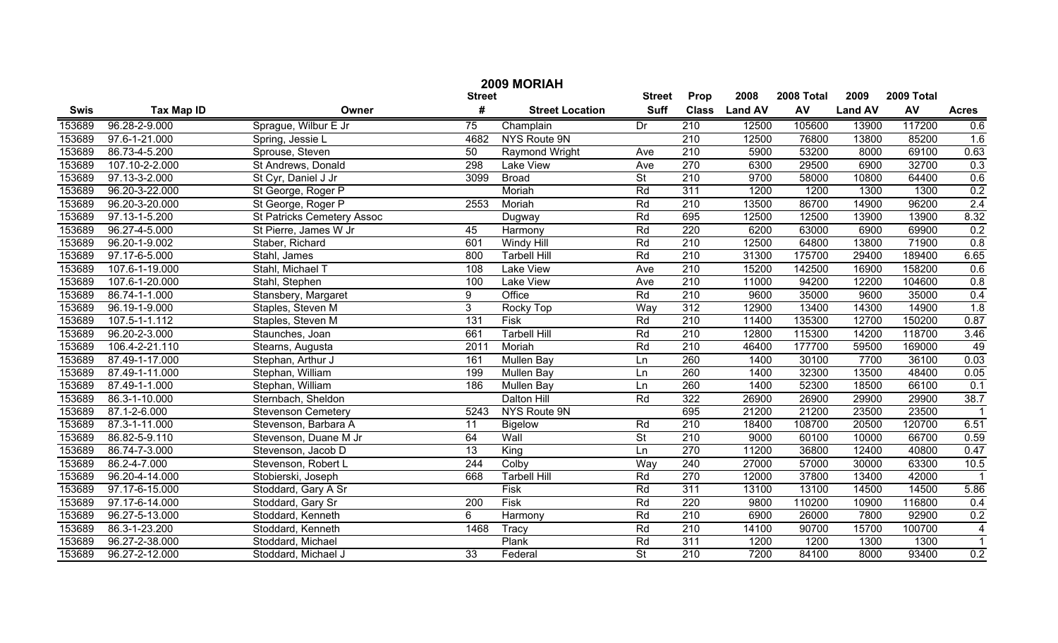|             | 2009 MORIAH                    |                                   |                  |                        |                          |                  |                |            |                |            |                         |  |
|-------------|--------------------------------|-----------------------------------|------------------|------------------------|--------------------------|------------------|----------------|------------|----------------|------------|-------------------------|--|
|             |                                |                                   | <b>Street</b>    |                        | <b>Street</b>            | Prop             | 2008           | 2008 Total | 2009           | 2009 Total |                         |  |
| <b>Swis</b> | <b>Tax Map ID</b>              | Owner                             | #                | <b>Street Location</b> | <b>Suff</b>              | <b>Class</b>     | <b>Land AV</b> | AV         | <b>Land AV</b> | AV         | <b>Acres</b>            |  |
| 153689      | 96.28-2-9.000                  | Sprague, Wilbur E Jr              | $\overline{75}$  | Champlain              | $\overline{Dr}$          | 210              | 12500          | 105600     | 13900          | 117200     | 0.6                     |  |
| 153689      | $\overline{97.6} - 1 - 21.000$ | Spring, Jessie L                  | 4682             | NYS Route 9N           |                          | 210              | 12500          | 76800      | 13800          | 85200      | 1.6                     |  |
| 153689      | 86.73-4-5.200                  | Sprouse, Steven                   | 50               | Raymond Wright         | Ave                      | $\overline{210}$ | 5900           | 53200      | 8000           | 69100      | 0.63                    |  |
| 153689      | 107.10-2-2.000                 | St Andrews, Donald                | 298              | <b>Lake View</b>       | Ave                      | 270              | 6300           | 29500      | 6900           | 32700      | 0.3                     |  |
| 153689      | 97.13-3-2.000                  | St Cyr, Daniel J Jr               | 3099             | <b>Broad</b>           | $\overline{\mathsf{St}}$ | 210              | 9700           | 58000      | 10800          | 64400      | 0.6                     |  |
| 153689      | 96.20-3-22.000                 | St George, Roger P                |                  | Moriah                 | Rd                       | 311              | 1200           | 1200       | 1300           | 1300       | 0.2                     |  |
| 153689      | 96.20-3-20.000                 | St George, Roger P                | 2553             | Moriah                 | Rd                       | 210              | 13500          | 86700      | 14900          | 96200      | 2.4                     |  |
| 153689      | 97.13-1-5.200                  | <b>St Patricks Cemetery Assoc</b> |                  | Dugway                 | Rd                       | 695              | 12500          | 12500      | 13900          | 13900      | 8.32                    |  |
| 153689      | 96.27-4-5.000                  | St Pierre, James W Jr             | 45               | Harmony                | Rd                       | 220              | 6200           | 63000      | 6900           | 69900      | 0.2                     |  |
| 153689      | 96.20-1-9.002                  | Staber, Richard                   | 601              | Windy Hill             | Rd                       | 210              | 12500          | 64800      | 13800          | 71900      | 0.8                     |  |
| 153689      | 97.17-6-5.000                  | Stahl, James                      | 800              | <b>Tarbell Hill</b>    | Rd                       | $\overline{210}$ | 31300          | 175700     | 29400          | 189400     | 6.65                    |  |
| 153689      | 107.6-1-19.000                 | Stahl, Michael T                  | 108              | <b>Lake View</b>       | Ave                      | $\overline{210}$ | 15200          | 142500     | 16900          | 158200     | 0.6                     |  |
| 153689      | 107.6-1-20.000                 | Stahl, Stephen                    | 100              | <b>Lake View</b>       | Ave                      | $\overline{210}$ | 11000          | 94200      | 12200          | 104600     | 0.8                     |  |
| 153689      | 86.74-1-1.000                  | Stansbery, Margaret               | 9                | Office                 | Rd                       | $\overline{210}$ | 9600           | 35000      | 9600           | 35000      | 0.4                     |  |
| 153689      | 96.19-1-9.000                  | Staples, Steven M                 | 3                | Rocky Top              | Way                      | 312              | 12900          | 13400      | 14300          | 14900      | 1.8                     |  |
| 153689      | $107.5 - 1 - 1.112$            | Staples, Steven M                 | 131              | <b>Fisk</b>            | Rd                       | $\overline{210}$ | 11400          | 135300     | 12700          | 150200     | 0.87                    |  |
| 153689      | 96.20-2-3.000                  | Staunches, Joan                   | 661              | <b>Tarbell Hill</b>    | Rd                       | $\overline{210}$ | 12800          | 115300     | 14200          | 118700     | 3.46                    |  |
| 153689      | 106.4-2-21.110                 | Stearns, Augusta                  | 2011             | Moriah                 | Rd                       | $\overline{210}$ | 46400          | 177700     | 59500          | 169000     | 49                      |  |
| 153689      | 87.49-1-17.000                 | Stephan, Arthur J                 | 161              | Mullen Bay             | Ln                       | 260              | 1400           | 30100      | 7700           | 36100      | 0.03                    |  |
| 153689      | 87.49-1-11.000                 | Stephan, William                  | 199              | Mullen Bay             | Ln                       | 260              | 1400           | 32300      | 13500          | 48400      | 0.05                    |  |
| 153689      | 87.49-1-1.000                  | Stephan, William                  | 186              | Mullen Bay             | Ln                       | 260              | 1400           | 52300      | 18500          | 66100      | 0.1                     |  |
| 153689      | 86.3-1-10.000                  | Sternbach, Sheldon                |                  | Dalton Hill            | Rd                       | 322              | 26900          | 26900      | 29900          | 29900      | 38.7                    |  |
| 153689      | 87.1-2-6.000                   | <b>Stevenson Cemetery</b>         | 5243             | NYS Route 9N           |                          | 695              | 21200          | 21200      | 23500          | 23500      | $\overline{\mathbf{1}}$ |  |
| 153689      | 87.3-1-11.000                  | Stevenson, Barbara A              | 11               | <b>Bigelow</b>         | Rd                       | 210              | 18400          | 108700     | 20500          | 120700     | 6.51                    |  |
| 153689      | 86.82-5-9.110                  | Stevenson, Duane M Jr             | 64               | Wall                   | $\overline{\mathsf{St}}$ | $\overline{210}$ | 9000           | 60100      | 10000          | 66700      | 0.59                    |  |
| 153689      | 86.74-7-3.000                  | Stevenson, Jacob D                | 13               | King                   | Ln                       | 270              | 11200          | 36800      | 12400          | 40800      | 0.47                    |  |
| 153689      | 86.2-4-7.000                   | Stevenson, Robert L               | 244              | Colby                  | Wav                      | 240              | 27000          | 57000      | 30000          | 63300      | 10.5                    |  |
| 153689      | 96.20-4-14.000                 | Stobierski, Joseph                | 668              | <b>Tarbell Hill</b>    | Rd                       | 270              | 12000          | 37800      | 13400          | 42000      | $\overline{1}$          |  |
| 153689      | 97.17-6-15.000                 | Stoddard, Gary A Sr               |                  | <b>Fisk</b>            | Rd                       | $\overline{311}$ | 13100          | 13100      | 14500          | 14500      | 5.86                    |  |
| 153689      | 97.17-6-14.000                 | Stoddard, Gary Sr                 | $\overline{200}$ | <b>Fisk</b>            | Rd                       | 220              | 9800           | 110200     | 10900          | 116800     | 0.4                     |  |
| 153689      | 96.27-5-13.000                 | Stoddard, Kenneth                 | 6                | Harmony                | Rd                       | $\overline{210}$ | 6900           | 26000      | 7800           | 92900      | 0.2                     |  |
| 153689      | 86.3-1-23.200                  | Stoddard, Kenneth                 | 1468             | Tracy                  | Rd                       | $\overline{210}$ | 14100          | 90700      | 15700          | 100700     | $\overline{4}$          |  |
| 153689      | 96.27-2-38.000                 | Stoddard, Michael                 |                  | Plank                  | Rd                       | $\overline{311}$ | 1200           | 1200       | 1300           | 1300       | $\overline{1}$          |  |
| 153689      | 96.27-2-12.000                 | Stoddard, Michael J               | $\overline{33}$  | Federal                | $\overline{\mathsf{St}}$ | $\overline{210}$ | 7200           | 84100      | 8000           | 93400      | 0.2                     |  |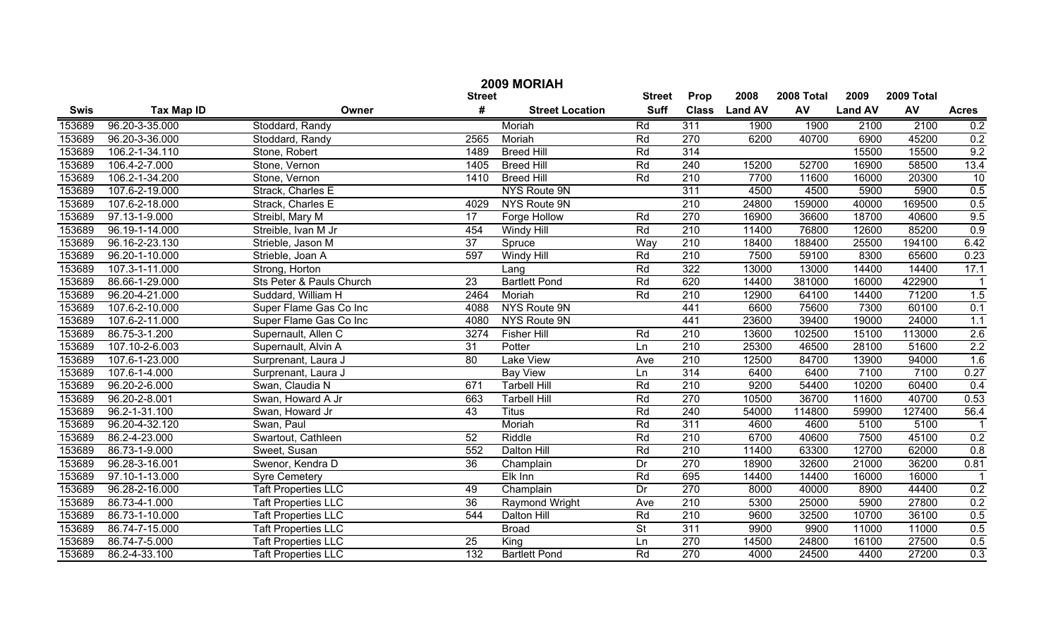| 2009 MORIAH |                   |                            |                 |                        |                          |                  |                |            |                |            |                  |
|-------------|-------------------|----------------------------|-----------------|------------------------|--------------------------|------------------|----------------|------------|----------------|------------|------------------|
|             |                   |                            | <b>Street</b>   |                        | <b>Street</b>            | Prop             | 2008           | 2008 Total | 2009           | 2009 Total |                  |
| <b>Swis</b> | <b>Tax Map ID</b> | Owner                      | #               | <b>Street Location</b> | <b>Suff</b>              | <b>Class</b>     | <b>Land AV</b> | AV         | <b>Land AV</b> | AV         | <b>Acres</b>     |
| 153689      | 96.20-3-35.000    | Stoddard, Randy            |                 | Moriah                 | Rd                       | 311              | 1900           | 1900       | 2100           | 2100       | 0.2              |
| 153689      | 96.20-3-36.000    | Stoddard, Randy            | 2565            | Moriah                 | Rd                       | $\overline{270}$ | 6200           | 40700      | 6900           | 45200      | 0.2              |
| 153689      | 106.2-1-34.110    | Stone, Robert              | 1489            | <b>Breed Hill</b>      | Rd                       | 314              |                |            | 15500          | 15500      | 9.2              |
| 153689      | 106.4-2-7.000     | Stone, Vernon              | 1405            | <b>Breed Hill</b>      | Rd                       | 240              | 15200          | 52700      | 16900          | 58500      | 13.4             |
| 153689      | 106.2-1-34.200    | Stone, Vernon              | 1410            | <b>Breed Hill</b>      | Rd                       | 210              | 7700           | 11600      | 16000          | 20300      | 10               |
| 153689      | 107.6-2-19.000    | Strack, Charles E          |                 | NYS Route 9N           |                          | 311              | 4500           | 4500       | 5900           | 5900       | 0.5              |
| 153689      | 107.6-2-18.000    | Strack, Charles E          | 4029            | NYS Route 9N           |                          | 210              | 24800          | 159000     | 40000          | 169500     | 0.5              |
| 153689      | 97.13-1-9.000     | Streibl, Mary M            | $\overline{17}$ | <b>Forge Hollow</b>    | Rd                       | 270              | 16900          | 36600      | 18700          | 40600      | 9.5              |
| 153689      | 96.19-1-14.000    | Streible, Ivan M Jr        | 454             | <b>Windy Hill</b>      | Rd                       | 210              | 11400          | 76800      | 12600          | 85200      | 0.9              |
| 153689      | 96.16-2-23.130    | Strieble, Jason M          | 37              | Spruce                 | Way                      | 210              | 18400          | 188400     | 25500          | 194100     | 6.42             |
| 153689      | 96.20-1-10.000    | Strieble, Joan A           | 597             | <b>Windy Hill</b>      | Rd                       | 210              | 7500           | 59100      | 8300           | 65600      | 0.23             |
| 153689      | 107.3-1-11.000    | Strong, Horton             |                 | Lang                   | Rd                       | 322              | 13000          | 13000      | 14400          | 14400      | 17.1             |
| 153689      | 86.66-1-29.000    | Sts Peter & Pauls Church   | $\overline{23}$ | <b>Bartlett Pond</b>   | Rd                       | 620              | 14400          | 381000     | 16000          | 422900     |                  |
| 153689      | 96.20-4-21.000    | Suddard, William H         | 2464            | Moriah                 | Rd                       | 210              | 12900          | 64100      | 14400          | 71200      | 1.5              |
| 153689      | 107.6-2-10.000    | Super Flame Gas Co Inc     | 4088            | NYS Route 9N           |                          | 441              | 6600           | 75600      | 7300           | 60100      | 0.1              |
| 153689      | 107.6-2-11.000    | Super Flame Gas Co Inc     | 4080            | NYS Route 9N           |                          | 441              | 23600          | 39400      | 19000          | 24000      | 1.1              |
| 153689      | 86.75-3-1.200     | Supernault, Allen C        | 3274            | <b>Fisher Hill</b>     | Rd                       | 210              | 13600          | 102500     | 15100          | 113000     | 2.6              |
| 153689      | 107.10-2-6.003    | Supernault, Alvin A        | 31              | Potter                 | Ln                       | 210              | 25300          | 46500      | 28100          | 51600      | 2.2              |
| 153689      | 107.6-1-23.000    | Surprenant, Laura J        | 80              | <b>Lake View</b>       | Ave                      | 210              | 12500          | 84700      | 13900          | 94000      | 1.6              |
| 153689      | 107.6-1-4.000     | Surprenant, Laura J        |                 | <b>Bay View</b>        | Ln                       | 314              | 6400           | 6400       | 7100           | 7100       | 0.27             |
| 153689      | 96.20-2-6.000     | Swan, Claudia N            | 671             | <b>Tarbell Hill</b>    | Rd                       | 210              | 9200           | 54400      | 10200          | 60400      | 0.4              |
| 153689      | 96.20-2-8.001     | Swan, Howard A Jr          | 663             | <b>Tarbell Hill</b>    | Rd                       | 270              | 10500          | 36700      | 11600          | 40700      | 0.53             |
| 153689      | 96.2-1-31.100     | Swan, Howard Jr            | 43              | <b>Titus</b>           | Rd                       | 240              | 54000          | 114800     | 59900          | 127400     | 56.4             |
| 153689      | 96.20-4-32.120    | Swan, Paul                 |                 | Moriah                 | Rd                       | $\overline{311}$ | 4600           | 4600       | 5100           | 5100       |                  |
| 153689      | 86.2-4-23.000     | Swartout, Cathleen         | 52              | Riddle                 | Rd                       | 210              | 6700           | 40600      | 7500           | 45100      | 0.2              |
| 153689      | 86.73-1-9.000     | Sweet, Susan               | 552             | Dalton Hill            | Rd                       | 210              | 11400          | 63300      | 12700          | 62000      | $\overline{0.8}$ |
| 153689      | 96.28-3-16.001    | Swenor, Kendra D           | 36              | Champlain              | Dr                       | 270              | 18900          | 32600      | 21000          | 36200      | 0.81             |
| 153689      | 97.10-1-13.000    | <b>Syre Cemetery</b>       |                 | Elk Inn                | Rd                       | 695              | 14400          | 14400      | 16000          | 16000      | -1               |
| 153689      | 96.28-2-16.000    | <b>Taft Properties LLC</b> | 49              | Champlain              | Dr                       | 270              | 8000           | 40000      | 8900           | 44400      | 0.2              |
| 153689      | 86.73-4-1.000     | <b>Taft Properties LLC</b> | $\overline{36}$ | Raymond Wright         | Ave                      | $\overline{210}$ | 5300           | 25000      | 5900           | 27800      | 0.2              |
| 153689      | 86.73-1-10.000    | <b>Taft Properties LLC</b> | 544             | Dalton Hill            | Rd                       | $\overline{210}$ | 9600           | 32500      | 10700          | 36100      | 0.5              |
| 153689      | 86.74-7-15.000    | <b>Taft Properties LLC</b> |                 | <b>Broad</b>           | $\overline{\mathsf{St}}$ | 311              | 9900           | 9900       | 11000          | 11000      | 0.5              |
| 153689      | 86.74-7-5.000     | <b>Taft Properties LLC</b> | $\overline{25}$ | King                   | Ln                       | $\overline{270}$ | 14500          | 24800      | 16100          | 27500      | 0.5              |
| 153689      | 86.2-4-33.100     | <b>Taft Properties LLC</b> | 132             | <b>Bartlett Pond</b>   | Rd                       | $\overline{270}$ | 4000           | 24500      | 4400           | 27200      | 0.3              |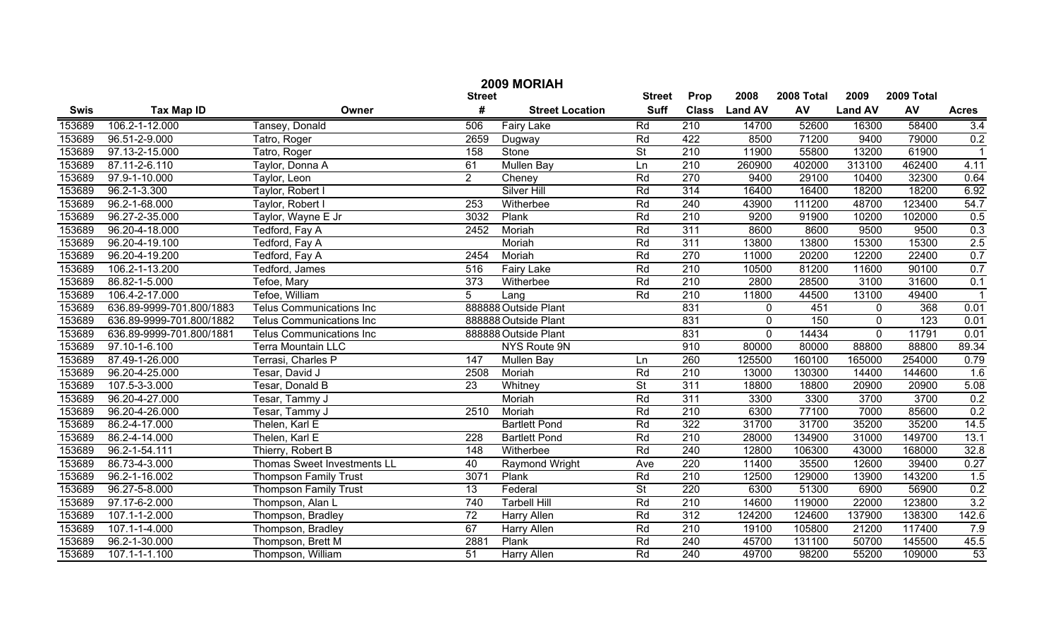|             | 2009 MORIAH              |                                 |                 |                        |                          |                  |                |            |                |                  |              |  |
|-------------|--------------------------|---------------------------------|-----------------|------------------------|--------------------------|------------------|----------------|------------|----------------|------------------|--------------|--|
|             |                          |                                 | <b>Street</b>   |                        | <b>Street</b>            | Prop             | 2008           | 2008 Total | 2009           | 2009 Total       |              |  |
| <b>Swis</b> | <b>Tax Map ID</b>        | Owner                           | #               | <b>Street Location</b> | <b>Suff</b>              | <b>Class</b>     | <b>Land AV</b> | AV         | <b>Land AV</b> | AV               | <b>Acres</b> |  |
| 153689      | 106.2-1-12.000           | Tansey, Donald                  | 506             | <b>Fairy Lake</b>      | Rd                       | 210              | 14700          | 52600      | 16300          | 58400            | 3.4          |  |
| 153689      | 96.51-2-9.000            | Tatro, Roger                    | 2659            | Dugway                 | Rd                       | 422              | 8500           | 71200      | 9400           | 79000            | 0.2          |  |
| 153689      | 97.13-2-15.000           | Tatro, Roger                    | 158             | Stone                  | $\overline{\mathsf{St}}$ | 210              | 11900          | 55800      | 13200          | 61900            |              |  |
| 153689      | 87.11-2-6.110            | Taylor, Donna A                 | 61              | <b>Mullen Bay</b>      | Ln                       | $\overline{210}$ | 260900         | 402000     | 313100         | 462400           | 4.11         |  |
| 153689      | 97.9-1-10.000            | Taylor, Leon                    | $\overline{2}$  | Cheney                 | Rd                       | 270              | 9400           | 29100      | 10400          | 32300            | 0.64         |  |
| 153689      | 96.2-1-3.300             | Taylor, Robert I                |                 | <b>Silver Hill</b>     | Rd                       | 314              | 16400          | 16400      | 18200          | 18200            | 6.92         |  |
| 153689      | 96.2-1-68.000            | Taylor, Robert I                | 253             | Witherbee              | Rd                       | 240              | 43900          | 111200     | 48700          | 123400           | 54.7         |  |
| 153689      | 96.27-2-35.000           | Taylor, Wayne E Jr              | 3032            | Plank                  | Rd                       | 210              | 9200           | 91900      | 10200          | 102000           | 0.5          |  |
| 153689      | 96.20-4-18.000           | Tedford, Fay A                  | 2452            | Moriah                 | Rd                       | 311              | 8600           | 8600       | 9500           | 9500             | 0.3          |  |
| 153689      | 96.20-4-19.100           | Tedford, Fay A                  |                 | Moriah                 | Rd                       | 311              | 13800          | 13800      | 15300          | 15300            | 2.5          |  |
| 153689      | 96.20-4-19.200           | Tedford, Fay A                  | 2454            | Moriah                 | Rd                       | 270              | 11000          | 20200      | 12200          | 22400            | 0.7          |  |
| 153689      | 106.2-1-13.200           | Tedford, James                  | 516             | Fairy Lake             | Rd                       | 210              | 10500          | 81200      | 11600          | 90100            | 0.7          |  |
| 153689      | 86.82-1-5.000            | Tefoe, Mary                     | 373             | Witherbee              | Rd                       | 210              | 2800           | 28500      | 3100           | 31600            | 0.1          |  |
| 153689      | 106.4-2-17.000           | Tefoe, William                  | 5               | Lang                   | Rd                       | 210              | 11800          | 44500      | 13100          | 49400            |              |  |
| 153689      | 636.89-9999-701.800/1883 | <b>Telus Communications Inc</b> |                 | 888888 Outside Plant   |                          | 831              | 0              | 451        | $\mathbf 0$    | 368              | 0.01         |  |
| 153689      | 636.89-9999-701.800/1882 | <b>Telus Communications Inc</b> |                 | 888888 Outside Plant   |                          | 831              | $\mathbf 0$    | 150        | $\Omega$       | $\overline{123}$ | 0.01         |  |
| 153689      | 636.89-9999-701.800/1881 | <b>Telus Communications Inc</b> |                 | 888888 Outside Plant   |                          | 831              | $\mathbf 0$    | 14434      | $\mathbf 0$    | 11791            | 0.01         |  |
| 153689      | 97.10-1-6.100            | Terra Mountain LLC              |                 | NYS Route 9N           |                          | 910              | 80000          | 80000      | 88800          | 88800            | 89.34        |  |
| 153689      | 87.49-1-26.000           | Terrasi, Charles P              | 147             | Mullen Bay             | Ln                       | 260              | 125500         | 160100     | 165000         | 254000           | 0.79         |  |
| 153689      | 96.20-4-25.000           | Tesar, David J                  | 2508            | Moriah                 | Rd                       | 210              | 13000          | 130300     | 14400          | 144600           | 1.6          |  |
| 153689      | 107.5-3-3.000            | Tesar, Donald B                 | 23              | Whitney                | $\overline{\mathsf{St}}$ | $\overline{311}$ | 18800          | 18800      | 20900          | 20900            | 5.08         |  |
| 153689      | 96.20-4-27.000           | Tesar, Tammy J                  |                 | Moriah                 | Rd                       | 311              | 3300           | 3300       | 3700           | 3700             | 0.2          |  |
| 153689      | 96.20-4-26.000           | Tesar, Tammy J                  | 2510            | Moriah                 | Rd                       | 210              | 6300           | 77100      | 7000           | 85600            | 0.2          |  |
| 153689      | 86.2-4-17.000            | Thelen, Karl E                  |                 | <b>Bartlett Pond</b>   | Rd                       | 322              | 31700          | 31700      | 35200          | 35200            | 14.5         |  |
| 153689      | 86.2-4-14.000            | Thelen, Karl E                  | 228             | <b>Bartlett Pond</b>   | Rd                       | 210              | 28000          | 134900     | 31000          | 149700           | 13.1         |  |
| 153689      | 96.2-1-54.111            | Thierry, Robert B               | 148             | Witherbee              | Rd                       | 240              | 12800          | 106300     | 43000          | 168000           | 32.8         |  |
| 153689      | 86.73-4-3.000            | Thomas Sweet Investments LL     | 40              | <b>Raymond Wright</b>  | Ave                      | 220              | 11400          | 35500      | 12600          | 39400            | 0.27         |  |
| 153689      | $96.2 - 1 - 16.002$      | <b>Thompson Family Trust</b>    | 3071            | Plank                  | Rd                       | 210              | 12500          | 129000     | 13900          | 143200           | 1.5          |  |
| 153689      | 96.27-5-8.000            | <b>Thompson Family Trust</b>    | 13              | Federal                | $\overline{\mathsf{St}}$ | 220              | 6300           | 51300      | 6900           | 56900            | 0.2          |  |
| 153689      | 97.17-6-2.000            | Thompson, Alan L                | 740             | <b>Tarbell Hill</b>    | Rd                       | $\overline{210}$ | 14600          | 119000     | 22000          | 123800           | 3.2          |  |
| 153689      | 107.1-1-2.000            | Thompson, Bradley               | $\overline{72}$ | Harry Allen            | Rd                       | $\overline{312}$ | 124200         | 124600     | 137900         | 138300           | 142.6        |  |
| 153689      | 107.1-1-4.000            | Thompson, Bradley               | 67              | Harry Allen            | Rd                       | 210              | 19100          | 105800     | 21200          | 117400           | 7.9          |  |
| 153689      | 96.2-1-30.000            | Thompson, Brett M               | 2881            | Plank                  | Rd                       | 240              | 45700          | 131100     | 50700          | 145500           | 45.5         |  |
| 153689      | 107.1-1-1.100            | Thompson, William               | 51              | Harry Allen            | Rd                       | 240              | 49700          | 98200      | 55200          | 109000           | 53           |  |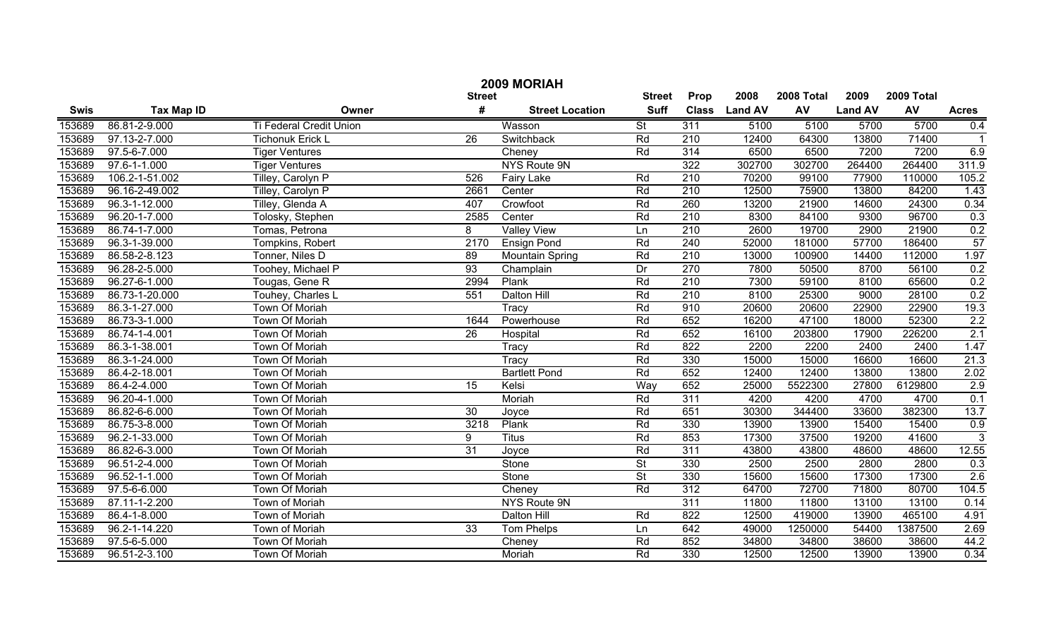| 2009 MORIAH |                   |                                |                 |                        |                          |                  |                |            |                |            |              |
|-------------|-------------------|--------------------------------|-----------------|------------------------|--------------------------|------------------|----------------|------------|----------------|------------|--------------|
|             |                   |                                | <b>Street</b>   |                        | <b>Street</b>            | Prop             | 2008           | 2008 Total | 2009           | 2009 Total |              |
| <b>Swis</b> | <b>Tax Map ID</b> | Owner                          | #               | <b>Street Location</b> | <b>Suff</b>              | <b>Class</b>     | <b>Land AV</b> | AV         | <b>Land AV</b> | AV         | <b>Acres</b> |
| 153689      | 86.81-2-9.000     | <b>Ti Federal Credit Union</b> |                 | Wasson                 | $\overline{\mathsf{St}}$ | 311              | 5100           | 5100       | 5700           | 5700       | 0.4          |
| 153689      | 97.13-2-7.000     | Tichonuk Erick L               | 26              | Switchback             | Rd                       | $\overline{210}$ | 12400          | 64300      | 13800          | 71400      |              |
| 153689      | 97.5-6-7.000      | <b>Tiger Ventures</b>          |                 | Cheney                 | Rd                       | 314              | 6500           | 6500       | 7200           | 7200       | 6.9          |
| 153689      | 97.6-1-1.000      | <b>Tiger Ventures</b>          |                 | NYS Route 9N           |                          | 322              | 302700         | 302700     | 264400         | 264400     | 311.9        |
| 153689      | 106.2-1-51.002    | Tilley, Carolyn P              | 526             | <b>Fairy Lake</b>      | Rd                       | 210              | 70200          | 99100      | 77900          | 110000     | 105.2        |
| 153689      | 96.16-2-49.002    | Tilley, Carolyn P              | 2661            | Center                 | Rd                       | 210              | 12500          | 75900      | 13800          | 84200      | 1.43         |
| 153689      | 96.3-1-12.000     | Tilley, Glenda A               | 407             | Crowfoot               | Rd                       | 260              | 13200          | 21900      | 14600          | 24300      | 0.34         |
| 153689      | 96.20-1-7.000     | Tolosky, Stephen               | 2585            | Center                 | Rd                       | 210              | 8300           | 84100      | 9300           | 96700      | 0.3          |
| 153689      | 86.74-1-7.000     | Tomas, Petrona                 | 8               | <b>Valley View</b>     | Ln                       | 210              | 2600           | 19700      | 2900           | 21900      | 0.2          |
| 153689      | 96.3-1-39.000     | Tompkins, Robert               | 2170            | <b>Ensign Pond</b>     | Rd                       | 240              | 52000          | 181000     | 57700          | 186400     | 57           |
| 153689      | 86.58-2-8.123     | Tonner, Niles D                | 89              | <b>Mountain Spring</b> | Rd                       | $\overline{210}$ | 13000          | 100900     | 14400          | 112000     | 1.97         |
| 153689      | 96.28-2-5.000     | Toohey, Michael P              | 93              | Champlain              | Dr                       | 270              | 7800           | 50500      | 8700           | 56100      | 0.2          |
| 153689      | 96.27-6-1.000     | Tougas, Gene R                 | 2994            | Plank                  | Rd                       | 210              | 7300           | 59100      | 8100           | 65600      | 0.2          |
| 153689      | 86.73-1-20.000    | Touhey, Charles L              | 551             | Dalton Hill            | Rd                       | $\overline{210}$ | 8100           | 25300      | 9000           | 28100      | 0.2          |
| 153689      | 86.3-1-27.000     | Town Of Moriah                 |                 | Tracy                  | Rd                       | 910              | 20600          | 20600      | 22900          | 22900      | 19.3         |
| 153689      | 86.73-3-1.000     | Town Of Moriah                 | 1644            | Powerhouse             | Rd                       | 652              | 16200          | 47100      | 18000          | 52300      | 2.2          |
| 153689      | 86.74-1-4.001     | Town Of Moriah                 | 26              | Hospital               | Rd                       | 652              | 16100          | 203800     | 17900          | 226200     | 2.1          |
| 153689      | 86.3-1-38.001     | Town Of Moriah                 |                 | Tracy                  | Rd                       | 822              | 2200           | 2200       | 2400           | 2400       | 1.47         |
| 153689      | 86.3-1-24.000     | Town Of Moriah                 |                 | Tracy                  | Rd                       | 330              | 15000          | 15000      | 16600          | 16600      | 21.3         |
| 153689      | 86.4-2-18.001     | Town Of Moriah                 |                 | <b>Bartlett Pond</b>   | Rd                       | 652              | 12400          | 12400      | 13800          | 13800      | 2.02         |
| 153689      | 86.4-2-4.000      | Town Of Moriah                 | 15              | Kelsi                  | Wav                      | 652              | 25000          | 5522300    | 27800          | 6129800    | 2.9          |
| 153689      | 96.20-4-1.000     | Town Of Moriah                 |                 | Moriah                 | Rd                       | $\overline{311}$ | 4200           | 4200       | 4700           | 4700       | 0.1          |
| 153689      | 86.82-6-6.000     | <b>Town Of Moriah</b>          | 30              | Joyce                  | Rd                       | 651              | 30300          | 344400     | 33600          | 382300     | 13.7         |
| 153689      | 86.75-3-8.000     | <b>Town Of Moriah</b>          | 3218            | Plank                  | Rd                       | 330              | 13900          | 13900      | 15400          | 15400      | 0.9          |
| 153689      | 96.2-1-33.000     | <b>Town Of Moriah</b>          | 9               | <b>Titus</b>           | Rd                       | 853              | 17300          | 37500      | 19200          | 41600      | ن            |
| 153689      | 86.82-6-3.000     | <b>Town Of Moriah</b>          | 31              | Joyce                  | Rd                       | 311              | 43800          | 43800      | 48600          | 48600      | 12.55        |
| 153689      | 96.51-2-4.000     | Town Of Moriah                 |                 | Stone                  | $\overline{\mathsf{St}}$ | 330              | 2500           | 2500       | 2800           | 2800       | 0.3          |
| 153689      | 96.52-1-1.000     | <b>Town Of Moriah</b>          |                 | Stone                  | $\overline{\mathsf{St}}$ | 330              | 15600          | 15600      | 17300          | 17300      | 2.6          |
| 153689      | 97.5-6-6.000      | Town Of Moriah                 |                 | Cheney                 | Rd                       | 312              | 64700          | 72700      | 71800          | 80700      | 104.5        |
| 153689      | 87.11-1-2.200     | <b>Town of Moriah</b>          |                 | NYS Route 9N           |                          | 311              | 11800          | 11800      | 13100          | 13100      | 0.14         |
| 153689      | 86.4-1-8.000      | <b>Town of Moriah</b>          |                 | Dalton Hill            | Rd                       | 822              | 12500          | 419000     | 13900          | 465100     | 4.91         |
| 153689      | 96.2-1-14.220     | <b>Town of Moriah</b>          | $\overline{33}$ | <b>Tom Phelps</b>      | Ln                       | 642              | 49000          | 1250000    | 54400          | 1387500    | 2.69         |
| 153689      | 97.5-6-5.000      | Town Of Moriah                 |                 | Cheney                 | Rd                       | 852              | 34800          | 34800      | 38600          | 38600      | 44.2         |
| 153689      | 96.51-2-3.100     | Town Of Moriah                 |                 | Moriah                 | Rd                       | 330              | 12500          | 12500      | 13900          | 13900      | 0.34         |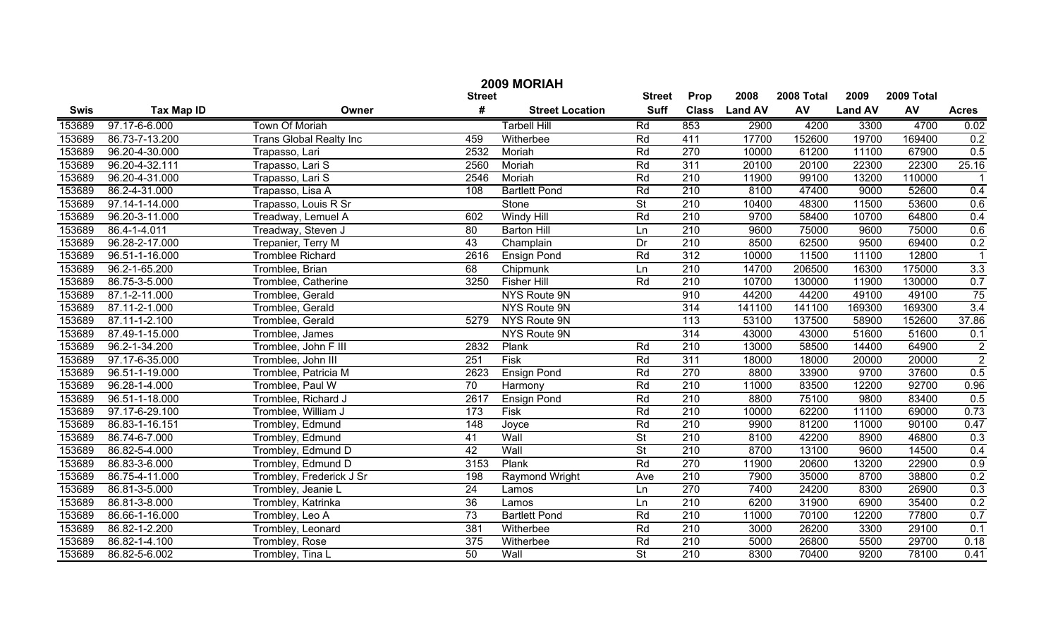| 2009 MORIAH |                   |                                |                  |                        |                          |                  |                |            |                |            |                |
|-------------|-------------------|--------------------------------|------------------|------------------------|--------------------------|------------------|----------------|------------|----------------|------------|----------------|
|             |                   |                                | <b>Street</b>    |                        | <b>Street</b>            | Prop             | 2008           | 2008 Total | 2009           | 2009 Total |                |
| <b>Swis</b> | <b>Tax Map ID</b> | Owner                          | #                | <b>Street Location</b> | <b>Suff</b>              | <b>Class</b>     | <b>Land AV</b> | AV         | <b>Land AV</b> | AV         | <b>Acres</b>   |
| 153689      | 97.17-6-6.000     | <b>Town Of Moriah</b>          |                  | <b>Tarbell Hill</b>    | Rd                       | 853              | 2900           | 4200       | 3300           | 4700       | 0.02           |
| 153689      | 86.73-7-13.200    | <b>Trans Global Realty Inc</b> | 459              | Witherbee              | Rd                       | 411              | 17700          | 152600     | 19700          | 169400     | 0.2            |
| 153689      | 96.20-4-30.000    | Trapasso, Lari                 | 2532             | Moriah                 | Rd                       | 270              | 10000          | 61200      | 11100          | 67900      | 0.5            |
| 153689      | 96.20-4-32.111    | Trapasso, Lari S               | 2560             | Moriah                 | Rd                       | 311              | 20100          | 20100      | 22300          | 22300      | 25.16          |
| 153689      | 96.20-4-31.000    | Trapasso, Lari S               | 2546             | Moriah                 | Rd                       | 210              | 11900          | 99100      | 13200          | 110000     |                |
| 153689      | 86.2-4-31.000     | Trapasso, Lisa A               | 108              | <b>Bartlett Pond</b>   | Rd                       | $\overline{210}$ | 8100           | 47400      | 9000           | 52600      | 0.4            |
| 153689      | 97.14-1-14.000    | Trapasso, Louis R Sr           |                  | Stone                  | $\overline{\mathsf{St}}$ | 210              | 10400          | 48300      | 11500          | 53600      | 0.6            |
| 153689      | 96.20-3-11.000    | Treadway, Lemuel A             | 602              | <b>Windy Hill</b>      | Rd                       | 210              | 9700           | 58400      | 10700          | 64800      | 0.4            |
| 153689      | 86.4-1-4.011      | Treadway, Steven J             | $\overline{80}$  | <b>Barton Hill</b>     | Ln                       | 210              | 9600           | 75000      | 9600           | 75000      | 0.6            |
| 153689      | 96.28-2-17.000    | Trepanier, Terry M             | 43               | Champlain              | Dr                       | $\overline{210}$ | 8500           | 62500      | 9500           | 69400      | 0.2            |
| 153689      | 96.51-1-16.000    | <b>Tromblee Richard</b>        | 2616             | <b>Ensign Pond</b>     | Rd                       | 312              | 10000          | 11500      | 11100          | 12800      |                |
| 153689      | 96.2-1-65.200     | Tromblee, Brian                | 68               | Chipmunk               | Ln                       | $\overline{210}$ | 14700          | 206500     | 16300          | 175000     | 3.3            |
| 153689      | 86.75-3-5.000     | Tromblee, Catherine            | 3250             | <b>Fisher Hill</b>     | Rd                       | $\overline{210}$ | 10700          | 130000     | 11900          | 130000     | 0.7            |
| 153689      | 87.1-2-11.000     | Tromblee, Gerald               |                  | NYS Route 9N           |                          | 910              | 44200          | 44200      | 49100          | 49100      | 75             |
| 153689      | 87.11-2-1.000     | Tromblee, Gerald               |                  | NYS Route 9N           |                          | 314              | 141100         | 141100     | 169300         | 169300     | 3.4            |
| 153689      | 87.11-1-2.100     | Tromblee, Gerald               | 5279             | NYS Route 9N           |                          | $\overline{113}$ | 53100          | 137500     | 58900          | 152600     | 37.86          |
| 153689      | 87.49-1-15.000    | Tromblee, James                |                  | NYS Route 9N           |                          | 314              | 43000          | 43000      | 51600          | 51600      | 0.1            |
| 153689      | 96.2-1-34.200     | Tromblee, John F III           | 2832             | Plank                  | Rd                       | $\overline{210}$ | 13000          | 58500      | 14400          | 64900      | $\overline{2}$ |
| 153689      | 97.17-6-35.000    | Tromblee, John III             | 251              | Fisk                   | Rd                       | 311              | 18000          | 18000      | 20000          | 20000      | $\overline{2}$ |
| 153689      | 96.51-1-19.000    | Tromblee, Patricia M           | 2623             | <b>Ensign Pond</b>     | Rd                       | 270              | 8800           | 33900      | 9700           | 37600      | 0.5            |
| 153689      | 96.28-1-4.000     | Tromblee, Paul W               | $\overline{70}$  | Harmony                | Rd                       | $\overline{210}$ | 11000          | 83500      | 12200          | 92700      | 0.96           |
| 153689      | 96.51-1-18.000    | Tromblee, Richard J            | 2617             | <b>Ensign Pond</b>     | Rd                       | $\overline{210}$ | 8800           | 75100      | 9800           | 83400      | 0.5            |
| 153689      | 97.17-6-29.100    | Tromblee, William J            | 173              | Fisk                   | Rd                       | $\overline{210}$ | 10000          | 62200      | 11100          | 69000      | 0.73           |
| 153689      | 86.83-1-16.151    | Trombley, Edmund               | $\overline{148}$ | Joyce                  | Rd                       | $\overline{210}$ | 9900           | 81200      | 11000          | 90100      | 0.47           |
| 153689      | 86.74-6-7.000     | Trombley, Edmund               | 41               | Wall                   | $\overline{\mathsf{St}}$ | $\overline{210}$ | 8100           | 42200      | 8900           | 46800      | 0.3            |
| 153689      | 86.82-5-4.000     | Trombley, Edmund D             | 42               | Wall                   | $\overline{\mathsf{St}}$ | $\overline{210}$ | 8700           | 13100      | 9600           | 14500      | 0.4            |
| 153689      | 86.83-3-6.000     | Trombley, Edmund D             | 3153             | Plank                  | Rd                       | 270              | 11900          | 20600      | 13200          | 22900      | 0.9            |
| 153689      | 86.75-4-11.000    | Trombley, Frederick J Sr       | 198              | Raymond Wright         | Ave                      | 210              | 7900           | 35000      | 8700           | 38800      | 0.2            |
| 153689      | 86.81-3-5.000     | Trombley, Jeanie L             | 24               | Lamos                  | Ln                       | 270              | 7400           | 24200      | 8300           | 26900      | 0.3            |
| 153689      | 86.81-3-8.000     | Trombley, Katrinka             | 36               | Lamos                  | Ln                       | 210              | 6200           | 31900      | 6900           | 35400      | 0.2            |
| 153689      | 86.66-1-16.000    | Trombley, Leo A                | $\overline{73}$  | <b>Bartlett Pond</b>   | Rd                       | 210              | 11000          | 70100      | 12200          | 77800      | 0.7            |
| 153689      | 86.82-1-2.200     | Trombley, Leonard              | 381              | Witherbee              | Rd                       | $\overline{210}$ | 3000           | 26200      | 3300           | 29100      | 0.1            |
| 153689      | 86.82-1-4.100     | Trombley, Rose                 | 375              | Witherbee              | Rd                       | $\overline{210}$ | 5000           | 26800      | 5500           | 29700      | 0.18           |
| 153689      | 86.82-5-6.002     | Trombley, Tina L               | 50               | Wall                   | $\overline{\mathsf{St}}$ | 210              | 8300           | 70400      | 9200           | 78100      | 0.41           |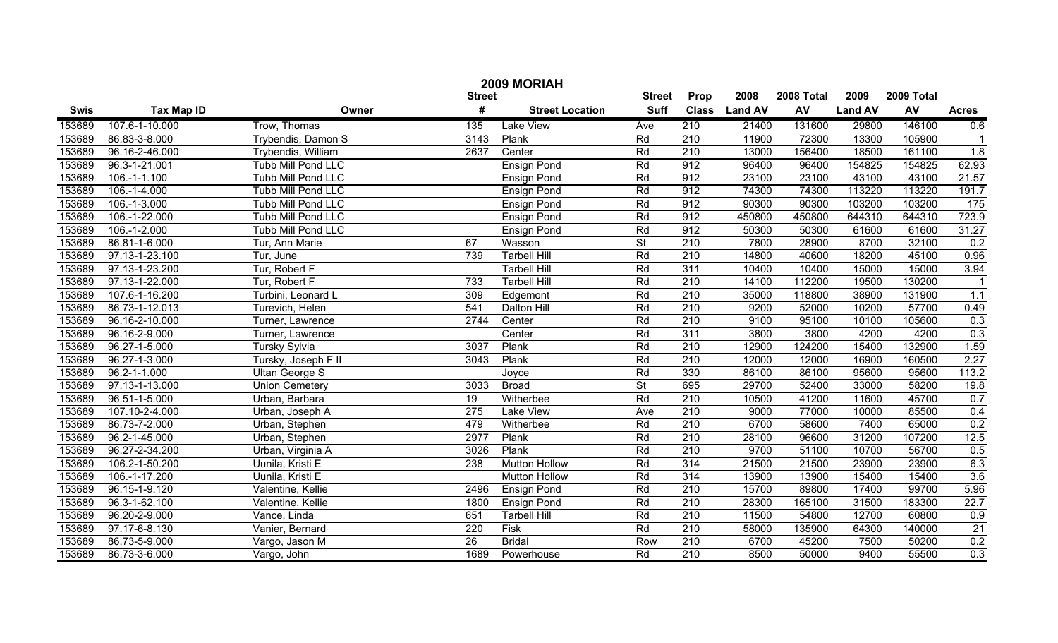|        | 2009 MORIAH        |                           |                  |                        |                          |                  |                |            |                |            |                  |  |
|--------|--------------------|---------------------------|------------------|------------------------|--------------------------|------------------|----------------|------------|----------------|------------|------------------|--|
|        |                    |                           | <b>Street</b>    |                        | <b>Street</b>            | Prop             | 2008           | 2008 Total | 2009           | 2009 Total |                  |  |
| Swis   | <b>Tax Map ID</b>  | Owner                     | #                | <b>Street Location</b> | <b>Suff</b>              | <b>Class</b>     | <b>Land AV</b> | AV         | <b>Land AV</b> | AV         | <b>Acres</b>     |  |
| 153689 | 107.6-1-10.000     | Trow, Thomas              | $\overline{135}$ | <b>Lake View</b>       | Ave                      | 210              | 21400          | 131600     | 29800          | 146100     | 0.6              |  |
| 153689 | 86.83-3-8.000      | Trybendis, Damon S        | 3143             | Plank                  | Rd                       | $\overline{210}$ | 11900          | 72300      | 13300          | 105900     |                  |  |
| 153689 | 96.16-2-46.000     | Trybendis, William        | 2637             | Center                 | Rd                       | $\overline{210}$ | 13000          | 156400     | 18500          | 161100     | $\overline{1.8}$ |  |
| 153689 | 96.3-1-21.001      | <b>Tubb Mill Pond LLC</b> |                  | <b>Ensign Pond</b>     | Rd                       | 912              | 96400          | 96400      | 154825         | 154825     | 62.93            |  |
| 153689 | $106.-1-1.100$     | <b>Tubb Mill Pond LLC</b> |                  | <b>Ensign Pond</b>     | Rd                       | 912              | 23100          | 23100      | 43100          | 43100      | 21.57            |  |
| 153689 | 106.-1-4.000       | <b>Tubb Mill Pond LLC</b> |                  | <b>Ensign Pond</b>     | Rd                       | 912              | 74300          | 74300      | 113220         | 113220     | 191.7            |  |
| 153689 | 106.-1-3.000       | <b>Tubb Mill Pond LLC</b> |                  | <b>Ensign Pond</b>     | Rd                       | 912              | 90300          | 90300      | 103200         | 103200     | 175              |  |
| 153689 | 106.-1-22.000      | <b>Tubb Mill Pond LLC</b> |                  | <b>Ensign Pond</b>     | Rd                       | 912              | 450800         | 450800     | 644310         | 644310     | 723.9            |  |
| 153689 | 106.-1-2.000       | <b>Tubb Mill Pond LLC</b> |                  | <b>Ensign Pond</b>     | Rd                       | 912              | 50300          | 50300      | 61600          | 61600      | 31.27            |  |
| 153689 | 86.81-1-6.000      | Tur, Ann Marie            | 67               | Wasson                 | $\overline{\mathsf{St}}$ | $\overline{210}$ | 7800           | 28900      | 8700           | 32100      | 0.2              |  |
| 153689 | 97.13-1-23.100     | Tur, June                 | 739              | <b>Tarbell Hill</b>    | Rd                       | $\overline{210}$ | 14800          | 40600      | 18200          | 45100      | 0.96             |  |
| 153689 | 97.13-1-23.200     | Tur, Robert F             |                  | <b>Tarbell Hill</b>    | Rd                       | 311              | 10400          | 10400      | 15000          | 15000      | 3.94             |  |
| 153689 | 97.13-1-22.000     | Tur, Robert F             | 733              | <b>Tarbell Hill</b>    | Rd                       | $\overline{210}$ | 14100          | 112200     | 19500          | 130200     |                  |  |
| 153689 | 107.6-1-16.200     | Turbini, Leonard L        | 309              | Edgemont               | Rd                       | $\overline{210}$ | 35000          | 118800     | 38900          | 131900     | 1.1              |  |
| 153689 | 86.73-1-12.013     | Turevich, Helen           | 541              | <b>Dalton Hill</b>     | Rd                       | $\overline{210}$ | 9200           | 52000      | 10200          | 57700      | 0.49             |  |
| 153689 | 96.16-2-10.000     | Turner, Lawrence          | 2744             | Center                 | Rd                       | $\overline{210}$ | 9100           | 95100      | 10100          | 105600     | 0.3              |  |
| 153689 | 96.16-2-9.000      | Turner, Lawrence          |                  | Center                 | Rd                       | 311              | 3800           | 3800       | 4200           | 4200       | 0.3              |  |
| 153689 | 96.27-1-5.000      | Tursky Sylvia             | 3037             | Plank                  | Rd                       | $\overline{210}$ | 12900          | 124200     | 15400          | 132900     | 1.59             |  |
| 153689 | 96.27-1-3.000      | Tursky, Joseph F II       | 3043             | Plank                  | Rd                       | $\overline{210}$ | 12000          | 12000      | 16900          | 160500     | 2.27             |  |
| 153689 | $96.2 - 1 - 1.000$ | <b>Ultan George S</b>     |                  | Joyce                  | Rd                       | 330              | 86100          | 86100      | 95600          | 95600      | 113.2            |  |
| 153689 | 97.13-1-13.000     | <b>Union Cemetery</b>     | 3033             | <b>Broad</b>           | $\overline{\mathsf{St}}$ | 695              | 29700          | 52400      | 33000          | 58200      | 19.8             |  |
| 153689 | 96.51-1-5.000      | Urban, Barbara            | 19               | Witherbee              | Rd                       | 210              | 10500          | 41200      | 11600          | 45700      | 0.7              |  |
| 153689 | 107.10-2-4.000     | Urban, Joseph A           | $\overline{275}$ | <b>Lake View</b>       | Ave                      | 210              | 9000           | 77000      | 10000          | 85500      | 0.4              |  |
| 153689 | 86.73-7-2.000      | Urban, Stephen            | 479              | Witherbee              | Rd                       | 210              | 6700           | 58600      | 7400           | 65000      | 0.2              |  |
| 153689 | 96.2-1-45.000      | Urban, Stephen            | 2977             | Plank                  | Rd                       | 210              | 28100          | 96600      | 31200          | 107200     | 12.5             |  |
| 153689 | 96.27-2-34.200     | Urban, Virginia A         | 3026             | Plank                  | Rd                       | $\overline{210}$ | 9700           | 51100      | 10700          | 56700      | 0.5              |  |
| 153689 | 106.2-1-50.200     | Uunila, Kristi E          | 238              | <b>Mutton Hollow</b>   | Rd                       | 314              | 21500          | 21500      | 23900          | 23900      | 6.3              |  |
| 153689 | 106.-1-17.200      | Uunila, Kristi E          |                  | <b>Mutton Hollow</b>   | Rd                       | 314              | 13900          | 13900      | 15400          | 15400      | 3.6              |  |
| 153689 | 96.15-1-9.120      | Valentine, Kellie         | 2496             | <b>Ensign Pond</b>     | Rd                       | $\overline{210}$ | 15700          | 89800      | 17400          | 99700      | 5.96             |  |
| 153689 | 96.3-1-62.100      | Valentine, Kellie         | 1800             | <b>Ensign Pond</b>     | Rd                       | $\overline{210}$ | 28300          | 165100     | 31500          | 183300     | 22.7             |  |
| 153689 | 96.20-2-9.000      | Vance, Linda              | 651              | <b>Tarbell Hill</b>    | Rd                       | 210              | 11500          | 54800      | 12700          | 60800      | 0.9              |  |
| 153689 | 97.17-6-8.130      | Vanier, Bernard           | $\overline{220}$ | <b>Fisk</b>            | Rd                       | $\overline{210}$ | 58000          | 135900     | 64300          | 140000     | $\overline{21}$  |  |
| 153689 | 86.73-5-9.000      | Vargo, Jason M            | $\overline{26}$  | <b>Bridal</b>          | Row                      | 210              | 6700           | 45200      | 7500           | 50200      | 0.2              |  |
| 153689 | 86.73-3-6.000      | Vargo, John               | 1689             | Powerhouse             | Rd                       | 210              | 8500           | 50000      | 9400           | 55500      | 0.3              |  |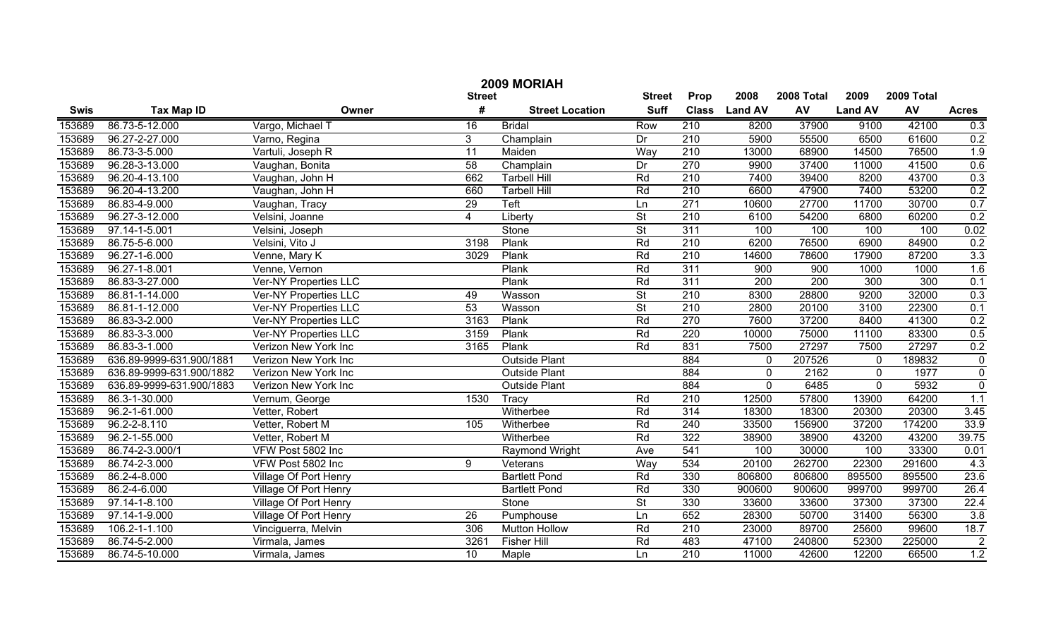| 2009 MORIAH |                          |                              |                 |                        |                          |                  |                  |                  |                |            |                  |
|-------------|--------------------------|------------------------------|-----------------|------------------------|--------------------------|------------------|------------------|------------------|----------------|------------|------------------|
|             |                          |                              | <b>Street</b>   |                        | <b>Street</b>            | Prop             | 2008             | 2008 Total       | 2009           | 2009 Total |                  |
| <b>Swis</b> | <b>Tax Map ID</b>        | Owner                        | #               | <b>Street Location</b> | <b>Suff</b>              | <b>Class</b>     | <b>Land AV</b>   | AV               | <b>Land AV</b> | AV         | <b>Acres</b>     |
| 153689      | 86.73-5-12.000           | Vargo, Michael T             | 16              | <b>Bridal</b>          | Row                      | 210              | 8200             | 37900            | 9100           | 42100      | 0.3              |
| 153689      | 96.27-2-27.000           | Varno, Regina                | 3               | Champlain              | Dr                       | 210              | 5900             | 55500            | 6500           | 61600      | 0.2              |
| 153689      | 86.73-3-5.000            | Vartuli, Joseph R            | 11              | Maiden                 | Way                      | $\overline{210}$ | 13000            | 68900            | 14500          | 76500      | 1.9              |
| 153689      | 96.28-3-13.000           | Vaughan, Bonita              | 58              | Champlain              | Dr                       | 270              | 9900             | 37400            | 11000          | 41500      | 0.6              |
| 153689      | 96.20-4-13.100           | Vaughan, John H              | 662             | <b>Tarbell Hill</b>    | Rd                       | 210              | 7400             | 39400            | 8200           | 43700      | 0.3              |
| 153689      | 96.20-4-13.200           | Vaughan, John H              | 660             | <b>Tarbell Hill</b>    | Rd                       | 210              | 6600             | 47900            | 7400           | 53200      | 0.2              |
| 153689      | 86.83-4-9.000            | Vaughan, Tracy               | 29              | Teft                   | Ln                       | 271              | 10600            | 27700            | 11700          | 30700      | 0.7              |
| 153689      | 96.27-3-12.000           | Velsini, Joanne              | $\overline{4}$  | Liberty                | $\overline{\mathsf{St}}$ | 210              | 6100             | 54200            | 6800           | 60200      | 0.2              |
| 153689      | 97.14-1-5.001            | Velsini, Joseph              |                 | Stone                  | $\overline{\mathsf{St}}$ | 311              | 100              | 100              | 100            | 100        | 0.02             |
| 153689      | 86.75-5-6.000            | Velsini, Vito J              | 3198            | Plank                  | Rd                       | $\overline{210}$ | 6200             | 76500            | 6900           | 84900      | 0.2              |
| 153689      | 96.27-1-6.000            | Venne, Mary K                | 3029            | Plank                  | Rd                       | 210              | 14600            | 78600            | 17900          | 87200      | 3.3              |
| 153689      | 96.27-1-8.001            | Venne, Vernon                |                 | Plank                  | Rd                       | 311              | $\overline{900}$ | 900              | 1000           | 1000       | 1.6              |
| 153689      | 86.83-3-27.000           | <b>Ver-NY Properties LLC</b> |                 | Plank                  | Rd                       | 311              | $\overline{200}$ | $\overline{200}$ | 300            | 300        | 0.1              |
| 153689      | 86.81-1-14.000           | Ver-NY Properties LLC        | 49              | Wasson                 | $\overline{\mathsf{St}}$ | 210              | 8300             | 28800            | 9200           | 32000      | 0.3              |
| 153689      | 86.81-1-12.000           | <b>Ver-NY Properties LLC</b> | 53              | Wasson                 | $\overline{\mathsf{St}}$ | 210              | 2800             | 20100            | 3100           | 22300      | 0.1              |
| 153689      | 86.83-3-2.000            | <b>Ver-NY Properties LLC</b> | 3163            | Plank                  | Rd                       | 270              | 7600             | 37200            | 8400           | 41300      | 0.2              |
| 153689      | 86.83-3-3.000            | <b>Ver-NY Properties LLC</b> | 3159            | Plank                  | Rd                       | 220              | 10000            | 75000            | 11100          | 83300      | 0.5              |
| 153689      | 86.83-3-1.000            | Verizon New York Inc         | 3165            | Plank                  | Rd                       | 831              | 7500             | 27297            | 7500           | 27297      | 0.2              |
| 153689      | 636.89-9999-631.900/1881 | Verizon New York Inc         |                 | <b>Outside Plant</b>   |                          | 884              | $\mathbf 0$      | 207526           | $\mathbf 0$    | 189832     | $\mathbf 0$      |
| 153689      | 636.89-9999-631.900/1882 | Verizon New York Inc         |                 | <b>Outside Plant</b>   |                          | 884              | $\mathbf 0$      | 2162             | $\mathbf 0$    | 1977       | $\mathbf 0$      |
| 153689      | 636.89-9999-631.900/1883 | Verizon New York Inc         |                 | <b>Outside Plant</b>   |                          | 884              | $\mathbf 0$      | 6485             | $\mathbf 0$    | 5932       | $\overline{0}$   |
| 153689      | 86.3-1-30.000            | Vernum, George               | 1530            | Tracy                  | Rd                       | $\overline{210}$ | 12500            | 57800            | 13900          | 64200      | $\overline{1.1}$ |
| 153689      | 96.2-1-61.000            | Vetter, Robert               |                 | Witherbee              | Rd                       | 314              | 18300            | 18300            | 20300          | 20300      | 3.45             |
| 153689      | 96.2-2-8.110             | Vetter, Robert M             | 105             | Witherbee              | Rd                       | 240              | 33500            | 156900           | 37200          | 174200     | 33.9             |
| 153689      | 96.2-1-55.000            | Vetter, Robert M             |                 | Witherbee              | Rd                       | 322              | 38900            | 38900            | 43200          | 43200      | 39.75            |
| 153689      | 86.74-2-3.000/1          | VFW Post 5802 Inc            |                 | Raymond Wright         | Ave                      | 541              | 100              | 30000            | 100            | 33300      | 0.01             |
| 153689      | 86.74-2-3.000            | VFW Post 5802 Inc            | 9               | Veterans               | Way                      | 534              | 20100            | 262700           | 22300          | 291600     | 4.3              |
| 153689      | 86.2-4-8.000             | Village Of Port Henry        |                 | <b>Bartlett Pond</b>   | Rd                       | 330              | 806800           | 806800           | 895500         | 895500     | 23.6             |
| 153689      | 86.2-4-6.000             | Village Of Port Henry        |                 | <b>Bartlett Pond</b>   | Rd                       | 330              | 900600           | 900600           | 999700         | 999700     | 26.4             |
| 153689      | 97.14-1-8.100            | <b>Village Of Port Henry</b> |                 | Stone                  | $\overline{\mathsf{St}}$ | 330              | 33600            | 33600            | 37300          | 37300      | 22.4             |
| 153689      | 97.14-1-9.000            | Village Of Port Henry        | $\overline{26}$ | Pumphouse              | Ln                       | 652              | 28300            | 50700            | 31400          | 56300      | $\overline{3.8}$ |
| 153689      | 106.2-1-1.100            | Vinciguerra, Melvin          | 306             | <b>Mutton Hollow</b>   | Rd                       | 210              | 23000            | 89700            | 25600          | 99600      | 18.7             |
| 153689      | 86.74-5-2.000            | Virmala, James               | 3261            | <b>Fisher Hill</b>     | Rd                       | 483              | 47100            | 240800           | 52300          | 225000     | $\overline{2}$   |
| 153689      | 86.74-5-10.000           | Virmala, James               | $\overline{10}$ | Maple                  | Ln                       | $\overline{210}$ | 11000            | 42600            | 12200          | 66500      | 1.2              |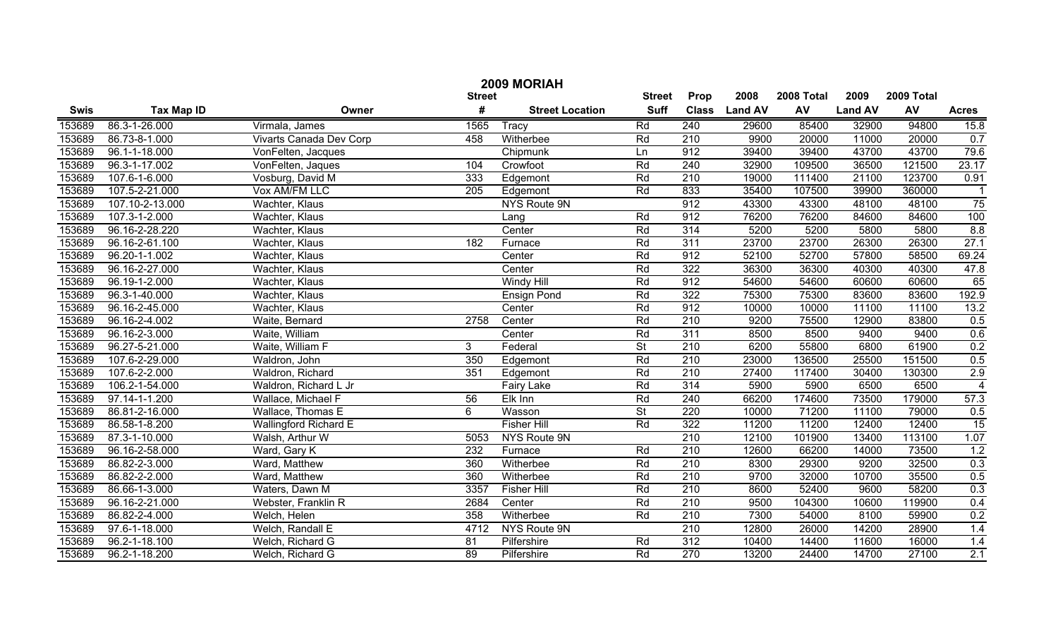| 2009 MORIAH |                     |                              |                  |                        |                          |                  |                |            |                |        |                |  |
|-------------|---------------------|------------------------------|------------------|------------------------|--------------------------|------------------|----------------|------------|----------------|--------|----------------|--|
|             |                     | <b>Street</b>                | <b>Street</b>    | Prop                   | 2008                     | 2008 Total       | 2009           | 2009 Total |                |        |                |  |
| <b>Swis</b> | <b>Tax Map ID</b>   | Owner                        | #                | <b>Street Location</b> | <b>Suff</b>              | <b>Class</b>     | <b>Land AV</b> | AV         | <b>Land AV</b> | AV     | <b>Acres</b>   |  |
| 153689      | 86.3-1-26.000       | Virmala, James               | 1565             | Tracy                  | Rd                       | 240              | 29600          | 85400      | 32900          | 94800  | 15.8           |  |
| 153689      | 86.73-8-1.000       | Vivarts Canada Dev Corp      | 458              | Witherbee              | Rd                       | 210              | 9900           | 20000      | 11000          | 20000  | 0.7            |  |
| 153689      | 96.1-1-18.000       | VonFelten, Jacques           |                  | Chipmunk               | Ln                       | 912              | 39400          | 39400      | 43700          | 43700  | 79.6           |  |
| 153689      | 96.3-1-17.002       | VonFelten, Jaques            | 104              | Crowfoot               | Rd                       | 240              | 32900          | 109500     | 36500          | 121500 | 23.17          |  |
| 153689      | 107.6-1-6.000       | Vosburg, David M             | 333              | Edgemont               | Rd                       | 210              | 19000          | 111400     | 21100          | 123700 | 0.91           |  |
| 153689      | 107.5-2-21.000      | Vox AM/FM LLC                | $\overline{205}$ | Edgemont               | Rd                       | 833              | 35400          | 107500     | 39900          | 360000 | -1             |  |
| 153689      | 107.10-2-13.000     | Wachter, Klaus               |                  | NYS Route 9N           |                          | 912              | 43300          | 43300      | 48100          | 48100  | 75             |  |
| 153689      | 107.3-1-2.000       | Wachter, Klaus               |                  | Lang                   | Rd                       | 912              | 76200          | 76200      | 84600          | 84600  | 100            |  |
| 153689      | 96.16-2-28.220      | Wachter, Klaus               |                  | Center                 | Rd                       | 314              | 5200           | 5200       | 5800           | 5800   | 8.8            |  |
| 153689      | 96.16-2-61.100      | Wachter, Klaus               | 182              | Furnace                | Rd                       | 311              | 23700          | 23700      | 26300          | 26300  | 27.1           |  |
| 153689      | 96.20-1-1.002       | Wachter, Klaus               |                  | Center                 | Rd                       | 912              | 52100          | 52700      | 57800          | 58500  | 69.24          |  |
| 153689      | 96.16-2-27.000      | Wachter, Klaus               |                  | Center                 | Rd                       | 322              | 36300          | 36300      | 40300          | 40300  | 47.8           |  |
| 153689      | 96.19-1-2.000       | Wachter, Klaus               |                  | <b>Windy Hill</b>      | Rd                       | 912              | 54600          | 54600      | 60600          | 60600  | 65             |  |
| 153689      | 96.3-1-40.000       | Wachter, Klaus               |                  | <b>Ensign Pond</b>     | Rd                       | 322              | 75300          | 75300      | 83600          | 83600  | 192.9          |  |
| 153689      | 96.16-2-45.000      | Wachter, Klaus               |                  | Center                 | Rd                       | 912              | 10000          | 10000      | 11100          | 11100  | 13.2           |  |
| 153689      | 96.16-2-4.002       | Waite, Bernard               | 2758             | Center                 | Rd                       | $\overline{210}$ | 9200           | 75500      | 12900          | 83800  | 0.5            |  |
| 153689      | 96.16-2-3.000       | Waite, William               |                  | Center                 | Rd                       | 311              | 8500           | 8500       | 9400           | 9400   | 0.6            |  |
| 153689      | 96.27-5-21.000      | Waite, William F             | 3 <sup>1</sup>   | Federal                | $\overline{\mathsf{St}}$ | 210              | 6200           | 55800      | 6800           | 61900  | 0.2            |  |
| 153689      | 107.6-2-29.000      | Waldron, John                | 350              | Edgemont               | Rd                       | $\overline{210}$ | 23000          | 136500     | 25500          | 151500 | 0.5            |  |
| 153689      | 107.6-2-2.000       | Waldron, Richard             | 351              | Edgemont               | Rd                       | $\overline{210}$ | 27400          | 117400     | 30400          | 130300 | 2.9            |  |
| 153689      | 106.2-1-54.000      | Waldron, Richard L Jr        |                  | Fairy Lake             | Rd                       | 314              | 5900           | 5900       | 6500           | 6500   | $\overline{4}$ |  |
| 153689      | 97.14-1-1.200       | Wallace, Michael F           | $\overline{56}$  | Elk Inn                | Rd                       | 240              | 66200          | 174600     | 73500          | 179000 | 57.3           |  |
| 153689      | 86.81-2-16.000      | Wallace, Thomas E            | 6                | Wasson                 | $\overline{\mathsf{St}}$ | $\overline{220}$ | 10000          | 71200      | 11100          | 79000  | 0.5            |  |
| 153689      | 86.58-1-8.200       | <b>Wallingford Richard E</b> |                  | <b>Fisher Hill</b>     | Rd                       | 322              | 11200          | 11200      | 12400          | 12400  | 15             |  |
| 153689      | 87.3-1-10.000       | Walsh, Arthur W              | 5053             | NYS Route 9N           |                          | 210              | 12100          | 101900     | 13400          | 113100 | 1.07           |  |
| 153689      | 96.16-2-58.000      | Ward, Gary K                 | $\overline{232}$ | Furnace                | Rd                       | $\overline{210}$ | 12600          | 66200      | 14000          | 73500  | 1.2            |  |
| 153689      | 86.82-2-3.000       | Ward, Matthew                | 360              | Witherbee              | Rd                       | 210              | 8300           | 29300      | 9200           | 32500  | 0.3            |  |
| 153689      | 86.82-2-2.000       | Ward, Matthew                | 360              | Witherbee              | Rd                       | 210              | 9700           | 32000      | 10700          | 35500  | 0.5            |  |
| 153689      | 86.66-1-3.000       | Waters, Dawn M               | 3357             | <b>Fisher Hill</b>     | Rd                       | 210              | 8600           | 52400      | 9600           | 58200  | 0.3            |  |
| 153689      | 96.16-2-21.000      | Webster, Franklin R          | 2684             | Center                 | Rd                       | 210              | 9500           | 104300     | 10600          | 119900 | 0.4            |  |
| 153689      | 86.82-2-4.000       | Welch, Helen                 | 358              | Witherbee              | Rd                       | $\overline{210}$ | 7300           | 54000      | 8100           | 59900  | 0.2            |  |
| 153689      | 97.6-1-18.000       | Welch, Randall E             | 4712             | NYS Route 9N           |                          | 210              | 12800          | 26000      | 14200          | 28900  | 1.4            |  |
| 153689      | 96.2-1-18.100       | Welch, Richard G             | 81               | Pilfershire            | Rd                       | 312              | 10400          | 14400      | 11600          | 16000  | 1.4            |  |
| 153689      | $96.2 - 1 - 18.200$ | Welch, Richard G             | $\overline{89}$  | Pilfershire            | Rd                       | 270              | 13200          | 24400      | 14700          | 27100  | 2.1            |  |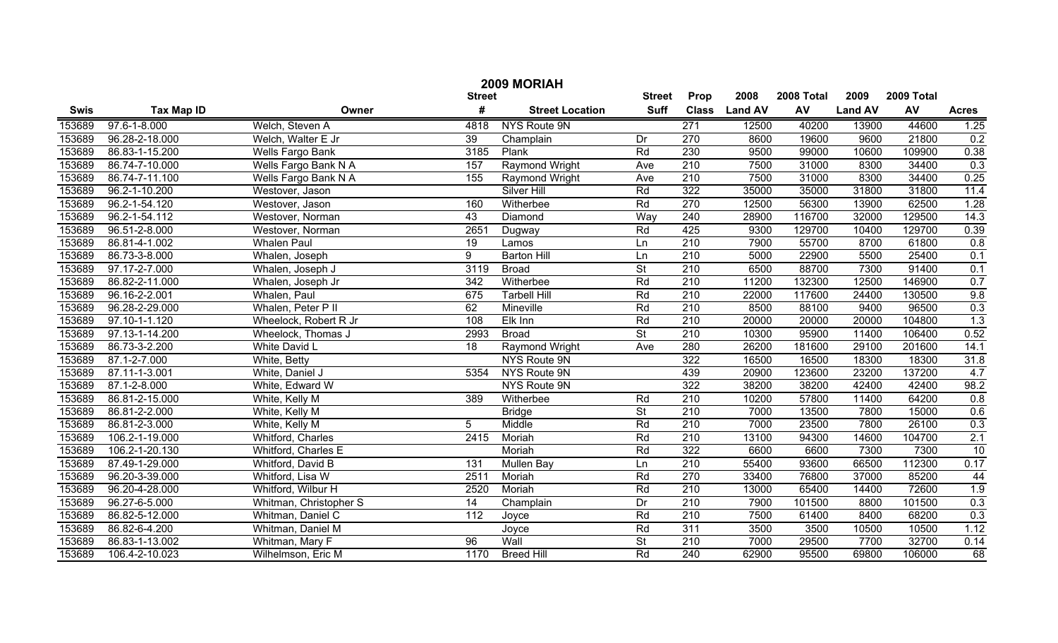| 2009 MORIAH |                   |                         |                 |                        |                          |                  |                |            |                |            |              |
|-------------|-------------------|-------------------------|-----------------|------------------------|--------------------------|------------------|----------------|------------|----------------|------------|--------------|
|             |                   |                         | <b>Street</b>   |                        | <b>Street</b>            | Prop             | 2008           | 2008 Total | 2009           | 2009 Total |              |
| <b>Swis</b> | <b>Tax Map ID</b> | Owner                   | #               | <b>Street Location</b> | <b>Suff</b>              | <b>Class</b>     | <b>Land AV</b> | AV         | <b>Land AV</b> | AV         | <b>Acres</b> |
| 153689      | 97.6-1-8.000      | Welch, Steven A         | 4818            | NYS Route 9N           |                          | 271              | 12500          | 40200      | 13900          | 44600      | 1.25         |
| 153689      | 96.28-2-18.000    | Welch, Walter E Jr      | $\overline{39}$ | Champlain              | Dr                       | 270              | 8600           | 19600      | 9600           | 21800      | 0.2          |
| 153689      | 86.83-1-15.200    | <b>Wells Fargo Bank</b> | 3185            | Plank                  | Rd                       | 230              | 9500           | 99000      | 10600          | 109900     | 0.38         |
| 153689      | 86.74-7-10.000    | Wells Fargo Bank N A    | 157             | <b>Raymond Wright</b>  | Ave                      | 210              | 7500           | 31000      | 8300           | 34400      | 0.3          |
| 153689      | 86.74-7-11.100    | Wells Fargo Bank N A    | 155             | Raymond Wright         | Ave                      | 210              | 7500           | 31000      | 8300           | 34400      | 0.25         |
| 153689      | 96.2-1-10.200     | Westover, Jason         |                 | <b>Silver Hill</b>     | Rd                       | 322              | 35000          | 35000      | 31800          | 31800      | 11.4         |
| 153689      | 96.2-1-54.120     | Westover, Jason         | 160             | Witherbee              | Rd                       | 270              | 12500          | 56300      | 13900          | 62500      | 1.28         |
| 153689      | 96.2-1-54.112     | Westover, Norman        | 43              | Diamond                | Way                      | 240              | 28900          | 116700     | 32000          | 129500     | 14.3         |
| 153689      | 96.51-2-8.000     | Westover, Norman        | 2651            | Dugway                 | Rd                       | 425              | 9300           | 129700     | 10400          | 129700     | 0.39         |
| 153689      | 86.81-4-1.002     | <b>Whalen Paul</b>      | 19              | Lamos                  | Ln                       | 210              | 7900           | 55700      | 8700           | 61800      | 0.8          |
| 153689      | 86.73-3-8.000     | Whalen, Joseph          | 9               | <b>Barton Hill</b>     | Ln                       | 210              | 5000           | 22900      | 5500           | 25400      | 0.1          |
| 153689      | 97.17-2-7.000     | Whalen, Joseph J        | 3119            | <b>Broad</b>           | $\overline{\mathsf{St}}$ | 210              | 6500           | 88700      | 7300           | 91400      | 0.1          |
| 153689      | 86.82-2-11.000    | Whalen, Joseph Jr       | 342             | Witherbee              | Rd                       | 210              | 11200          | 132300     | 12500          | 146900     | 0.7          |
| 153689      | 96.16-2-2.001     | Whalen, Paul            | 675             | <b>Tarbell Hill</b>    | Rd                       | 210              | 22000          | 117600     | 24400          | 130500     | 9.8          |
| 153689      | 96.28-2-29.000    | Whalen, Peter P II      | 62              | Mineville              | Rd                       | 210              | 8500           | 88100      | 9400           | 96500      | 0.3          |
| 153689      | 97.10-1-1.120     | Wheelock, Robert R Jr   | 108             | Elk Inn                | Rd                       | 210              | 20000          | 20000      | 20000          | 104800     | 1.3          |
| 153689      | 97.13-1-14.200    | Wheelock, Thomas J      | 2993            | <b>Broad</b>           | $\overline{\mathsf{St}}$ | 210              | 10300          | 95900      | 11400          | 106400     | 0.52         |
| 153689      | 86.73-3-2.200     | White David L           | 18              | Raymond Wright         | Ave                      | 280              | 26200          | 181600     | 29100          | 201600     | 14.1         |
| 153689      | 87.1-2-7.000      | White, Betty            |                 | NYS Route 9N           |                          | 322              | 16500          | 16500      | 18300          | 18300      | 31.8         |
| 153689      | 87.11-1-3.001     | White, Daniel J         | 5354            | NYS Route 9N           |                          | 439              | 20900          | 123600     | 23200          | 137200     | 4.7          |
| 153689      | 87.1-2-8.000      | White, Edward W         |                 | <b>NYS Route 9N</b>    |                          | $\overline{322}$ | 38200          | 38200      | 42400          | 42400      | 98.2         |
| 153689      | 86.81-2-15.000    | White, Kelly M          | 389             | Witherbee              | Rd                       | 210              | 10200          | 57800      | 11400          | 64200      | 0.8          |
| 153689      | 86.81-2-2.000     | White, Kelly M          |                 | <b>Bridge</b>          | $\overline{\mathsf{St}}$ | 210              | 7000           | 13500      | 7800           | 15000      | 0.6          |
| 153689      | 86.81-2-3.000     | White, Kelly M          | 5               | Middle                 | Rd                       | 210              | 7000           | 23500      | 7800           | 26100      | 0.3          |
| 153689      | 106.2-1-19.000    | Whitford, Charles       | 2415            | Moriah                 | Rd                       | 210              | 13100          | 94300      | 14600          | 104700     | 2.1          |
| 153689      | 106.2-1-20.130    | Whitford, Charles E     |                 | Moriah                 | Rd                       | 322              | 6600           | 6600       | 7300           | 7300       | 10           |
| 153689      | 87.49-1-29.000    | Whitford, David B       | 131             | <b>Mullen Bay</b>      | Ln                       | 210              | 55400          | 93600      | 66500          | 112300     | 0.17         |
| 153689      | 96.20-3-39.000    | Whitford, Lisa W        | 2511            | Moriah                 | Rd                       | 270              | 33400          | 76800      | 37000          | 85200      | 44           |
| 153689      | 96.20-4-28.000    | Whitford, Wilbur H      | 2520            | Moriah                 | Rd                       | 210              | 13000          | 65400      | 14400          | 72600      | 1.9          |
| 153689      | 96.27-6-5.000     | Whitman, Christopher S  | 14              | Champlain              | Dr                       | $\overline{210}$ | 7900           | 101500     | 8800           | 101500     | 0.3          |
| 153689      | 86.82-5-12.000    | Whitman, Daniel C       | 112             | Joyce                  | Rd                       | $\overline{210}$ | 7500           | 61400      | 8400           | 68200      | 0.3          |
| 153689      | 86.82-6-4.200     | Whitman, Daniel M       |                 | Joyce                  | Rd                       | 311              | 3500           | 3500       | 10500          | 10500      | 1.12         |
| 153689      | 86.83-1-13.002    | Whitman, Mary F         | 96              | Wall                   | $\overline{\mathsf{St}}$ | $\overline{210}$ | 7000           | 29500      | 7700           | 32700      | 0.14         |
| 153689      | 106.4-2-10.023    | Wilhelmson, Eric M      | 1170            | <b>Breed Hill</b>      | Rd                       | 240              | 62900          | 95500      | 69800          | 106000     | 68           |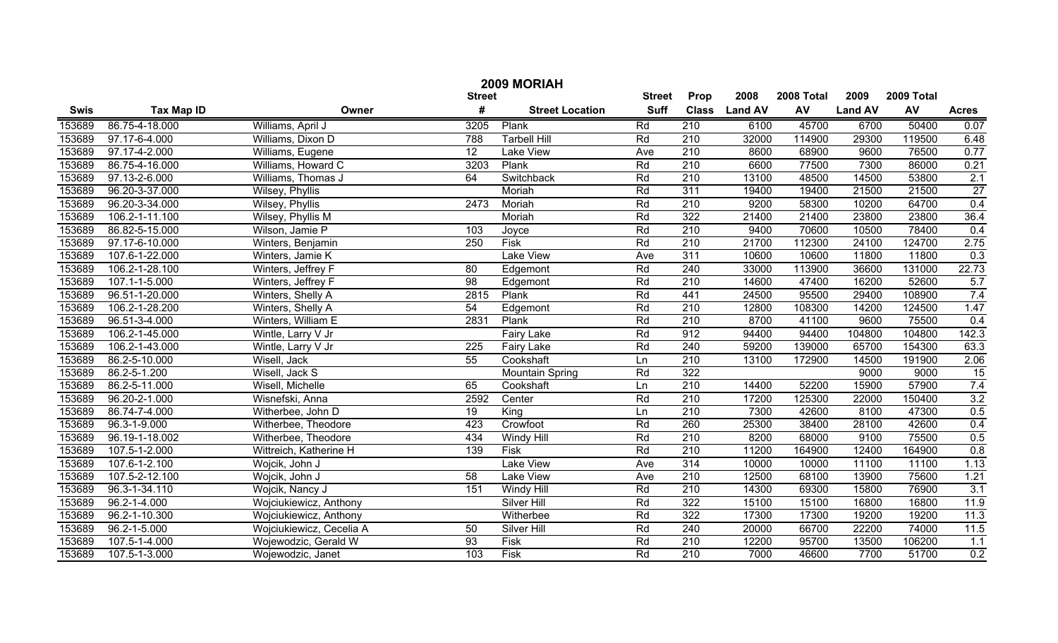| 2009 MORIAH |                    |                          |                 |                        |             |                  |                |            |                |        |                  |
|-------------|--------------------|--------------------------|-----------------|------------------------|-------------|------------------|----------------|------------|----------------|--------|------------------|
|             |                    | <b>Street</b>            | <b>Street</b>   | Prop                   | 2008        | 2008 Total       | 2009           | 2009 Total |                |        |                  |
| <b>Swis</b> | <b>Tax Map ID</b>  | Owner                    | #               | <b>Street Location</b> | <b>Suff</b> | <b>Class</b>     | <b>Land AV</b> | AV         | <b>Land AV</b> | AV     | <b>Acres</b>     |
| 153689      | 86.75-4-18.000     | Williams, April J        | 3205            | Plank                  | Rd          | 210              | 6100           | 45700      | 6700           | 50400  | 0.07             |
| 153689      | 97.17-6-4.000      | Williams, Dixon D        | 788             | <b>Tarbell Hill</b>    | Rd          | $\overline{210}$ | 32000          | 114900     | 29300          | 119500 | 6.48             |
| 153689      | 97.17-4-2.000      | Williams, Eugene         | $\overline{12}$ | Lake View              | Ave         | $\overline{210}$ | 8600           | 68900      | 9600           | 76500  | 0.77             |
| 153689      | 86.75-4-16.000     | Williams, Howard C       | 3203            | Plank                  | Rd          | 210              | 6600           | 77500      | 7300           | 86000  | 0.21             |
| 153689      | 97.13-2-6.000      | Williams, Thomas J       | 64              | Switchback             | Rd          | 210              | 13100          | 48500      | 14500          | 53800  | 2.1              |
| 153689      | 96.20-3-37.000     | <b>Wilsey, Phyllis</b>   |                 | Moriah                 | Rd          | 311              | 19400          | 19400      | 21500          | 21500  | 27               |
| 153689      | 96.20-3-34.000     | <b>Wilsey, Phyllis</b>   | 2473            | Moriah                 | Rd          | 210              | 9200           | 58300      | 10200          | 64700  | 0.4              |
| 153689      | 106.2-1-11.100     | Wilsey, Phyllis M        |                 | Moriah                 | Rd          | 322              | 21400          | 21400      | 23800          | 23800  | 36.4             |
| 153689      | 86.82-5-15.000     | Wilson, Jamie P          | 103             | Joyce                  | Rd          | 210              | 9400           | 70600      | 10500          | 78400  | 0.4              |
| 153689      | 97.17-6-10.000     | Winters, Benjamin        | 250             | <b>Fisk</b>            | Rd          | 210              | 21700          | 112300     | 24100          | 124700 | 2.75             |
| 153689      | 107.6-1-22.000     | Winters, Jamie K         |                 | Lake View              | Ave         | 311              | 10600          | 10600      | 11800          | 11800  | 0.3              |
| 153689      | 106.2-1-28.100     | Winters, Jeffrey F       | 80              | Edgemont               | Rd          | 240              | 33000          | 113900     | 36600          | 131000 | 22.73            |
| 153689      | 107.1-1-5.000      | Winters, Jeffrey F       | 98              | Edgemont               | Rd          | 210              | 14600          | 47400      | 16200          | 52600  | 5.7              |
| 153689      | 96.51-1-20.000     | Winters, Shelly A        | 2815            | Plank                  | Rd          | 441              | 24500          | 95500      | 29400          | 108900 | 7.4              |
| 153689      | 106.2-1-28.200     | Winters, Shelly A        | 54              | Edgemont               | Rd          | 210              | 12800          | 108300     | 14200          | 124500 | 1.47             |
| 153689      | 96.51-3-4.000      | Winters, William E       | 2831            | Plank                  | Rd          | 210              | 8700           | 41100      | 9600           | 75500  | 0.4              |
| 153689      | 106.2-1-45.000     | Wintle, Larry V Jr       |                 | <b>Fairy Lake</b>      | Rd          | 912              | 94400          | 94400      | 104800         | 104800 | 142.3            |
| 153689      | 106.2-1-43.000     | Wintle, Larry V Jr       | 225             | <b>Fairy Lake</b>      | Rd          | 240              | 59200          | 139000     | 65700          | 154300 | 63.3             |
| 153689      | 86.2-5-10.000      | Wisell, Jack             | 55              | Cookshaft              | Ln          | 210              | 13100          | 172900     | 14500          | 191900 | 2.06             |
| 153689      | 86.2-5-1.200       | Wisell, Jack S           |                 | <b>Mountain Spring</b> | Rd          | 322              |                |            | 9000           | 9000   | 15               |
| 153689      | 86.2-5-11.000      | Wisell, Michelle         | 65              | Cookshaft              | Ln          | $\overline{210}$ | 14400          | 52200      | 15900          | 57900  | 7.4              |
| 153689      | 96.20-2-1.000      | Wisnefski, Anna          | 2592            | Center                 | Rd          | 210              | 17200          | 125300     | 22000          | 150400 | 3.2              |
| 153689      | 86.74-7-4.000      | Witherbee, John D        | 19              | King                   | Ln          | 210              | 7300           | 42600      | 8100           | 47300  | 0.5              |
| 153689      | 96.3-1-9.000       | Witherbee, Theodore      | 423             | Crowfoot               | Rd          | 260              | 25300          | 38400      | 28100          | 42600  | 0.4              |
| 153689      | 96.19-1-18.002     | Witherbee, Theodore      | 434             | Windy Hill             | Rd          | 210              | 8200           | 68000      | 9100           | 75500  | 0.5              |
| 153689      | 107.5-1-2.000      | Wittreich, Katherine H   | 139             | <b>Fisk</b>            | Rd          | 210              | 11200          | 164900     | 12400          | 164900 | 0.8              |
| 153689      | 107.6-1-2.100      | Wojcik, John J           |                 | Lake View              | Ave         | 314              | 10000          | 10000      | 11100          | 11100  | 1.13             |
| 153689      | 107.5-2-12.100     | Wojcik, John J           | 58              | <b>Lake View</b>       | Ave         | 210              | 12500          | 68100      | 13900          | 75600  | 1.21             |
| 153689      | 96.3-1-34.110      | Wojcik, Nancy J          | 151             | Windy Hill             | Rd          | 210              | 14300          | 69300      | 15800          | 76900  | $\overline{3.1}$ |
| 153689      | $96.2 - 1 - 4.000$ | Wojciukiewicz, Anthony   |                 | <b>Silver Hill</b>     | Rd          | 322              | 15100          | 15100      | 16800          | 16800  | 11.9             |
| 153689      | 96.2-1-10.300      | Wojciukiewicz, Anthony   |                 | Witherbee              | Rd          | 322              | 17300          | 17300      | 19200          | 19200  | 11.3             |
| 153689      | 96.2-1-5.000       | Wojciukiewicz, Cecelia A | 50              | <b>Silver Hill</b>     | Rd          | 240              | 20000          | 66700      | 22200          | 74000  | 11.5             |
| 153689      | 107.5-1-4.000      | Wojewodzic, Gerald W     | $\overline{93}$ | <b>Fisk</b>            | Rd          | $\overline{210}$ | 12200          | 95700      | 13500          | 106200 | $\overline{1.1}$ |
| 153689      | 107.5-1-3.000      | Wojewodzic, Janet        | 103             | <b>Fisk</b>            | Rd          | $\overline{210}$ | 7000           | 46600      | 7700           | 51700  | 0.2              |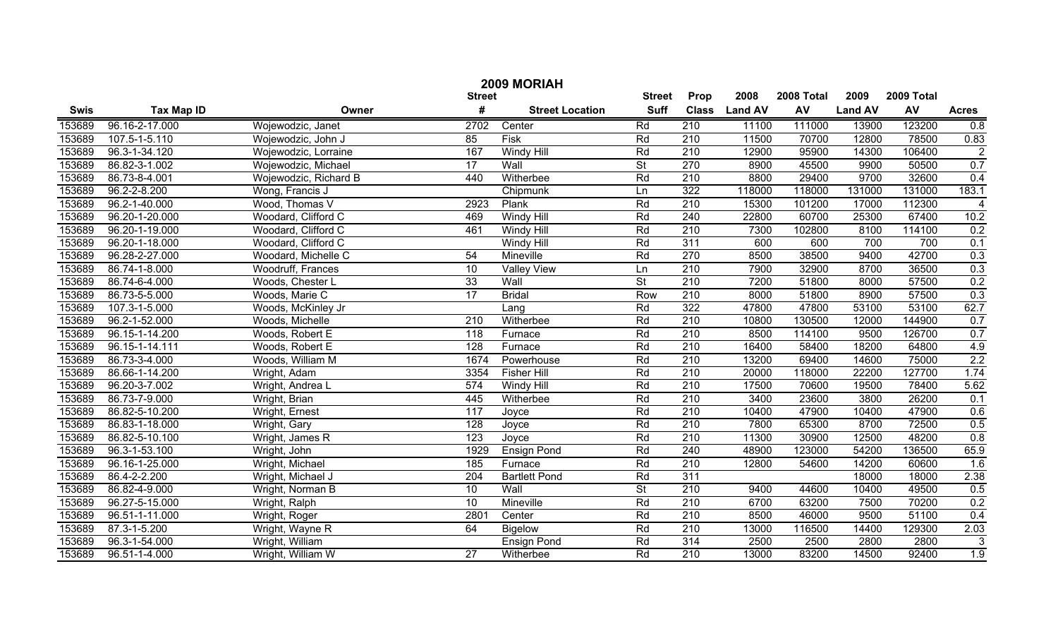| 2009 MORIAH |                   |                       |                 |                        |                          |                  |                |            |                |            |                |
|-------------|-------------------|-----------------------|-----------------|------------------------|--------------------------|------------------|----------------|------------|----------------|------------|----------------|
|             |                   |                       | <b>Street</b>   |                        | <b>Street</b>            | Prop             | 2008           | 2008 Total | 2009           | 2009 Total |                |
| <b>Swis</b> | <b>Tax Map ID</b> | Owner                 | #               | <b>Street Location</b> | <b>Suff</b>              | <b>Class</b>     | <b>Land AV</b> | <b>AV</b>  | <b>Land AV</b> | AV         | <b>Acres</b>   |
| 153689      | 96.16-2-17.000    | Wojewodzic, Janet     | 2702            | Center                 | Rd                       | 210              | 11100          | 111000     | 13900          | 123200     | 0.8            |
| 153689      | 107.5-1-5.110     | Wojewodzic, John J    | 85              | Fisk                   | Rd                       | 210              | 11500          | 70700      | 12800          | 78500      | 0.83           |
| 153689      | 96.3-1-34.120     | Wojewodzic, Lorraine  | 167             | Windy Hill             | Rd                       | $\overline{210}$ | 12900          | 95900      | 14300          | 106400     | $\overline{2}$ |
| 153689      | 86.82-3-1.002     | Wojewodzic, Michael   | $\overline{17}$ | Wall                   | $\overline{\mathsf{St}}$ | 270              | 8900           | 45500      | 9900           | 50500      | 0.7            |
| 153689      | 86.73-8-4.001     | Wojewodzic, Richard B | 440             | Witherbee              | Rd                       | 210              | 8800           | 29400      | 9700           | 32600      | 0.4            |
| 153689      | 96.2-2-8.200      | Wong, Francis J       |                 | Chipmunk               | Ln                       | 322              | 118000         | 118000     | 131000         | 131000     | 183.1          |
| 153689      | 96.2-1-40.000     | Wood, Thomas V        | 2923            | Plank                  | Rd                       | 210              | 15300          | 101200     | 17000          | 112300     | $\overline{4}$ |
| 153689      | 96.20-1-20.000    | Woodard, Clifford C   | 469             | <b>Windy Hill</b>      | Rd                       | 240              | 22800          | 60700      | 25300          | 67400      | 10.2           |
| 153689      | 96.20-1-19.000    | Woodard, Clifford C   | 461             | <b>Windy Hill</b>      | Rd                       | 210              | 7300           | 102800     | 8100           | 114100     | 0.2            |
| 153689      | 96.20-1-18.000    | Woodard, Clifford C   |                 | <b>Windy Hill</b>      | Rd                       | 311              | 600            | 600        | 700            | 700        | 0.1            |
| 153689      | 96.28-2-27.000    | Woodard, Michelle C   | 54              | Mineville              | Rd                       | 270              | 8500           | 38500      | 9400           | 42700      | 0.3            |
| 153689      | 86.74-1-8.000     | Woodruff, Frances     | 10              | <b>Valley View</b>     | Ln                       | 210              | 7900           | 32900      | 8700           | 36500      | 0.3            |
| 153689      | 86.74-6-4.000     | Woods, Chester L      | 33              | Wall                   | $\overline{\mathsf{St}}$ | 210              | 7200           | 51800      | 8000           | 57500      | 0.2            |
| 153689      | 86.73-5-5.000     | Woods, Marie C        | $\overline{17}$ | <b>Bridal</b>          | Row                      | 210              | 8000           | 51800      | 8900           | 57500      | 0.3            |
| 153689      | 107.3-1-5.000     | Woods, McKinley Jr    |                 | Lang                   | Rd                       | 322              | 47800          | 47800      | 53100          | 53100      | 62.7           |
| 153689      | 96.2-1-52.000     | Woods, Michelle       | 210             | Witherbee              | Rd                       | 210              | 10800          | 130500     | 12000          | 144900     | 0.7            |
| 153689      | 96.15-1-14.200    | Woods, Robert E       | 118             | Furnace                | Rd                       | 210              | 8500           | 114100     | 9500           | 126700     | 0.7            |
| 153689      | 96.15-1-14.111    | Woods, Robert E       | 128             | Furnace                | Rd                       | 210              | 16400          | 58400      | 18200          | 64800      | 4.9            |
| 153689      | 86.73-3-4.000     | Woods, William M      | 1674            | Powerhouse             | Rd                       | 210              | 13200          | 69400      | 14600          | 75000      | 2.2            |
| 153689      | 86.66-1-14.200    | Wright, Adam          | 3354            | <b>Fisher Hill</b>     | Rd                       | 210              | 20000          | 118000     | 22200          | 127700     | 1.74           |
| 153689      | 96.20-3-7.002     | Wright, Andrea L      | 574             | Windy Hill             | Rd                       | 210              | 17500          | 70600      | 19500          | 78400      | 5.62           |
| 153689      | 86.73-7-9.000     | Wright, Brian         | 445             | Witherbee              | Rd                       | 210              | 3400           | 23600      | 3800           | 26200      | 0.1            |
| 153689      | 86.82-5-10.200    | Wright, Ernest        | 117             | Joyce                  | Rd                       | 210              | 10400          | 47900      | 10400          | 47900      | 0.6            |
| 153689      | 86.83-1-18.000    | Wright, Gary          | 128             | Joyce                  | Rd                       | 210              | 7800           | 65300      | 8700           | 72500      | 0.5            |
| 153689      | 86.82-5-10.100    | Wright, James R       | 123             | Joyce                  | Rd                       | 210              | 11300          | 30900      | 12500          | 48200      | 0.8            |
| 153689      | 96.3-1-53.100     | Wright, John          | 1929            | <b>Ensign Pond</b>     | Rd                       | 240              | 48900          | 123000     | 54200          | 136500     | 65.9           |
| 153689      | 96.16-1-25.000    | Wright, Michael       | 185             | Furnace                | Rd                       | 210              | 12800          | 54600      | 14200          | 60600      | 1.6            |
| 153689      | 86.4-2-2.200      | Wright, Michael J     | 204             | <b>Bartlett Pond</b>   | Rd                       | $\overline{311}$ |                |            | 18000          | 18000      | 2.38           |
| 153689      | 86.82-4-9.000     | Wright, Norman B      | 10              | Wall                   | $\overline{\mathsf{St}}$ | 210              | 9400           | 44600      | 10400          | 49500      | 0.5            |
| 153689      | 96.27-5-15.000    | Wright, Ralph         | $\overline{10}$ | Mineville              | Rd                       | $\overline{210}$ | 6700           | 63200      | 7500           | 70200      | 0.2            |
| 153689      | 96.51-1-11.000    | Wright, Roger         | 2801            | Center                 | Rd                       | $\overline{210}$ | 8500           | 46000      | 9500           | 51100      | 0.4            |
| 153689      | 87.3-1-5.200      | Wright, Wayne R       | 64              | <b>Bigelow</b>         | Rd                       | $\overline{210}$ | 13000          | 116500     | 14400          | 129300     | 2.03           |
| 153689      | 96.3-1-54.000     | Wright, William       |                 | <b>Ensign Pond</b>     | Rd                       | 314              | 2500           | 2500       | 2800           | 2800       | $\sqrt{3}$     |
| 153689      | 96.51-1-4.000     | Wright, William W     | $\overline{27}$ | Witherbee              | Rd                       | $\overline{210}$ | 13000          | 83200      | 14500          | 92400      | 1.9            |